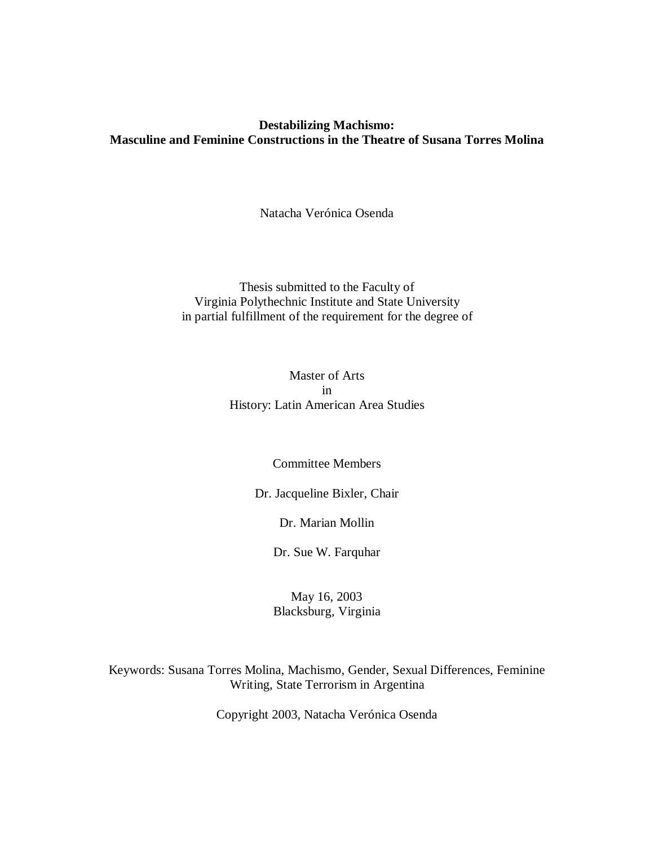# **Destabilizing Machismo: Masculine and Feminine Constructions in the Theatre of Susana Torres Molina**

Natacha Verónica Osenda

Thesis submitted to the Faculty of Virginia Polythechnic Institute and State University in partial fulfillment of the requirement for the degree of

> Master of Arts in History: Latin American Area Studies

#### Committee Members

Dr. Jacqueline Bixler, Chair

Dr. Marian Mollin

Dr. Sue W. Farquhar

May 16, 2003 Blacksburg, Virginia

Keywords: Susana Torres Molina, Machismo, Gender, Sexual Differences, Feminine Writing, State Terrorism in Argentina

Copyright 2003, Natacha Verónica Osenda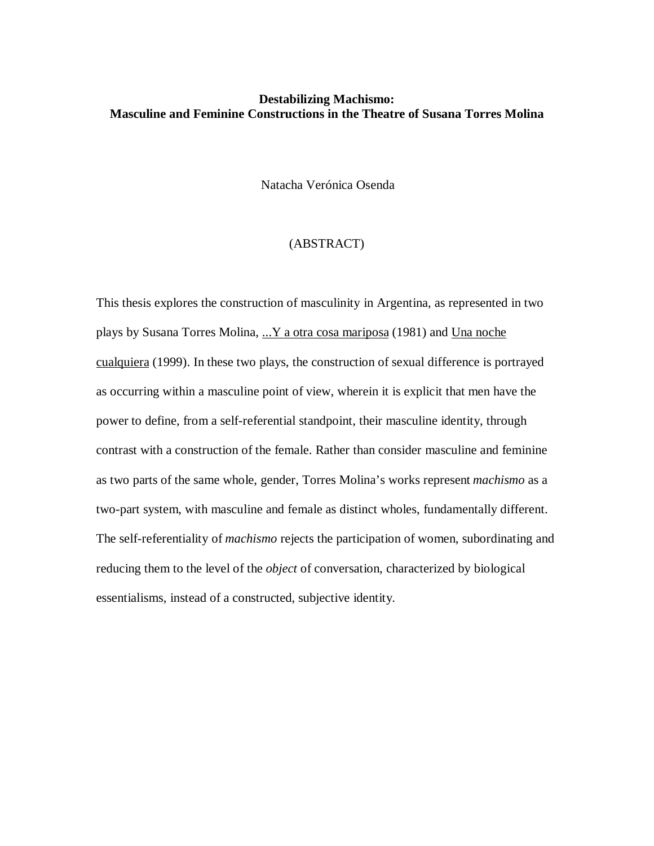# **Destabilizing Machismo: Masculine and Feminine Constructions in the Theatre of Susana Torres Molina**

Natacha Verónica Osenda

#### (ABSTRACT)

This thesis explores the construction of masculinity in Argentina, as represented in two plays by Susana Torres Molina, ... Y a otra cosa mariposa (1981) and Una noche cualquiera (1999). In these two plays, the construction of sexual difference is portrayed as occurring within a masculine point of view, wherein it is explicit that men have the power to define, from a self-referential standpoint, their masculine identity, through contrast with a construction of the female. Rather than consider masculine and feminine as two parts of the same whole, gender, Torres Molina's works represent *machismo* as a two-part system, with masculine and female as distinct wholes, fundamentally different. The self-referentiality of *machismo* rejects the participation of women, subordinating and reducing them to the level of the *object* of conversation, characterized by biological essentialisms, instead of a constructed, subjective identity.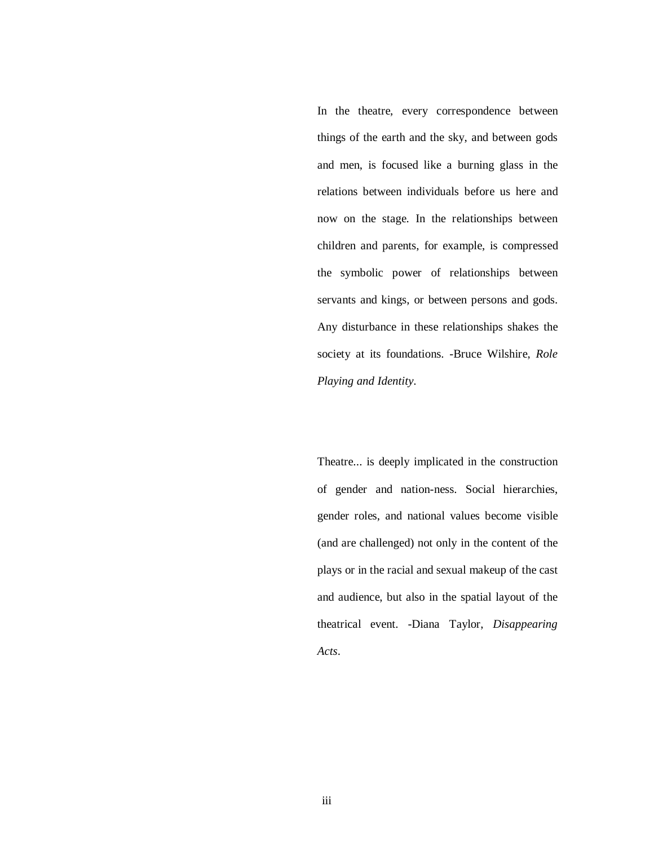In the theatre, every correspondence between things of the earth and the sky, and between gods and men, is focused like a burning glass in the relations between individuals before us here and now on the stage. In the relationships between children and parents, for example, is compressed the symbolic power of relationships between servants and kings, or between persons and gods. Any disturbance in these relationships shakes the society at its foundations. -Bruce Wilshire, *Role Playing and Identity*.

Theatre... is deeply implicated in the construction of gender and nation-ness. Social hierarchies, gender roles, and national values become visible (and are challenged) not only in the content of the plays or in the racial and sexual makeup of the cast and audience, but also in the spatial layout of the theatrical event. -Diana Taylor, *Disappearing Acts*.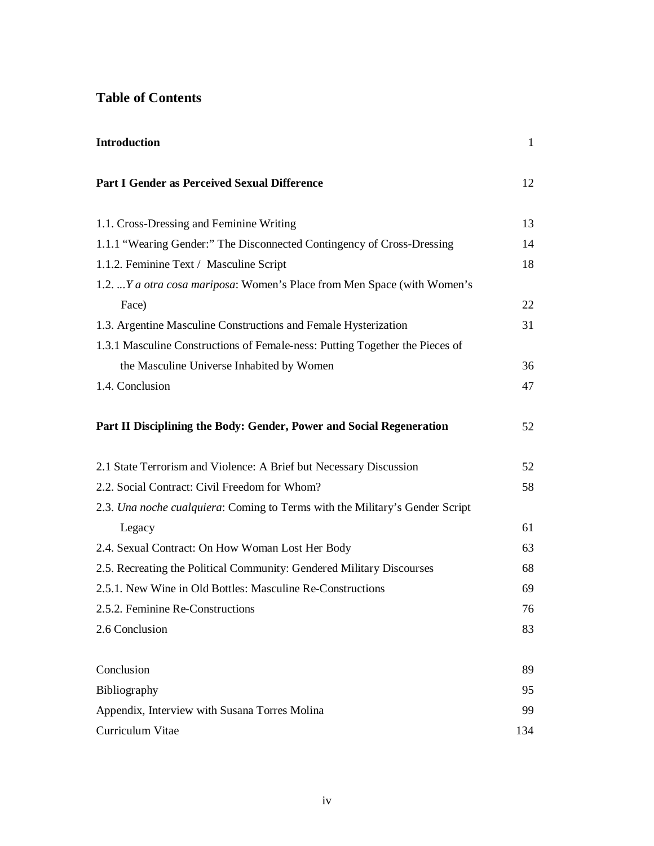# **Table of Contents**

| <b>Introduction</b>                                                          | $\mathbf{1}$ |
|------------------------------------------------------------------------------|--------------|
| Part I Gender as Perceived Sexual Difference                                 | 12           |
| 1.1. Cross-Dressing and Feminine Writing                                     | 13           |
| 1.1.1 "Wearing Gender:" The Disconnected Contingency of Cross-Dressing       | 14           |
| 1.1.2. Feminine Text / Masculine Script                                      | 18           |
| 1.2.  Y a otra cosa mariposa: Women's Place from Men Space (with Women's     |              |
| Face)                                                                        | 22           |
| 1.3. Argentine Masculine Constructions and Female Hysterization              | 31           |
| 1.3.1 Masculine Constructions of Female-ness: Putting Together the Pieces of |              |
| the Masculine Universe Inhabited by Women                                    | 36           |
| 1.4. Conclusion                                                              | 47           |
| Part II Disciplining the Body: Gender, Power and Social Regeneration         | 52           |
| 2.1 State Terrorism and Violence: A Brief but Necessary Discussion           | 52           |
| 2.2. Social Contract: Civil Freedom for Whom?                                | 58           |
| 2.3. Una noche cualquiera: Coming to Terms with the Military's Gender Script |              |
| Legacy                                                                       | 61           |
| 2.4. Sexual Contract: On How Woman Lost Her Body                             | 63           |
| 2.5. Recreating the Political Community: Gendered Military Discourses        | 68           |
| 2.5.1. New Wine in Old Bottles: Masculine Re-Constructions                   | 69           |
| 2.5.2. Feminine Re-Constructions                                             | 76           |
| 2.6 Conclusion                                                               | 83           |
| Conclusion                                                                   | 89           |
| Bibliography                                                                 | 95           |
| Appendix, Interview with Susana Torres Molina                                | 99           |
| Curriculum Vitae                                                             | 134          |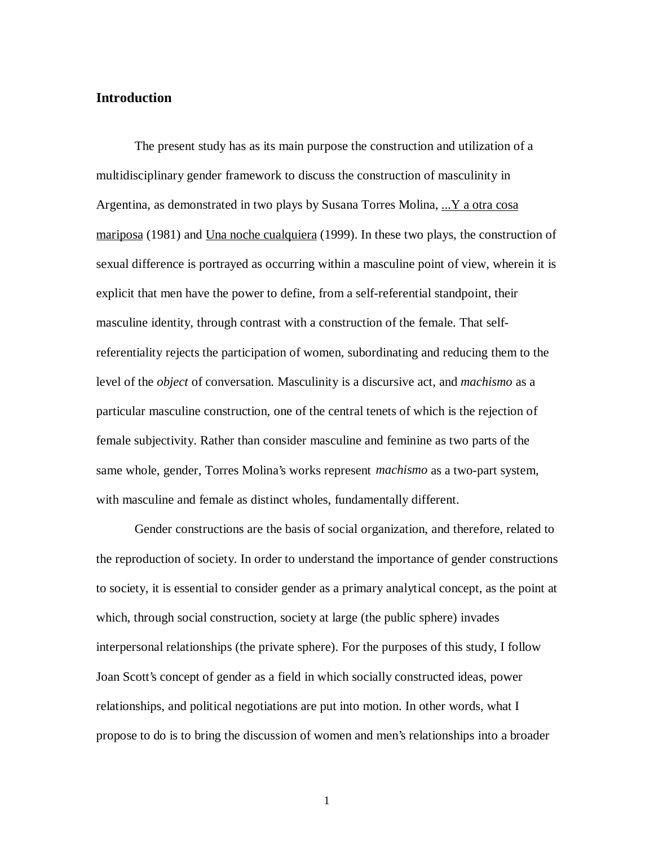### **Introduction**

The present study has as its main purpose the construction and utilization of a multidisciplinary gender framework to discuss the construction of masculinity in Argentina, as demonstrated in two plays by Susana Torres Molina, ... Y a otra cosa mariposa (1981) and Una noche cualquiera (1999). In these two plays, the construction of sexual difference is portrayed as occurring within a masculine point of view, wherein it is explicit that men have the power to define, from a self-referential standpoint, their masculine identity, through contrast with a construction of the female. That selfreferentiality rejects the participation of women, subordinating and reducing them to the level of the *object* of conversation. Masculinity is a discursive act, and *machismo* as a particular masculine construction, one of the central tenets of which is the rejection of female subjectivity. Rather than consider masculine and feminine as two parts of the same whole, gender, Torres Molina's works represent *machismo* as a two-part system, with masculine and female as distinct wholes, fundamentally different.

Gender constructions are the basis of social organization, and therefore, related to the reproduction of society. In order to understand the importance of gender constructions to society, it is essential to consider gender as a primary analytical concept, as the point at which, through social construction, society at large (the public sphere) invades interpersonal relationships (the private sphere). For the purposes of this study, I follow Joan Scott's concept of gender as a field in which socially constructed ideas, power relationships, and political negotiations are put into motion. In other words, what I propose to do is to bring the discussion of women and men's relationships into a broader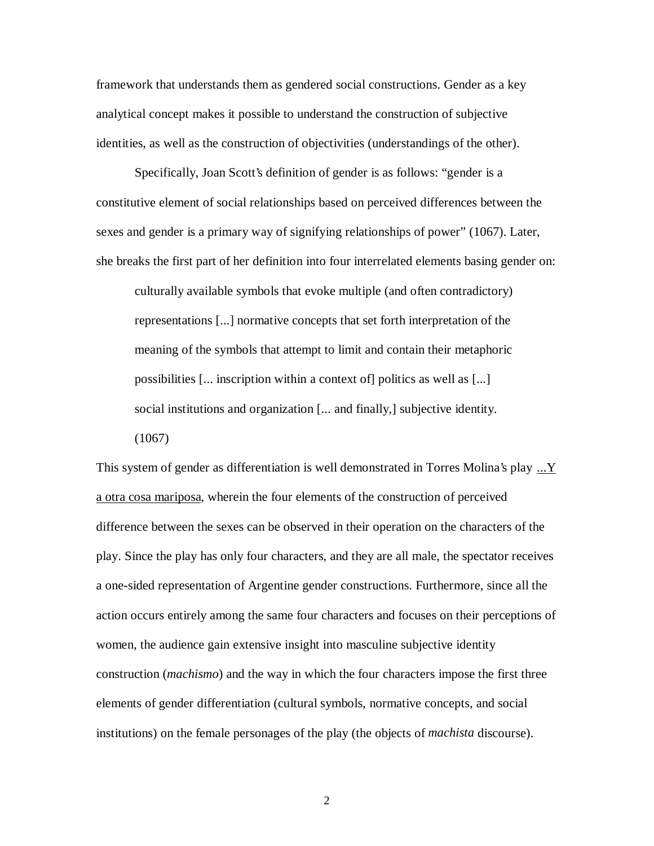framework that understands them as gendered social constructions. Gender as a key analytical concept makes it possible to understand the construction of subjective identities, as well as the construction of objectivities (understandings of the other).

Specifically, Joan Scott's definition of gender is as follows: "gender is a constitutive element of social relationships based on perceived differences between the sexes and gender is a primary way of signifying relationships of power" (1067). Later, she breaks the first part of her definition into four interrelated elements basing gender on:

culturally available symbols that evoke multiple (and often contradictory) representations [...] normative concepts that set forth interpretation of the meaning of the symbols that attempt to limit and contain their metaphoric possibilities [... inscription within a context of] politics as well as [...] social institutions and organization [... and finally,] subjective identity. (1067)

This system of gender as differentiation is well demonstrated in Torres Molina's play ...Y a otra cosa mariposa, wherein the four elements of the construction of perceived difference between the sexes can be observed in their operation on the characters of the play. Since the play has only four characters, and they are all male, the spectator receives a one-sided representation of Argentine gender constructions. Furthermore, since all the action occurs entirely among the same four characters and focuses on their perceptions of women, the audience gain extensive insight into masculine subjective identity construction (*machismo*) and the way in which the four characters impose the first three elements of gender differentiation (cultural symbols, normative concepts, and social institutions) on the female personages of the play (the objects of *machista* discourse).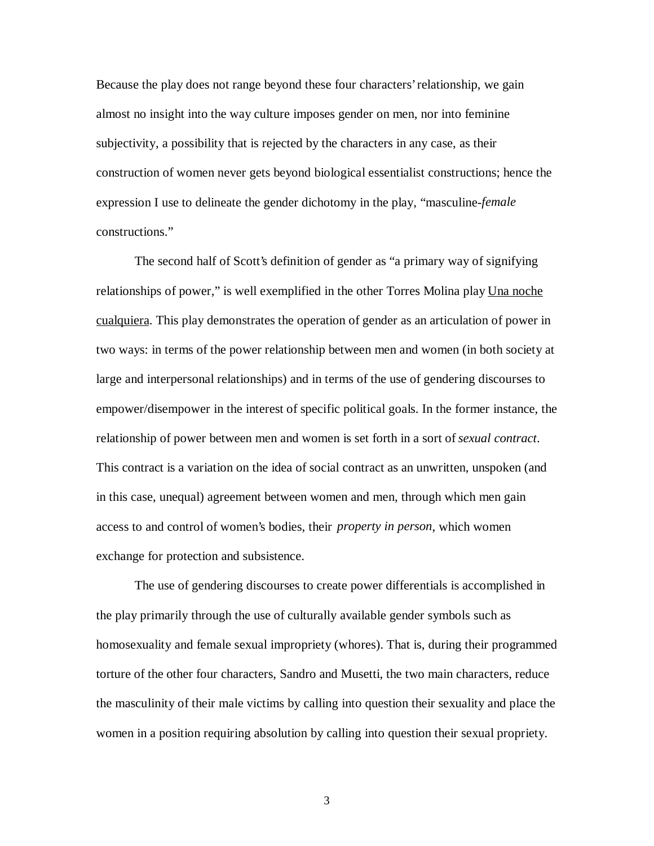Because the play does not range beyond these four characters' relationship, we gain almost no insight into the way culture imposes gender on men, nor into feminine subjectivity, a possibility that is rejected by the characters in any case, as their construction of women never gets beyond biological essentialist constructions; hence the expression I use to delineate the gender dichotomy in the play, "masculine-*female* constructions."

The second half of Scott's definition of gender as "a primary way of signifying relationships of power," is well exemplified in the other Torres Molina play Una noche cualquiera. This play demonstrates the operation of gender as an articulation of power in two ways: in terms of the power relationship between men and women (in both society at large and interpersonal relationships) and in terms of the use of gendering discourses to empower/disempower in the interest of specific political goals. In the former instance, the relationship of power between men and women is set forth in a sort of *sexual contract*. This contract is a variation on the idea of social contract as an unwritten, unspoken (and in this case, unequal) agreement between women and men, through which men gain access to and control of women's bodies, their *property in person*, which women exchange for protection and subsistence.

The use of gendering discourses to create power differentials is accomplished in the play primarily through the use of culturally available gender symbols such as homosexuality and female sexual impropriety (whores). That is, during their programmed torture of the other four characters, Sandro and Musetti, the two main characters, reduce the masculinity of their male victims by calling into question their sexuality and place the women in a position requiring absolution by calling into question their sexual propriety.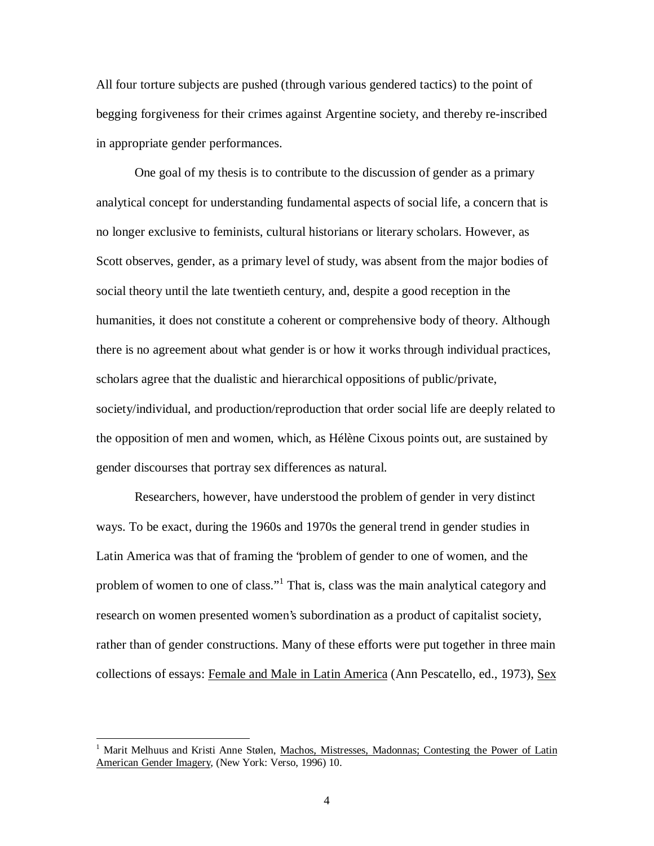All four torture subjects are pushed (through various gendered tactics) to the point of begging forgiveness for their crimes against Argentine society, and thereby re-inscribed in appropriate gender performances.

One goal of my thesis is to contribute to the discussion of gender as a primary analytical concept for understanding fundamental aspects of social life, a concern that is no longer exclusive to feminists, cultural historians or literary scholars. However, as Scott observes, gender, as a primary level of study, was absent from the major bodies of social theory until the late twentieth century, and, despite a good reception in the humanities, it does not constitute a coherent or comprehensive body of theory. Although there is no agreement about what gender is or how it works through individual practices, scholars agree that the dualistic and hierarchical oppositions of public/private, society/individual, and production/reproduction that order social life are deeply related to the opposition of men and women, which, as Hélène Cixous points out, are sustained by gender discourses that portray sex differences as natural.

Researchers, however, have understood the problem of gender in very distinct ways. To be exact, during the 1960s and 1970s the general trend in gender studies in Latin America was that of framing the "problem of gender to one of women, and the problem of women to one of class."<sup>1</sup> That is, class was the main analytical category and research on women presented women's subordination as a product of capitalist society, rather than of gender constructions. Many of these efforts were put together in three main collections of essays: Female and Male in Latin America (Ann Pescatello, ed., 1973), Sex

<sup>1</sup> Marit Melhuus and Kristi Anne Stølen, Machos, Mistresses, Madonnas; Contesting the Power of Latin American Gender Imagery, (New York: Verso, 1996) 10.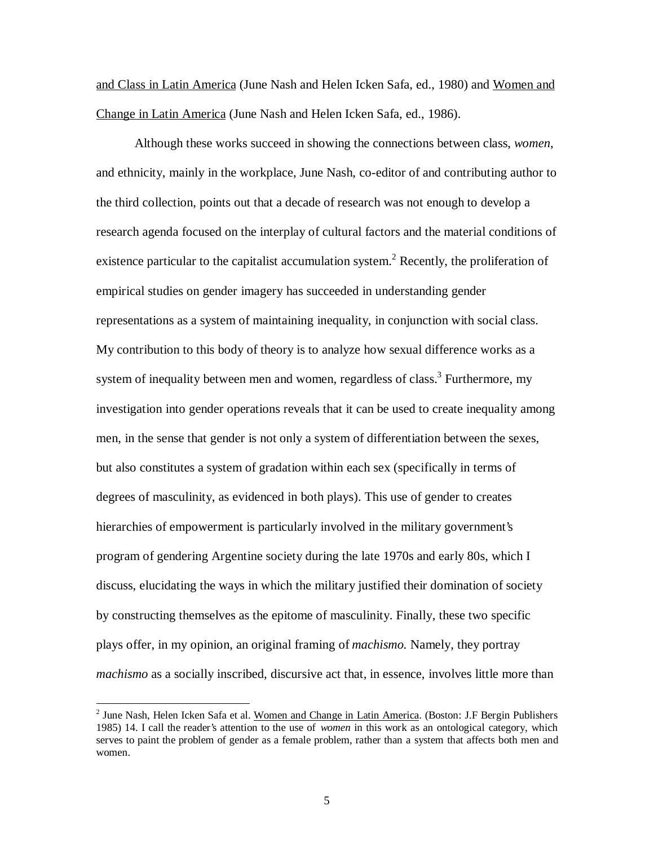and Class in Latin America (June Nash and Helen Icken Safa, ed., 1980) and Women and Change in Latin America (June Nash and Helen Icken Safa, ed., 1986).

Although these works succeed in showing the connections between class, *women*, and ethnicity, mainly in the workplace, June Nash, co-editor of and contributing author to the third collection, points out that a decade of research was not enough to develop a research agenda focused on the interplay of cultural factors and the material conditions of existence particular to the capitalist accumulation system.<sup>2</sup> Recently, the proliferation of empirical studies on gender imagery has succeeded in understanding gender representations as a system of maintaining inequality, in conjunction with social class. My contribution to this body of theory is to analyze how sexual difference works as a system of inequality between men and women, regardless of class.<sup>3</sup> Furthermore, my investigation into gender operations reveals that it can be used to create inequality among men, in the sense that gender is not only a system of differentiation between the sexes, but also constitutes a system of gradation within each sex (specifically in terms of degrees of masculinity, as evidenced in both plays). This use of gender to creates hierarchies of empowerment is particularly involved in the military government's program of gendering Argentine society during the late 1970s and early 80s, which I discuss, elucidating the ways in which the military justified their domination of society by constructing themselves as the epitome of masculinity. Finally, these two specific plays offer, in my opinion, an original framing of *machismo.* Namely, they portray *machismo* as a socially inscribed, discursive act that, in essence, involves little more than

<sup>&</sup>lt;sup>2</sup> June Nash, Helen Icken Safa et al. Women and Change in Latin America. (Boston: J.F Bergin Publishers 1985) 14. I call the reader's attention to the use of *women* in this work as an ontological category, which serves to paint the problem of gender as a female problem, rather than a system that affects both men and women.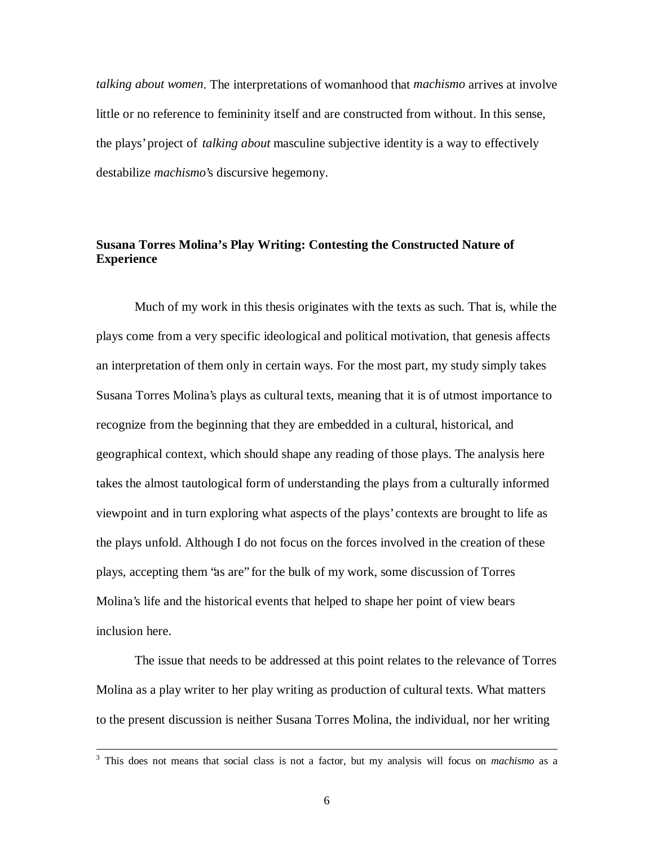*talking about women*. The interpretations of womanhood that *machismo* arrives at involve little or no reference to femininity itself and are constructed from without. In this sense, the plays' project of *talking about* masculine subjective identity is a way to effectively destabilize *machismo*'s discursive hegemony.

# **Susana Torres Molina's Play Writing: Contesting the Constructed Nature of Experience**

Much of my work in this thesis originates with the texts as such. That is, while the plays come from a very specific ideological and political motivation, that genesis affects an interpretation of them only in certain ways. For the most part, my study simply takes Susana Torres Molina's plays as cultural texts, meaning that it is of utmost importance to recognize from the beginning that they are embedded in a cultural, historical, and geographical context, which should shape any reading of those plays. The analysis here takes the almost tautological form of understanding the plays from a culturally informed viewpoint and in turn exploring what aspects of the plays' contexts are brought to life as the plays unfold. Although I do not focus on the forces involved in the creation of these plays, accepting them "as are" for the bulk of my work, some discussion of Torres Molina's life and the historical events that helped to shape her point of view bears inclusion here.

The issue that needs to be addressed at this point relates to the relevance of Torres Molina as a play writer to her play writing as production of cultural texts. What matters to the present discussion is neither Susana Torres Molina, the individual, nor her writing

<sup>3</sup> This does not means that social class is not a factor, but my analysis will focus on *machismo* as a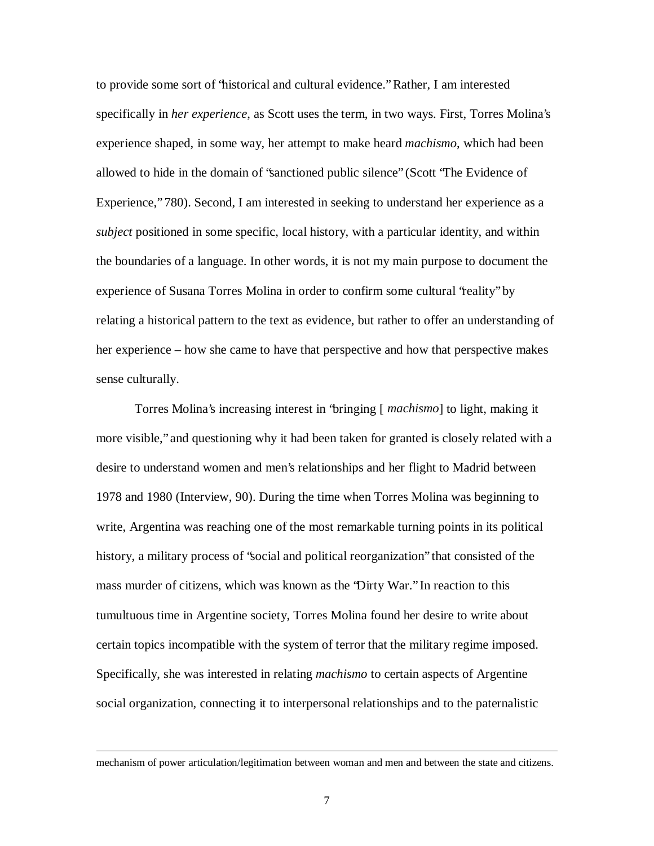to provide some sort of "historical and cultural evidence." Rather, I am interested specifically in *her experience*, as Scott uses the term, in two ways. First, Torres Molina's experience shaped, in some way, her attempt to make heard *machismo*, which had been allowed to hide in the domain of "sanctioned public silence" (Scott "The Evidence of Experience," 780). Second, I am interested in seeking to understand her experience as a *subject* positioned in some specific, local history, with a particular identity, and within the boundaries of a language. In other words, it is not my main purpose to document the experience of Susana Torres Molina in order to confirm some cultural 'reality' by relating a historical pattern to the text as evidence, but rather to offer an understanding of her experience – how she came to have that perspective and how that perspective makes sense culturally.

Torres Molina's increasing interest in "bringing [ *machismo*] to light, making it more visible," and questioning why it had been taken for granted is closely related with a desire to understand women and men's relationships and her flight to Madrid between 1978 and 1980 (Interview, 90). During the time when Torres Molina was beginning to write, Argentina was reaching one of the most remarkable turning points in its political history, a military process of "social and political reorganization" that consisted of the mass murder of citizens, which was known as the "Dirty War." In reaction to this tumultuous time in Argentine society, Torres Molina found her desire to write about certain topics incompatible with the system of terror that the military regime imposed. Specifically, she was interested in relating *machismo* to certain aspects of Argentine social organization, connecting it to interpersonal relationships and to the paternalistic

mechanism of power articulation/legitimation between woman and men and between the state and citizens.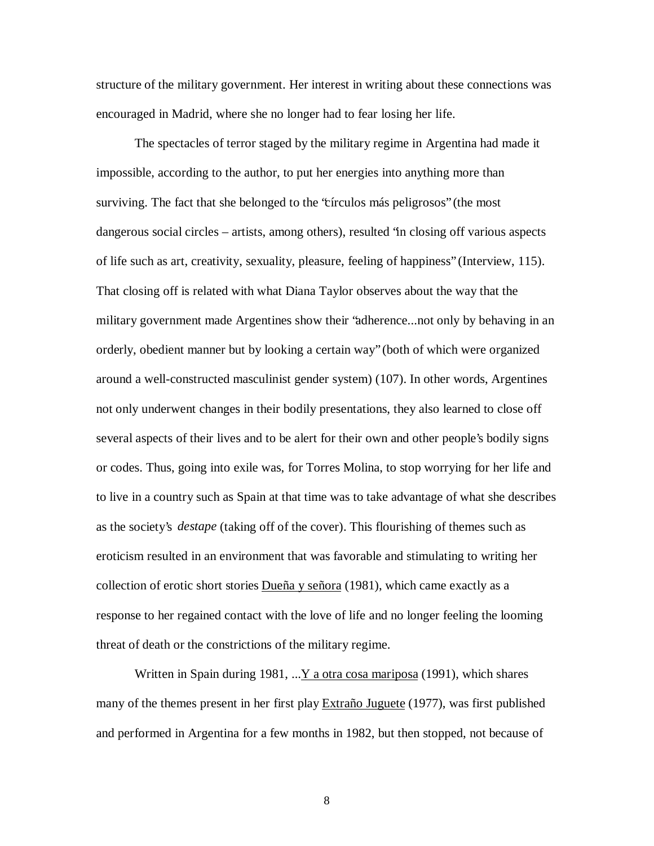structure of the military government. Her interest in writing about these connections was encouraged in Madrid, where she no longer had to fear losing her life.

The spectacles of terror staged by the military regime in Argentina had made it impossible, according to the author, to put her energies into anything more than surviving. The fact that she belonged to the "círculos más peligrosos" (the most dangerous social circles – artists, among others), resulted "in closing off various aspects of life such as art, creativity, sexuality, pleasure, feeling of happiness" (Interview, 115). That closing off is related with what Diana Taylor observes about the way that the military government made Argentines show their "adherence...not only by behaving in an orderly, obedient manner but by looking a certain way" (both of which were organized around a well-constructed masculinist gender system) (107). In other words, Argentines not only underwent changes in their bodily presentations, they also learned to close off several aspects of their lives and to be alert for their own and other people's bodily signs or codes. Thus, going into exile was, for Torres Molina, to stop worrying for her life and to live in a country such as Spain at that time was to take advantage of what she describes as the society's *destape* (taking off of the cover). This flourishing of themes such as eroticism resulted in an environment that was favorable and stimulating to writing her collection of erotic short stories  $Dueña y señora$  (1981), which came exactly as a response to her regained contact with the love of life and no longer feeling the looming threat of death or the constrictions of the military regime.

Written in Spain during 1981, ...  $Y$  a otra cosa mariposa (1991), which shares many of the themes present in her first play Extraño Juguete (1977), was first published and performed in Argentina for a few months in 1982, but then stopped, not because of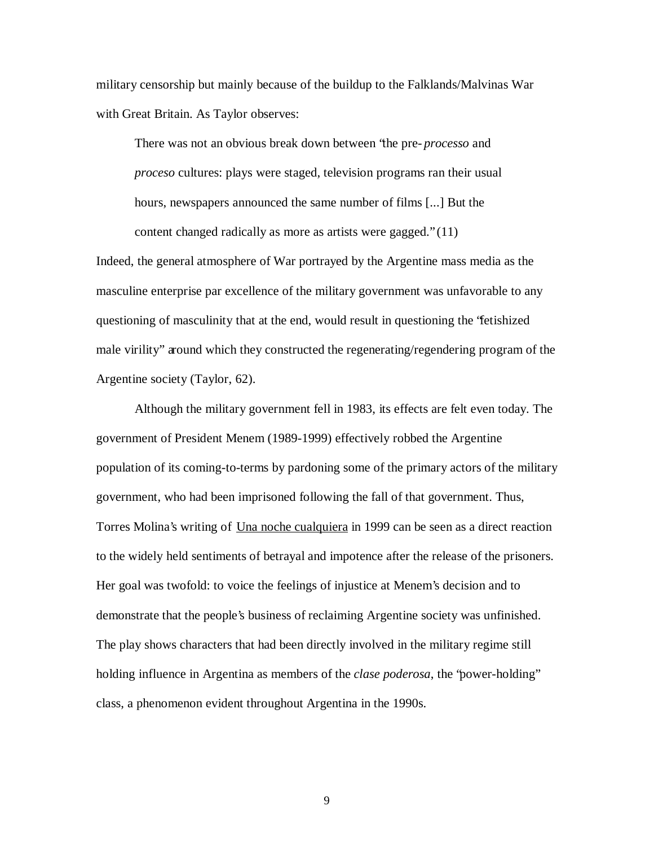military censorship but mainly because of the buildup to the Falklands/Malvinas War with Great Britain. As Taylor observes:

There was not an obvious break down between "the pre- *processo* and *proceso* cultures: plays were staged, television programs ran their usual hours, newspapers announced the same number of films [...] But the content changed radically as more as artists were gagged." (11)

Indeed, the general atmosphere of War portrayed by the Argentine mass media as the masculine enterprise par excellence of the military government was unfavorable to any questioning of masculinity that at the end, would result in questioning the "fetishized male virility" around which they constructed the regenerating/regendering program of the Argentine society (Taylor, 62).

Although the military government fell in 1983, its effects are felt even today. The government of President Menem (1989-1999) effectively robbed the Argentine population of its coming-to-terms by pardoning some of the primary actors of the military government, who had been imprisoned following the fall of that government. Thus, Torres Molina's writing of Una noche cualquiera in 1999 can be seen as a direct reaction to the widely held sentiments of betrayal and impotence after the release of the prisoners. Her goal was twofold: to voice the feelings of injustice at Menem's decision and to demonstrate that the people's business of reclaiming Argentine society was unfinished. The play shows characters that had been directly involved in the military regime still holding influence in Argentina as members of the *clase poderosa*, the "power-holding" class, a phenomenon evident throughout Argentina in the 1990s.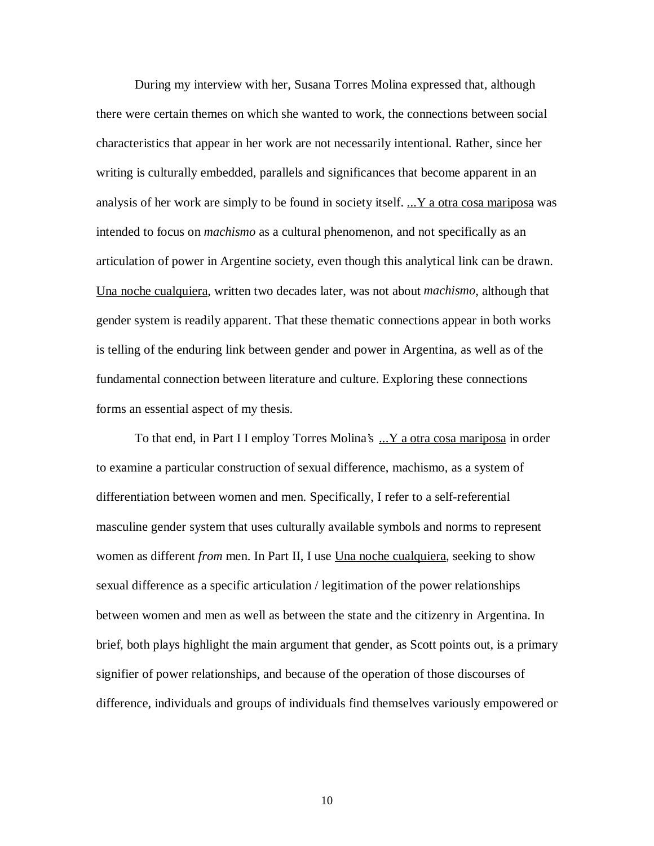During my interview with her, Susana Torres Molina expressed that, although there were certain themes on which she wanted to work, the connections between social characteristics that appear in her work are not necessarily intentional. Rather, since her writing is culturally embedded, parallels and significances that become apparent in an analysis of her work are simply to be found in society itself. ...Y a otra cosa mariposa was intended to focus on *machismo* as a cultural phenomenon, and not specifically as an articulation of power in Argentine society, even though this analytical link can be drawn. Una noche cualquiera, written two decades later, was not about *machismo*, although that gender system is readily apparent. That these thematic connections appear in both works is telling of the enduring link between gender and power in Argentina, as well as of the fundamental connection between literature and culture. Exploring these connections forms an essential aspect of my thesis.

To that end, in Part I I employ Torres Molina's ...Y a otra cosa mariposa in order to examine a particular construction of sexual difference, machismo, as a system of differentiation between women and men. Specifically, I refer to a self-referential masculine gender system that uses culturally available symbols and norms to represent women as different *from* men. In Part II, I use <u>Una noche cualquiera</u>, seeking to show sexual difference as a specific articulation / legitimation of the power relationships between women and men as well as between the state and the citizenry in Argentina. In brief, both plays highlight the main argument that gender, as Scott points out, is a primary signifier of power relationships, and because of the operation of those discourses of difference, individuals and groups of individuals find themselves variously empowered or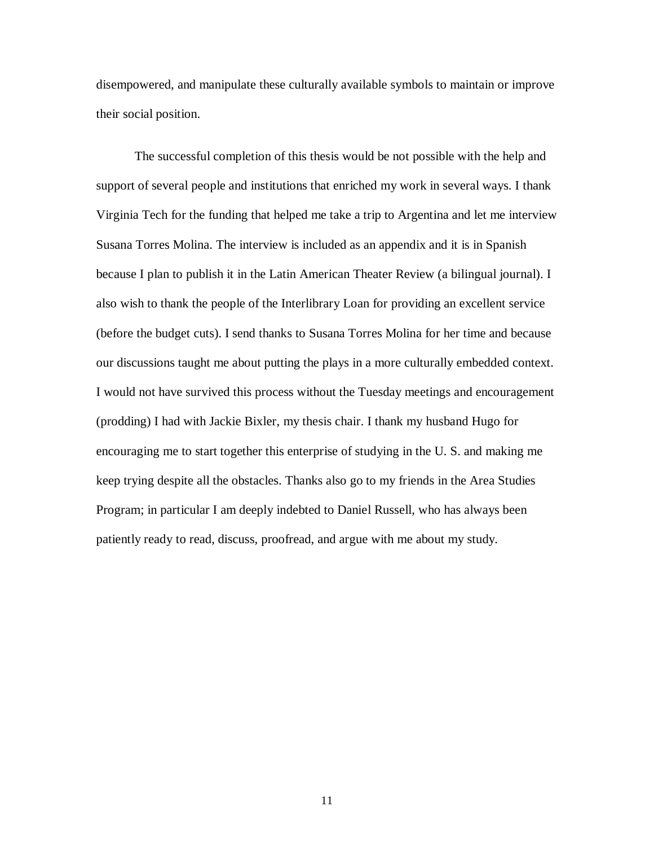disempowered, and manipulate these culturally available symbols to maintain or improve their social position.

The successful completion of this thesis would be not possible with the help and support of several people and institutions that enriched my work in several ways. I thank Virginia Tech for the funding that helped me take a trip to Argentina and let me interview Susana Torres Molina. The interview is included as an appendix and it is in Spanish because I plan to publish it in the Latin American Theater Review (a bilingual journal). I also wish to thank the people of the Interlibrary Loan for providing an excellent service (before the budget cuts). I send thanks to Susana Torres Molina for her time and because our discussions taught me about putting the plays in a more culturally embedded context. I would not have survived this process without the Tuesday meetings and encouragement (prodding) I had with Jackie Bixler, my thesis chair. I thank my husband Hugo for encouraging me to start together this enterprise of studying in the U. S. and making me keep trying despite all the obstacles. Thanks also go to my friends in the Area Studies Program; in particular I am deeply indebted to Daniel Russell, who has always been patiently ready to read, discuss, proofread, and argue with me about my study.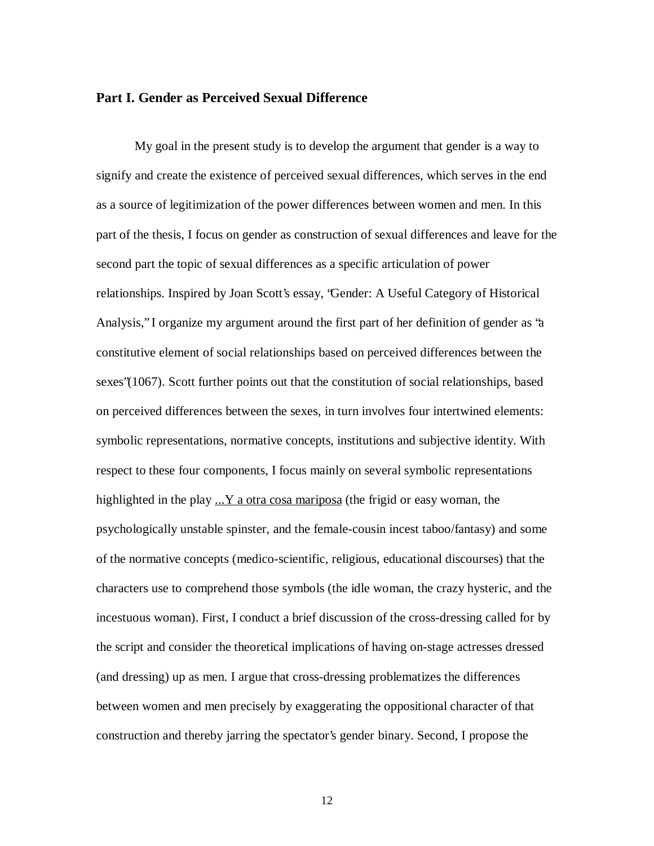#### **Part I. Gender as Perceived Sexual Difference**

My goal in the present study is to develop the argument that gender is a way to signify and create the existence of perceived sexual differences, which serves in the end as a source of legitimization of the power differences between women and men. In this part of the thesis, I focus on gender as construction of sexual differences and leave for the second part the topic of sexual differences as a specific articulation of power relationships. Inspired by Joan Scott's essay, "Gender: A Useful Category of Historical Analysis," I organize my argument around the first part of her definition of gender as "a constitutive element of social relationships based on perceived differences between the sexes"(1067). Scott further points out that the constitution of social relationships, based on perceived differences between the sexes, in turn involves four intertwined elements: symbolic representations, normative concepts, institutions and subjective identity. With respect to these four components, I focus mainly on several symbolic representations highlighted in the play  $\ldots$  Y a otra cosa mariposa (the frigid or easy woman, the psychologically unstable spinster, and the female-cousin incest taboo/fantasy) and some of the normative concepts (medico-scientific, religious, educational discourses) that the characters use to comprehend those symbols (the idle woman, the crazy hysteric, and the incestuous woman). First, I conduct a brief discussion of the cross-dressing called for by the script and consider the theoretical implications of having on-stage actresses dressed (and dressing) up as men. I argue that cross-dressing problematizes the differences between women and men precisely by exaggerating the oppositional character of that construction and thereby jarring the spectator's gender binary. Second, I propose the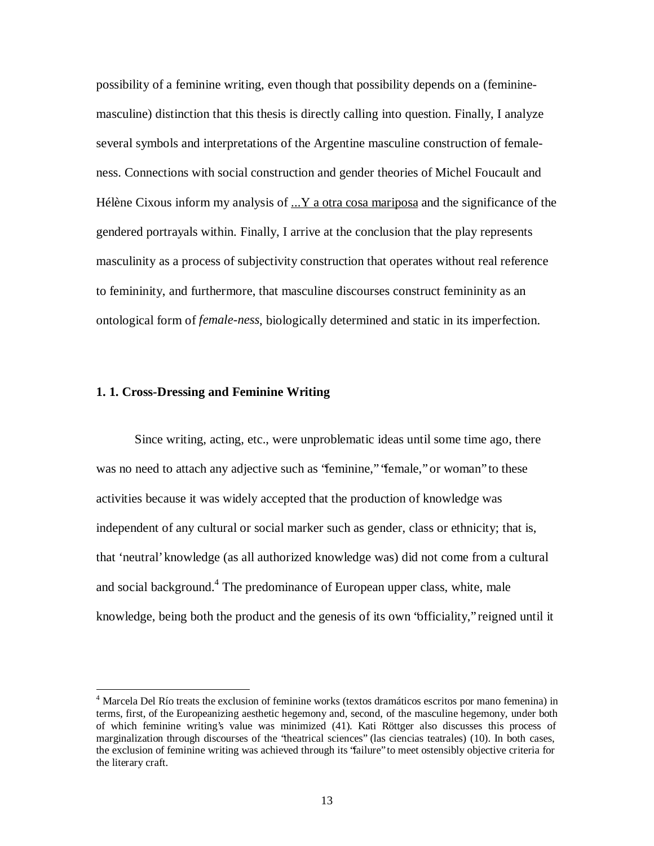possibility of a feminine writing, even though that possibility depends on a (femininemasculine) distinction that this thesis is directly calling into question. Finally, I analyze several symbols and interpretations of the Argentine masculine construction of femaleness. Connections with social construction and gender theories of Michel Foucault and Hélène Cixous inform my analysis of ...Y a otra cosa mariposa and the significance of the gendered portrayals within. Finally, I arrive at the conclusion that the play represents masculinity as a process of subjectivity construction that operates without real reference to femininity, and furthermore, that masculine discourses construct femininity as an ontological form of *female-ness*, biologically determined and static in its imperfection.

#### **1. 1. Cross-Dressing and Feminine Writing**

 $\overline{a}$ 

Since writing, acting, etc., were unproblematic ideas until some time ago, there was no need to attach any adjective such as 'feminine," 'female," or woman" to these activities because it was widely accepted that the production of knowledge was independent of any cultural or social marker such as gender, class or ethnicity; that is, that 'neutral' knowledge (as all authorized knowledge was) did not come from a cultural and social background.<sup>4</sup> The predominance of European upper class, white, male knowledge, being both the product and the genesis of its own "officiality," reigned until it

<sup>&</sup>lt;sup>4</sup> Marcela Del Río treats the exclusion of feminine works (textos dramáticos escritos por mano femenina) in terms, first, of the Europeanizing aesthetic hegemony and, second, of the masculine hegemony, under both of which feminine writing's value was minimized (41). Kati Röttger also discusses this process of marginalization through discourses of the "theatrical sciences" (las ciencias teatrales) (10). In both cases, the exclusion of feminine writing was achieved through its "failure" to meet ostensibly objective criteria for the literary craft.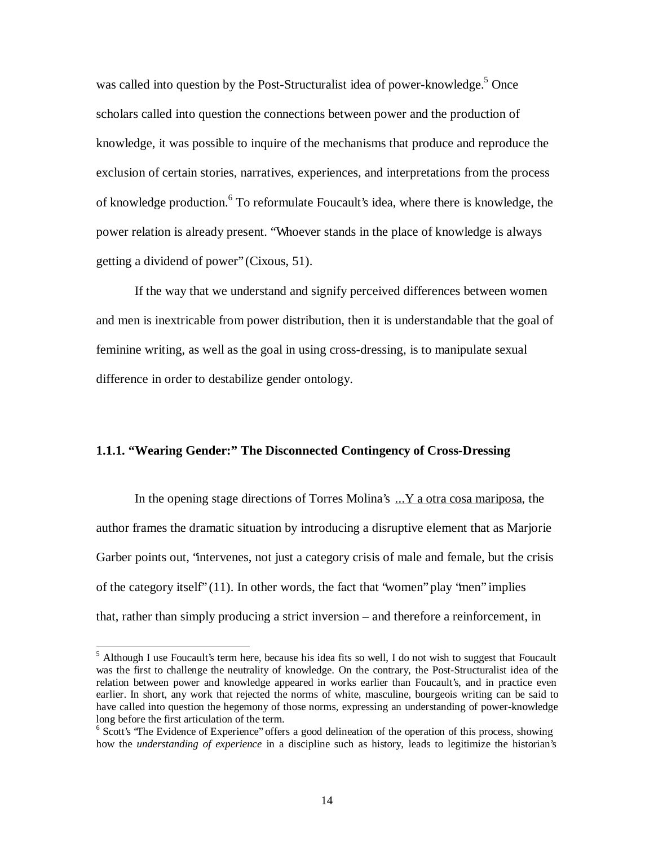was called into question by the Post-Structuralist idea of power-knowledge.<sup>5</sup> Once scholars called into question the connections between power and the production of knowledge, it was possible to inquire of the mechanisms that produce and reproduce the exclusion of certain stories, narratives, experiences, and interpretations from the process of knowledge production. <sup>6</sup> To reformulate Foucault's idea, where there is knowledge, the power relation is already present. "Whoever stands in the place of knowledge is always getting a dividend of power" (Cixous, 51).

If the way that we understand and signify perceived differences between women and men is inextricable from power distribution, then it is understandable that the goal of feminine writing, as well as the goal in using cross-dressing, is to manipulate sexual difference in order to destabilize gender ontology.

#### **1.1.1. "Wearing Gender:" The Disconnected Contingency of Cross-Dressing**

In the opening stage directions of Torres Molina's ...Y a otra cosa mariposa, the author frames the dramatic situation by introducing a disruptive element that as Marjorie Garber points out, "intervenes, not just a category crisis of male and female, but the crisis of the category itself" (11). In other words, the fact that "women" play "men" implies that, rather than simply producing a strict inversion – and therefore a reinforcement, in

<sup>&</sup>lt;sup>5</sup> Although I use Foucault's term here, because his idea fits so well, I do not wish to suggest that Foucault was the first to challenge the neutrality of knowledge. On the contrary, the Post-Structuralist idea of the relation between power and knowledge appeared in works earlier than Foucault's, and in practice even earlier. In short, any work that rejected the norms of white, masculine, bourgeois writing can be said to have called into question the hegemony of those norms, expressing an understanding of power-knowledge long before the first articulation of the term.

<sup>&</sup>lt;sup>6</sup> Scott's 'The Evidence of Experience'' offers a good delineation of the operation of this process, showing how the *understanding of experience* in a discipline such as history, leads to legitimize the historian's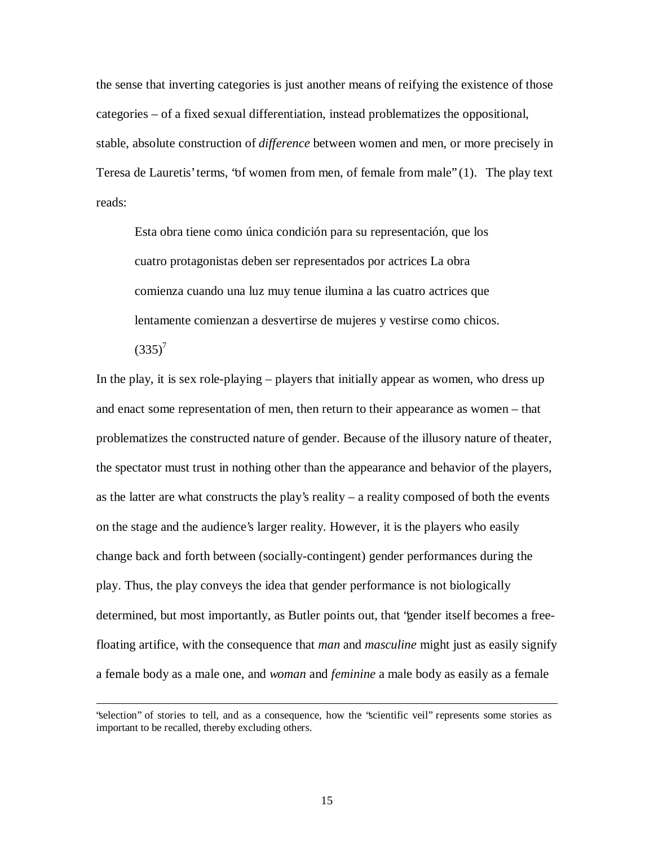the sense that inverting categories is just another means of reifying the existence of those categories – of a fixed sexual differentiation, instead problematizes the oppositional, stable, absolute construction of *difference* between women and men, or more precisely in Teresa de Lauretis' terms, "of women from men, of female from male" (1). The play text reads:

Esta obra tiene como única condición para su representación, que los cuatro protagonistas deben ser representados por actrices La obra comienza cuando una luz muy tenue ilumina a las cuatro actrices que lentamente comienzan a desvertirse de mujeres y vestirse como chicos.

 $(335)^7$ 

 $\overline{a}$ 

In the play, it is sex role-playing – players that initially appear as women, who dress up and enact some representation of men, then return to their appearance as women – that problematizes the constructed nature of gender. Because of the illusory nature of theater, the spectator must trust in nothing other than the appearance and behavior of the players, as the latter are what constructs the play's reality – a reality composed of both the events on the stage and the audience's larger reality. However, it is the players who easily change back and forth between (socially-contingent) gender performances during the play. Thus, the play conveys the idea that gender performance is not biologically determined, but most importantly, as Butler points out, that "gender itself becomes a freefloating artifice, with the consequence that *man* and *masculine* might just as easily signify a female body as a male one, and *woman* and *feminine* a male body as easily as a female

<sup>&</sup>quot;selection" of stories to tell, and as a consequence, how the "scientific veil" represents some stories as important to be recalled, thereby excluding others.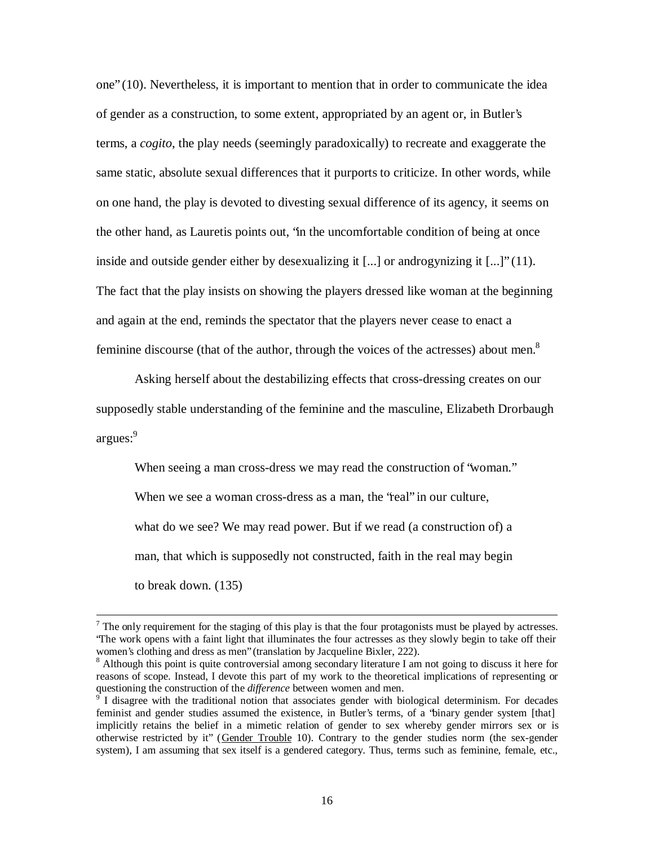one" (10). Nevertheless, it is important to mention that in order to communicate the idea of gender as a construction, to some extent, appropriated by an agent or, in Butler's terms, a *cogito*, the play needs (seemingly paradoxically) to recreate and exaggerate the same static, absolute sexual differences that it purports to criticize. In other words, while on one hand, the play is devoted to divesting sexual difference of its agency, it seems on the other hand, as Lauretis points out, "in the uncomfortable condition of being at once inside and outside gender either by desexualizing it [...] or androgynizing it [...]" (11). The fact that the play insists on showing the players dressed like woman at the beginning and again at the end, reminds the spectator that the players never cease to enact a feminine discourse (that of the author, through the voices of the actresses) about men.<sup>8</sup>

Asking herself about the destabilizing effects that cross-dressing creates on our supposedly stable understanding of the feminine and the masculine, Elizabeth Drorbaugh argues: 9

When seeing a man cross-dress we may read the construction of "woman."

When we see a woman cross-dress as a man, the 'real' in our culture,

what do we see? We may read power. But if we read (a construction of) a

man, that which is supposedly not constructed, faith in the real may begin

to break down. (135)

 $<sup>7</sup>$  The only requirement for the staging of this play is that the four protagonists must be played by actresses.</sup> "The work opens with a faint light that illuminates the four actresses as they slowly begin to take off their women's clothing and dress as men" (translation by Jacqueline Bixler, 222).

<sup>&</sup>lt;sup>8</sup> Although this point is quite controversial among secondary literature I am not going to discuss it here for reasons of scope. Instead, I devote this part of my work to the theoretical implications of representing or questioning the construction of the *difference* between women and men.

<sup>9</sup> I disagree with the traditional notion that associates gender with biological determinism. For decades feminist and gender studies assumed the existence, in Butler's terms, of a "binary gender system [that] implicitly retains the belief in a mimetic relation of gender to sex whereby gender mirrors sex or is otherwise restricted by it" (Gender Trouble 10). Contrary to the gender studies norm (the sex-gender system), I am assuming that sex itself is a gendered category. Thus, terms such as feminine, female, etc.,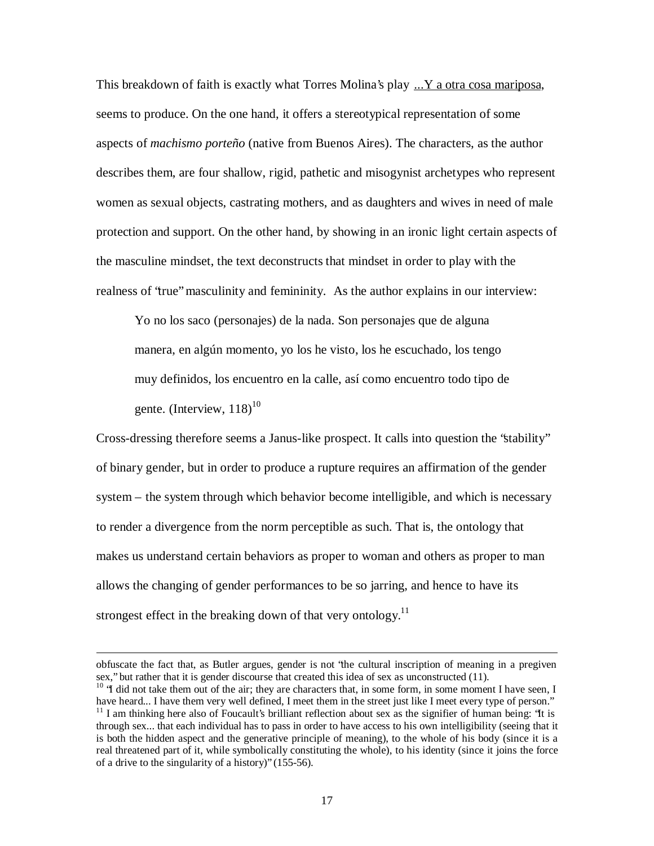This breakdown of faith is exactly what Torres Molina's play ...Y a otra cosa mariposa, seems to produce. On the one hand, it offers a stereotypical representation of some aspects of *machismo porteño* (native from Buenos Aires). The characters, as the author describes them, are four shallow, rigid, pathetic and misogynist archetypes who represent women as sexual objects, castrating mothers, and as daughters and wives in need of male protection and support. On the other hand, by showing in an ironic light certain aspects of the masculine mindset, the text deconstructs that mindset in order to play with the realness of "true" masculinity and femininity. As the author explains in our interview:

Yo no los saco (personajes) de la nada. Son personajes que de alguna manera, en algún momento, yo los he visto, los he escuchado, los tengo muy definidos, los encuentro en la calle, así como encuentro todo tipo de gente. (Interview,  $118)^{10}$ 

Cross-dressing therefore seems a Janus-like prospect. It calls into question the "stability" of binary gender, but in order to produce a rupture requires an affirmation of the gender system – the system through which behavior become intelligible, and which is necessary to render a divergence from the norm perceptible as such. That is, the ontology that makes us understand certain behaviors as proper to woman and others as proper to man allows the changing of gender performances to be so jarring, and hence to have its strongest effect in the breaking down of that very ontology.<sup>11</sup>

obfuscate the fact that, as Butler argues, gender is not "the cultural inscription of meaning in a pregiven sex," but rather that it is gender discourse that created this idea of sex as unconstructed (11).

 $10$  "I did not take them out of the air; they are characters that, in some form, in some moment I have seen, I have heard... I have them very well defined, I meet them in the street just like I meet every type of person." <sup>11</sup> I am thinking here also of Foucault's brilliant reflection about sex as the signifier of human being: 'It is through sex... that each individual has to pass in order to have access to his own intelligibility (seeing that it is both the hidden aspect and the generative principle of meaning), to the whole of his body (since it is a real threatened part of it, while symbolically constituting the whole), to his identity (since it joins the force of a drive to the singularity of a history)" (155-56).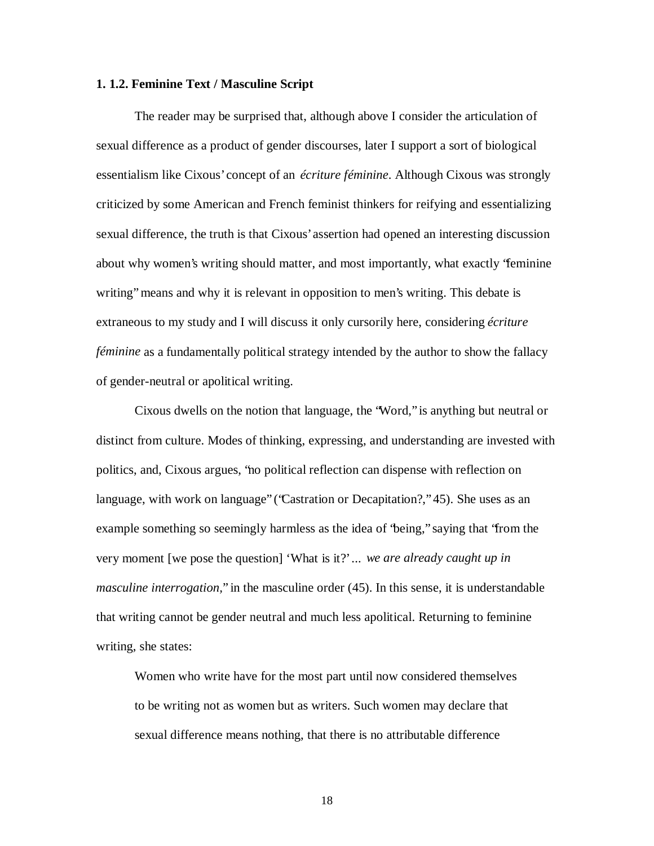#### **1. 1.2. Feminine Text / Masculine Script**

The reader may be surprised that, although above I consider the articulation of sexual difference as a product of gender discourses, later I support a sort of biological essentialism like Cixous' concept of an *écriture féminine*. Although Cixous was strongly criticized by some American and French feminist thinkers for reifying and essentializing sexual difference, the truth is that Cixous' assertion had opened an interesting discussion about why women's writing should matter, and most importantly, what exactly "feminine writing" means and why it is relevant in opposition to men's writing. This debate is extraneous to my study and I will discuss it only cursorily here, considering *écriture féminine* as a fundamentally political strategy intended by the author to show the fallacy of gender-neutral or apolitical writing.

Cixous dwells on the notion that language, the "Word," is anything but neutral or distinct from culture. Modes of thinking, expressing, and understanding are invested with politics, and, Cixous argues, "no political reflection can dispense with reflection on language, with work on language" ('Castration or Decapitation?," 45). She uses as an example something so seemingly harmless as the idea of "being," saying that "from the very moment [we pose the question] 'What is it?' ... *we are already caught up in masculine interrogation,*" in the masculine order (45). In this sense, it is understandable that writing cannot be gender neutral and much less apolitical. Returning to feminine writing, she states:

Women who write have for the most part until now considered themselves to be writing not as women but as writers. Such women may declare that sexual difference means nothing, that there is no attributable difference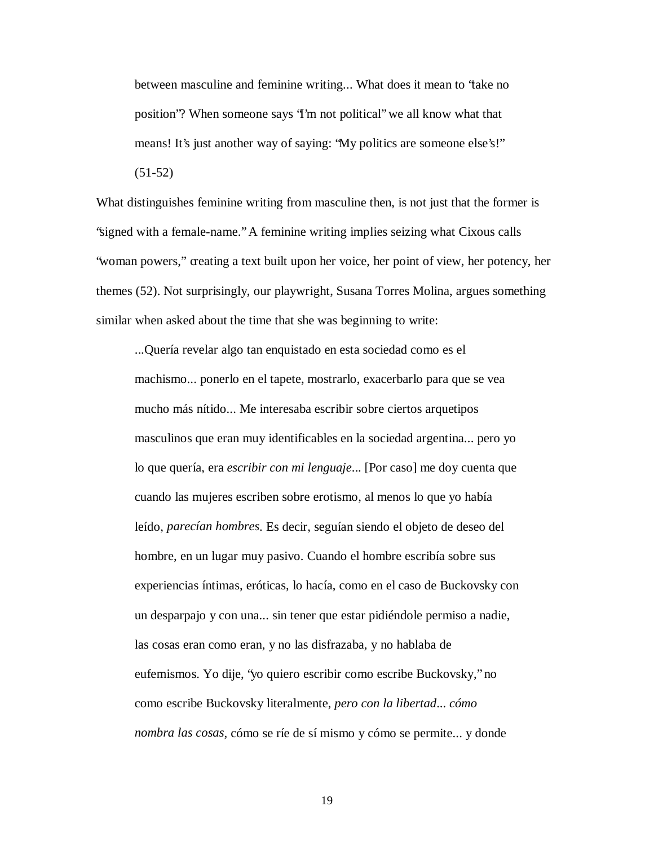between masculine and feminine writing... What does it mean to "take no position"? When someone says "I'm not political" we all know what that means! It's just another way of saying: "My politics are someone else's!" (51-52)

What distinguishes feminine writing from masculine then, is not just that the former is "signed with a female-name." A feminine writing implies seizing what Cixous calls "woman powers," creating a text built upon her voice, her point of view, her potency, her themes (52). Not surprisingly, our playwright, Susana Torres Molina, argues something similar when asked about the time that she was beginning to write:

...Quería revelar algo tan enquistado en esta sociedad como es el machismo... ponerlo en el tapete, mostrarlo, exacerbarlo para que se vea mucho más nítido... Me interesaba escribir sobre ciertos arquetipos masculinos que eran muy identificables en la sociedad argentina... pero yo lo que quería, era *escribir con mi lenguaje*... [Por caso] me doy cuenta que cuando las mujeres escriben sobre erotismo, al menos lo que yo había leído, *parecían hombres*. Es decir, seguían siendo el objeto de deseo del hombre, en un lugar muy pasivo. Cuando el hombre escribía sobre sus experiencias íntimas, eróticas, lo hacía, como en el caso de Buckovsky con un desparpajo y con una... sin tener que estar pidiéndole permiso a nadie, las cosas eran como eran, y no las disfrazaba, y no hablaba de eufemismos. Yo dije, "yo quiero escribir como escribe Buckovsky," no como escribe Buckovsky literalmente, *pero con la libertad*... *cómo nombra las cosas*, cómo se ríe de sí mismo y cómo se permite... y donde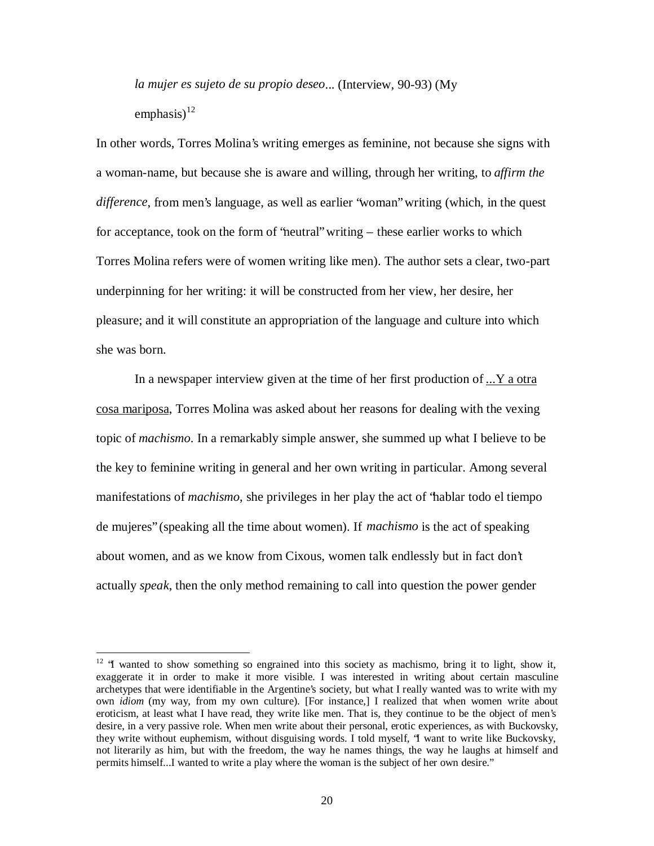*la mujer es sujeto de su propio deseo*... (Interview, 90-93) (My emphasis) $^{12}$ 

In other words, Torres Molina's writing emerges as feminine, not because she signs with a woman-name, but because she is aware and willing, through her writing, to *affirm the difference*, from men's language, as well as earlier "woman" writing (which, in the quest for acceptance, took on the form of "neutral" writing – these earlier works to which Torres Molina refers were of women writing like men). The author sets a clear, two-part underpinning for her writing: it will be constructed from her view, her desire, her pleasure; and it will constitute an appropriation of the language and culture into which she was born.

In a newspaper interview given at the time of her first production of ...Y a otra cosa mariposa, Torres Molina was asked about her reasons for dealing with the vexing topic of *machismo*. In a remarkably simple answer, she summed up what I believe to be the key to feminine writing in general and her own writing in particular. Among several manifestations of *machismo*, she privileges in her play the act of "hablar todo el tiempo de mujeres" (speaking all the time about women). If *machismo* is the act of speaking about women, and as we know from Cixous, women talk endlessly but in fact don't actually *speak*, then the only method remaining to call into question the power gender

 $12$  "I wanted to show something so engrained into this society as machismo, bring it to light, show it, exaggerate it in order to make it more visible. I was interested in writing about certain masculine archetypes that were identifiable in the Argentine's society, but what I really wanted was to write with my own *idiom* (my way, from my own culture). [For instance,] I realized that when women write about eroticism, at least what I have read, they write like men. That is, they continue to be the object of men's desire, in a very passive role. When men write about their personal, erotic experiences, as with Buckovsky, they write without euphemism, without disguising words. I told myself, "I want to write like Buckovsky, not literarily as him, but with the freedom, the way he names things, the way he laughs at himself and permits himself...I wanted to write a play where the woman is the subject of her own desire."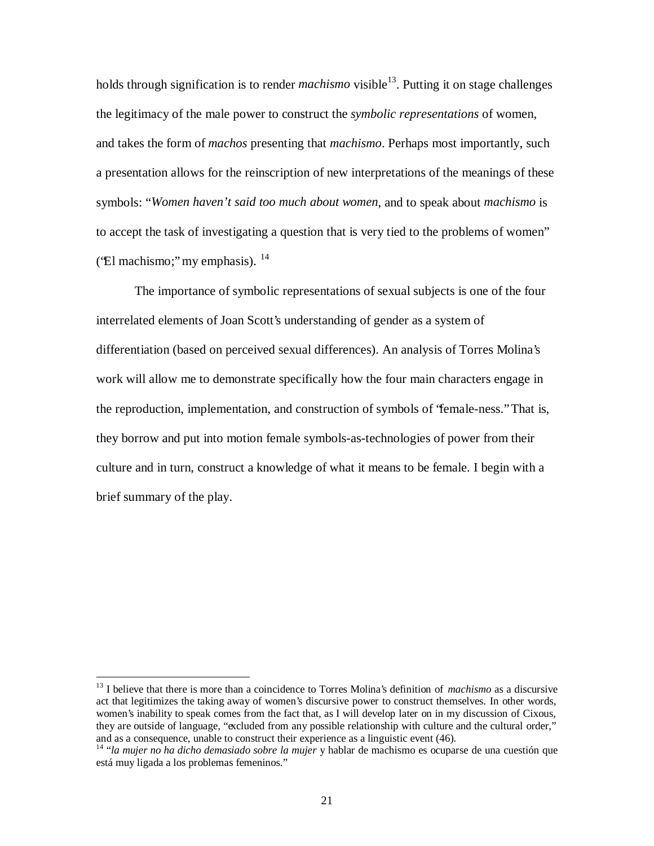holds through signification is to render *machismo* visible 13 . Putting it on stage challenges the legitimacy of the male power to construct the *symbolic representations* of women, and takes the form of *machos* presenting that *machismo*. Perhaps most importantly, such a presentation allows for the reinscription of new interpretations of the meanings of these symbols: "*Women haven't said too much about women*, and to speak about *machismo* is to accept the task of investigating a question that is very tied to the problems of women" ('El machismo;" my emphasis).  $^{14}$ 

The importance of symbolic representations of sexual subjects is one of the four interrelated elements of Joan Scott's understanding of gender as a system of differentiation (based on perceived sexual differences). An analysis of Torres Molina's work will allow me to demonstrate specifically how the four main characters engage in the reproduction, implementation, and construction of symbols of "female-ness." That is, they borrow and put into motion female symbols-as-technologies of power from their culture and in turn, construct a knowledge of what it means to be female. I begin with a brief summary of the play.

<sup>&</sup>lt;sup>13</sup> I believe that there is more than a coincidence to Torres Molina's definition of *machismo* as a discursive act that legitimizes the taking away of women's discursive power to construct themselves. In other words, women's inability to speak comes from the fact that, as I will develop later on in my discussion of Cixous, they are outside of language, "excluded from any possible relationship with culture and the cultural order," and as a consequence, unable to construct their experience as a linguistic event (46).

<sup>14</sup> "*la mujer no ha dicho demasiado sobre la mujer* y hablar de machismo es ocuparse de una cuestión que está muy ligada a los problemas femeninos."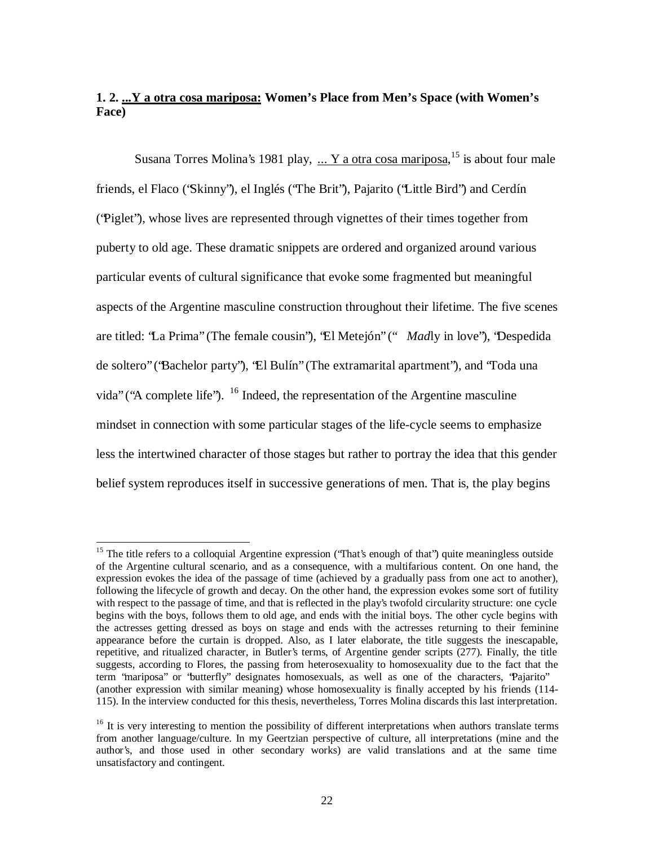# **1. 2. ...Y a otra cosa mariposa: Women's Place from Men's Space (with Women's Face)**

Susana Torres Molina's 1981 play, ... Y a otra cosa mariposa, <sup>15</sup> is about four male friends, el Flaco ("Skinny"), el Inglés ("The Brit"), Pajarito ("Little Bird") and Cerdín ("Piglet"), whose lives are represented through vignettes of their times together from puberty to old age. These dramatic snippets are ordered and organized around various particular events of cultural significance that evoke some fragmented but meaningful aspects of the Argentine masculine construction throughout their lifetime. The five scenes are titled: "La Prima" (The female cousin"), "El Metejón" (" *Mad*ly in love"), "Despedida de soltero" ("Bachelor party"), "El Bulín" (The extramarital apartment"), and "Toda una vida" ("A complete life").  $16$  Indeed, the representation of the Argentine masculine mindset in connection with some particular stages of the life-cycle seems to emphasize less the intertwined character of those stages but rather to portray the idea that this gender belief system reproduces itself in successive generations of men. That is, the play begins

<sup>&</sup>lt;sup>15</sup> The title refers to a colloquial Argentine expression ('That's enough of that') quite meaningless outside of the Argentine cultural scenario, and as a consequence, with a multifarious content. On one hand, the expression evokes the idea of the passage of time (achieved by a gradually pass from one act to another), following the lifecycle of growth and decay. On the other hand, the expression evokes some sort of futility with respect to the passage of time, and that is reflected in the play's twofold circularity structure: one cycle begins with the boys, follows them to old age, and ends with the initial boys. The other cycle begins with the actresses getting dressed as boys on stage and ends with the actresses returning to their feminine appearance before the curtain is dropped. Also, as I later elaborate, the title suggests the inescapable, repetitive, and ritualized character, in Butler's terms, of Argentine gender scripts (277). Finally, the title suggests, according to Flores, the passing from heterosexuality to homosexuality due to the fact that the term "mariposa" or "butterfly" designates homosexuals, as well as one of the characters, "Pajarito" (another expression with similar meaning) whose homosexuality is finally accepted by his friends (114- 115). In the interview conducted for this thesis, nevertheless, Torres Molina discards this last interpretation.

<sup>&</sup>lt;sup>16</sup> It is very interesting to mention the possibility of different interpretations when authors translate terms from another language/culture. In my Geertzian perspective of culture, all interpretations (mine and the author's, and those used in other secondary works) are valid translations and at the same time unsatisfactory and contingent.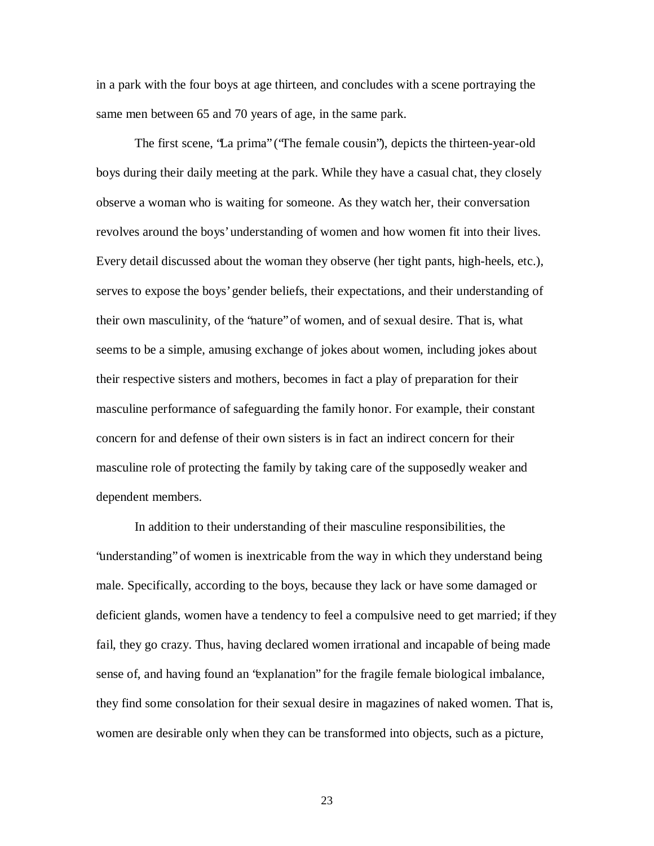in a park with the four boys at age thirteen, and concludes with a scene portraying the same men between 65 and 70 years of age, in the same park.

The first scene, "La prima" ("The female cousin"), depicts the thirteen-year-old boys during their daily meeting at the park. While they have a casual chat, they closely observe a woman who is waiting for someone. As they watch her, their conversation revolves around the boys' understanding of women and how women fit into their lives. Every detail discussed about the woman they observe (her tight pants, high-heels, etc.), serves to expose the boys' gender beliefs, their expectations, and their understanding of their own masculinity, of the "nature" of women, and of sexual desire. That is, what seems to be a simple, amusing exchange of jokes about women, including jokes about their respective sisters and mothers, becomes in fact a play of preparation for their masculine performance of safeguarding the family honor. For example, their constant concern for and defense of their own sisters is in fact an indirect concern for their masculine role of protecting the family by taking care of the supposedly weaker and dependent members.

In addition to their understanding of their masculine responsibilities, the "understanding" of women is inextricable from the way in which they understand being male. Specifically, according to the boys, because they lack or have some damaged or deficient glands, women have a tendency to feel a compulsive need to get married; if they fail, they go crazy. Thus, having declared women irrational and incapable of being made sense of, and having found an "explanation" for the fragile female biological imbalance, they find some consolation for their sexual desire in magazines of naked women. That is, women are desirable only when they can be transformed into objects, such as a picture,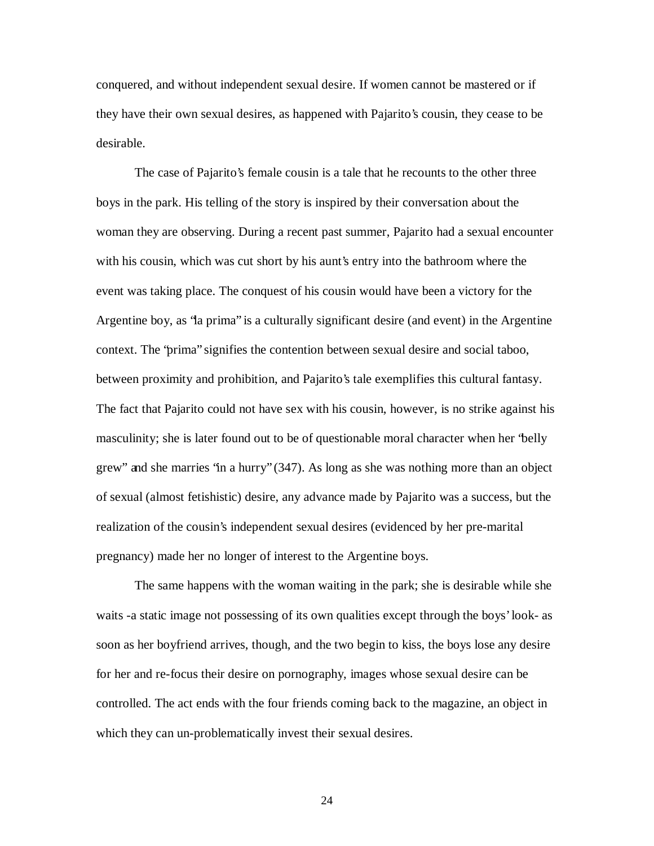conquered, and without independent sexual desire. If women cannot be mastered or if they have their own sexual desires, as happened with Pajarito's cousin, they cease to be desirable.

The case of Pajarito's female cousin is a tale that he recounts to the other three boys in the park. His telling of the story is inspired by their conversation about the woman they are observing. During a recent past summer, Pajarito had a sexual encounter with his cousin, which was cut short by his aunt's entry into the bathroom where the event was taking place. The conquest of his cousin would have been a victory for the Argentine boy, as "la prima" is a culturally significant desire (and event) in the Argentine context. The "prima" signifies the contention between sexual desire and social taboo, between proximity and prohibition, and Pajarito's tale exemplifies this cultural fantasy. The fact that Pajarito could not have sex with his cousin, however, is no strike against his masculinity; she is later found out to be of questionable moral character when her "belly grew" and she marries "in a hurry" (347). As long as she was nothing more than an object of sexual (almost fetishistic) desire, any advance made by Pajarito was a success, but the realization of the cousin's independent sexual desires (evidenced by her pre-marital pregnancy) made her no longer of interest to the Argentine boys.

The same happens with the woman waiting in the park; she is desirable while she waits -a static image not possessing of its own qualities except through the boys' look- as soon as her boyfriend arrives, though, and the two begin to kiss, the boys lose any desire for her and re-focus their desire on pornography, images whose sexual desire can be controlled. The act ends with the four friends coming back to the magazine, an object in which they can un-problematically invest their sexual desires.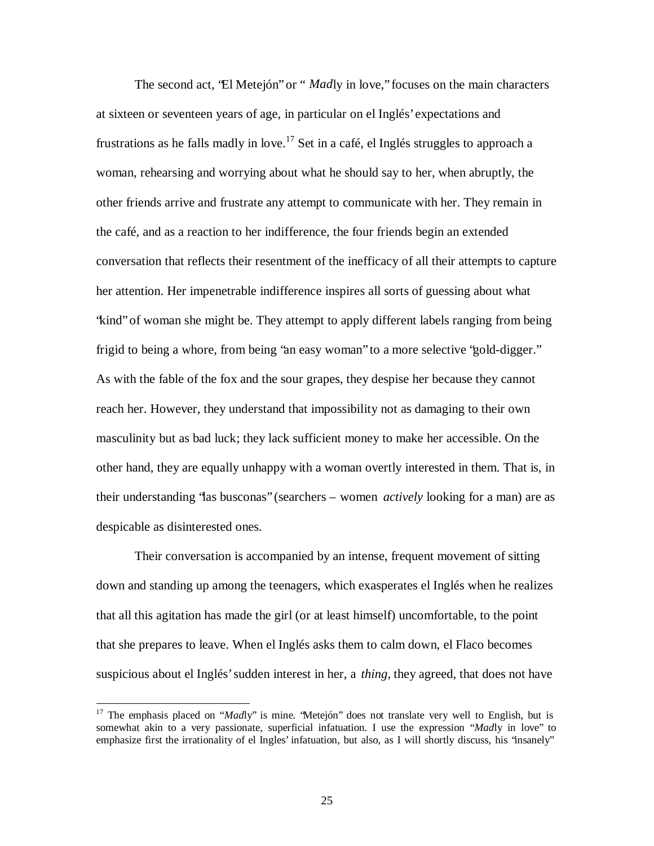The second act, "El Metejón" or " *Mad*ly in love," focuses on the main characters at sixteen or seventeen years of age, in particular on el Inglés' expectations and frustrations as he falls madly in love.<sup>17</sup> Set in a café, el Inglés struggles to approach a woman, rehearsing and worrying about what he should say to her, when abruptly, the other friends arrive and frustrate any attempt to communicate with her. They remain in the café, and as a reaction to her indifference, the four friends begin an extended conversation that reflects their resentment of the inefficacy of all their attempts to capture her attention. Her impenetrable indifference inspires all sorts of guessing about what "kind" of woman she might be. They attempt to apply different labels ranging from being frigid to being a whore, from being "an easy woman" to a more selective "gold-digger." As with the fable of the fox and the sour grapes, they despise her because they cannot reach her. However, they understand that impossibility not as damaging to their own masculinity but as bad luck; they lack sufficient money to make her accessible. On the other hand, they are equally unhappy with a woman overtly interested in them. That is, in their understanding "las busconas" (searchers – women *actively* looking for a man) are as despicable as disinterested ones.

Their conversation is accompanied by an intense, frequent movement of sitting down and standing up among the teenagers, which exasperates el Inglés when he realizes that all this agitation has made the girl (or at least himself) uncomfortable, to the point that she prepares to leave. When el Inglés asks them to calm down, el Flaco becomes suspicious about el Inglés' sudden interest in her, a *thing*, they agreed, that does not have

<sup>&</sup>lt;sup>17</sup> The emphasis placed on "*Mad*ly" is mine. 'Metejón" does not translate very well to English, but is somewhat akin to a very passionate, superficial infatuation. I use the expression "*Mad*ly in love" to emphasize first the irrationality of el Ingles' infatuation, but also, as I will shortly discuss, his "insanely"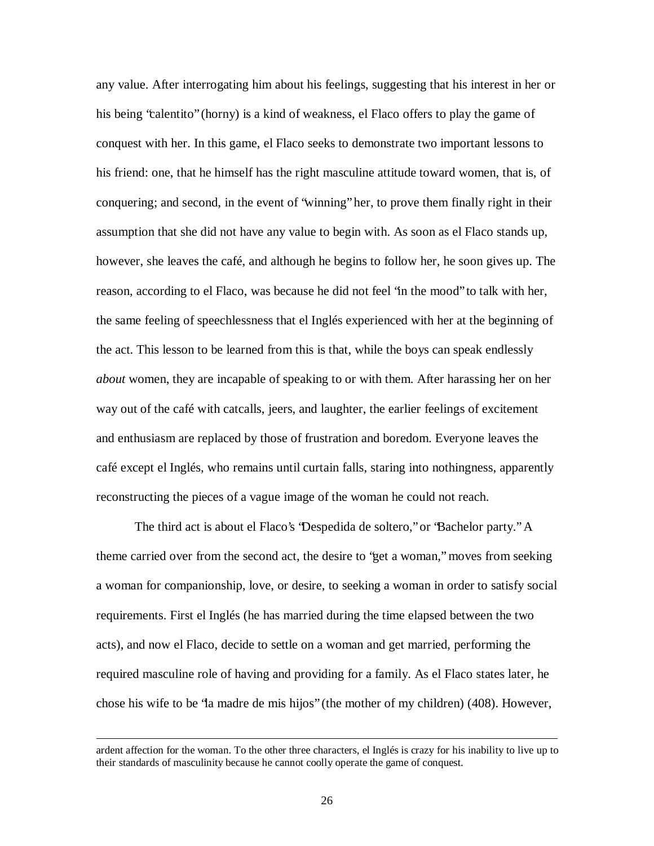any value. After interrogating him about his feelings, suggesting that his interest in her or his being "calentito" (horny) is a kind of weakness, el Flaco offers to play the game of conquest with her. In this game, el Flaco seeks to demonstrate two important lessons to his friend: one, that he himself has the right masculine attitude toward women, that is, of conquering; and second, in the event of "winning" her, to prove them finally right in their assumption that she did not have any value to begin with. As soon as el Flaco stands up, however, she leaves the café, and although he begins to follow her, he soon gives up. The reason, according to el Flaco, was because he did not feel "in the mood" to talk with her, the same feeling of speechlessness that el Inglés experienced with her at the beginning of the act. This lesson to be learned from this is that, while the boys can speak endlessly *about* women, they are incapable of speaking to or with them. After harassing her on her way out of the café with catcalls, jeers, and laughter, the earlier feelings of excitement and enthusiasm are replaced by those of frustration and boredom. Everyone leaves the café except el Inglés, who remains until curtain falls, staring into nothingness, apparently reconstructing the pieces of a vague image of the woman he could not reach.

The third act is about el Flaco's "Despedida de soltero," or "Bachelor party." A theme carried over from the second act, the desire to "get a woman," moves from seeking a woman for companionship, love, or desire, to seeking a woman in order to satisfy social requirements. First el Inglés (he has married during the time elapsed between the two acts), and now el Flaco, decide to settle on a woman and get married, performing the required masculine role of having and providing for a family. As el Flaco states later, he chose his wife to be "la madre de mis hijos" (the mother of my children) (408). However,

ardent affection for the woman. To the other three characters, el Inglés is crazy for his inability to live up to their standards of masculinity because he cannot coolly operate the game of conquest.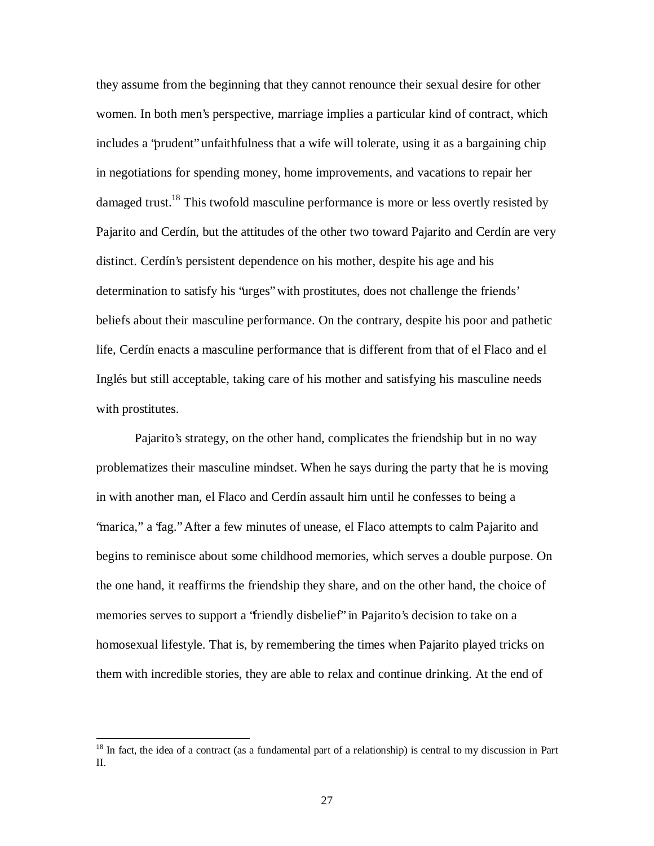they assume from the beginning that they cannot renounce their sexual desire for other women. In both men's perspective, marriage implies a particular kind of contract, which includes a "prudent" unfaithfulness that a wife will tolerate, using it as a bargaining chip in negotiations for spending money, home improvements, and vacations to repair her damaged trust.<sup>18</sup> This twofold masculine performance is more or less overtly resisted by Pajarito and Cerdín, but the attitudes of the other two toward Pajarito and Cerdín are very distinct. Cerdín's persistent dependence on his mother, despite his age and his determination to satisfy his "urges" with prostitutes, does not challenge the friends' beliefs about their masculine performance. On the contrary, despite his poor and pathetic life, Cerdín enacts a masculine performance that is different from that of el Flaco and el Inglés but still acceptable, taking care of his mother and satisfying his masculine needs with prostitutes.

Pajarito's strategy, on the other hand, complicates the friendship but in no way problematizes their masculine mindset. When he says during the party that he is moving in with another man, el Flaco and Cerdín assault him until he confesses to being a "marica," a "fag." After a few minutes of unease, el Flaco attempts to calm Pajarito and begins to reminisce about some childhood memories, which serves a double purpose. On the one hand, it reaffirms the friendship they share, and on the other hand, the choice of memories serves to support a "friendly disbelief" in Pajarito's decision to take on a homosexual lifestyle. That is, by remembering the times when Pajarito played tricks on them with incredible stories, they are able to relax and continue drinking. At the end of

<sup>&</sup>lt;sup>18</sup> In fact, the idea of a contract (as a fundamental part of a relationship) is central to my discussion in Part II.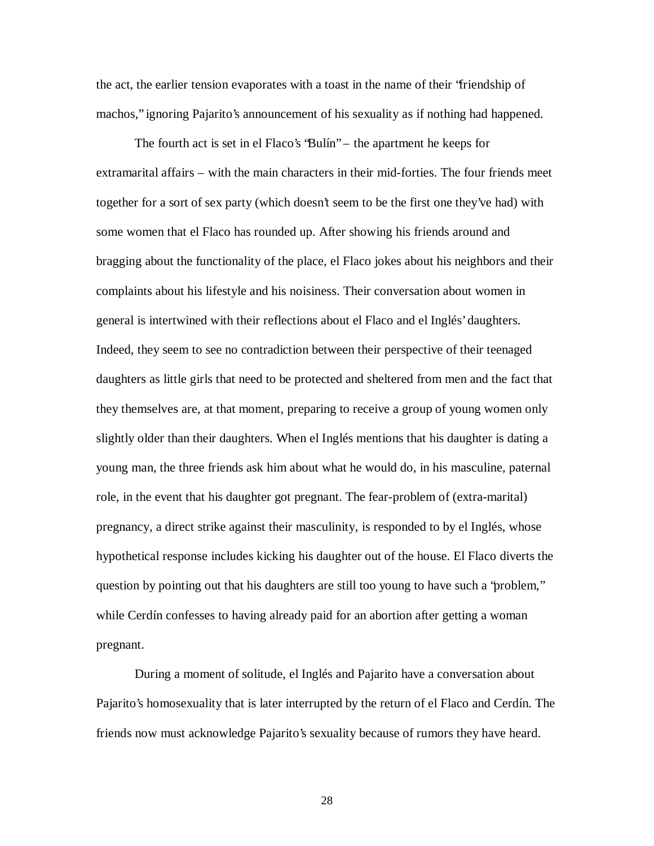the act, the earlier tension evaporates with a toast in the name of their "friendship of machos," ignoring Pajarito's announcement of his sexuality as if nothing had happened.

The fourth act is set in el Flaco's "Bulín" – the apartment he keeps for extramarital affairs – with the main characters in their mid-forties. The four friends meet together for a sort of sex party (which doesn't seem to be the first one they've had) with some women that el Flaco has rounded up. After showing his friends around and bragging about the functionality of the place, el Flaco jokes about his neighbors and their complaints about his lifestyle and his noisiness. Their conversation about women in general is intertwined with their reflections about el Flaco and el Inglés' daughters. Indeed, they seem to see no contradiction between their perspective of their teenaged daughters as little girls that need to be protected and sheltered from men and the fact that they themselves are, at that moment, preparing to receive a group of young women only slightly older than their daughters. When el Inglés mentions that his daughter is dating a young man, the three friends ask him about what he would do, in his masculine, paternal role, in the event that his daughter got pregnant. The fear-problem of (extra-marital) pregnancy, a direct strike against their masculinity, is responded to by el Inglés, whose hypothetical response includes kicking his daughter out of the house. El Flaco diverts the question by pointing out that his daughters are still too young to have such a "problem," while Cerdín confesses to having already paid for an abortion after getting a woman pregnant.

During a moment of solitude, el Inglés and Pajarito have a conversation about Pajarito's homosexuality that is later interrupted by the return of el Flaco and Cerdín. The friends now must acknowledge Pajarito's sexuality because of rumors they have heard.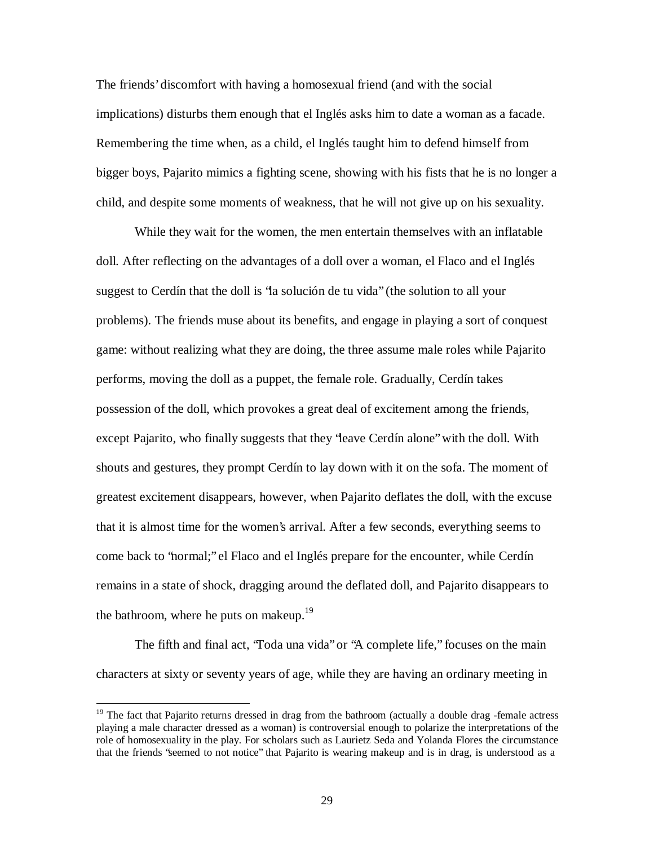The friends' discomfort with having a homosexual friend (and with the social implications) disturbs them enough that el Inglés asks him to date a woman as a facade. Remembering the time when, as a child, el Inglés taught him to defend himself from bigger boys, Pajarito mimics a fighting scene, showing with his fists that he is no longer a child, and despite some moments of weakness, that he will not give up on his sexuality.

While they wait for the women, the men entertain themselves with an inflatable doll. After reflecting on the advantages of a doll over a woman, el Flaco and el Inglés suggest to Cerdín that the doll is "la solución de tu vida" (the solution to all your problems). The friends muse about its benefits, and engage in playing a sort of conquest game: without realizing what they are doing, the three assume male roles while Pajarito performs, moving the doll as a puppet, the female role. Gradually, Cerdín takes possession of the doll, which provokes a great deal of excitement among the friends, except Pajarito, who finally suggests that they "leave Cerdín alone" with the doll. With shouts and gestures, they prompt Cerdín to lay down with it on the sofa. The moment of greatest excitement disappears, however, when Pajarito deflates the doll, with the excuse that it is almost time for the women's arrival. After a few seconds, everything seems to come back to "normal;" el Flaco and el Inglés prepare for the encounter, while Cerdín remains in a state of shock, dragging around the deflated doll, and Pajarito disappears to the bathroom, where he puts on makeup.<sup>19</sup>

The fifth and final act, "Toda una vida" or "A complete life," focuses on the main characters at sixty or seventy years of age, while they are having an ordinary meeting in

<sup>&</sup>lt;sup>19</sup> The fact that Pajarito returns dressed in drag from the bathroom (actually a double drag -female actress playing a male character dressed as a woman) is controversial enough to polarize the interpretations of the role of homosexuality in the play. For scholars such as Laurietz Seda and Yolanda Flores the circumstance that the friends "seemed to not notice" that Pajarito is wearing makeup and is in drag, is understood as a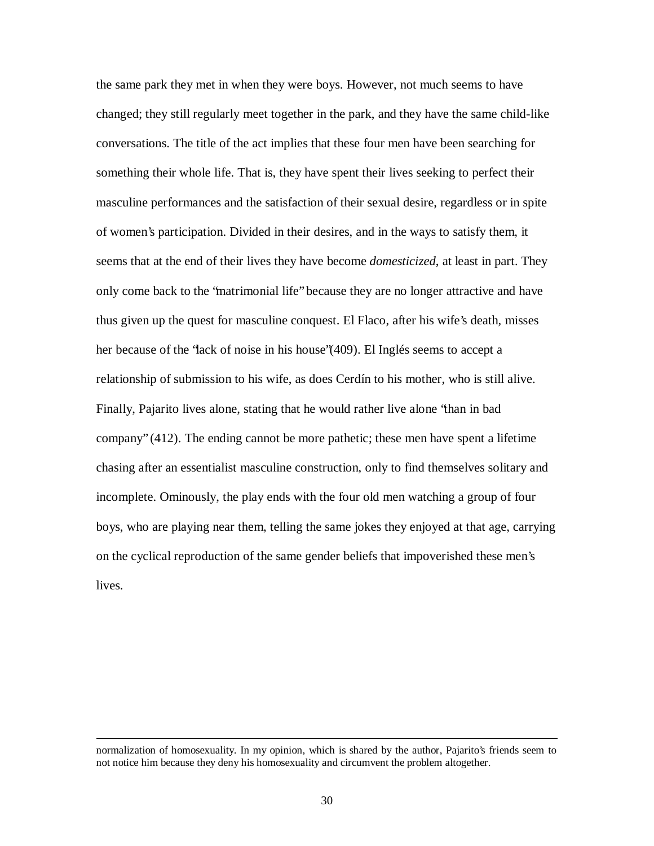the same park they met in when they were boys. However, not much seems to have changed; they still regularly meet together in the park, and they have the same child-like conversations. The title of the act implies that these four men have been searching for something their whole life. That is, they have spent their lives seeking to perfect their masculine performances and the satisfaction of their sexual desire, regardless or in spite of women's participation. Divided in their desires, and in the ways to satisfy them, it seems that at the end of their lives they have become *domesticized*, at least in part. They only come back to the "matrimonial life" because they are no longer attractive and have thus given up the quest for masculine conquest. El Flaco, after his wife's death, misses her because of the "lack of noise in his house"(409). El Inglés seems to accept a relationship of submission to his wife, as does Cerdín to his mother, who is still alive. Finally, Pajarito lives alone, stating that he would rather live alone "than in bad company" (412). The ending cannot be more pathetic; these men have spent a lifetime chasing after an essentialist masculine construction, only to find themselves solitary and incomplete. Ominously, the play ends with the four old men watching a group of four boys, who are playing near them, telling the same jokes they enjoyed at that age, carrying on the cyclical reproduction of the same gender beliefs that impoverished these men's lives.

normalization of homosexuality. In my opinion, which is shared by the author, Pajarito's friends seem to not notice him because they deny his homosexuality and circumvent the problem altogether.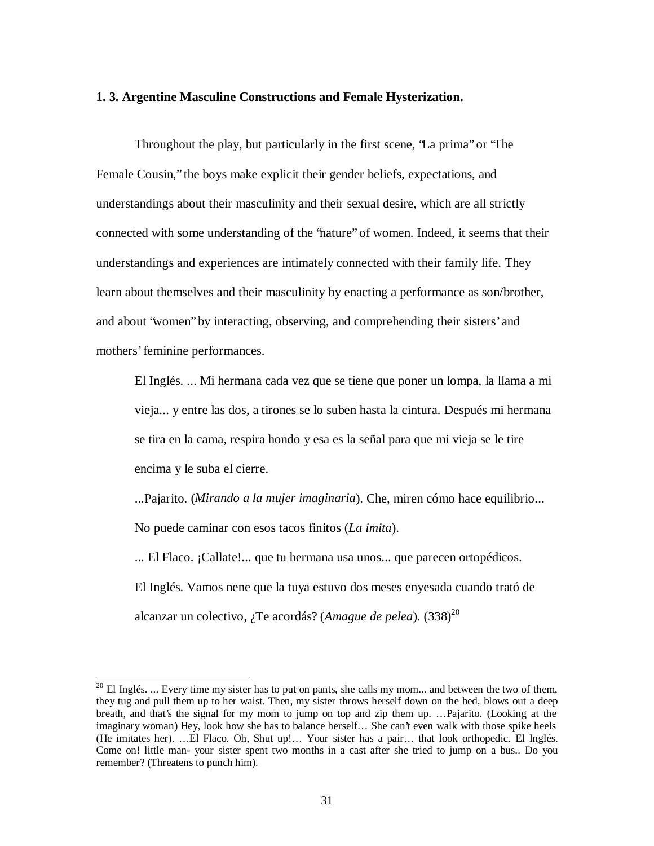#### **1. 3. Argentine Masculine Constructions and Female Hysterization.**

Throughout the play, but particularly in the first scene, "La prima" or "The Female Cousin," the boys make explicit their gender beliefs, expectations, and understandings about their masculinity and their sexual desire, which are all strictly connected with some understanding of the "nature" of women. Indeed, it seems that their understandings and experiences are intimately connected with their family life. They learn about themselves and their masculinity by enacting a performance as son/brother, and about "women" by interacting, observing, and comprehending their sisters' and mothers' feminine performances.

El Inglés. ... Mi hermana cada vez que se tiene que poner un lompa, la llama a mi vieja... y entre las dos, a tirones se lo suben hasta la cintura. Después mi hermana se tira en la cama, respira hondo y esa es la señal para que mi vieja se le tire encima y le suba el cierre.

...Pajarito. (*Mirando a la mujer imaginaria*). Che, miren cómo hace equilibrio... No puede caminar con esos tacos finitos (*La imita*).

... El Flaco. ¡Callate!... que tu hermana usa unos... que parecen ortopédicos. El Inglés. Vamos nene que la tuya estuvo dos meses enyesada cuando trató de alcanzar un colectivo, ¿Te acordás? (*Amague de pelea*). (338) 20

 $20$  El Inglés. ... Every time my sister has to put on pants, she calls my mom... and between the two of them, they tug and pull them up to her waist. Then, my sister throws herself down on the bed, blows out a deep breath, and that's the signal for my mom to jump on top and zip them up. …Pajarito. (Looking at the imaginary woman) Hey, look how she has to balance herself… She can't even walk with those spike heels (He imitates her). …El Flaco. Oh, Shut up!… Your sister has a pair… that look orthopedic. El Inglés. Come on! little man- your sister spent two months in a cast after she tried to jump on a bus.. Do you remember? (Threatens to punch him).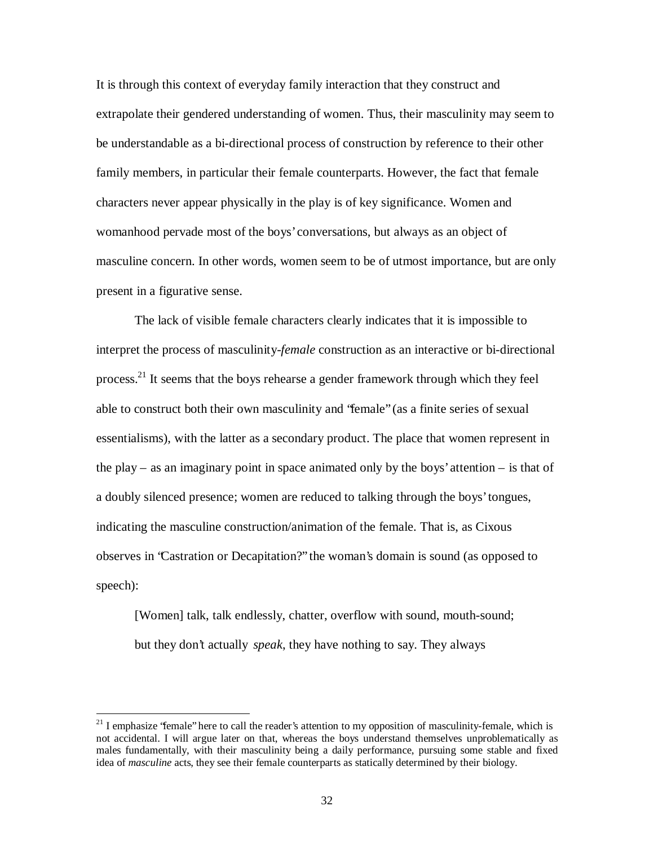It is through this context of everyday family interaction that they construct and extrapolate their gendered understanding of women. Thus, their masculinity may seem to be understandable as a bi-directional process of construction by reference to their other family members, in particular their female counterparts. However, the fact that female characters never appear physically in the play is of key significance. Women and womanhood pervade most of the boys' conversations, but always as an object of masculine concern. In other words, women seem to be of utmost importance, but are only present in a figurative sense.

The lack of visible female characters clearly indicates that it is impossible to interpret the process of masculinity-*female* construction as an interactive or bi-directional process.<sup>21</sup> It seems that the boys rehearse a gender framework through which they feel able to construct both their own masculinity and "female" (as a finite series of sexual essentialisms), with the latter as a secondary product. The place that women represent in the play – as an imaginary point in space animated only by the boys' attention – is that of a doubly silenced presence; women are reduced to talking through the boys' tongues, indicating the masculine construction/animation of the female. That is, as Cixous observes in "Castration or Decapitation?" the woman's domain is sound (as opposed to speech):

[Women] talk, talk endlessly, chatter, overflow with sound, mouth-sound; but they don't actually *speak*, they have nothing to say. They always

 $21$  I emphasize "female" here to call the reader's attention to my opposition of masculinity-female, which is not accidental. I will argue later on that, whereas the boys understand themselves unproblematically as males fundamentally, with their masculinity being a daily performance, pursuing some stable and fixed idea of *masculine* acts, they see their female counterparts as statically determined by their biology.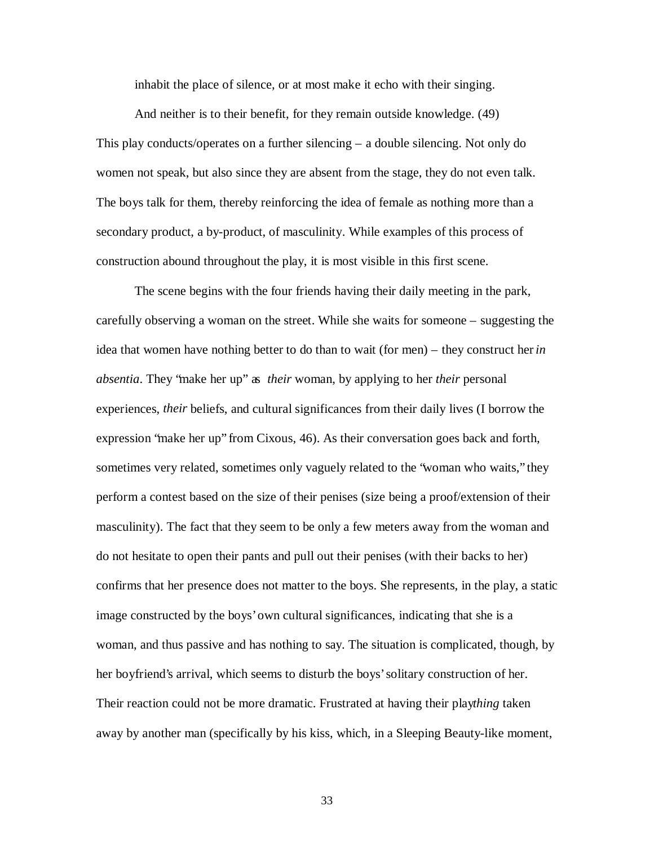inhabit the place of silence, or at most make it echo with their singing.

And neither is to their benefit, for they remain outside knowledge. (49) This play conducts/operates on a further silencing – a double silencing. Not only do women not speak, but also since they are absent from the stage, they do not even talk. The boys talk for them, thereby reinforcing the idea of female as nothing more than a secondary product, a by-product, of masculinity. While examples of this process of construction abound throughout the play, it is most visible in this first scene.

The scene begins with the four friends having their daily meeting in the park, carefully observing a woman on the street. While she waits for someone – suggesting the idea that women have nothing better to do than to wait (for men) – they construct her *in absentia*. They "make her up" as *their* woman, by applying to her *their* personal experiences, *their* beliefs, and cultural significances from their daily lives (I borrow the expression "make her up" from Cixous, 46). As their conversation goes back and forth, sometimes very related, sometimes only vaguely related to the "woman who waits," they perform a contest based on the size of their penises (size being a proof/extension of their masculinity). The fact that they seem to be only a few meters away from the woman and do not hesitate to open their pants and pull out their penises (with their backs to her) confirms that her presence does not matter to the boys. She represents, in the play, a static image constructed by the boys' own cultural significances, indicating that she is a woman, and thus passive and has nothing to say. The situation is complicated, though, by her boyfriend's arrival, which seems to disturb the boys' solitary construction of her. Their reaction could not be more dramatic. Frustrated at having their play*thing* taken away by another man (specifically by his kiss, which, in a Sleeping Beauty-like moment,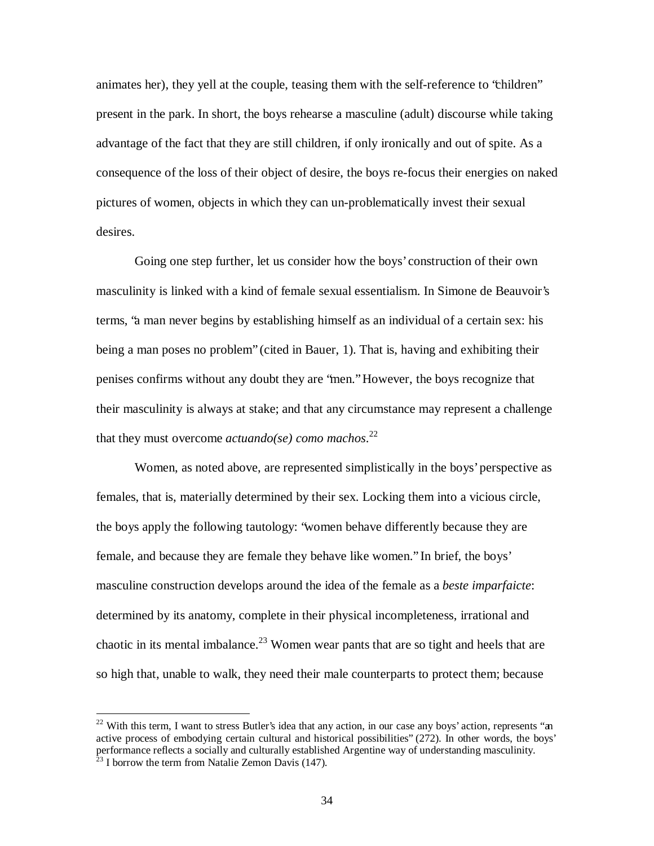animates her), they yell at the couple, teasing them with the self-reference to "children" present in the park. In short, the boys rehearse a masculine (adult) discourse while taking advantage of the fact that they are still children, if only ironically and out of spite. As a consequence of the loss of their object of desire, the boys re-focus their energies on naked pictures of women, objects in which they can un-problematically invest their sexual desires.

Going one step further, let us consider how the boys' construction of their own masculinity is linked with a kind of female sexual essentialism. In Simone de Beauvoir's terms, "a man never begins by establishing himself as an individual of a certain sex: his being a man poses no problem" (cited in Bauer, 1). That is, having and exhibiting their penises confirms without any doubt they are "men." However, the boys recognize that their masculinity is always at stake; and that any circumstance may represent a challenge that they must overcome *actuando(se) como machos*. 22

Women, as noted above, are represented simplistically in the boys' perspective as females, that is, materially determined by their sex. Locking them into a vicious circle, the boys apply the following tautology: "women behave differently because they are female, and because they are female they behave like women." In brief, the boys' masculine construction develops around the idea of the female as a *beste imparfaicte*: determined by its anatomy, complete in their physical incompleteness, irrational and chaotic in its mental imbalance.<sup>23</sup> Women wear pants that are so tight and heels that are so high that, unable to walk, they need their male counterparts to protect them; because

<sup>&</sup>lt;sup>22</sup> With this term, I want to stress Butler's idea that any action, in our case any boys' action, represents "an active process of embodying certain cultural and historical possibilities" (272). In other words, the boys' performance reflects a socially and culturally established Argentine way of understanding masculinity.

 $^{23}$  I borrow the term from Natalie Zemon Davis (147).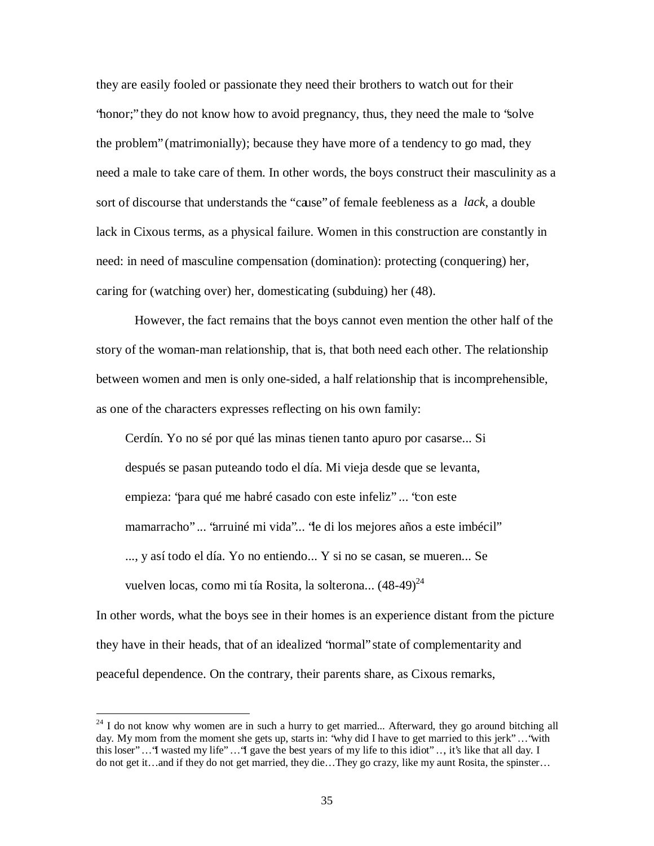they are easily fooled or passionate they need their brothers to watch out for their "honor;" they do not know how to avoid pregnancy, thus, they need the male to "solve the problem" (matrimonially); because they have more of a tendency to go mad, they need a male to take care of them. In other words, the boys construct their masculinity as a sort of discourse that understands the "cause" of female feebleness as a *lack*, a double lack in Cixous terms, as a physical failure. Women in this construction are constantly in need: in need of masculine compensation (domination): protecting (conquering) her, caring for (watching over) her, domesticating (subduing) her (48).

However, the fact remains that the boys cannot even mention the other half of the story of the woman-man relationship, that is, that both need each other. The relationship between women and men is only one-sided, a half relationship that is incomprehensible, as one of the characters expresses reflecting on his own family:

Cerdín. Yo no sé por qué las minas tienen tanto apuro por casarse... Si después se pasan puteando todo el día. Mi vieja desde que se levanta, empieza: "para qué me habré casado con este infeliz" ... "con este mamarracho" ... "arruiné mi vida"... "le di los mejores años a este imbécil" ..., y así todo el día. Yo no entiendo... Y si no se casan, se mueren... Se vuelven locas, como mi tía Rosita, la solterona... (48-49) 24

In other words, what the boys see in their homes is an experience distant from the picture they have in their heads, that of an idealized "normal" state of complementarity and peaceful dependence. On the contrary, their parents share, as Cixous remarks,

 $24$  I do not know why women are in such a hurry to get married... Afterward, they go around bitching all day. My mom from the moment she gets up, starts in: 'why did I have to get married to this jerk''...'with this loser" … "I wasted my life" … "I gave the best years of my life to this idiot" …, it's like that all day. I do not get it… and if they do not get married, they die… They go crazy, like my aunt Rosita, the spinster…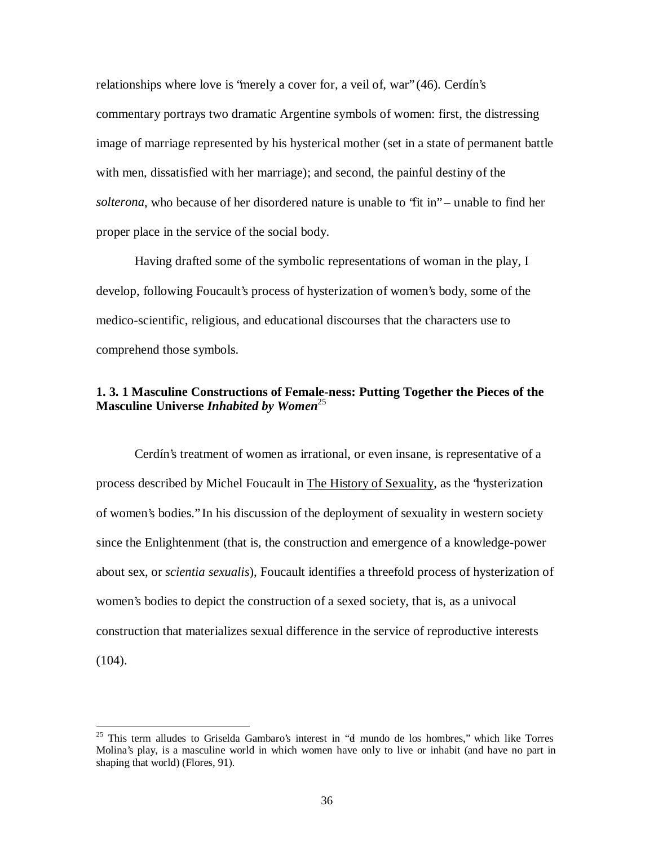relationships where love is "merely a cover for, a veil of, war" (46). Cerdín's commentary portrays two dramatic Argentine symbols of women: first, the distressing image of marriage represented by his hysterical mother (set in a state of permanent battle with men, dissatisfied with her marriage); and second, the painful destiny of the *solterona*, who because of her disordered nature is unable to "fit in" – unable to find her proper place in the service of the social body.

Having drafted some of the symbolic representations of woman in the play, I develop, following Foucault's process of hysterization of women's body, some of the medico-scientific, religious, and educational discourses that the characters use to comprehend those symbols.

# **1. 3. 1 Masculine Constructions of Female-ness: Putting Together the Pieces of the Masculine Universe** *Inhabited by Women* 25

Cerdín's treatment of women as irrational, or even insane, is representative of a process described by Michel Foucault in The History of Sexuality, as the "hysterization of women's bodies." In his discussion of the deployment of sexuality in western society since the Enlightenment (that is, the construction and emergence of a knowledge-power about sex, or *scientia sexualis*), Foucault identifies a threefold process of hysterization of women's bodies to depict the construction of a sexed society, that is, as a univocal construction that materializes sexual difference in the service of reproductive interests (104).

<sup>&</sup>lt;sup>25</sup> This term alludes to Griselda Gambaro's interest in "d mundo de los hombres," which like Torres Molina's play, is a masculine world in which women have only to live or inhabit (and have no part in shaping that world) (Flores, 91).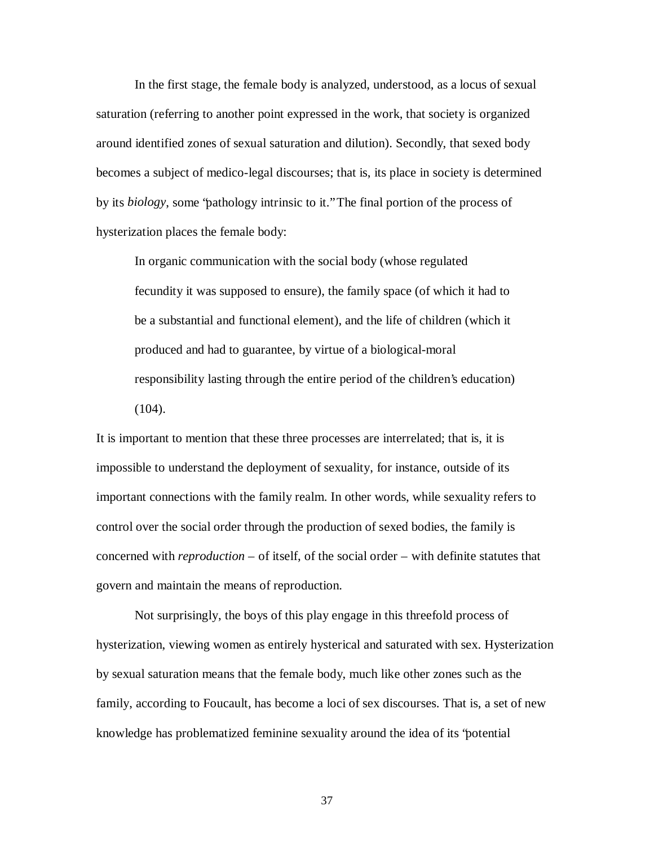In the first stage, the female body is analyzed, understood, as a locus of sexual saturation (referring to another point expressed in the work, that society is organized around identified zones of sexual saturation and dilution). Secondly, that sexed body becomes a subject of medico-legal discourses; that is, its place in society is determined by its *biology*, some "pathology intrinsic to it." The final portion of the process of hysterization places the female body:

In organic communication with the social body (whose regulated fecundity it was supposed to ensure), the family space (of which it had to be a substantial and functional element), and the life of children (which it produced and had to guarantee, by virtue of a biological-moral responsibility lasting through the entire period of the children's education)  $(104)$ .

It is important to mention that these three processes are interrelated; that is, it is impossible to understand the deployment of sexuality, for instance, outside of its important connections with the family realm. In other words, while sexuality refers to control over the social order through the production of sexed bodies, the family is concerned with *reproduction* – of itself, of the social order – with definite statutes that govern and maintain the means of reproduction.

Not surprisingly, the boys of this play engage in this threefold process of hysterization, viewing women as entirely hysterical and saturated with sex. Hysterization by sexual saturation means that the female body, much like other zones such as the family, according to Foucault, has become a loci of sex discourses. That is, a set of new knowledge has problematized feminine sexuality around the idea of its "potential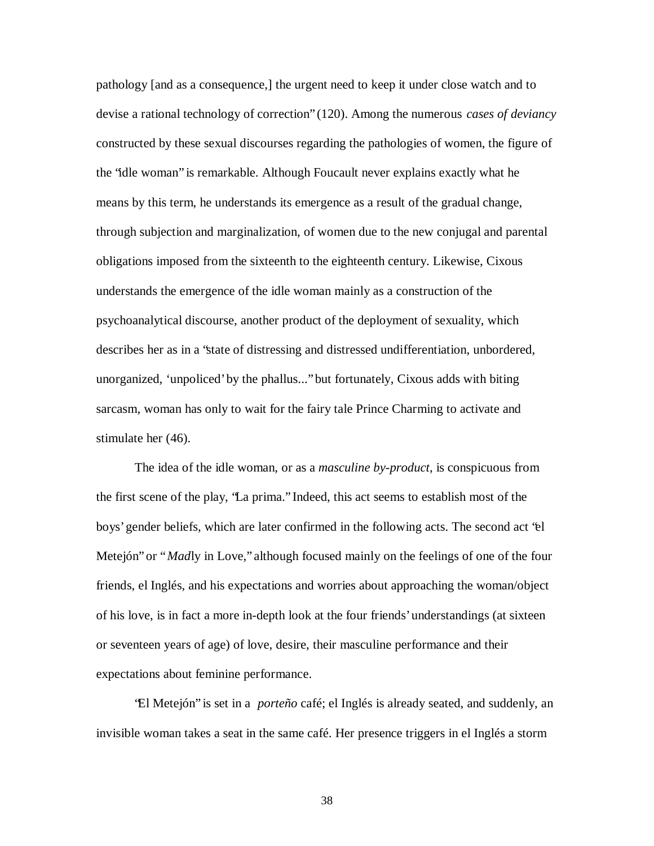pathology [and as a consequence,] the urgent need to keep it under close watch and to devise a rational technology of correction" (120). Among the numerous *cases of deviancy* constructed by these sexual discourses regarding the pathologies of women, the figure of the "idle woman" is remarkable. Although Foucault never explains exactly what he means by this term, he understands its emergence as a result of the gradual change, through subjection and marginalization, of women due to the new conjugal and parental obligations imposed from the sixteenth to the eighteenth century. Likewise, Cixous understands the emergence of the idle woman mainly as a construction of the psychoanalytical discourse, another product of the deployment of sexuality, which describes her as in a "state of distressing and distressed undifferentiation, unbordered, unorganized, 'unpoliced' by the phallus..." but fortunately, Cixous adds with biting sarcasm, woman has only to wait for the fairy tale Prince Charming to activate and stimulate her (46).

The idea of the idle woman, or as a *masculine by-product*, is conspicuous from the first scene of the play, "La prima." Indeed, this act seems to establish most of the boys' gender beliefs, which are later confirmed in the following acts. The second act "el Metejón" or "*Mad*ly in Love," although focused mainly on the feelings of one of the four friends, el Inglés, and his expectations and worries about approaching the woman/object of his love, is in fact a more in-depth look at the four friends' understandings (at sixteen or seventeen years of age) of love, desire, their masculine performance and their expectations about feminine performance.

"El Metejón" is set in a *porteño* café; el Inglés is already seated, and suddenly, an invisible woman takes a seat in the same café. Her presence triggers in el Inglés a storm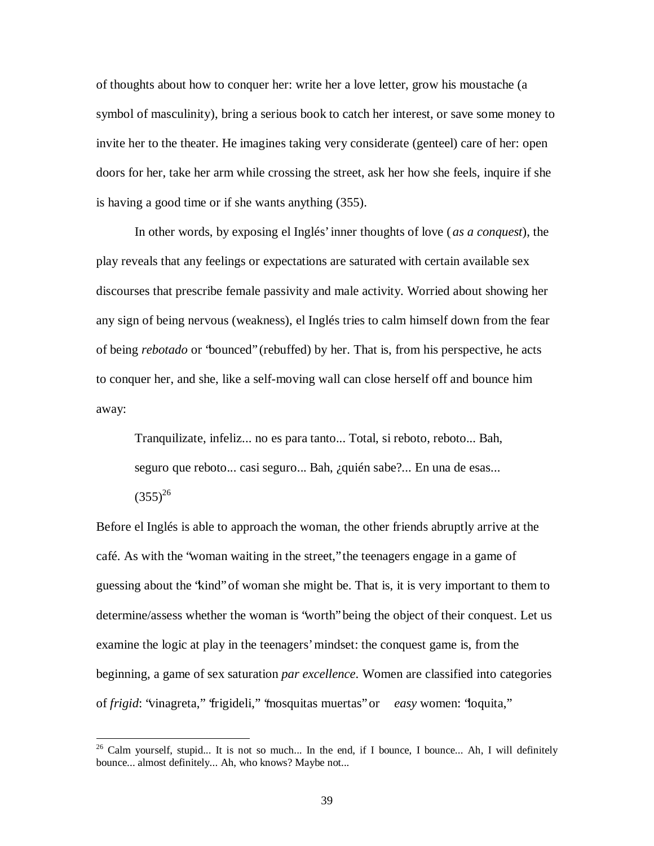of thoughts about how to conquer her: write her a love letter, grow his moustache (a symbol of masculinity), bring a serious book to catch her interest, or save some money to invite her to the theater. He imagines taking very considerate (genteel) care of her: open doors for her, take her arm while crossing the street, ask her how she feels, inquire if she is having a good time or if she wants anything (355).

In other words, by exposing el Inglés' inner thoughts of love ( *as a conquest*), the play reveals that any feelings or expectations are saturated with certain available sex discourses that prescribe female passivity and male activity. Worried about showing her any sign of being nervous (weakness), el Inglés tries to calm himself down from the fear of being *rebotado* or "bounced" (rebuffed) by her. That is, from his perspective, he acts to conquer her, and she, like a self-moving wall can close herself off and bounce him away:

Tranquilizate, infeliz... no es para tanto... Total, si reboto, reboto... Bah, seguro que reboto... casi seguro... Bah, ¿quién sabe?... En una de esas...  $(355)^{26}$ 

Before el Inglés is able to approach the woman, the other friends abruptly arrive at the café. As with the "woman waiting in the street," the teenagers engage in a game of guessing about the "kind" of woman she might be. That is, it is very important to them to determine/assess whether the woman is "worth" being the object of their conquest. Let us examine the logic at play in the teenagers' mindset: the conquest game is, from the beginning, a game of sex saturation *par excellence*. Women are classified into categories of *frigid*: "vinagreta," "frigideli," "mosquitas muertas" or *easy* women: "loquita,"

 $26$  Calm yourself, stupid... It is not so much... In the end, if I bounce, I bounce... Ah, I will definitely bounce... almost definitely... Ah, who knows? Maybe not...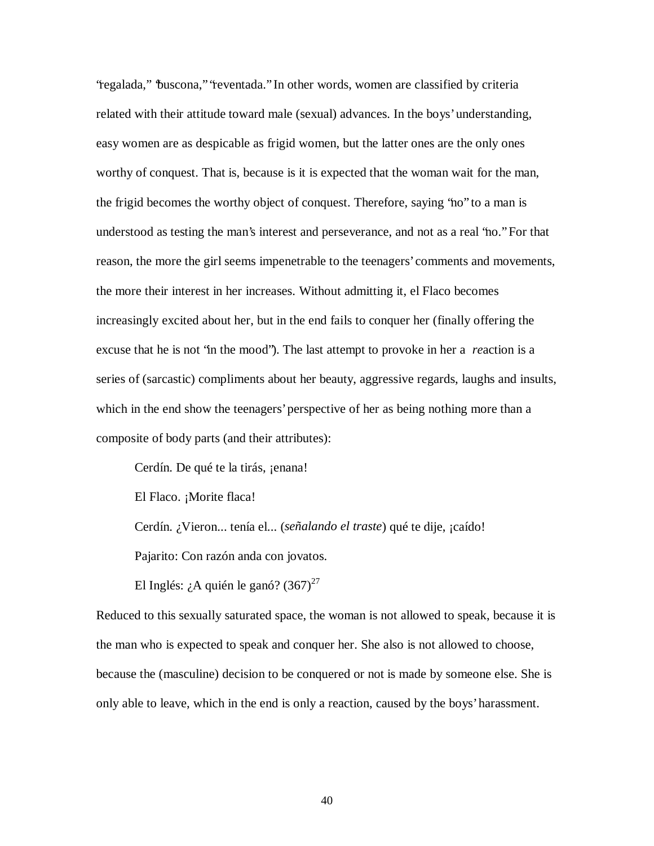"regalada," "buscona," "reventada." In other words, women are classified by criteria related with their attitude toward male (sexual) advances. In the boys' understanding, easy women are as despicable as frigid women, but the latter ones are the only ones worthy of conquest. That is, because is it is expected that the woman wait for the man, the frigid becomes the worthy object of conquest. Therefore, saying "no" to a man is understood as testing the man's interest and perseverance, and not as a real "no." For that reason, the more the girl seems impenetrable to the teenagers' comments and movements, the more their interest in her increases. Without admitting it, el Flaco becomes increasingly excited about her, but in the end fails to conquer her (finally offering the excuse that he is not "in the mood"). The last attempt to provoke in her a *re*action is a series of (sarcastic) compliments about her beauty, aggressive regards, laughs and insults, which in the end show the teenagers' perspective of her as being nothing more than a composite of body parts (and their attributes):

Cerdín. De qué te la tirás, *jenana!* 

El Flaco. ¡Morite flaca!

Cerdín. ¿Vieron... tenía el... (*señalando el traste*) qué te dije, ¡caído!

Pajarito: Con razón anda con jovatos.

El Inglés: ¿A quién le ganó?  $(367)^{27}$ 

Reduced to this sexually saturated space, the woman is not allowed to speak, because it is the man who is expected to speak and conquer her. She also is not allowed to choose, because the (masculine) decision to be conquered or not is made by someone else. She is only able to leave, which in the end is only a reaction, caused by the boys' harassment.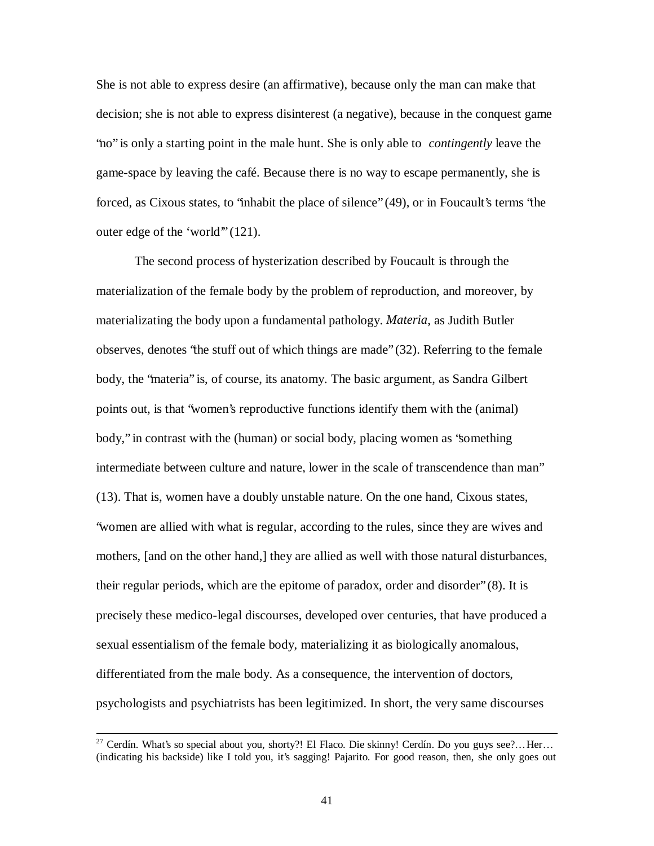She is not able to express desire (an affirmative), because only the man can make that decision; she is not able to express disinterest (a negative), because in the conquest game "no" is only a starting point in the male hunt. She is only able to *contingently* leave the game-space by leaving the café. Because there is no way to escape permanently, she is forced, as Cixous states, to "inhabit the place of silence" (49), or in Foucault's terms "the outer edge of the 'world'" (121).

The second process of hysterization described by Foucault is through the materialization of the female body by the problem of reproduction, and moreover, by materializating the body upon a fundamental pathology. *Materia*, as Judith Butler observes, denotes "the stuff out of which things are made" (32). Referring to the female body, the "materia" is, of course, its anatomy. The basic argument, as Sandra Gilbert points out, is that "women's reproductive functions identify them with the (animal) body," in contrast with the (human) or social body, placing women as "something intermediate between culture and nature, lower in the scale of transcendence than man" (13). That is, women have a doubly unstable nature. On the one hand, Cixous states, "women are allied with what is regular, according to the rules, since they are wives and mothers, [and on the other hand,] they are allied as well with those natural disturbances, their regular periods, which are the epitome of paradox, order and disorder" (8). It is precisely these medico-legal discourses, developed over centuries, that have produced a sexual essentialism of the female body, materializing it as biologically anomalous, differentiated from the male body. As a consequence, the intervention of doctors, psychologists and psychiatrists has been legitimized. In short, the very same discourses

 $27$  Cerdín. What's so special about you, shorty?! El Flaco. Die skinny! Cerdín. Do you guys see?...Her... (indicating his backside) like I told you, it's sagging! Pajarito. For good reason, then, she only goes out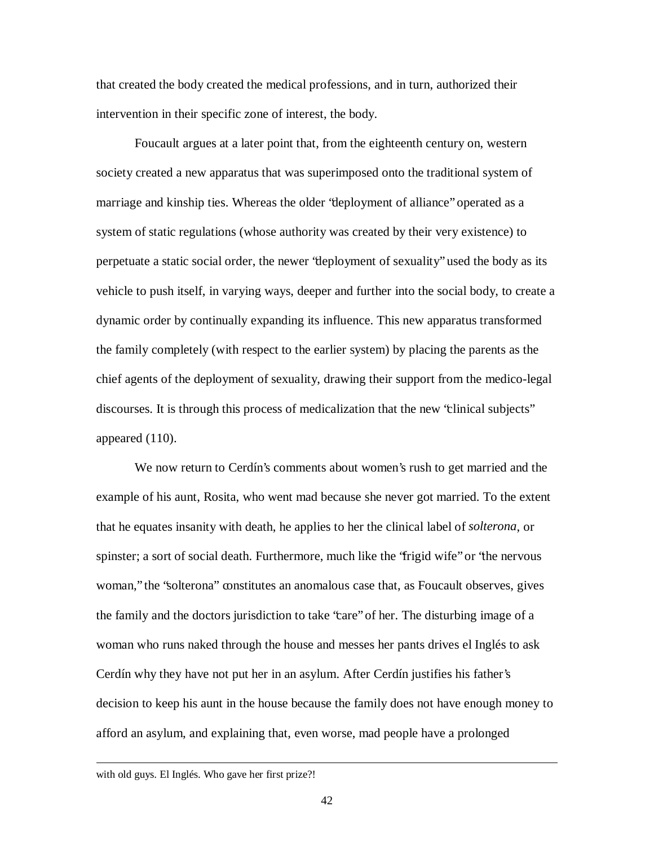that created the body created the medical professions, and in turn, authorized their intervention in their specific zone of interest, the body.

Foucault argues at a later point that, from the eighteenth century on, western society created a new apparatus that was superimposed onto the traditional system of marriage and kinship ties. Whereas the older "deployment of alliance" operated as a system of static regulations (whose authority was created by their very existence) to perpetuate a static social order, the newer "deployment of sexuality" used the body as its vehicle to push itself, in varying ways, deeper and further into the social body, to create a dynamic order by continually expanding its influence. This new apparatus transformed the family completely (with respect to the earlier system) by placing the parents as the chief agents of the deployment of sexuality, drawing their support from the medico-legal discourses. It is through this process of medicalization that the new "clinical subjects" appeared (110).

We now return to Cerdín's comments about women's rush to get married and the example of his aunt, Rosita, who went mad because she never got married. To the extent that he equates insanity with death, he applies to her the clinical label of *solterona*, or spinster; a sort of social death. Furthermore, much like the "frigid wife" or "the nervous woman," the "solterona" constitutes an anomalous case that, as Foucault observes, gives the family and the doctors jurisdiction to take "care" of her. The disturbing image of a woman who runs naked through the house and messes her pants drives el Inglés to ask Cerdín why they have not put her in an asylum. After Cerdín justifies his father's decision to keep his aunt in the house because the family does not have enough money to afford an asylum, and explaining that, even worse, mad people have a prolonged

with old guys. El Inglés. Who gave her first prize?!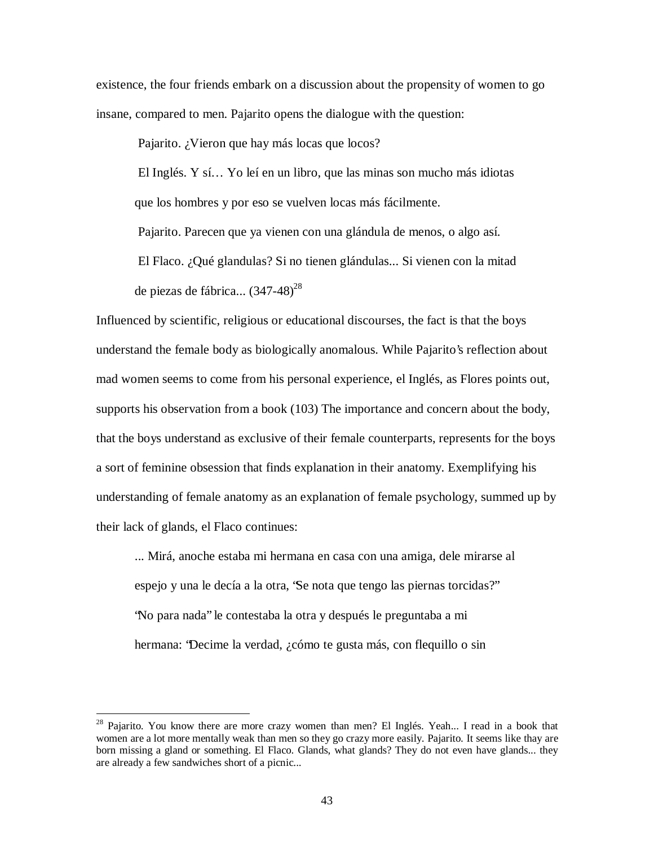existence, the four friends embark on a discussion about the propensity of women to go insane, compared to men. Pajarito opens the dialogue with the question:

Pajarito. ¿Vieron que hay más locas que locos?

El Inglés. Y sí… Yo leí en un libro, que las minas son mucho más idiotas que los hombres y por eso se vuelven locas más fácilmente.

Pajarito. Parecen que ya vienen con una glándula de menos, o algo así.

El Flaco. ¿Qué glandulas? Si no tienen glándulas... Si vienen con la mitad de piezas de fábrica... (347-48)<sup>28</sup>

Influenced by scientific, religious or educational discourses, the fact is that the boys understand the female body as biologically anomalous. While Pajarito's reflection about mad women seems to come from his personal experience, el Inglés, as Flores points out, supports his observation from a book (103) The importance and concern about the body, that the boys understand as exclusive of their female counterparts, represents for the boys a sort of feminine obsession that finds explanation in their anatomy. Exemplifying his understanding of female anatomy as an explanation of female psychology, summed up by their lack of glands, el Flaco continues:

... Mirá, anoche estaba mi hermana en casa con una amiga, dele mirarse al espejo y una le decía a la otra, "Se nota que tengo las piernas torcidas?" "No para nada" le contestaba la otra y después le preguntaba a mi hermana: "Decime la verdad, ¿cómo te gusta más, con flequillo o sin

<sup>&</sup>lt;sup>28</sup> Pajarito. You know there are more crazy women than men? El Inglés. Yeah... I read in a book that women are a lot more mentally weak than men so they go crazy more easily. Pajarito. It seems like thay are born missing a gland or something. El Flaco. Glands, what glands? They do not even have glands... they are already a few sandwiches short of a picnic...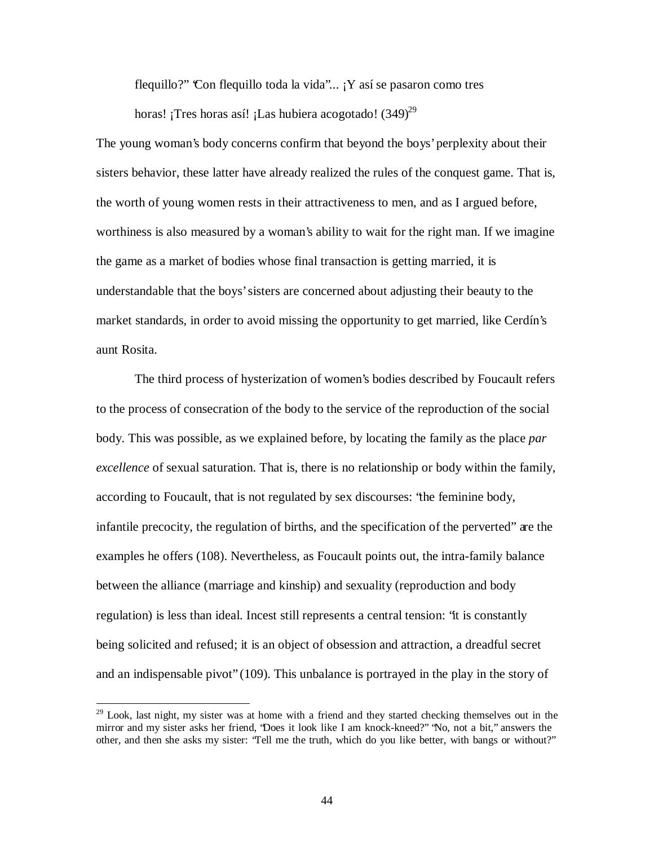flequillo?" Con flequillo toda la vida"...  $Y$  así se pasaron como tres

horas! ¡Tres horas así! ¡Las hubiera acogotado! (349)<sup>29</sup>

The young woman's body concerns confirm that beyond the boys' perplexity about their sisters behavior, these latter have already realized the rules of the conquest game. That is, the worth of young women rests in their attractiveness to men, and as I argued before, worthiness is also measured by a woman's ability to wait for the right man. If we imagine the game as a market of bodies whose final transaction is getting married, it is understandable that the boys' sisters are concerned about adjusting their beauty to the market standards, in order to avoid missing the opportunity to get married, like Cerdín's aunt Rosita.

The third process of hysterization of women's bodies described by Foucault refers to the process of consecration of the body to the service of the reproduction of the social body. This was possible, as we explained before, by locating the family as the place *par excellence* of sexual saturation. That is, there is no relationship or body within the family, according to Foucault, that is not regulated by sex discourses: "the feminine body, infantile precocity, the regulation of births, and the specification of the perverted" are the examples he offers (108). Nevertheless, as Foucault points out, the intra-family balance between the alliance (marriage and kinship) and sexuality (reproduction and body regulation) is less than ideal. Incest still represents a central tension: "it is constantly being solicited and refused; it is an object of obsession and attraction, a dreadful secret and an indispensable pivot" (109). This unbalance is portrayed in the play in the story of

 $29$  Look, last night, my sister was at home with a friend and they started checking themselves out in the mirror and my sister asks her friend, "Does it look like I am knock-kneed?" "No, not a bit," answers the other, and then she asks my sister: "Tell me the truth, which do you like better, with bangs or without?"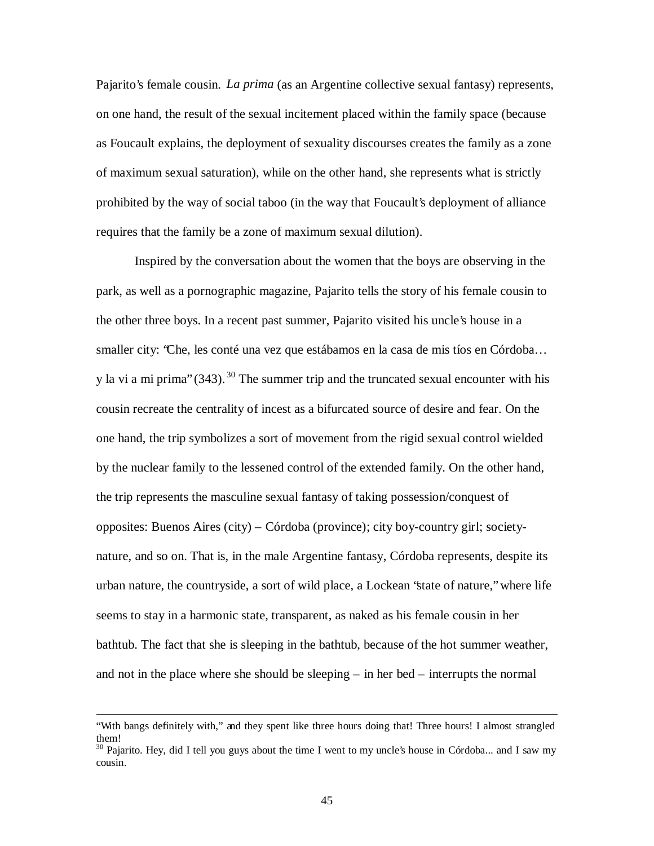Pajarito's female cousin. *La prima* (as an Argentine collective sexual fantasy) represents, on one hand, the result of the sexual incitement placed within the family space (because as Foucault explains, the deployment of sexuality discourses creates the family as a zone of maximum sexual saturation), while on the other hand, she represents what is strictly prohibited by the way of social taboo (in the way that Foucault's deployment of alliance requires that the family be a zone of maximum sexual dilution).

Inspired by the conversation about the women that the boys are observing in the park, as well as a pornographic magazine, Pajarito tells the story of his female cousin to the other three boys. In a recent past summer, Pajarito visited his uncle's house in a smaller city: "Che, les conté una vez que estábamos en la casa de mis tíos en Córdoba… y la vi a mi prima" (343).<sup>30</sup> The summer trip and the truncated sexual encounter with his cousin recreate the centrality of incest as a bifurcated source of desire and fear. On the one hand, the trip symbolizes a sort of movement from the rigid sexual control wielded by the nuclear family to the lessened control of the extended family. On the other hand, the trip represents the masculine sexual fantasy of taking possession/conquest of opposites: Buenos Aires (city) – Córdoba (province); city boy-country girl; societynature, and so on. That is, in the male Argentine fantasy, Córdoba represents, despite its urban nature, the countryside, a sort of wild place, a Lockean "state of nature," where life seems to stay in a harmonic state, transparent, as naked as his female cousin in her bathtub. The fact that she is sleeping in the bathtub, because of the hot summer weather, and not in the place where she should be sleeping – in her bed – interrupts the normal

<sup>&</sup>quot;With bangs definitely with," and they spent like three hours doing that! Three hours! I almost strangled them!

<sup>&</sup>lt;sup>30</sup> Pajarito. Hey, did I tell you guys about the time I went to my uncle's house in Córdoba... and I saw my cousin.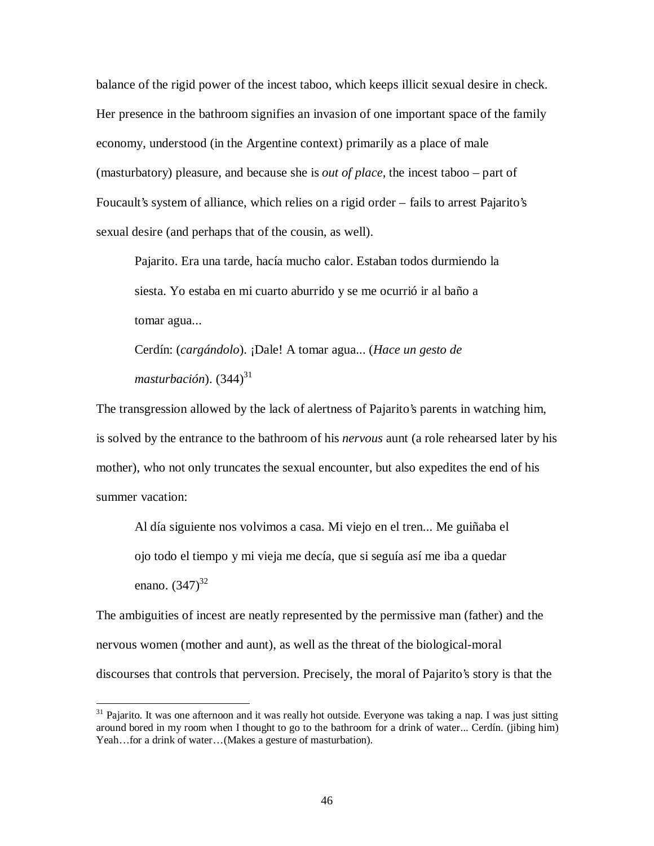balance of the rigid power of the incest taboo, which keeps illicit sexual desire in check. Her presence in the bathroom signifies an invasion of one important space of the family economy, understood (in the Argentine context) primarily as a place of male (masturbatory) pleasure, and because she is *out of place*, the incest taboo – part of Foucault's system of alliance, which relies on a rigid order – fails to arrest Pajarito's sexual desire (and perhaps that of the cousin, as well).

Pajarito. Era una tarde, hacía mucho calor. Estaban todos durmiendo la siesta. Yo estaba en mi cuarto aburrido y se me ocurrió ir al baño a tomar agua...

Cerdín: (*cargándolo*). ¡Dale! A tomar agua... (*Hace un gesto de masturbación*). (344) 31

The transgression allowed by the lack of alertness of Pajarito's parents in watching him, is solved by the entrance to the bathroom of his *nervous* aunt (a role rehearsed later by his mother), who not only truncates the sexual encounter, but also expedites the end of his summer vacation:

Al día siguiente nos volvimos a casa. Mi viejo en el tren... Me guiñaba el ojo todo el tiempo y mi vieja me decía, que si seguía así me iba a quedar enano. (347)<sup>32</sup>

The ambiguities of incest are neatly represented by the permissive man (father) and the nervous women (mother and aunt), as well as the threat of the biological-moral discourses that controls that perversion. Precisely, the moral of Pajarito's story is that the

 $31$  Pajarito. It was one afternoon and it was really hot outside. Everyone was taking a nap. I was just sitting around bored in my room when I thought to go to the bathroom for a drink of water... Cerdín. (jibing him) Yeah...for a drink of water...(Makes a gesture of masturbation).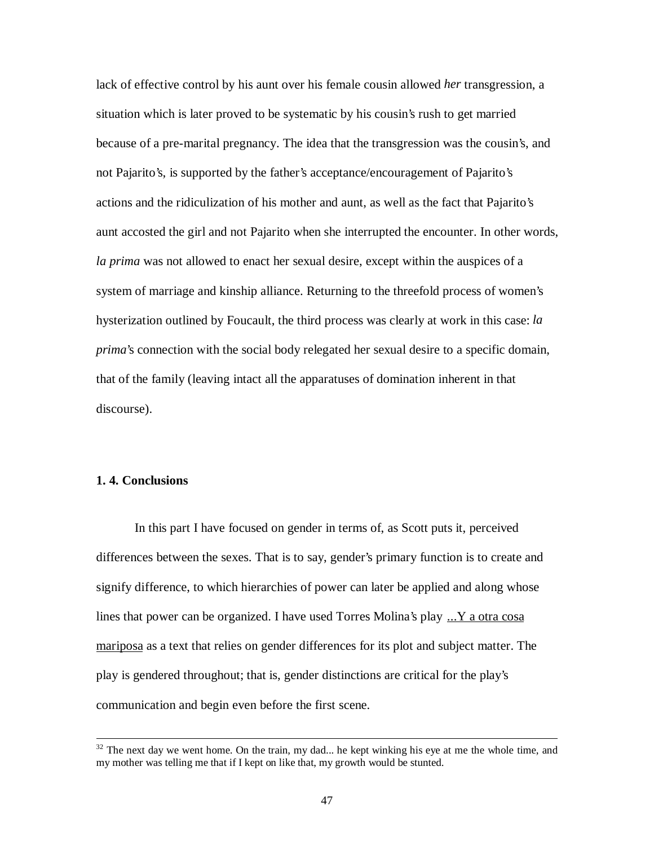lack of effective control by his aunt over his female cousin allowed *her* transgression, a situation which is later proved to be systematic by his cousin's rush to get married because of a pre-marital pregnancy. The idea that the transgression was the cousin's, and not Pajarito's, is supported by the father's acceptance/encouragement of Pajarito's actions and the ridiculization of his mother and aunt, as well as the fact that Pajarito's aunt accosted the girl and not Pajarito when she interrupted the encounter. In other words, *la prima* was not allowed to enact her sexual desire, except within the auspices of a system of marriage and kinship alliance. Returning to the threefold process of women's hysterization outlined by Foucault, the third process was clearly at work in this case: *la prima*'s connection with the social body relegated her sexual desire to a specific domain, that of the family (leaving intact all the apparatuses of domination inherent in that discourse).

## **1. 4. Conclusions**

 $\overline{a}$ 

In this part I have focused on gender in terms of, as Scott puts it, perceived differences between the sexes. That is to say, gender's primary function is to create and signify difference, to which hierarchies of power can later be applied and along whose lines that power can be organized. I have used Torres Molina's play ...Y a otra cosa mariposa as a text that relies on gender differences for its plot and subject matter. The play is gendered throughout; that is, gender distinctions are critical for the play's communication and begin even before the first scene.

 $32$  The next day we went home. On the train, my dad... he kept winking his eye at me the whole time, and my mother was telling me that if I kept on like that, my growth would be stunted.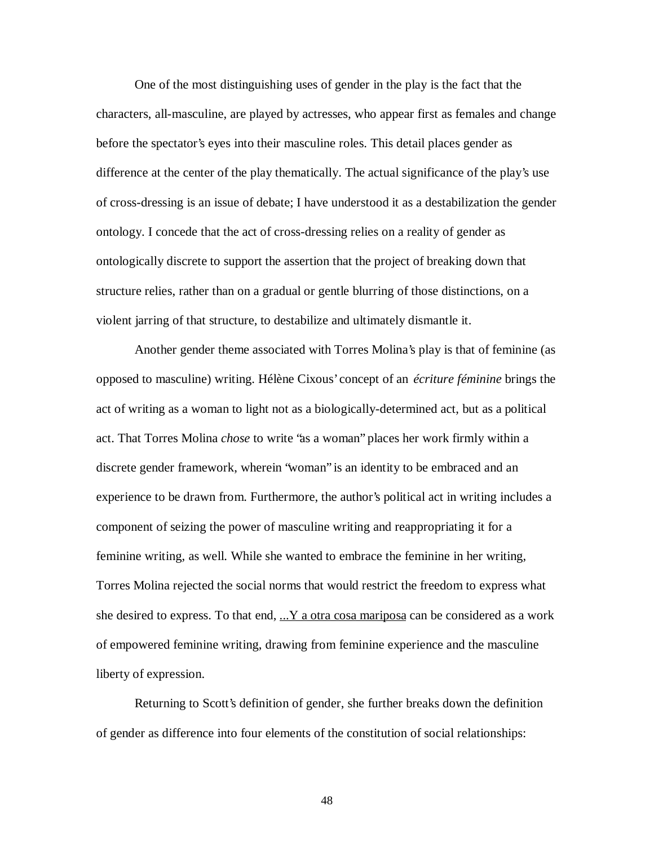One of the most distinguishing uses of gender in the play is the fact that the characters, all-masculine, are played by actresses, who appear first as females and change before the spectator's eyes into their masculine roles. This detail places gender as difference at the center of the play thematically. The actual significance of the play's use of cross-dressing is an issue of debate; I have understood it as a destabilization the gender ontology. I concede that the act of cross-dressing relies on a reality of gender as ontologically discrete to support the assertion that the project of breaking down that structure relies, rather than on a gradual or gentle blurring of those distinctions, on a violent jarring of that structure, to destabilize and ultimately dismantle it.

Another gender theme associated with Torres Molina's play is that of feminine (as opposed to masculine) writing. Hélène Cixous' concept of an *écriture féminine* brings the act of writing as a woman to light not as a biologically-determined act, but as a political act. That Torres Molina *chose* to write "as a woman" places her work firmly within a discrete gender framework, wherein "woman" is an identity to be embraced and an experience to be drawn from. Furthermore, the author's political act in writing includes a component of seizing the power of masculine writing and reappropriating it for a feminine writing, as well. While she wanted to embrace the feminine in her writing, Torres Molina rejected the social norms that would restrict the freedom to express what she desired to express. To that end,  $\ldots$  Y a otra cosa mariposa can be considered as a work of empowered feminine writing, drawing from feminine experience and the masculine liberty of expression.

Returning to Scott's definition of gender, she further breaks down the definition of gender as difference into four elements of the constitution of social relationships: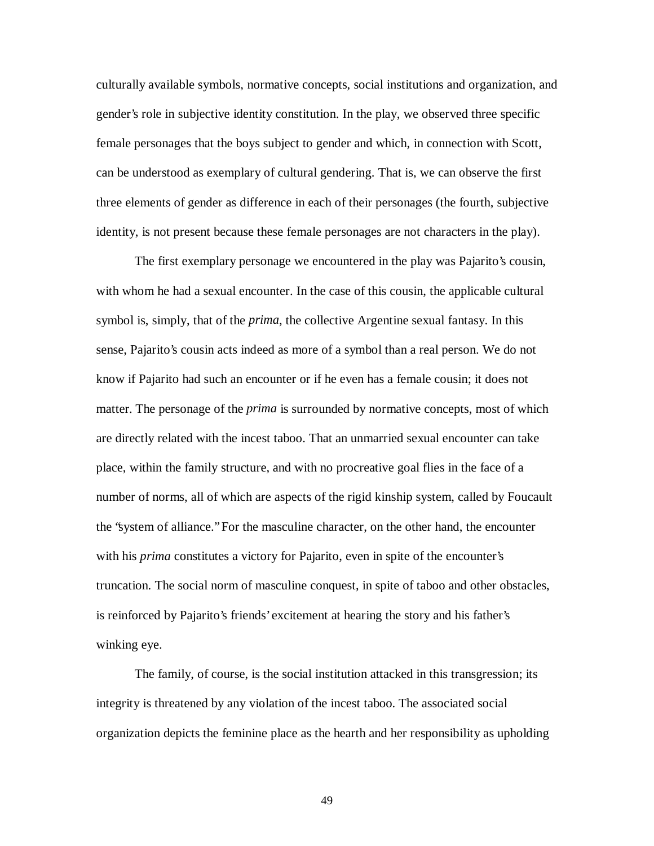culturally available symbols, normative concepts, social institutions and organization, and gender's role in subjective identity constitution. In the play, we observed three specific female personages that the boys subject to gender and which, in connection with Scott, can be understood as exemplary of cultural gendering. That is, we can observe the first three elements of gender as difference in each of their personages (the fourth, subjective identity, is not present because these female personages are not characters in the play).

The first exemplary personage we encountered in the play was Pajarito's cousin, with whom he had a sexual encounter. In the case of this cousin, the applicable cultural symbol is, simply, that of the *prima*, the collective Argentine sexual fantasy. In this sense, Pajarito's cousin acts indeed as more of a symbol than a real person. We do not know if Pajarito had such an encounter or if he even has a female cousin; it does not matter. The personage of the *prima* is surrounded by normative concepts, most of which are directly related with the incest taboo. That an unmarried sexual encounter can take place, within the family structure, and with no procreative goal flies in the face of a number of norms, all of which are aspects of the rigid kinship system, called by Foucault the "system of alliance." For the masculine character, on the other hand, the encounter with his *prima* constitutes a victory for Pajarito, even in spite of the encounter's truncation. The social norm of masculine conquest, in spite of taboo and other obstacles, is reinforced by Pajarito's friends' excitement at hearing the story and his father's winking eye.

The family, of course, is the social institution attacked in this transgression; its integrity is threatened by any violation of the incest taboo. The associated social organization depicts the feminine place as the hearth and her responsibility as upholding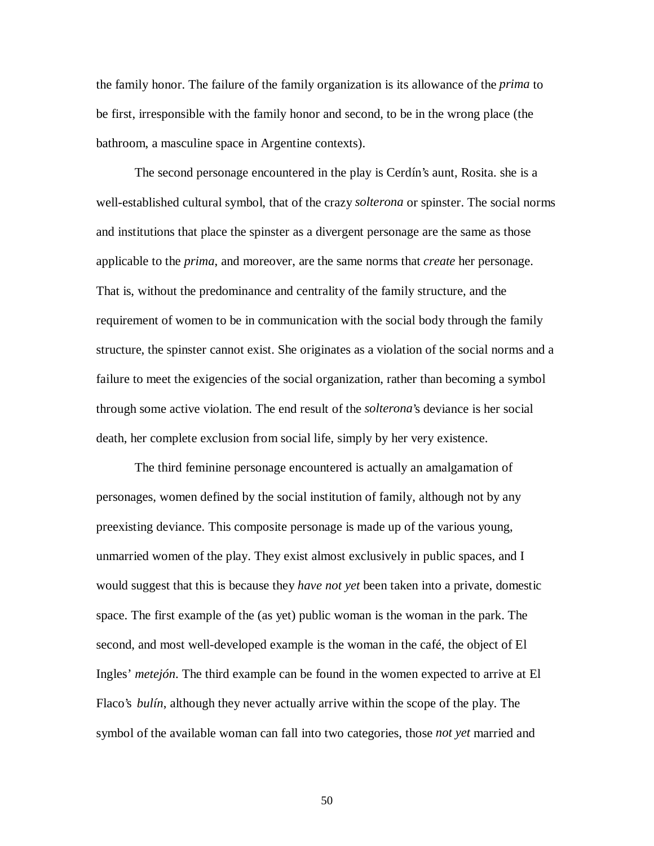the family honor. The failure of the family organization is its allowance of the *prima* to be first, irresponsible with the family honor and second, to be in the wrong place (the bathroom, a masculine space in Argentine contexts).

The second personage encountered in the play is Cerdín's aunt, Rosita. she is a well-established cultural symbol, that of the crazy *solterona* or spinster. The social norms and institutions that place the spinster as a divergent personage are the same as those applicable to the *prima*, and moreover, are the same norms that *create* her personage. That is, without the predominance and centrality of the family structure, and the requirement of women to be in communication with the social body through the family structure, the spinster cannot exist. She originates as a violation of the social norms and a failure to meet the exigencies of the social organization, rather than becoming a symbol through some active violation. The end result of the *solterona*'s deviance is her social death, her complete exclusion from social life, simply by her very existence.

The third feminine personage encountered is actually an amalgamation of personages, women defined by the social institution of family, although not by any preexisting deviance. This composite personage is made up of the various young, unmarried women of the play. They exist almost exclusively in public spaces, and I would suggest that this is because they *have not yet* been taken into a private, domestic space. The first example of the (as yet) public woman is the woman in the park. The second, and most well-developed example is the woman in the café, the object of El Ingles' *metejón*. The third example can be found in the women expected to arrive at El Flaco's *bulín*, although they never actually arrive within the scope of the play. The symbol of the available woman can fall into two categories, those *not yet* married and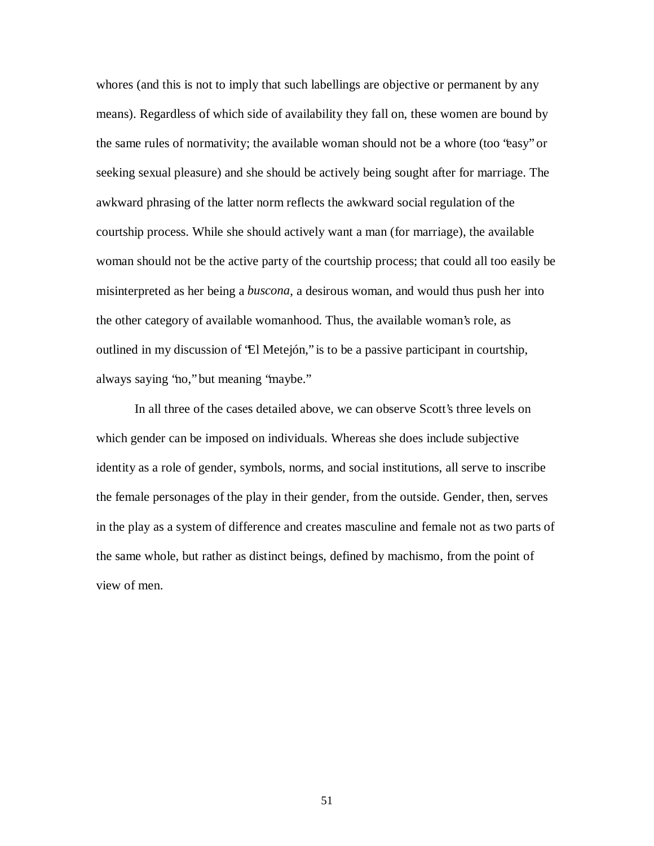whores (and this is not to imply that such labellings are objective or permanent by any means). Regardless of which side of availability they fall on, these women are bound by the same rules of normativity; the available woman should not be a whore (too "easy" or seeking sexual pleasure) and she should be actively being sought after for marriage. The awkward phrasing of the latter norm reflects the awkward social regulation of the courtship process. While she should actively want a man (for marriage), the available woman should not be the active party of the courtship process; that could all too easily be misinterpreted as her being a *buscona*, a desirous woman, and would thus push her into the other category of available womanhood. Thus, the available woman's role, as outlined in my discussion of "El Metejón," is to be a passive participant in courtship, always saying "no," but meaning "maybe."

In all three of the cases detailed above, we can observe Scott's three levels on which gender can be imposed on individuals. Whereas she does include subjective identity as a role of gender, symbols, norms, and social institutions, all serve to inscribe the female personages of the play in their gender, from the outside. Gender, then, serves in the play as a system of difference and creates masculine and female not as two parts of the same whole, but rather as distinct beings, defined by machismo, from the point of view of men.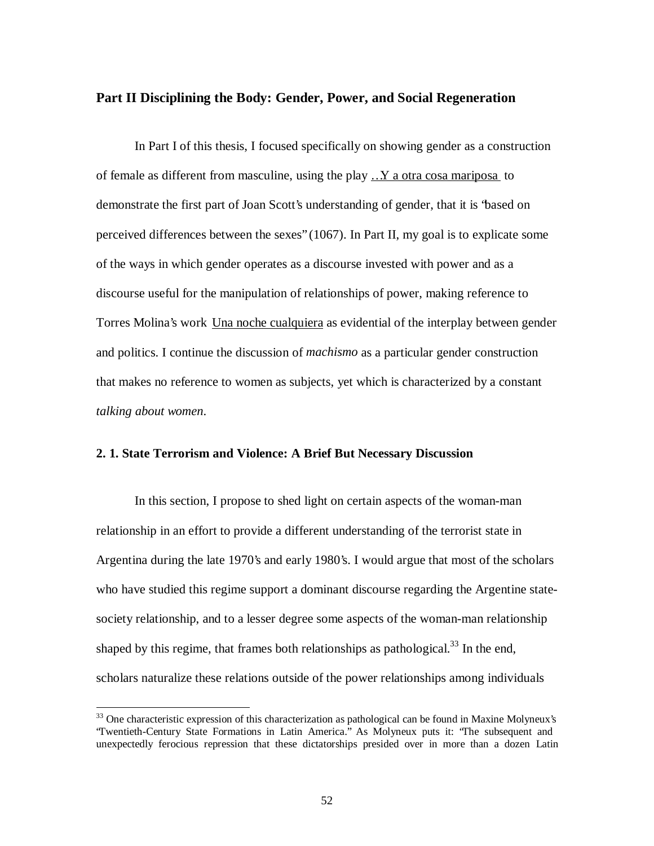## **Part II Disciplining the Body: Gender, Power, and Social Regeneration**

In Part I of this thesis, I focused specifically on showing gender as a construction of female as different from masculine, using the play …Y a otra cosa mariposa to demonstrate the first part of Joan Scott's understanding of gender, that it is "based on perceived differences between the sexes" (1067). In Part II, my goal is to explicate some of the ways in which gender operates as a discourse invested with power and as a discourse useful for the manipulation of relationships of power, making reference to Torres Molina's work Una noche cualquiera as evidential of the interplay between gender and politics. I continue the discussion of *machismo* as a particular gender construction that makes no reference to women as subjects, yet which is characterized by a constant *talking about women*.

# **2. 1. State Terrorism and Violence: A Brief But Necessary Discussion**

In this section, I propose to shed light on certain aspects of the woman-man relationship in an effort to provide a different understanding of the terrorist state in Argentina during the late 1970's and early 1980's. I would argue that most of the scholars who have studied this regime support a dominant discourse regarding the Argentine statesociety relationship, and to a lesser degree some aspects of the woman-man relationship shaped by this regime, that frames both relationships as pathological.<sup>33</sup> In the end, scholars naturalize these relations outside of the power relationships among individuals

<sup>&</sup>lt;sup>33</sup> One characteristic expression of this characterization as pathological can be found in Maxine Molyneux's "Twentieth-Century State Formations in Latin America." As Molyneux puts it: "The subsequent and unexpectedly ferocious repression that these dictatorships presided over in more than a dozen Latin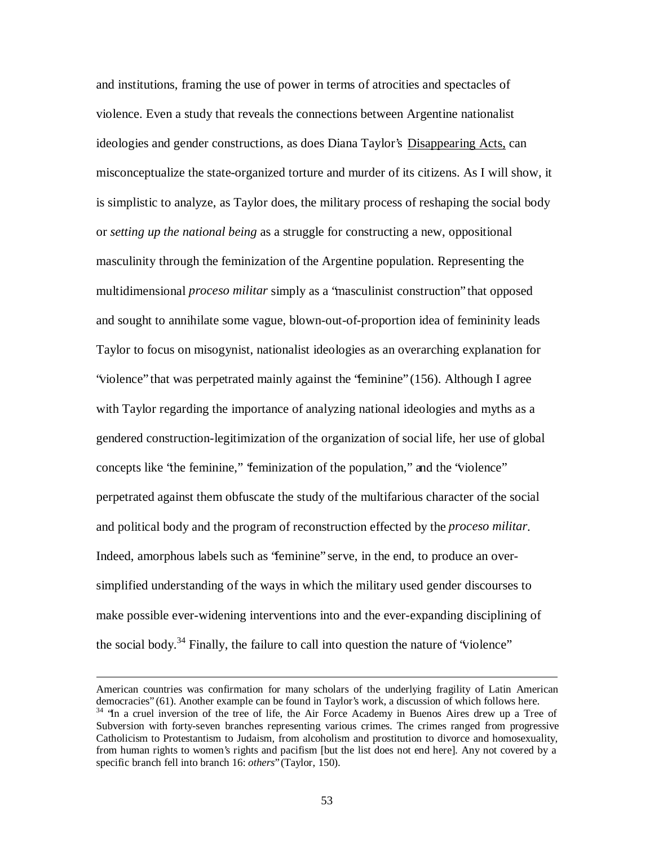and institutions, framing the use of power in terms of atrocities and spectacles of violence. Even a study that reveals the connections between Argentine nationalist ideologies and gender constructions, as does Diana Taylor's Disappearing Acts, can misconceptualize the state-organized torture and murder of its citizens. As I will show, it is simplistic to analyze, as Taylor does, the military process of reshaping the social body or *setting up the national being* as a struggle for constructing a new, oppositional masculinity through the feminization of the Argentine population. Representing the multidimensional *proceso militar* simply as a "masculinist construction" that opposed and sought to annihilate some vague, blown-out-of-proportion idea of femininity leads Taylor to focus on misogynist, nationalist ideologies as an overarching explanation for "violence" that was perpetrated mainly against the "feminine" (156). Although I agree with Taylor regarding the importance of analyzing national ideologies and myths as a gendered construction-legitimization of the organization of social life, her use of global concepts like "the feminine," "feminization of the population," and the "violence" perpetrated against them obfuscate the study of the multifarious character of the social and political body and the program of reconstruction effected by the *proceso militar*. Indeed, amorphous labels such as "feminine" serve, in the end, to produce an oversimplified understanding of the ways in which the military used gender discourses to make possible ever-widening interventions into and the ever-expanding disciplining of the social body.<sup>34</sup> Finally, the failure to call into question the nature of 'violence''

American countries was confirmation for many scholars of the underlying fragility of Latin American democracies" (61). Another example can be found in Taylor's work, a discussion of which follows here. <sup>34</sup> 'In a cruel inversion of the tree of life, the Air Force Academy in Buenos Aires drew up a Tree of Subversion with forty-seven branches representing various crimes. The crimes ranged from progressive Catholicism to Protestantism to Judaism, from alcoholism and prostitution to divorce and homosexuality, from human rights to women's rights and pacifism [but the list does not end here]. Any not covered by a specific branch fell into branch 16: *others*" (Taylor, 150).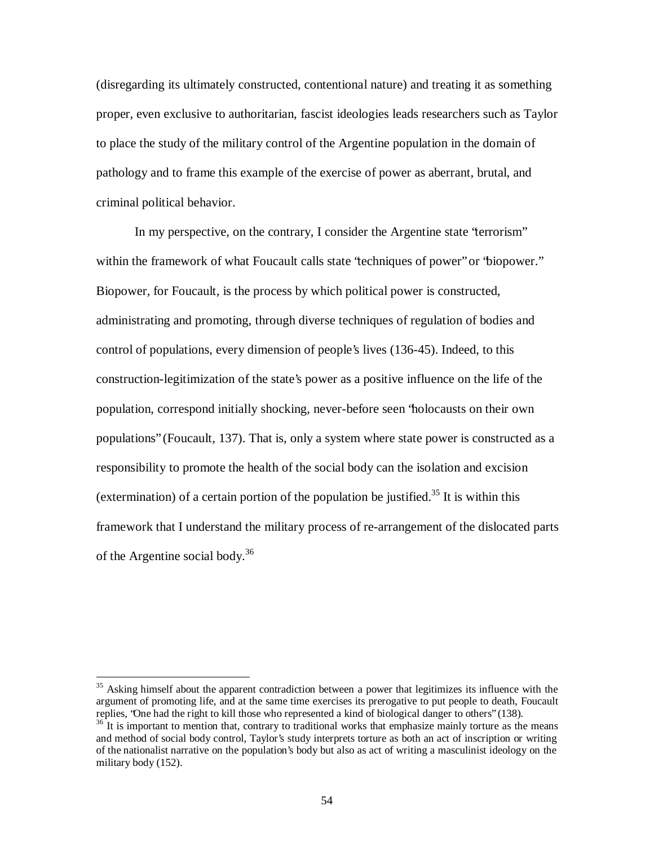(disregarding its ultimately constructed, contentional nature) and treating it as something proper, even exclusive to authoritarian, fascist ideologies leads researchers such as Taylor to place the study of the military control of the Argentine population in the domain of pathology and to frame this example of the exercise of power as aberrant, brutal, and criminal political behavior.

In my perspective, on the contrary, I consider the Argentine state "terrorism" within the framework of what Foucault calls state 'techniques of power'' or 'biopower." Biopower, for Foucault, is the process by which political power is constructed, administrating and promoting, through diverse techniques of regulation of bodies and control of populations, every dimension of people's lives (136-45). Indeed, to this construction-legitimization of the state's power as a positive influence on the life of the population, correspond initially shocking, never-before seen "holocausts on their own populations" (Foucault, 137). That is, only a system where state power is constructed as a responsibility to promote the health of the social body can the isolation and excision (extermination) of a certain portion of the population be justified.<sup>35</sup> It is within this framework that I understand the military process of re-arrangement of the dislocated parts of the Argentine social body.<sup>36</sup>

<sup>&</sup>lt;sup>35</sup> Asking himself about the apparent contradiction between a power that legitimizes its influence with the argument of promoting life, and at the same time exercises its prerogative to put people to death, Foucault replies, "One had the right to kill those who represented a kind of biological danger to others" (138).

 $36$  It is important to mention that, contrary to traditional works that emphasize mainly torture as the means and method of social body control, Taylor's study interprets torture as both an act of inscription or writing of the nationalist narrative on the population's body but also as act of writing a masculinist ideology on the military body (152).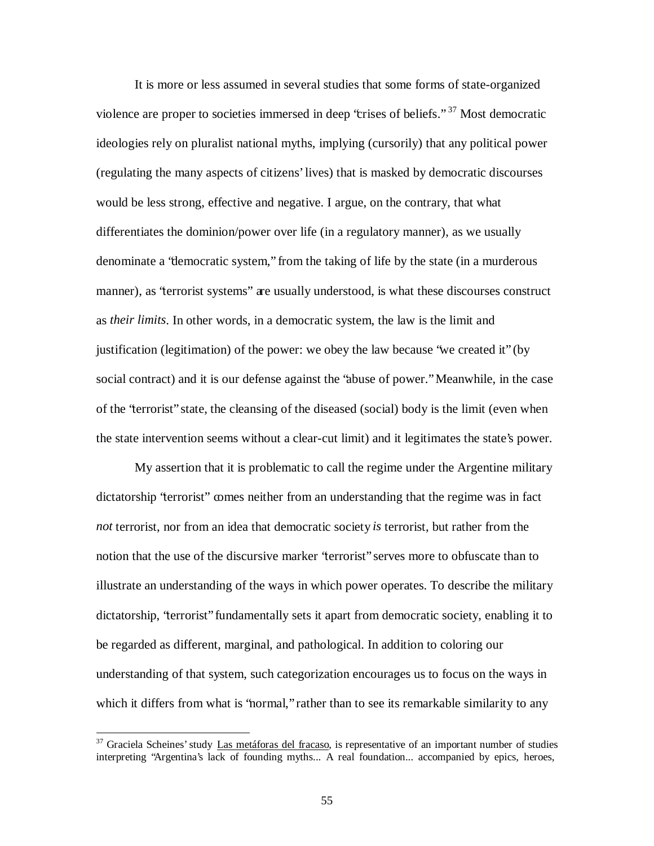It is more or less assumed in several studies that some forms of state-organized violence are proper to societies immersed in deep 'crises of beliefs."<sup>37</sup> Most democratic ideologies rely on pluralist national myths, implying (cursorily) that any political power (regulating the many aspects of citizens' lives) that is masked by democratic discourses would be less strong, effective and negative. I argue, on the contrary, that what differentiates the dominion/power over life (in a regulatory manner), as we usually denominate a "democratic system," from the taking of life by the state (in a murderous manner), as "terrorist systems" are usually understood, is what these discourses construct as *their limits*. In other words, in a democratic system, the law is the limit and justification (legitimation) of the power: we obey the law because "we created it" (by social contract) and it is our defense against the "abuse of power." Meanwhile, in the case of the "terrorist" state, the cleansing of the diseased (social) body is the limit (even when the state intervention seems without a clear-cut limit) and it legitimates the state's power.

My assertion that it is problematic to call the regime under the Argentine military dictatorship "terrorist" comes neither from an understanding that the regime was in fact *not* terrorist, nor from an idea that democratic society *is* terrorist, but rather from the notion that the use of the discursive marker "terrorist" serves more to obfuscate than to illustrate an understanding of the ways in which power operates. To describe the military dictatorship, "terrorist" fundamentally sets it apart from democratic society, enabling it to be regarded as different, marginal, and pathological. In addition to coloring our understanding of that system, such categorization encourages us to focus on the ways in which it differs from what is 'hormal," rather than to see its remarkable similarity to any

<sup>&</sup>lt;sup>37</sup> Graciela Scheines' study Las metáforas del fracaso, is representative of an important number of studies interpreting "Argentina's lack of founding myths... A real foundation... accompanied by epics, heroes,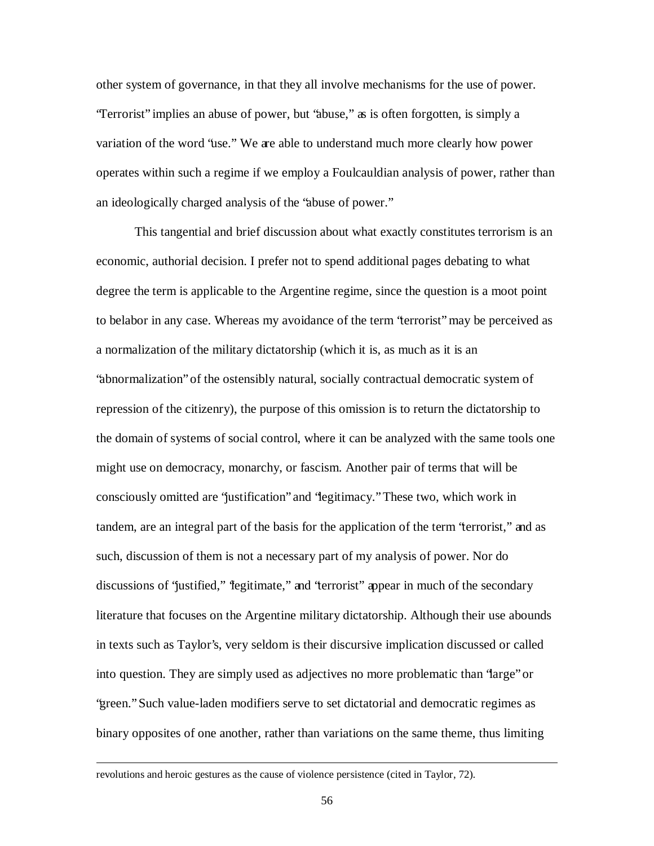other system of governance, in that they all involve mechanisms for the use of power. "Terrorist" implies an abuse of power, but "abuse," as is often forgotten, is simply a variation of the word "use." We are able to understand much more clearly how power operates within such a regime if we employ a Foulcauldian analysis of power, rather than an ideologically charged analysis of the "abuse of power."

This tangential and brief discussion about what exactly constitutes terrorism is an economic, authorial decision. I prefer not to spend additional pages debating to what degree the term is applicable to the Argentine regime, since the question is a moot point to belabor in any case. Whereas my avoidance of the term "terrorist" may be perceived as a normalization of the military dictatorship (which it is, as much as it is an "abnormalization" of the ostensibly natural, socially contractual democratic system of repression of the citizenry), the purpose of this omission is to return the dictatorship to the domain of systems of social control, where it can be analyzed with the same tools one might use on democracy, monarchy, or fascism. Another pair of terms that will be consciously omitted are "justification" and "legitimacy." These two, which work in tandem, are an integral part of the basis for the application of the term "terrorist," and as such, discussion of them is not a necessary part of my analysis of power. Nor do discussions of 'justified,'' "legitimate," and 'terrorist'' appear in much of the secondary literature that focuses on the Argentine military dictatorship. Although their use abounds in texts such as Taylor's, very seldom is their discursive implication discussed or called into question. They are simply used as adjectives no more problematic than "large" or "green." Such value-laden modifiers serve to set dictatorial and democratic regimes as binary opposites of one another, rather than variations on the same theme, thus limiting

revolutions and heroic gestures as the cause of violence persistence (cited in Taylor, 72).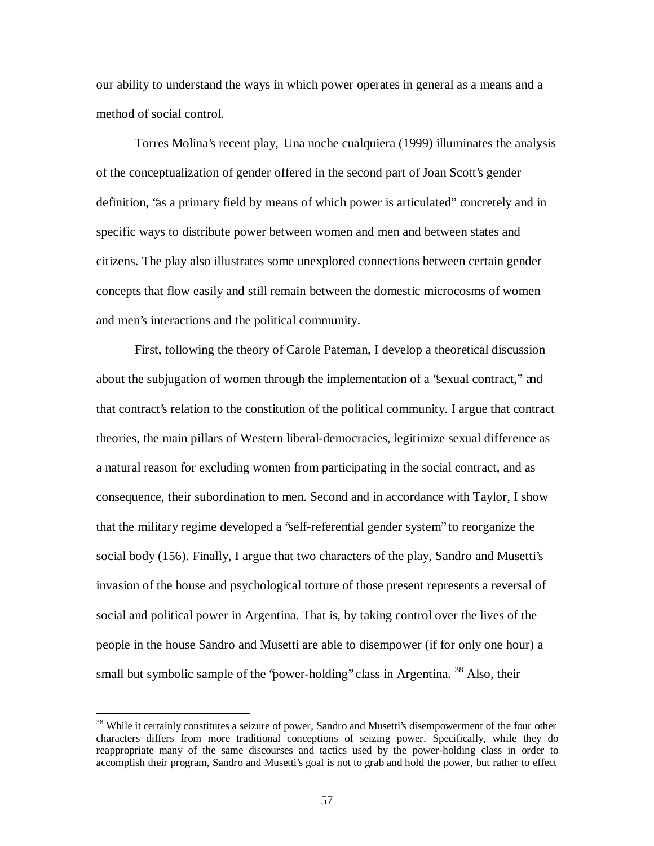our ability to understand the ways in which power operates in general as a means and a method of social control.

Torres Molina's recent play, Una noche cualquiera (1999) illuminates the analysis of the conceptualization of gender offered in the second part of Joan Scott's gender definition, "as a primary field by means of which power is articulated" concretely and in specific ways to distribute power between women and men and between states and citizens. The play also illustrates some unexplored connections between certain gender concepts that flow easily and still remain between the domestic microcosms of women and men's interactions and the political community.

First, following the theory of Carole Pateman, I develop a theoretical discussion about the subjugation of women through the implementation of a "sexual contract," and that contract's relation to the constitution of the political community. I argue that contract theories, the main pillars of Western liberal-democracies, legitimize sexual difference as a natural reason for excluding women from participating in the social contract, and as consequence, their subordination to men. Second and in accordance with Taylor, I show that the military regime developed a "self-referential gender system" to reorganize the social body (156). Finally, I argue that two characters of the play, Sandro and Musetti's invasion of the house and psychological torture of those present represents a reversal of social and political power in Argentina. That is, by taking control over the lives of the people in the house Sandro and Musetti are able to disempower (if for only one hour) a small but symbolic sample of the 'power-holding' class in Argentina. <sup>38</sup> Also, their

<sup>&</sup>lt;sup>38</sup> While it certainly constitutes a seizure of power, Sandro and Musetti's disempowerment of the four other characters differs from more traditional conceptions of seizing power. Specifically, while they do reappropriate many of the same discourses and tactics used by the power-holding class in order to accomplish their program, Sandro and Musetti's goal is not to grab and hold the power, but rather to effect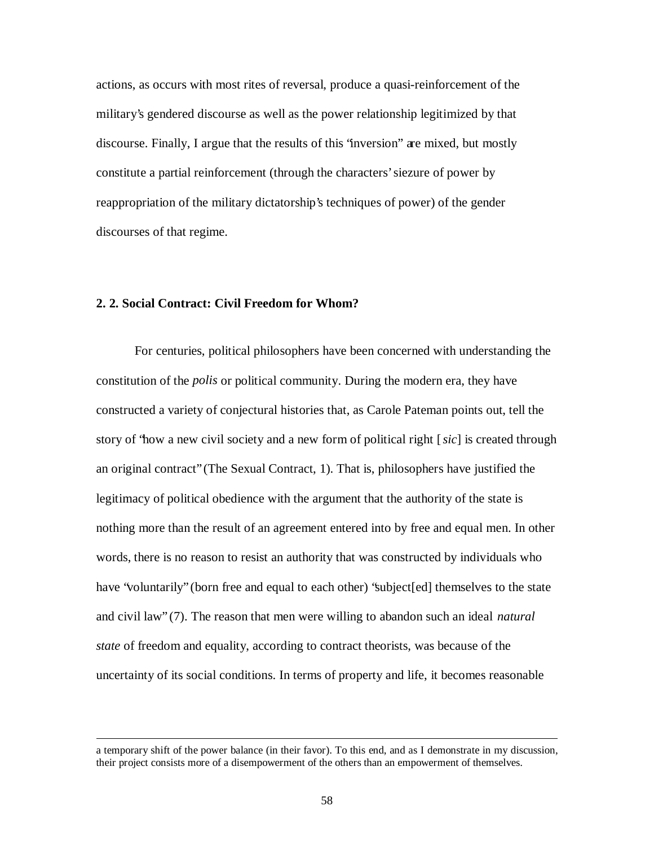actions, as occurs with most rites of reversal, produce a quasi-reinforcement of the military's gendered discourse as well as the power relationship legitimized by that discourse. Finally, I argue that the results of this "inversion" are mixed, but mostly constitute a partial reinforcement (through the characters' siezure of power by reappropriation of the military dictatorship's techniques of power) of the gender discourses of that regime.

#### **2. 2. Social Contract: Civil Freedom for Whom?**

 $\overline{a}$ 

For centuries, political philosophers have been concerned with understanding the constitution of the *polis* or political community. During the modern era, they have constructed a variety of conjectural histories that, as Carole Pateman points out, tell the story of "how a new civil society and a new form of political right [*sic*] is created through an original contract" (The Sexual Contract, 1). That is, philosophers have justified the legitimacy of political obedience with the argument that the authority of the state is nothing more than the result of an agreement entered into by free and equal men. In other words, there is no reason to resist an authority that was constructed by individuals who have "voluntarily" (born free and equal to each other) "subject[ed] themselves to the state and civil law" (7). The reason that men were willing to abandon such an ideal *natural state* of freedom and equality, according to contract theorists, was because of the uncertainty of its social conditions. In terms of property and life, it becomes reasonable

a temporary shift of the power balance (in their favor). To this end, and as I demonstrate in my discussion, their project consists more of a disempowerment of the others than an empowerment of themselves.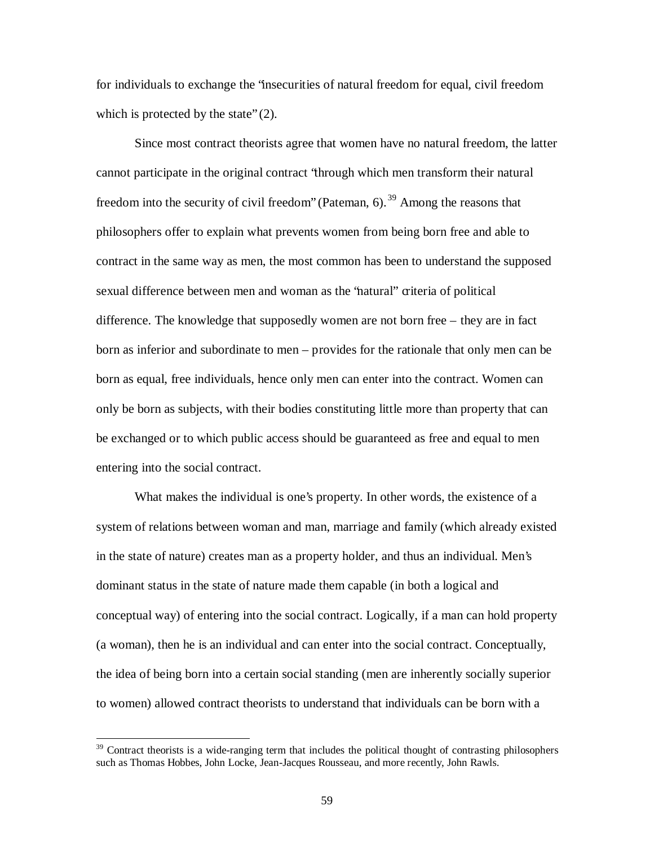for individuals to exchange the "insecurities of natural freedom for equal, civil freedom which is protected by the state" (2).

Since most contract theorists agree that women have no natural freedom, the latter cannot participate in the original contract "through which men transform their natural freedom into the security of civil freedom" (Pateman, 6).<sup>39</sup> Among the reasons that philosophers offer to explain what prevents women from being born free and able to contract in the same way as men, the most common has been to understand the supposed sexual difference between men and woman as the "natural" criteria of political difference. The knowledge that supposedly women are not born free – they are in fact born as inferior and subordinate to men – provides for the rationale that only men can be born as equal, free individuals, hence only men can enter into the contract. Women can only be born as subjects, with their bodies constituting little more than property that can be exchanged or to which public access should be guaranteed as free and equal to men entering into the social contract.

What makes the individual is one's property. In other words, the existence of a system of relations between woman and man, marriage and family (which already existed in the state of nature) creates man as a property holder, and thus an individual. Men's dominant status in the state of nature made them capable (in both a logical and conceptual way) of entering into the social contract. Logically, if a man can hold property (a woman), then he is an individual and can enter into the social contract. Conceptually, the idea of being born into a certain social standing (men are inherently socially superior to women) allowed contract theorists to understand that individuals can be born with a

<sup>&</sup>lt;sup>39</sup> Contract theorists is a wide-ranging term that includes the political thought of contrasting philosophers such as Thomas Hobbes, John Locke, Jean-Jacques Rousseau, and more recently, John Rawls.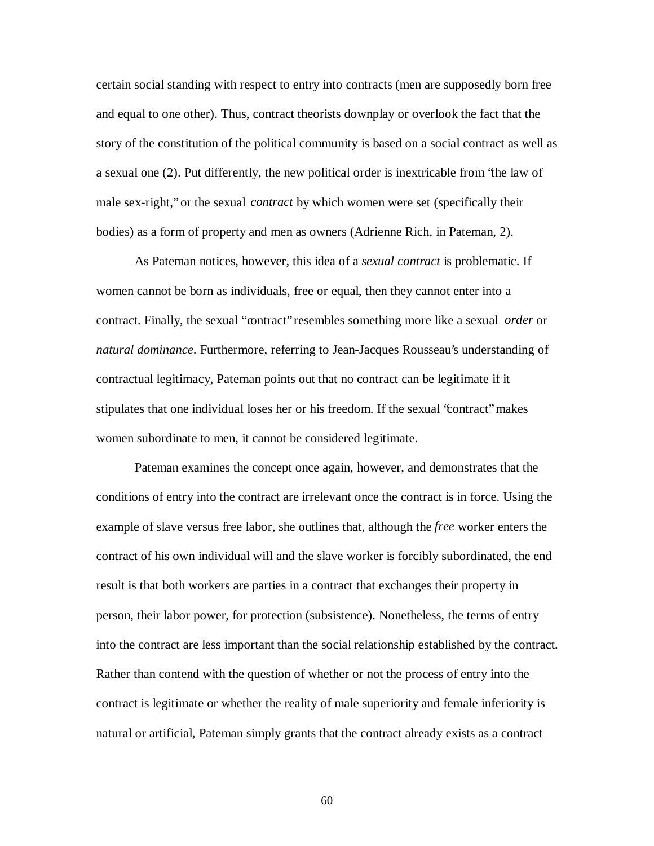certain social standing with respect to entry into contracts (men are supposedly born free and equal to one other). Thus, contract theorists downplay or overlook the fact that the story of the constitution of the political community is based on a social contract as well as a sexual one (2). Put differently, the new political order is inextricable from "the law of male sex-right," or the sexual *contract* by which women were set (specifically their bodies) as a form of property and men as owners (Adrienne Rich, in Pateman, 2).

As Pateman notices, however, this idea of a *sexual contract* is problematic. If women cannot be born as individuals, free or equal, then they cannot enter into a contract. Finally, the sexual "contract" resembles something more like a sexual *order* or *natural dominance*. Furthermore, referring to Jean-Jacques Rousseau's understanding of contractual legitimacy, Pateman points out that no contract can be legitimate if it stipulates that one individual loses her or his freedom. If the sexual "contract" makes women subordinate to men, it cannot be considered legitimate.

Pateman examines the concept once again, however, and demonstrates that the conditions of entry into the contract are irrelevant once the contract is in force. Using the example of slave versus free labor, she outlines that, although the *free* worker enters the contract of his own individual will and the slave worker is forcibly subordinated, the end result is that both workers are parties in a contract that exchanges their property in person, their labor power, for protection (subsistence). Nonetheless, the terms of entry into the contract are less important than the social relationship established by the contract. Rather than contend with the question of whether or not the process of entry into the contract is legitimate or whether the reality of male superiority and female inferiority is natural or artificial, Pateman simply grants that the contract already exists as a contract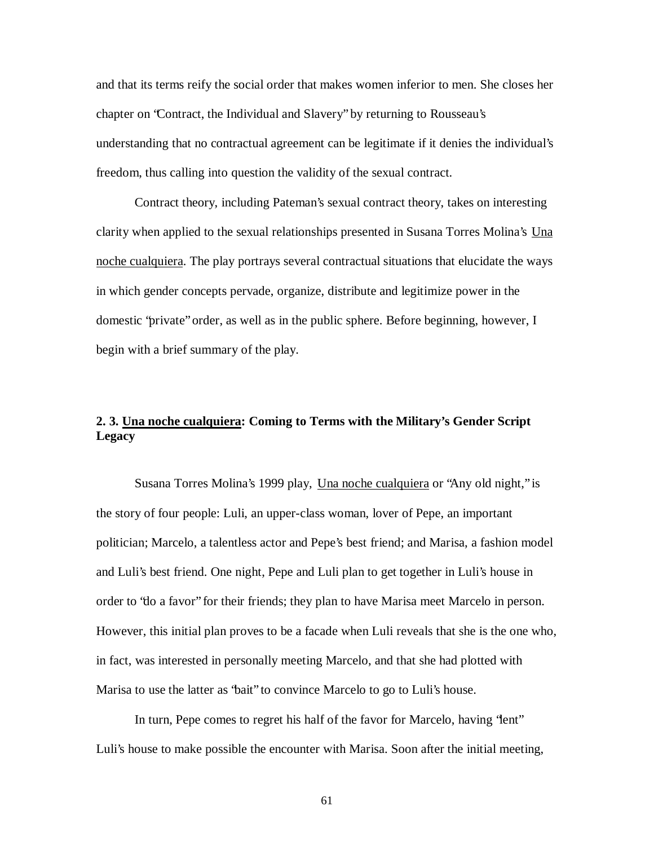and that its terms reify the social order that makes women inferior to men. She closes her chapter on "Contract, the Individual and Slavery" by returning to Rousseau's understanding that no contractual agreement can be legitimate if it denies the individual's freedom, thus calling into question the validity of the sexual contract.

Contract theory, including Pateman's sexual contract theory, takes on interesting clarity when applied to the sexual relationships presented in Susana Torres Molina's Una noche cualquiera. The play portrays several contractual situations that elucidate the ways in which gender concepts pervade, organize, distribute and legitimize power in the domestic "private" order, as well as in the public sphere. Before beginning, however, I begin with a brief summary of the play.

# **2. 3. Una noche cualquiera: Coming to Terms with the Military's Gender Script Legacy**

Susana Torres Molina's 1999 play, Una noche cualquiera or "Any old night," is the story of four people: Luli, an upper-class woman, lover of Pepe, an important politician; Marcelo, a talentless actor and Pepe's best friend; and Marisa, a fashion model and Luli's best friend. One night, Pepe and Luli plan to get together in Luli's house in order to "do a favor" for their friends; they plan to have Marisa meet Marcelo in person. However, this initial plan proves to be a facade when Luli reveals that she is the one who, in fact, was interested in personally meeting Marcelo, and that she had plotted with Marisa to use the latter as "bait" to convince Marcelo to go to Luli's house.

In turn, Pepe comes to regret his half of the favor for Marcelo, having "lent" Luli's house to make possible the encounter with Marisa. Soon after the initial meeting,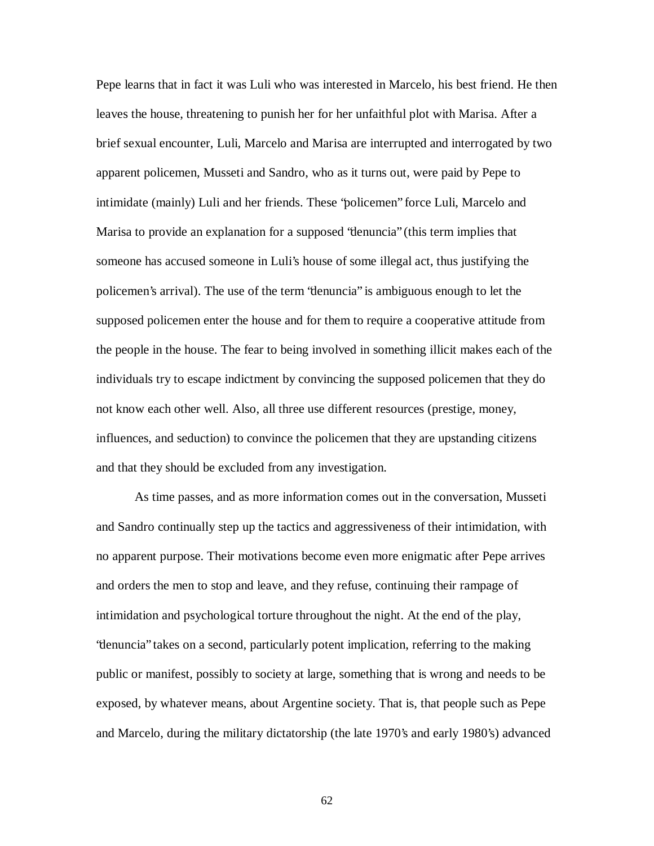Pepe learns that in fact it was Luli who was interested in Marcelo, his best friend. He then leaves the house, threatening to punish her for her unfaithful plot with Marisa. After a brief sexual encounter, Luli, Marcelo and Marisa are interrupted and interrogated by two apparent policemen, Musseti and Sandro, who as it turns out, were paid by Pepe to intimidate (mainly) Luli and her friends. These "policemen" force Luli, Marcelo and Marisa to provide an explanation for a supposed "denuncia" (this term implies that someone has accused someone in Luli's house of some illegal act, thus justifying the policemen's arrival). The use of the term "denuncia" is ambiguous enough to let the supposed policemen enter the house and for them to require a cooperative attitude from the people in the house. The fear to being involved in something illicit makes each of the individuals try to escape indictment by convincing the supposed policemen that they do not know each other well. Also, all three use different resources (prestige, money, influences, and seduction) to convince the policemen that they are upstanding citizens and that they should be excluded from any investigation.

As time passes, and as more information comes out in the conversation, Musseti and Sandro continually step up the tactics and aggressiveness of their intimidation, with no apparent purpose. Their motivations become even more enigmatic after Pepe arrives and orders the men to stop and leave, and they refuse, continuing their rampage of intimidation and psychological torture throughout the night. At the end of the play, "denuncia" takes on a second, particularly potent implication, referring to the making public or manifest, possibly to society at large, something that is wrong and needs to be exposed, by whatever means, about Argentine society. That is, that people such as Pepe and Marcelo, during the military dictatorship (the late 1970's and early 1980's) advanced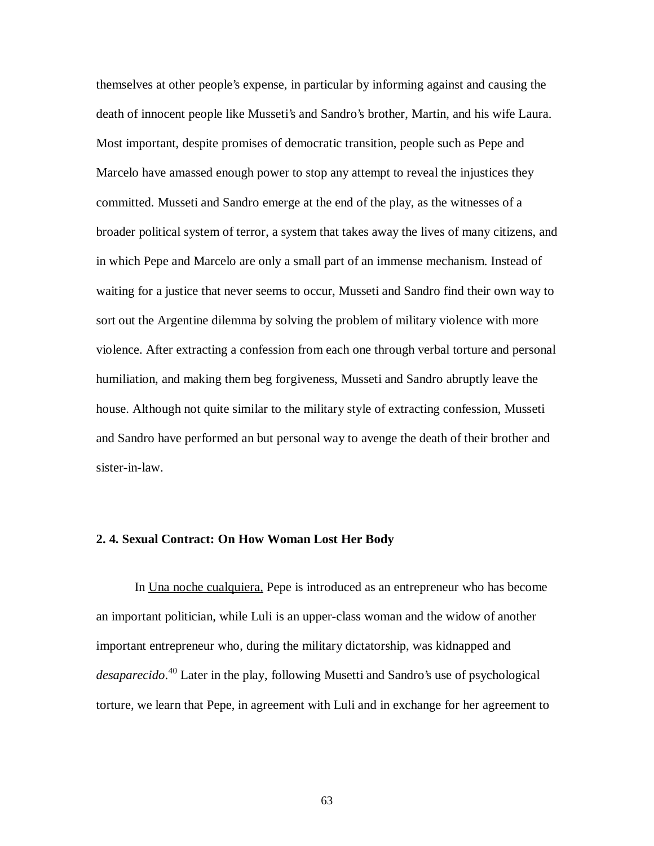themselves at other people's expense, in particular by informing against and causing the death of innocent people like Musseti's and Sandro's brother, Martin, and his wife Laura. Most important, despite promises of democratic transition, people such as Pepe and Marcelo have amassed enough power to stop any attempt to reveal the injustices they committed. Musseti and Sandro emerge at the end of the play, as the witnesses of a broader political system of terror, a system that takes away the lives of many citizens, and in which Pepe and Marcelo are only a small part of an immense mechanism. Instead of waiting for a justice that never seems to occur, Musseti and Sandro find their own way to sort out the Argentine dilemma by solving the problem of military violence with more violence. After extracting a confession from each one through verbal torture and personal humiliation, and making them beg forgiveness, Musseti and Sandro abruptly leave the house. Although not quite similar to the military style of extracting confession, Musseti and Sandro have performed an but personal way to avenge the death of their brother and sister-in-law.

## **2. 4. Sexual Contract: On How Woman Lost Her Body**

In Una noche cualquiera, Pepe is introduced as an entrepreneur who has become an important politician, while Luli is an upper-class woman and the widow of another important entrepreneur who, during the military dictatorship, was kidnapped and *desaparecido*. <sup>40</sup> Later in the play, following Musetti and Sandro's use of psychological torture, we learn that Pepe, in agreement with Luli and in exchange for her agreement to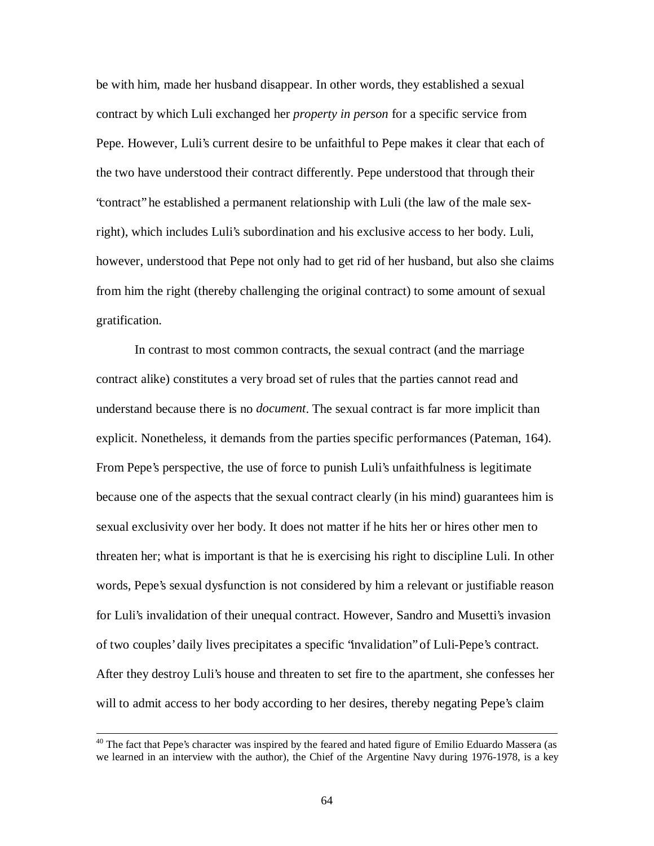be with him, made her husband disappear. In other words, they established a sexual contract by which Luli exchanged her *property in person* for a specific service from Pepe. However, Luli's current desire to be unfaithful to Pepe makes it clear that each of the two have understood their contract differently. Pepe understood that through their "contract" he established a permanent relationship with Luli (the law of the male sexright), which includes Luli's subordination and his exclusive access to her body. Luli, however, understood that Pepe not only had to get rid of her husband, but also she claims from him the right (thereby challenging the original contract) to some amount of sexual gratification.

In contrast to most common contracts, the sexual contract (and the marriage contract alike) constitutes a very broad set of rules that the parties cannot read and understand because there is no *document*. The sexual contract is far more implicit than explicit. Nonetheless, it demands from the parties specific performances (Pateman, 164). From Pepe's perspective, the use of force to punish Luli's unfaithfulness is legitimate because one of the aspects that the sexual contract clearly (in his mind) guarantees him is sexual exclusivity over her body. It does not matter if he hits her or hires other men to threaten her; what is important is that he is exercising his right to discipline Luli. In other words, Pepe's sexual dysfunction is not considered by him a relevant or justifiable reason for Luli's invalidation of their unequal contract. However, Sandro and Musetti's invasion of two couples' daily lives precipitates a specific "invalidation" of Luli-Pepe's contract. After they destroy Luli's house and threaten to set fire to the apartment, she confesses her will to admit access to her body according to her desires, thereby negating Pepe's claim

<sup>&</sup>lt;sup>40</sup> The fact that Pepe's character was inspired by the feared and hated figure of Emilio Eduardo Massera (as we learned in an interview with the author), the Chief of the Argentine Navy during 1976-1978, is a key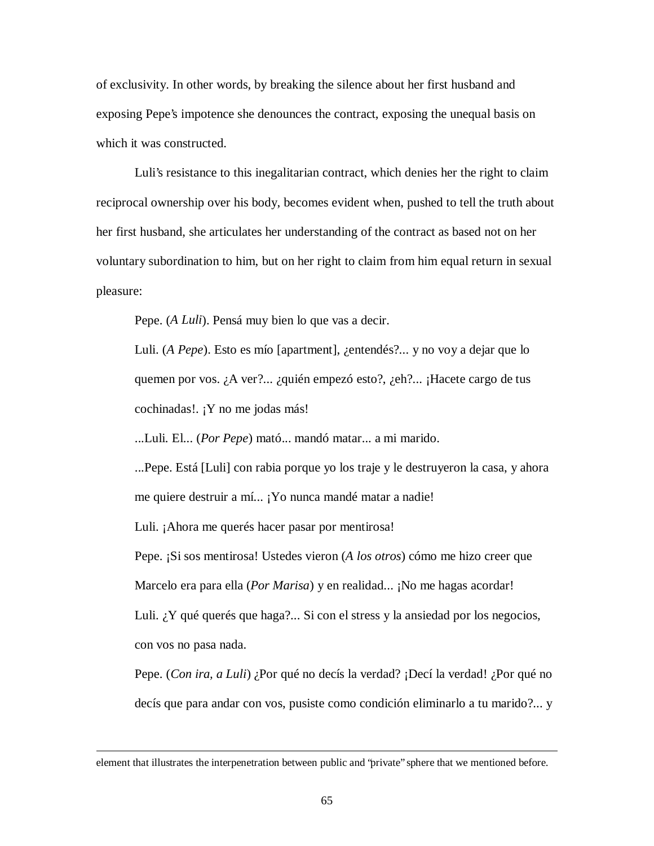of exclusivity. In other words, by breaking the silence about her first husband and exposing Pepe's impotence she denounces the contract, exposing the unequal basis on which it was constructed.

Luli's resistance to this inegalitarian contract, which denies her the right to claim reciprocal ownership over his body, becomes evident when, pushed to tell the truth about her first husband, she articulates her understanding of the contract as based not on her voluntary subordination to him, but on her right to claim from him equal return in sexual pleasure:

Pepe. (*A Luli*). Pensá muy bien lo que vas a decir.

Luli. (*A Pepe*). Esto es mío [apartment], ¿entendés?... y no voy a dejar que lo quemen por vos. ¿A ver?... ¿quién empezó esto?, ¿eh?... ¡Hacete cargo de tus cochinadas!. ¡Y no me jodas más!

...Luli. El... (*Por Pepe*) mató... mandó matar... a mi marido.

...Pepe. Está [Luli] con rabia porque yo los traje y le destruyeron la casa, y ahora me quiere destruir a mí... ¡Yo nunca mandé matar a nadie!

Luli. ¡Ahora me querés hacer pasar por mentirosa!

 $\overline{a}$ 

Pepe. ¡Si sos mentirosa! Ustedes vieron (*A los otros*) cómo me hizo creer que Marcelo era para ella (*Por Marisa*) y en realidad... ¡No me hagas acordar! Luli. ¿Y qué querés que haga?... Si con el stress y la ansiedad por los negocios, con vos no pasa nada.

Pepe. (*Con ira, a Luli*) ¿Por qué no decís la verdad? ¡Decí la verdad! ¿Por qué no decís que para andar con vos, pusiste como condición eliminarlo a tu marido?... y

element that illustrates the interpenetration between public and "private" sphere that we mentioned before.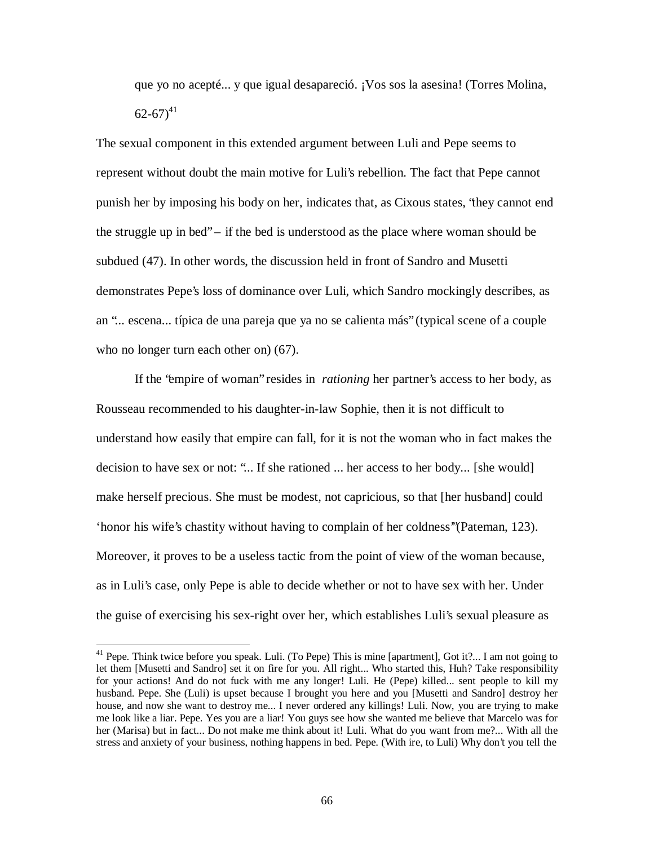que yo no acepté... y que igual desapareció. ¡Vos sos la asesina! (Torres Molina,  $62 - 67)^{41}$ 

The sexual component in this extended argument between Luli and Pepe seems to represent without doubt the main motive for Luli's rebellion. The fact that Pepe cannot punish her by imposing his body on her, indicates that, as Cixous states, "they cannot end the struggle up in bed" – if the bed is understood as the place where woman should be subdued (47). In other words, the discussion held in front of Sandro and Musetti demonstrates Pepe's loss of dominance over Luli, which Sandro mockingly describes, as an "... escena... típica de una pareja que ya no se calienta más" (typical scene of a couple who no longer turn each other on)  $(67)$ .

If the "empire of woman" resides in *rationing* her partner's access to her body, as Rousseau recommended to his daughter-in-law Sophie, then it is not difficult to understand how easily that empire can fall, for it is not the woman who in fact makes the decision to have sex or not: "... If she rationed ... her access to her body... [she would] make herself precious. She must be modest, not capricious, so that [her husband] could 'honor his wife's chastity without having to complain of her coldness'"(Pateman, 123). Moreover, it proves to be a useless tactic from the point of view of the woman because, as in Luli's case, only Pepe is able to decide whether or not to have sex with her. Under the guise of exercising his sex-right over her, which establishes Luli's sexual pleasure as

 $41$  Pepe. Think twice before you speak. Luli. (To Pepe) This is mine [apartment], Got it?... I am not going to let them [Musetti and Sandro] set it on fire for you. All right... Who started this, Huh? Take responsibility for your actions! And do not fuck with me any longer! Luli. He (Pepe) killed... sent people to kill my husband. Pepe. She (Luli) is upset because I brought you here and you [Musetti and Sandro] destroy her house, and now she want to destroy me... I never ordered any killings! Luli. Now, you are trying to make me look like a liar. Pepe. Yes you are a liar! You guys see how she wanted me believe that Marcelo was for her (Marisa) but in fact... Do not make me think about it! Luli. What do you want from me?... With all the stress and anxiety of your business, nothing happens in bed. Pepe. (With ire, to Luli) Why don't you tell the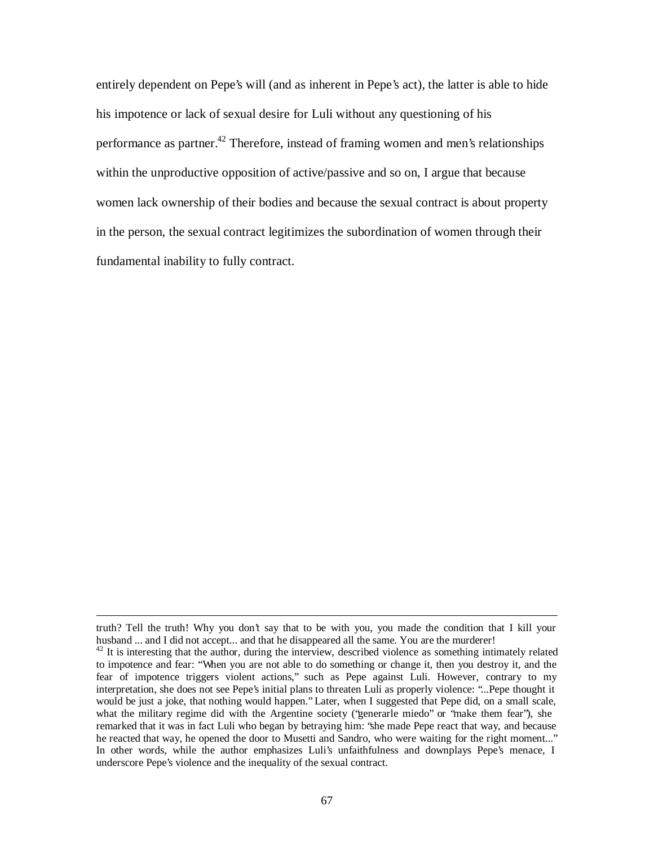entirely dependent on Pepe's will (and as inherent in Pepe's act), the latter is able to hide his impotence or lack of sexual desire for Luli without any questioning of his performance as partner.<sup>42</sup> Therefore, instead of framing women and men's relationships within the unproductive opposition of active/passive and so on, I argue that because women lack ownership of their bodies and because the sexual contract is about property in the person, the sexual contract legitimizes the subordination of women through their fundamental inability to fully contract.

truth? Tell the truth! Why you don't say that to be with you, you made the condition that I kill your husband ... and I did not accept... and that he disappeared all the same. You are the murderer!

 $42$  It is interesting that the author, during the interview, described violence as something intimately related to impotence and fear: "When you are not able to do something or change it, then you destroy it, and the fear of impotence triggers violent actions," such as Pepe against Luli. However, contrary to my interpretation, she does not see Pepe's initial plans to threaten Luli as properly violence: "...Pepe thought it would be just a joke, that nothing would happen." Later, when I suggested that Pepe did, on a small scale, what the military regime did with the Argentine society ("generarle miedo" or "make them fear"), she remarked that it was in fact Luli who began by betraying him: "she made Pepe react that way, and because he reacted that way, he opened the door to Musetti and Sandro, who were waiting for the right moment..." In other words, while the author emphasizes Luli's unfaithfulness and downplays Pepe's menace, I underscore Pepe's violence and the inequality of the sexual contract.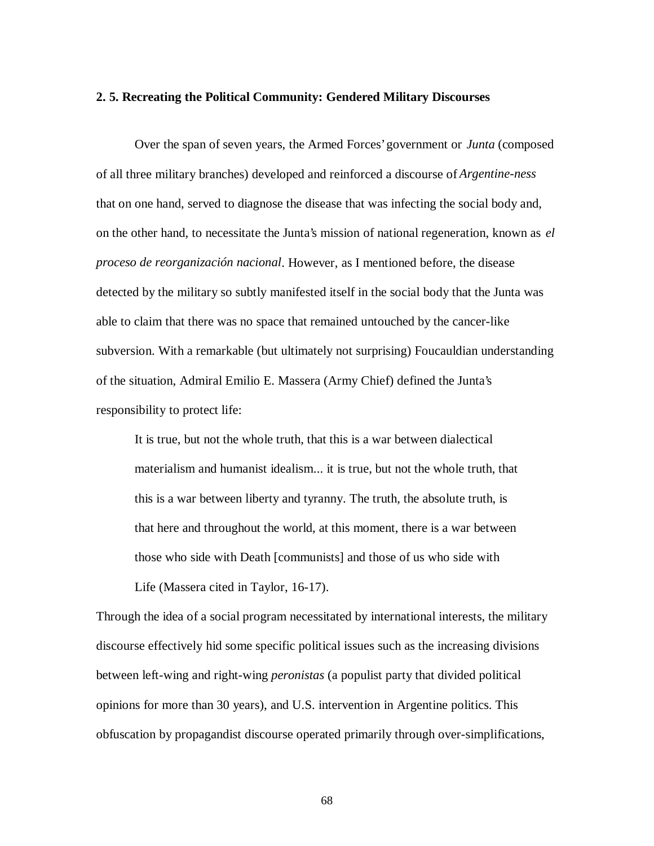### **2. 5. Recreating the Political Community: Gendered Military Discourses**

Over the span of seven years, the Armed Forces' government or *Junta* (composed of all three military branches) developed and reinforced a discourse of *Argentine-ness* that on one hand, served to diagnose the disease that was infecting the social body and, on the other hand, to necessitate the Junta's mission of national regeneration, known as *el proceso de reorganización nacional*. However, as I mentioned before, the disease detected by the military so subtly manifested itself in the social body that the Junta was able to claim that there was no space that remained untouched by the cancer-like subversion. With a remarkable (but ultimately not surprising) Foucauldian understanding of the situation, Admiral Emilio E. Massera (Army Chief) defined the Junta's responsibility to protect life:

It is true, but not the whole truth, that this is a war between dialectical materialism and humanist idealism... it is true, but not the whole truth, that this is a war between liberty and tyranny. The truth, the absolute truth, is that here and throughout the world, at this moment, there is a war between those who side with Death [communists] and those of us who side with Life (Massera cited in Taylor, 16-17).

Through the idea of a social program necessitated by international interests, the military discourse effectively hid some specific political issues such as the increasing divisions between left-wing and right-wing *peronistas* (a populist party that divided political opinions for more than 30 years), and U.S. intervention in Argentine politics. This obfuscation by propagandist discourse operated primarily through over-simplifications,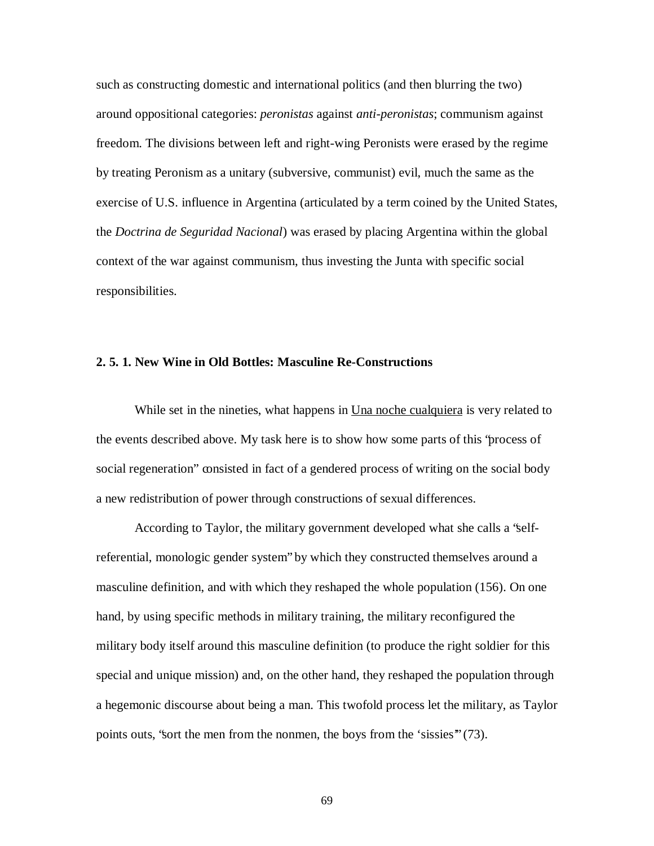such as constructing domestic and international politics (and then blurring the two) around oppositional categories: *peronistas* against *anti-peronistas*; communism against freedom. The divisions between left and right-wing Peronists were erased by the regime by treating Peronism as a unitary (subversive, communist) evil, much the same as the exercise of U.S. influence in Argentina (articulated by a term coined by the United States, the *Doctrina de Seguridad Nacional*) was erased by placing Argentina within the global context of the war against communism, thus investing the Junta with specific social responsibilities.

## **2. 5. 1. New Wine in Old Bottles: Masculine Re-Constructions**

While set in the nineties, what happens in <u>Una noche cualquiera</u> is very related to the events described above. My task here is to show how some parts of this "process of social regeneration" consisted in fact of a gendered process of writing on the social body a new redistribution of power through constructions of sexual differences.

According to Taylor, the military government developed what she calls a "selfreferential, monologic gender system" by which they constructed themselves around a masculine definition, and with which they reshaped the whole population (156). On one hand, by using specific methods in military training, the military reconfigured the military body itself around this masculine definition (to produce the right soldier for this special and unique mission) and, on the other hand, they reshaped the population through a hegemonic discourse about being a man. This twofold process let the military, as Taylor points outs, "sort the men from the nonmen, the boys from the 'sissies'" (73).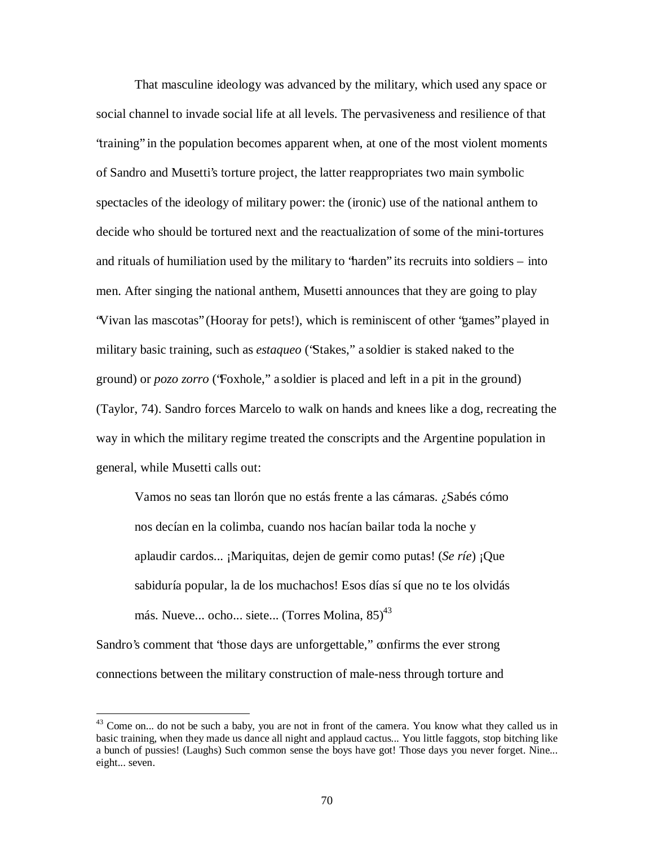That masculine ideology was advanced by the military, which used any space or social channel to invade social life at all levels. The pervasiveness and resilience of that "training" in the population becomes apparent when, at one of the most violent moments of Sandro and Musetti's torture project, the latter reappropriates two main symbolic spectacles of the ideology of military power: the (ironic) use of the national anthem to decide who should be tortured next and the reactualization of some of the mini-tortures and rituals of humiliation used by the military to "harden" its recruits into soldiers – into men. After singing the national anthem, Musetti announces that they are going to play "Vivan las mascotas" (Hooray for pets!), which is reminiscent of other "games" played in military basic training, such as *estaqueo* ("Stakes," a soldier is staked naked to the ground) or *pozo zorro* ("Foxhole," a soldier is placed and left in a pit in the ground) (Taylor, 74). Sandro forces Marcelo to walk on hands and knees like a dog, recreating the way in which the military regime treated the conscripts and the Argentine population in general, while Musetti calls out:

Vamos no seas tan llorón que no estás frente a las cámaras. ¿Sabés cómo nos decían en la colimba, cuando nos hacían bailar toda la noche y aplaudir cardos... ¡Mariquitas, dejen de gemir como putas! (*Se ríe*) ¡Que sabiduría popular, la de los muchachos! Esos días sí que no te los olvidás más. Nueve... ocho... siete... (Torres Molina, 85)<sup>43</sup>

Sandro's comment that 'those days are unforgettable," confirms the ever strong connections between the military construction of male-ness through torture and

 $43$  Come on... do not be such a baby, you are not in front of the camera. You know what they called us in basic training, when they made us dance all night and applaud cactus... You little faggots, stop bitching like a bunch of pussies! (Laughs) Such common sense the boys have got! Those days you never forget. Nine... eight... seven.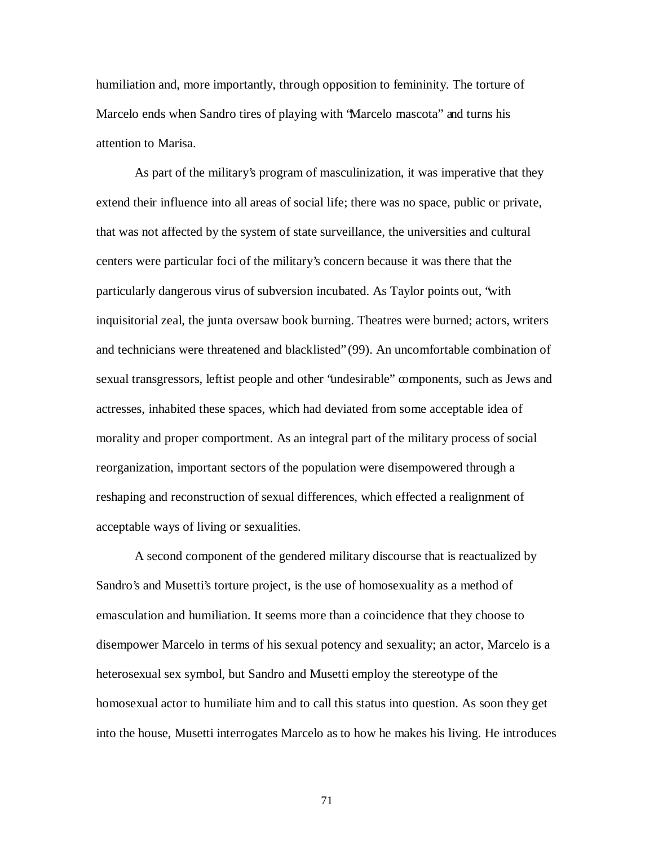humiliation and, more importantly, through opposition to femininity. The torture of Marcelo ends when Sandro tires of playing with "Marcelo mascota" and turns his attention to Marisa.

As part of the military's program of masculinization, it was imperative that they extend their influence into all areas of social life; there was no space, public or private, that was not affected by the system of state surveillance, the universities and cultural centers were particular foci of the military's concern because it was there that the particularly dangerous virus of subversion incubated. As Taylor points out, "with inquisitorial zeal, the junta oversaw book burning. Theatres were burned; actors, writers and technicians were threatened and blacklisted" (99). An uncomfortable combination of sexual transgressors, leftist people and other "undesirable" components, such as Jews and actresses, inhabited these spaces, which had deviated from some acceptable idea of morality and proper comportment. As an integral part of the military process of social reorganization, important sectors of the population were disempowered through a reshaping and reconstruction of sexual differences, which effected a realignment of acceptable ways of living or sexualities.

A second component of the gendered military discourse that is reactualized by Sandro's and Musetti's torture project, is the use of homosexuality as a method of emasculation and humiliation. It seems more than a coincidence that they choose to disempower Marcelo in terms of his sexual potency and sexuality; an actor, Marcelo is a heterosexual sex symbol, but Sandro and Musetti employ the stereotype of the homosexual actor to humiliate him and to call this status into question. As soon they get into the house, Musetti interrogates Marcelo as to how he makes his living. He introduces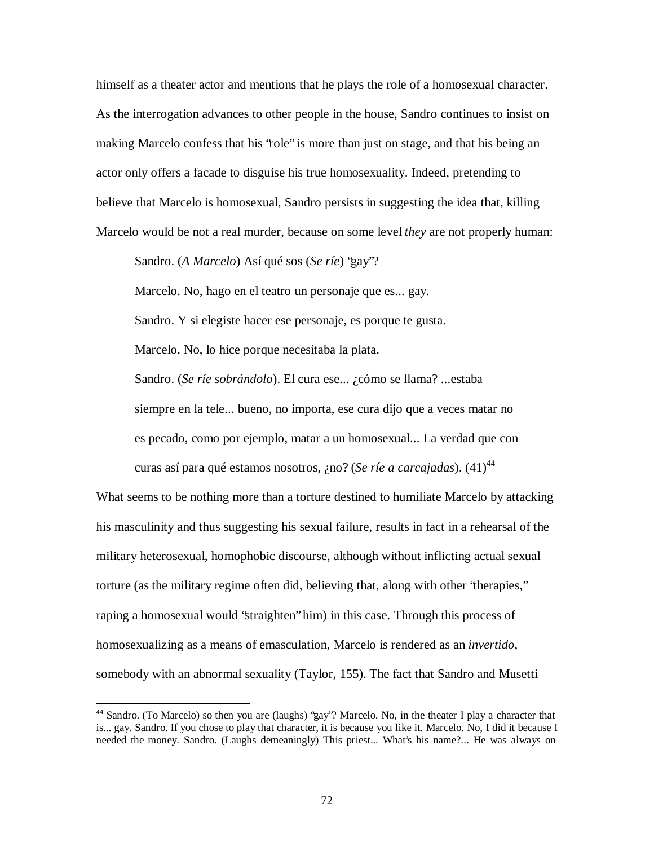himself as a theater actor and mentions that he plays the role of a homosexual character. As the interrogation advances to other people in the house, Sandro continues to insist on making Marcelo confess that his "role" is more than just on stage, and that his being an actor only offers a facade to disguise his true homosexuality. Indeed, pretending to believe that Marcelo is homosexual, Sandro persists in suggesting the idea that, killing Marcelo would be not a real murder, because on some level *they* are not properly human:

Sandro. (*A Marcelo*) Así qué sos (*Se ríe*) "gay"?

Marcelo. No, hago en el teatro un personaje que es... gay.

Sandro. Y si elegiste hacer ese personaje, es porque te gusta.

Marcelo. No, lo hice porque necesitaba la plata.

 $\overline{a}$ 

Sandro. (*Se ríe sobrándolo*). El cura ese... ¿cómo se llama? ...estaba siempre en la tele... bueno, no importa, ese cura dijo que a veces matar no es pecado, como por ejemplo, matar a un homosexual... La verdad que con curas así para qué estamos nosotros, ¿no? (*Se ríe a carcajadas*). (41) 44

What seems to be nothing more than a torture destined to humiliate Marcelo by attacking his masculinity and thus suggesting his sexual failure, results in fact in a rehearsal of the military heterosexual, homophobic discourse, although without inflicting actual sexual torture (as the military regime often did, believing that, along with other "therapies," raping a homosexual would "straighten" him) in this case. Through this process of homosexualizing as a means of emasculation, Marcelo is rendered as an *invertido*, somebody with an abnormal sexuality (Taylor, 155). The fact that Sandro and Musetti

<sup>&</sup>lt;sup>44</sup> Sandro. (To Marcelo) so then you are (laughs) "gay"? Marcelo. No, in the theater I play a character that is... gay. Sandro. If you chose to play that character, it is because you like it. Marcelo. No, I did it because I needed the money. Sandro. (Laughs demeaningly) This priest... What's his name?... He was always on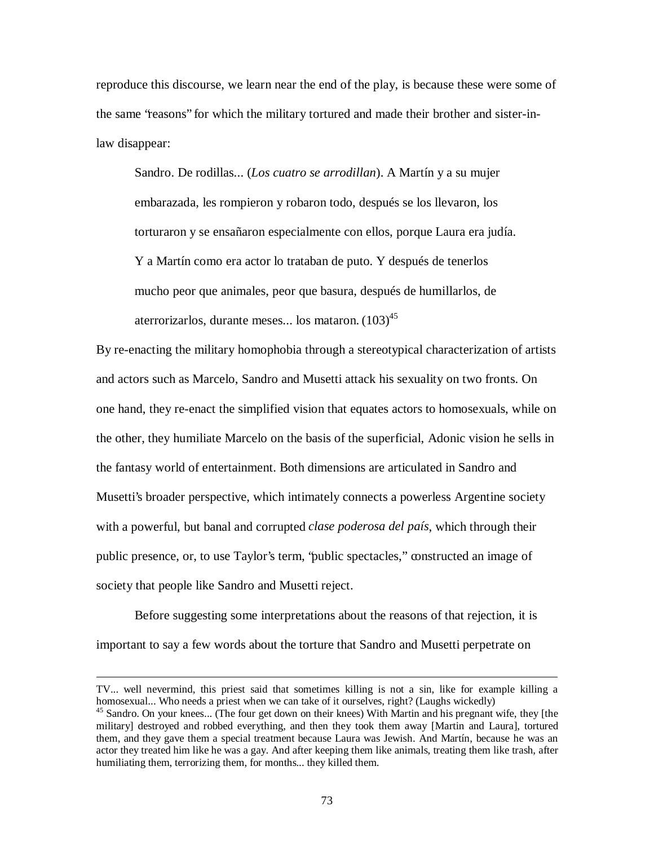reproduce this discourse, we learn near the end of the play, is because these were some of the same "reasons" for which the military tortured and made their brother and sister-inlaw disappear:

Sandro. De rodillas... (*Los cuatro se arrodillan*). A Martín y a su mujer embarazada, les rompieron y robaron todo, después se los llevaron, los torturaron y se ensañaron especialmente con ellos, porque Laura era judía. Y a Martín como era actor lo trataban de puto. Y después de tenerlos mucho peor que animales, peor que basura, después de humillarlos, de aterrorizarlos, durante meses... los mataron. (103)<sup>45</sup>

By re-enacting the military homophobia through a stereotypical characterization of artists and actors such as Marcelo, Sandro and Musetti attack his sexuality on two fronts. On one hand, they re-enact the simplified vision that equates actors to homosexuals, while on the other, they humiliate Marcelo on the basis of the superficial, Adonic vision he sells in the fantasy world of entertainment. Both dimensions are articulated in Sandro and Musetti's broader perspective, which intimately connects a powerless Argentine society with a powerful, but banal and corrupted *clase poderosa del país*, which through their public presence, or, to use Taylor's term, "public spectacles," constructed an image of society that people like Sandro and Musetti reject.

Before suggesting some interpretations about the reasons of that rejection, it is important to say a few words about the torture that Sandro and Musetti perpetrate on

TV... well nevermind, this priest said that sometimes killing is not a sin, like for example killing a homosexual... Who needs a priest when we can take of it ourselves, right? (Laughs wickedly)

<sup>&</sup>lt;sup>45</sup> Sandro. On your knees... (The four get down on their knees) With Martin and his pregnant wife, they [the military] destroyed and robbed everything, and then they took them away [Martin and Laura], tortured them, and they gave them a special treatment because Laura was Jewish. And Martín, because he was an actor they treated him like he was a gay. And after keeping them like animals, treating them like trash, after humiliating them, terrorizing them, for months... they killed them.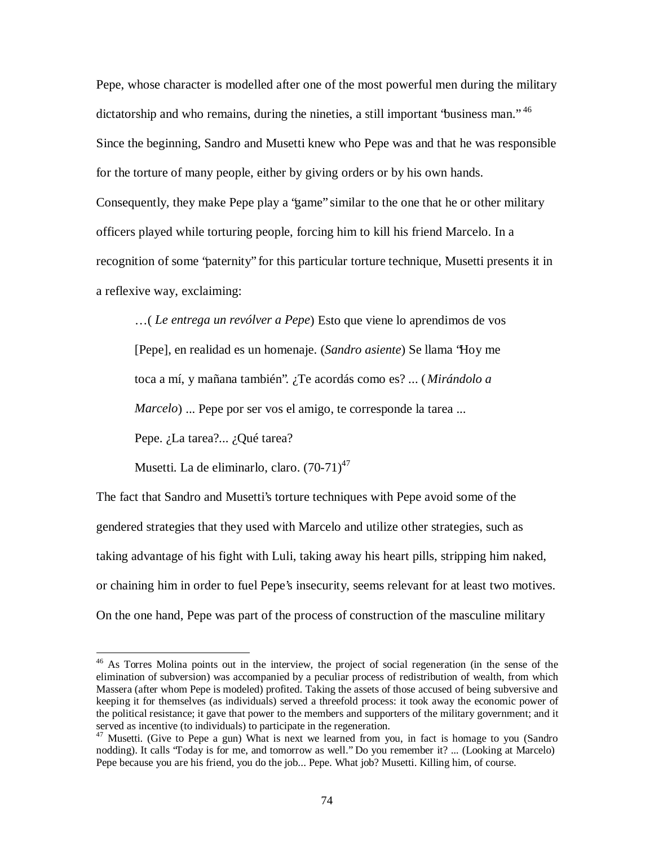Pepe, whose character is modelled after one of the most powerful men during the military dictatorship and who remains, during the nineties, a still important 'business man."<sup>46</sup> Since the beginning, Sandro and Musetti knew who Pepe was and that he was responsible for the torture of many people, either by giving orders or by his own hands. Consequently, they make Pepe play a "game" similar to the one that he or other military officers played while torturing people, forcing him to kill his friend Marcelo. In a recognition of some "paternity" for this particular torture technique, Musetti presents it in a reflexive way, exclaiming:

… ( *Le entrega un revólver a Pepe*) Esto que viene lo aprendimos de vos [Pepe], en realidad es un homenaje. (*Sandro asiente*) Se llama "Hoy me toca a mí, y mañana también". ¿Te acordás como es? ... (*Mirándolo a Marcelo*) ... Pepe por ser vos el amigo, te corresponde la tarea ...

Pepe. ¿La tarea?... ¿Qué tarea?

 $\overline{a}$ 

Musetti. La de eliminarlo, claro. (70-71)<sup>47</sup>

The fact that Sandro and Musetti's torture techniques with Pepe avoid some of the gendered strategies that they used with Marcelo and utilize other strategies, such as taking advantage of his fight with Luli, taking away his heart pills, stripping him naked, or chaining him in order to fuel Pepe's insecurity, seems relevant for at least two motives. On the one hand, Pepe was part of the process of construction of the masculine military

<sup>&</sup>lt;sup>46</sup> As Torres Molina points out in the interview, the project of social regeneration (in the sense of the elimination of subversion) was accompanied by a peculiar process of redistribution of wealth, from which Massera (after whom Pepe is modeled) profited. Taking the assets of those accused of being subversive and keeping it for themselves (as individuals) served a threefold process: it took away the economic power of the political resistance; it gave that power to the members and supporters of the military government; and it served as incentive (to individuals) to participate in the regeneration.

<sup>&</sup>lt;sup>47</sup> Musetti. (Give to Pepe a gun) What is next we learned from you, in fact is homage to you (Sandro nodding). It calls "Today is for me, and tomorrow as well." Do you remember it? ... (Looking at Marcelo) Pepe because you are his friend, you do the job... Pepe. What job? Musetti. Killing him, of course.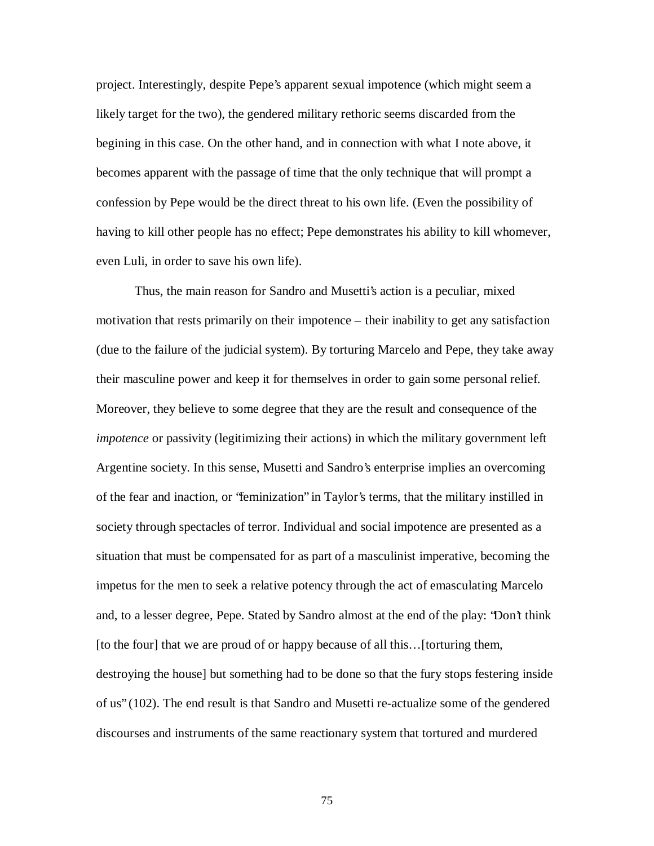project. Interestingly, despite Pepe's apparent sexual impotence (which might seem a likely target for the two), the gendered military rethoric seems discarded from the begining in this case. On the other hand, and in connection with what I note above, it becomes apparent with the passage of time that the only technique that will prompt a confession by Pepe would be the direct threat to his own life. (Even the possibility of having to kill other people has no effect; Pepe demonstrates his ability to kill whomever, even Luli, in order to save his own life).

Thus, the main reason for Sandro and Musetti's action is a peculiar, mixed motivation that rests primarily on their impotence – their inability to get any satisfaction (due to the failure of the judicial system). By torturing Marcelo and Pepe, they take away their masculine power and keep it for themselves in order to gain some personal relief. Moreover, they believe to some degree that they are the result and consequence of the *impotence* or passivity (legitimizing their actions) in which the military government left Argentine society. In this sense, Musetti and Sandro's enterprise implies an overcoming of the fear and inaction, or "feminization" in Taylor's terms, that the military instilled in society through spectacles of terror. Individual and social impotence are presented as a situation that must be compensated for as part of a masculinist imperative, becoming the impetus for the men to seek a relative potency through the act of emasculating Marcelo and, to a lesser degree, Pepe. Stated by Sandro almost at the end of the play: "Don't think [to the four] that we are proud of or happy because of all this… [torturing them, destroying the house] but something had to be done so that the fury stops festering inside of us" (102). The end result is that Sandro and Musetti re-actualize some of the gendered discourses and instruments of the same reactionary system that tortured and murdered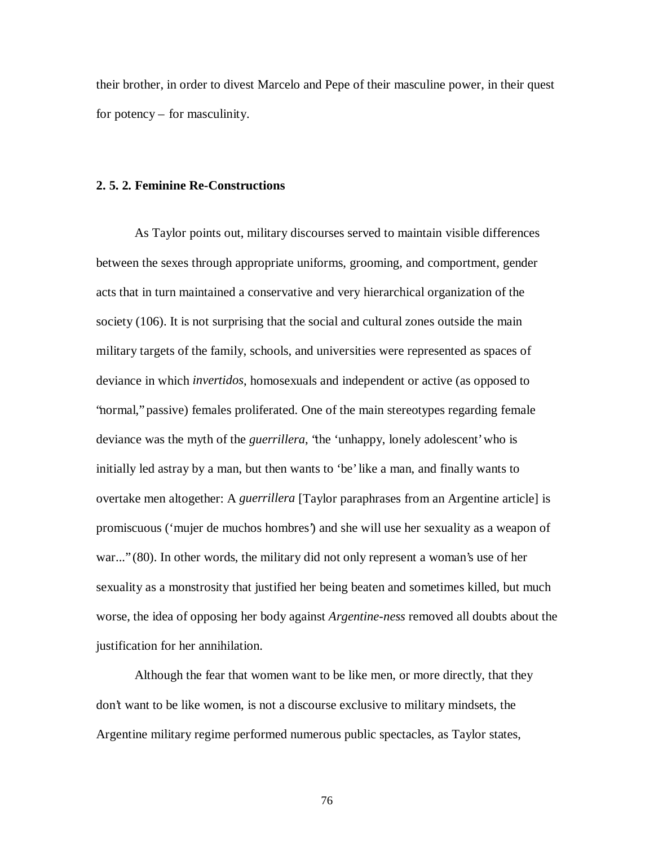their brother, in order to divest Marcelo and Pepe of their masculine power, in their quest for potency – for masculinity.

## **2. 5. 2. Feminine Re-Constructions**

As Taylor points out, military discourses served to maintain visible differences between the sexes through appropriate uniforms, grooming, and comportment, gender acts that in turn maintained a conservative and very hierarchical organization of the society (106). It is not surprising that the social and cultural zones outside the main military targets of the family, schools, and universities were represented as spaces of deviance in which *invertidos*, homosexuals and independent or active (as opposed to "normal," passive) females proliferated. One of the main stereotypes regarding female deviance was the myth of the *guerrillera*, "the 'unhappy, lonely adolescent' who is initially led astray by a man, but then wants to 'be' like a man, and finally wants to overtake men altogether: A *guerrillera* [Taylor paraphrases from an Argentine article] is promiscuous ('mujer de muchos hombres') and she will use her sexuality as a weapon of war..." (80). In other words, the military did not only represent a woman's use of her sexuality as a monstrosity that justified her being beaten and sometimes killed, but much worse, the idea of opposing her body against *Argentine-ness* removed all doubts about the justification for her annihilation.

Although the fear that women want to be like men, or more directly, that they don't want to be like women, is not a discourse exclusive to military mindsets, the Argentine military regime performed numerous public spectacles, as Taylor states,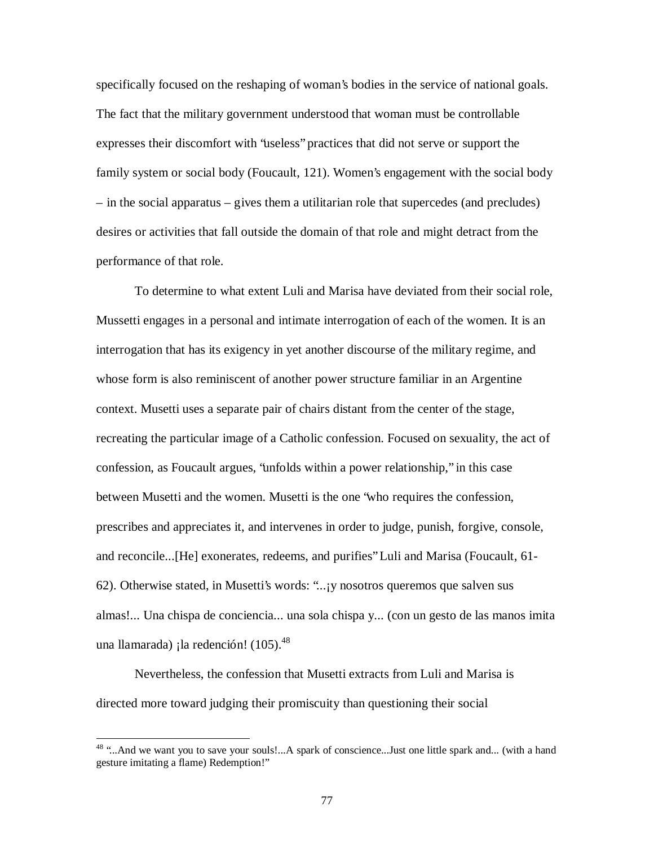specifically focused on the reshaping of woman's bodies in the service of national goals. The fact that the military government understood that woman must be controllable expresses their discomfort with "useless" practices that did not serve or support the family system or social body (Foucault, 121). Women's engagement with the social body – in the social apparatus – gives them a utilitarian role that supercedes (and precludes) desires or activities that fall outside the domain of that role and might detract from the performance of that role.

To determine to what extent Luli and Marisa have deviated from their social role, Mussetti engages in a personal and intimate interrogation of each of the women. It is an interrogation that has its exigency in yet another discourse of the military regime, and whose form is also reminiscent of another power structure familiar in an Argentine context. Musetti uses a separate pair of chairs distant from the center of the stage, recreating the particular image of a Catholic confession. Focused on sexuality, the act of confession, as Foucault argues, "unfolds within a power relationship," in this case between Musetti and the women. Musetti is the one "who requires the confession, prescribes and appreciates it, and intervenes in order to judge, punish, forgive, console, and reconcile...[He] exonerates, redeems, and purifies" Luli and Marisa (Foucault, 61- 62). Otherwise stated, in Musetti's words: "...¡y nosotros queremos que salven sus almas!... Una chispa de conciencia... una sola chispa y... (con un gesto de las manos imita una llamarada) ¡la redención! (105).<sup>48</sup>

Nevertheless, the confession that Musetti extracts from Luli and Marisa is directed more toward judging their promiscuity than questioning their social

<sup>&</sup>lt;sup>48</sup> "...And we want you to save your souls!...A spark of conscience...Just one little spark and... (with a hand gesture imitating a flame) Redemption!"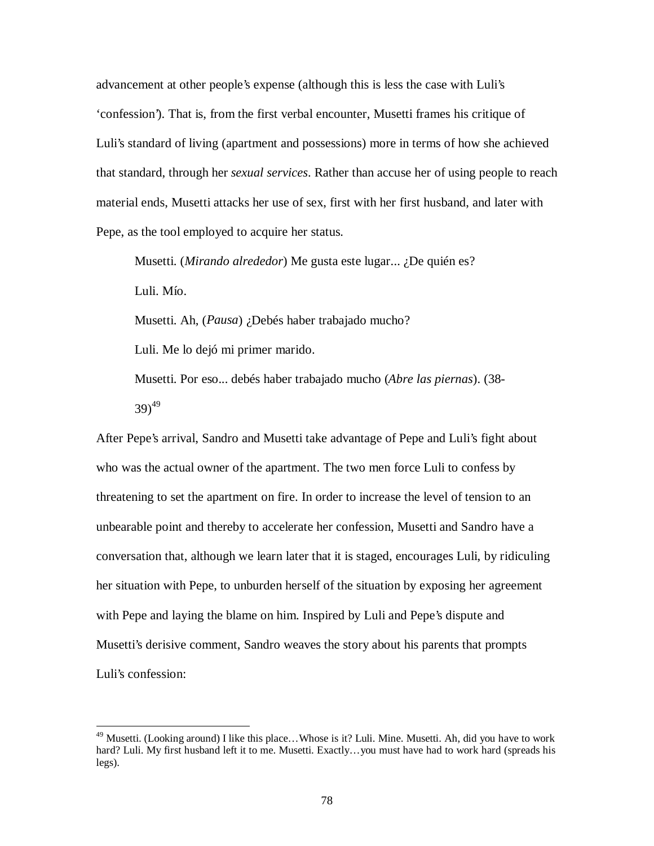advancement at other people's expense (although this is less the case with Luli's 'confession'). That is, from the first verbal encounter, Musetti frames his critique of Luli's standard of living (apartment and possessions) more in terms of how she achieved that standard, through her *sexual services*. Rather than accuse her of using people to reach material ends, Musetti attacks her use of sex, first with her first husband, and later with Pepe, as the tool employed to acquire her status.

Musetti. (*Mirando alrededor*) Me gusta este lugar... ¿De quién es? Luli. Mío.

Musetti. Ah, (*Pausa*) ¿Debés haber trabajado mucho?

Luli. Me lo dejó mi primer marido.

 $\overline{a}$ 

Musetti. Por eso... debés haber trabajado mucho (*Abre las piernas*). (38- 39) 49

After Pepe's arrival, Sandro and Musetti take advantage of Pepe and Luli's fight about who was the actual owner of the apartment. The two men force Luli to confess by threatening to set the apartment on fire. In order to increase the level of tension to an unbearable point and thereby to accelerate her confession, Musetti and Sandro have a conversation that, although we learn later that it is staged, encourages Luli, by ridiculing her situation with Pepe, to unburden herself of the situation by exposing her agreement with Pepe and laying the blame on him. Inspired by Luli and Pepe's dispute and Musetti's derisive comment, Sandro weaves the story about his parents that prompts Luli's confession:

<sup>&</sup>lt;sup>49</sup> Musetti. (Looking around) I like this place...Whose is it? Luli. Mine. Musetti. Ah, did you have to work hard? Luli. My first husband left it to me. Musetti. Exactly… you must have had to work hard (spreads his legs).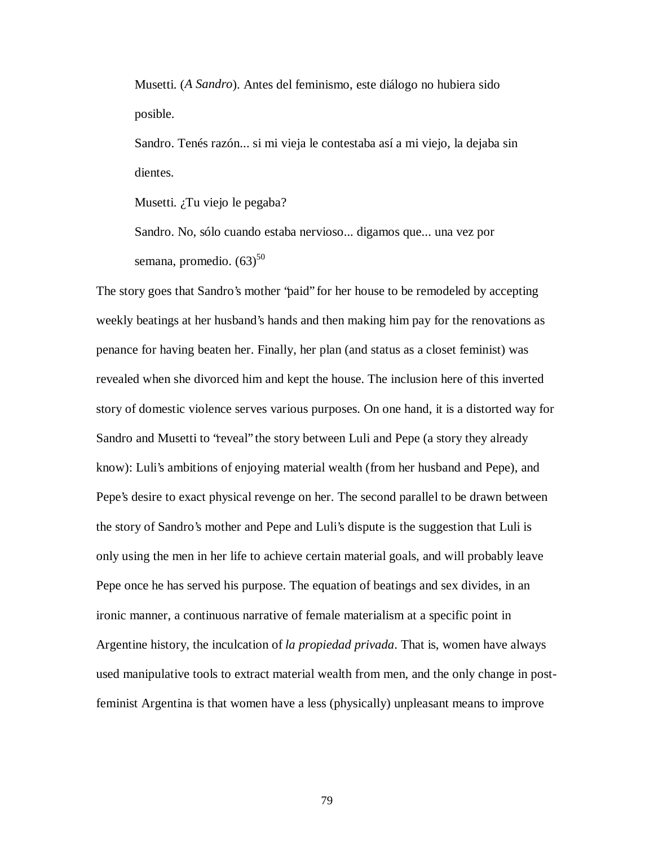Musetti. (*A Sandro*). Antes del feminismo, este diálogo no hubiera sido posible.

Sandro. Tenés razón... si mi vieja le contestaba así a mi viejo, la dejaba sin dientes.

Musetti. ¿Tu viejo le pegaba?

Sandro. No, sólo cuando estaba nervioso... digamos que... una vez por semana, promedio. (63)<sup>50</sup>

The story goes that Sandro's mother "paid" for her house to be remodeled by accepting weekly beatings at her husband's hands and then making him pay for the renovations as penance for having beaten her. Finally, her plan (and status as a closet feminist) was revealed when she divorced him and kept the house. The inclusion here of this inverted story of domestic violence serves various purposes. On one hand, it is a distorted way for Sandro and Musetti to "reveal" the story between Luli and Pepe (a story they already know): Luli's ambitions of enjoying material wealth (from her husband and Pepe), and Pepe's desire to exact physical revenge on her. The second parallel to be drawn between the story of Sandro's mother and Pepe and Luli's dispute is the suggestion that Luli is only using the men in her life to achieve certain material goals, and will probably leave Pepe once he has served his purpose. The equation of beatings and sex divides, in an ironic manner, a continuous narrative of female materialism at a specific point in Argentine history, the inculcation of *la propiedad privada*. That is, women have always used manipulative tools to extract material wealth from men, and the only change in postfeminist Argentina is that women have a less (physically) unpleasant means to improve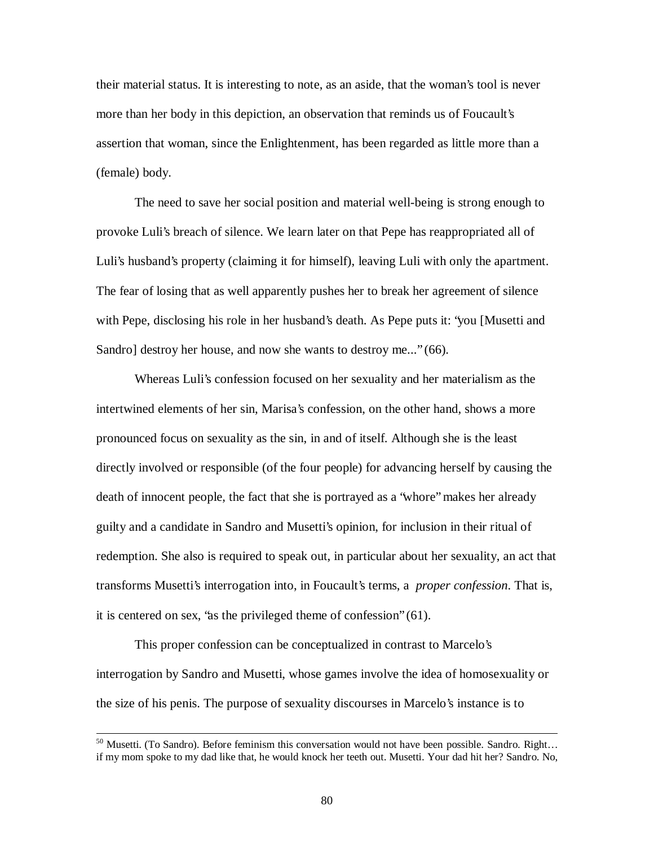their material status. It is interesting to note, as an aside, that the woman's tool is never more than her body in this depiction, an observation that reminds us of Foucault's assertion that woman, since the Enlightenment, has been regarded as little more than a (female) body.

The need to save her social position and material well-being is strong enough to provoke Luli's breach of silence. We learn later on that Pepe has reappropriated all of Luli's husband's property (claiming it for himself), leaving Luli with only the apartment. The fear of losing that as well apparently pushes her to break her agreement of silence with Pepe, disclosing his role in her husband's death. As Pepe puts it: "you [Musetti and Sandro] destroy her house, and now she wants to destroy me..." (66).

Whereas Luli's confession focused on her sexuality and her materialism as the intertwined elements of her sin, Marisa's confession, on the other hand, shows a more pronounced focus on sexuality as the sin, in and of itself. Although she is the least directly involved or responsible (of the four people) for advancing herself by causing the death of innocent people, the fact that she is portrayed as a "whore" makes her already guilty and a candidate in Sandro and Musetti's opinion, for inclusion in their ritual of redemption. She also is required to speak out, in particular about her sexuality, an act that transforms Musetti's interrogation into, in Foucault's terms, a *proper confession*. That is, it is centered on sex, "as the privileged theme of confession" (61).

This proper confession can be conceptualized in contrast to Marcelo's interrogation by Sandro and Musetti, whose games involve the idea of homosexuality or the size of his penis. The purpose of sexuality discourses in Marcelo's instance is to

<sup>&</sup>lt;sup>50</sup> Musetti. (To Sandro). Before feminism this conversation would not have been possible. Sandro. Right... if my mom spoke to my dad like that, he would knock her teeth out. Musetti. Your dad hit her? Sandro. No,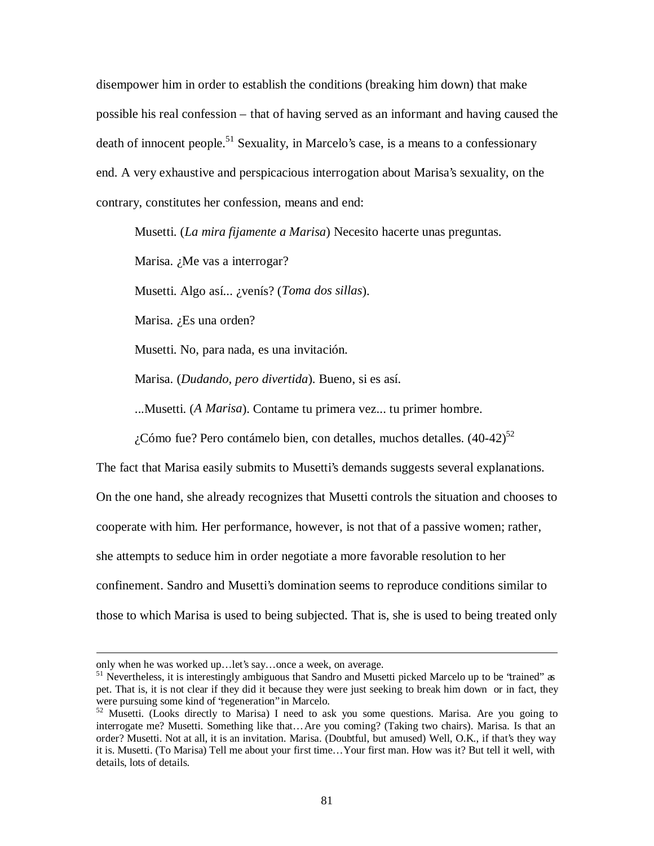disempower him in order to establish the conditions (breaking him down) that make possible his real confession – that of having served as an informant and having caused the death of innocent people.<sup>51</sup> Sexuality, in Marcelo's case, is a means to a confessionary end. A very exhaustive and perspicacious interrogation about Marisa's sexuality, on the contrary, constitutes her confession, means and end:

Musetti. (*La mira fijamente a Marisa*) Necesito hacerte unas preguntas.

Marisa. ¿Me vas a interrogar?

Musetti. Algo así... ¿venís? (*Toma dos sillas*).

Marisa. ¿Es una orden?

Musetti. No, para nada, es una invitación.

Marisa. (*Dudando, pero divertida*). Bueno, si es así.

...Musetti. (*A Marisa*). Contame tu primera vez... tu primer hombre.

¿Cómo fue? Pero contámelo bien, con detalles, muchos detalles.  $(40-42)^{52}$ 

The fact that Marisa easily submits to Musetti's demands suggests several explanations. On the one hand, she already recognizes that Musetti controls the situation and chooses to cooperate with him. Her performance, however, is not that of a passive women; rather, she attempts to seduce him in order negotiate a more favorable resolution to her confinement. Sandro and Musetti's domination seems to reproduce conditions similar to those to which Marisa is used to being subjected. That is, she is used to being treated only

only when he was worked up… let's say… once a week, on average.

<sup>&</sup>lt;sup>51</sup> Nevertheless, it is interestingly ambiguous that Sandro and Musetti picked Marcelo up to be 'trained" as pet. That is, it is not clear if they did it because they were just seeking to break him down or in fact, they were pursuing some kind of "regeneration" in Marcelo.

<sup>&</sup>lt;sup>52</sup> Musetti. (Looks directly to Marisa) I need to ask you some questions. Marisa. Are you going to interrogate me? Musetti. Something like that… Are you coming? (Taking two chairs). Marisa. Is that an order? Musetti. Not at all, it is an invitation. Marisa. (Doubtful, but amused) Well, O.K., if that's they way it is. Musetti. (To Marisa) Tell me about your first time… Your first man. How was it? But tell it well, with details, lots of details.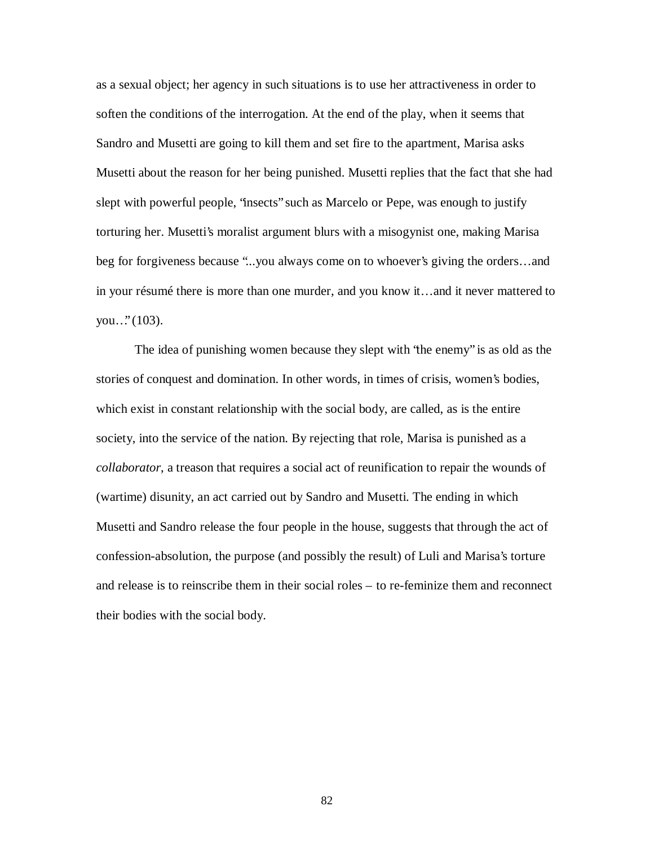as a sexual object; her agency in such situations is to use her attractiveness in order to soften the conditions of the interrogation. At the end of the play, when it seems that Sandro and Musetti are going to kill them and set fire to the apartment, Marisa asks Musetti about the reason for her being punished. Musetti replies that the fact that she had slept with powerful people, "insects" such as Marcelo or Pepe, was enough to justify torturing her. Musetti's moralist argument blurs with a misogynist one, making Marisa beg for forgiveness because "...you always come on to whoever's giving the orders… and in your résumé there is more than one murder, and you know it… and it never mattered to you…" (103).

The idea of punishing women because they slept with "the enemy" is as old as the stories of conquest and domination. In other words, in times of crisis, women's bodies, which exist in constant relationship with the social body, are called, as is the entire society, into the service of the nation. By rejecting that role, Marisa is punished as a *collaborator*, a treason that requires a social act of reunification to repair the wounds of (wartime) disunity, an act carried out by Sandro and Musetti. The ending in which Musetti and Sandro release the four people in the house, suggests that through the act of confession-absolution, the purpose (and possibly the result) of Luli and Marisa's torture and release is to reinscribe them in their social roles – to re-feminize them and reconnect their bodies with the social body.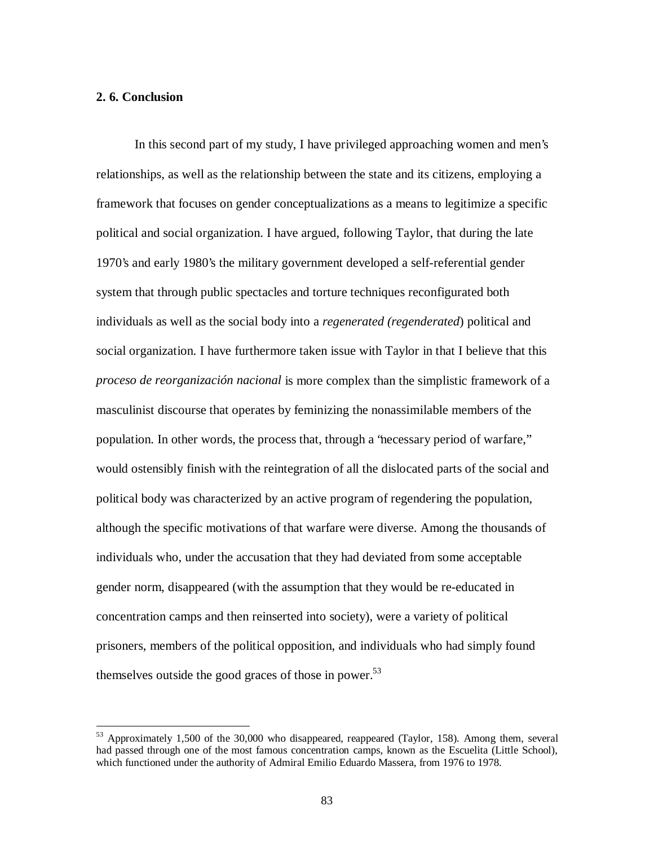# **2. 6. Conclusion**

 $\overline{a}$ 

In this second part of my study, I have privileged approaching women and men's relationships, as well as the relationship between the state and its citizens, employing a framework that focuses on gender conceptualizations as a means to legitimize a specific political and social organization. I have argued, following Taylor, that during the late 1970's and early 1980's the military government developed a self-referential gender system that through public spectacles and torture techniques reconfigurated both individuals as well as the social body into a *regenerated (regenderated*) political and social organization. I have furthermore taken issue with Taylor in that I believe that this *proceso de reorganización nacional* is more complex than the simplistic framework of a masculinist discourse that operates by feminizing the nonassimilable members of the population. In other words, the process that, through a "necessary period of warfare," would ostensibly finish with the reintegration of all the dislocated parts of the social and political body was characterized by an active program of regendering the population, although the specific motivations of that warfare were diverse. Among the thousands of individuals who, under the accusation that they had deviated from some acceptable gender norm, disappeared (with the assumption that they would be re-educated in concentration camps and then reinserted into society), were a variety of political prisoners, members of the political opposition, and individuals who had simply found themselves outside the good graces of those in power.<sup>53</sup>

<sup>53</sup> Approximately 1,500 of the 30,000 who disappeared, reappeared (Taylor, 158). Among them, several had passed through one of the most famous concentration camps, known as the Escuelita (Little School), which functioned under the authority of Admiral Emilio Eduardo Massera, from 1976 to 1978.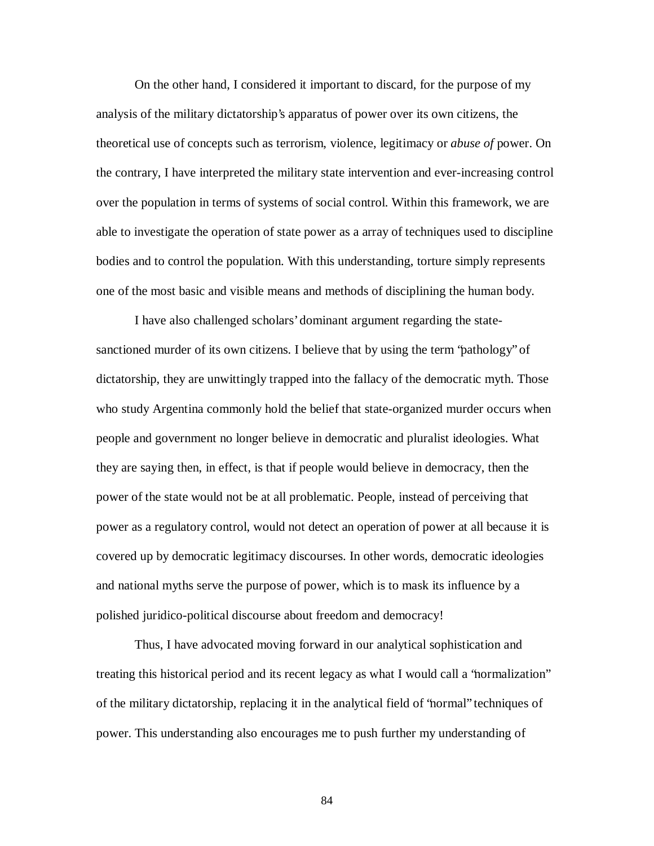On the other hand, I considered it important to discard, for the purpose of my analysis of the military dictatorship's apparatus of power over its own citizens, the theoretical use of concepts such as terrorism, violence, legitimacy or *abuse of* power. On the contrary, I have interpreted the military state intervention and ever-increasing control over the population in terms of systems of social control. Within this framework, we are able to investigate the operation of state power as a array of techniques used to discipline bodies and to control the population. With this understanding, torture simply represents one of the most basic and visible means and methods of disciplining the human body.

I have also challenged scholars' dominant argument regarding the statesanctioned murder of its own citizens. I believe that by using the term "pathology" of dictatorship, they are unwittingly trapped into the fallacy of the democratic myth. Those who study Argentina commonly hold the belief that state-organized murder occurs when people and government no longer believe in democratic and pluralist ideologies. What they are saying then, in effect, is that if people would believe in democracy, then the power of the state would not be at all problematic. People, instead of perceiving that power as a regulatory control, would not detect an operation of power at all because it is covered up by democratic legitimacy discourses. In other words, democratic ideologies and national myths serve the purpose of power, which is to mask its influence by a polished juridico-political discourse about freedom and democracy!

Thus, I have advocated moving forward in our analytical sophistication and treating this historical period and its recent legacy as what I would call a "normalization" of the military dictatorship, replacing it in the analytical field of "normal" techniques of power. This understanding also encourages me to push further my understanding of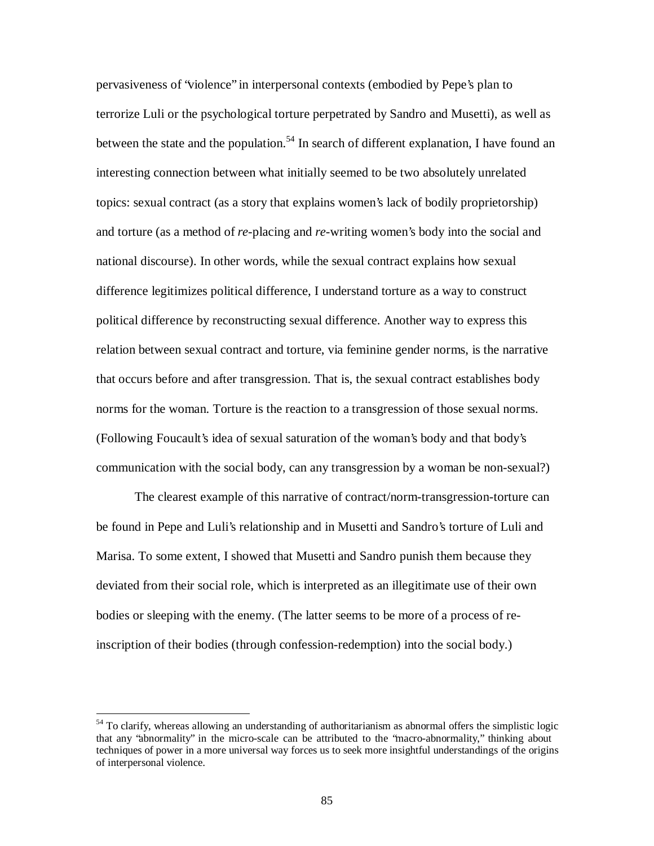pervasiveness of "violence" in interpersonal contexts (embodied by Pepe's plan to terrorize Luli or the psychological torture perpetrated by Sandro and Musetti), as well as between the state and the population.<sup>54</sup> In search of different explanation, I have found an interesting connection between what initially seemed to be two absolutely unrelated topics: sexual contract (as a story that explains women's lack of bodily proprietorship) and torture (as a method of *re*-placing and *re*-writing women's body into the social and national discourse). In other words, while the sexual contract explains how sexual difference legitimizes political difference, I understand torture as a way to construct political difference by reconstructing sexual difference. Another way to express this relation between sexual contract and torture, via feminine gender norms, is the narrative that occurs before and after transgression. That is, the sexual contract establishes body norms for the woman. Torture is the reaction to a transgression of those sexual norms. (Following Foucault's idea of sexual saturation of the woman's body and that body's communication with the social body, can any transgression by a woman be non-sexual?)

The clearest example of this narrative of contract/norm-transgression-torture can be found in Pepe and Luli's relationship and in Musetti and Sandro's torture of Luli and Marisa. To some extent, I showed that Musetti and Sandro punish them because they deviated from their social role, which is interpreted as an illegitimate use of their own bodies or sleeping with the enemy. (The latter seems to be more of a process of reinscription of their bodies (through confession-redemption) into the social body.)

 $54$  To clarify, whereas allowing an understanding of authoritarianism as abnormal offers the simplistic logic that any "abnormality" in the micro-scale can be attributed to the "macro-abnormality," thinking about techniques of power in a more universal way forces us to seek more insightful understandings of the origins of interpersonal violence.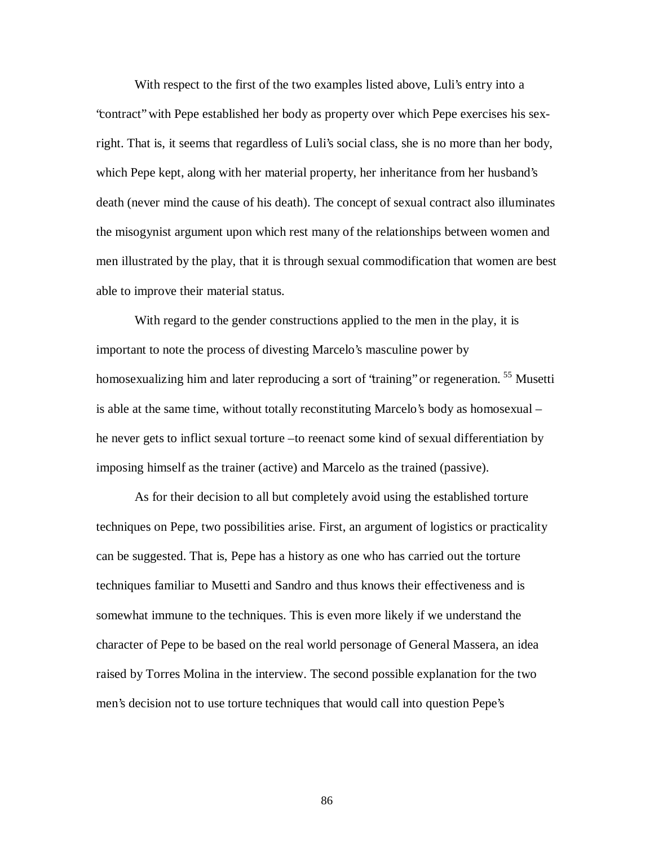With respect to the first of the two examples listed above, Luli's entry into a "contract" with Pepe established her body as property over which Pepe exercises his sexright. That is, it seems that regardless of Luli's social class, she is no more than her body, which Pepe kept, along with her material property, her inheritance from her husband's death (never mind the cause of his death). The concept of sexual contract also illuminates the misogynist argument upon which rest many of the relationships between women and men illustrated by the play, that it is through sexual commodification that women are best able to improve their material status.

With regard to the gender constructions applied to the men in the play, it is important to note the process of divesting Marcelo's masculine power by homosexualizing him and later reproducing a sort of 'training'' or regeneration. <sup>55</sup> Musetti is able at the same time, without totally reconstituting Marcelo's body as homosexual – he never gets to inflict sexual torture –to reenact some kind of sexual differentiation by imposing himself as the trainer (active) and Marcelo as the trained (passive).

As for their decision to all but completely avoid using the established torture techniques on Pepe, two possibilities arise. First, an argument of logistics or practicality can be suggested. That is, Pepe has a history as one who has carried out the torture techniques familiar to Musetti and Sandro and thus knows their effectiveness and is somewhat immune to the techniques. This is even more likely if we understand the character of Pepe to be based on the real world personage of General Massera, an idea raised by Torres Molina in the interview. The second possible explanation for the two men's decision not to use torture techniques that would call into question Pepe's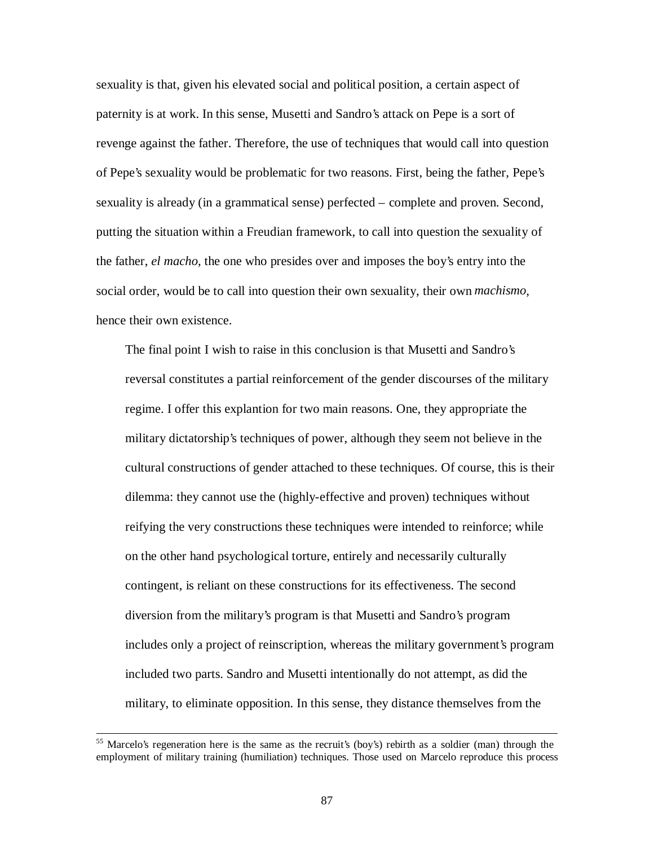sexuality is that, given his elevated social and political position, a certain aspect of paternity is at work. In this sense, Musetti and Sandro's attack on Pepe is a sort of revenge against the father. Therefore, the use of techniques that would call into question of Pepe's sexuality would be problematic for two reasons. First, being the father, Pepe's sexuality is already (in a grammatical sense) perfected – complete and proven. Second, putting the situation within a Freudian framework, to call into question the sexuality of the father, *el macho*, the one who presides over and imposes the boy's entry into the social order, would be to call into question their own sexuality, their own *machismo*, hence their own existence.

The final point I wish to raise in this conclusion is that Musetti and Sandro's reversal constitutes a partial reinforcement of the gender discourses of the military regime. I offer this explantion for two main reasons. One, they appropriate the military dictatorship's techniques of power, although they seem not believe in the cultural constructions of gender attached to these techniques. Of course, this is their dilemma: they cannot use the (highly-effective and proven) techniques without reifying the very constructions these techniques were intended to reinforce; while on the other hand psychological torture, entirely and necessarily culturally contingent, is reliant on these constructions for its effectiveness. The second diversion from the military's program is that Musetti and Sandro's program includes only a project of reinscription, whereas the military government's program included two parts. Sandro and Musetti intentionally do not attempt, as did the military, to eliminate opposition. In this sense, they distance themselves from the

<sup>&</sup>lt;sup>55</sup> Marcelo's regeneration here is the same as the recruit's (boy's) rebirth as a soldier (man) through the employment of military training (humiliation) techniques. Those used on Marcelo reproduce this process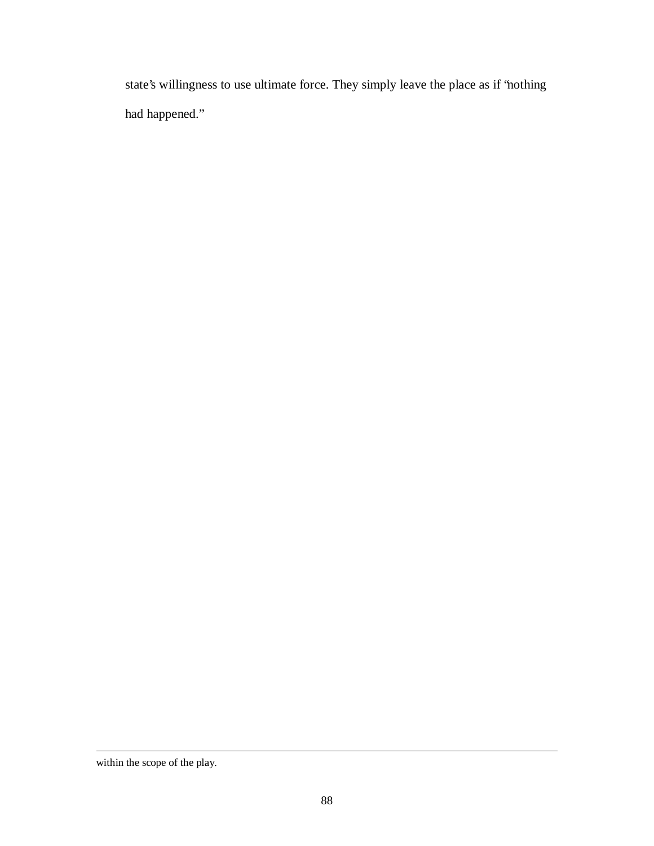state's willingness to use ultimate force. They simply leave the place as if "nothing had happened."

within the scope of the play.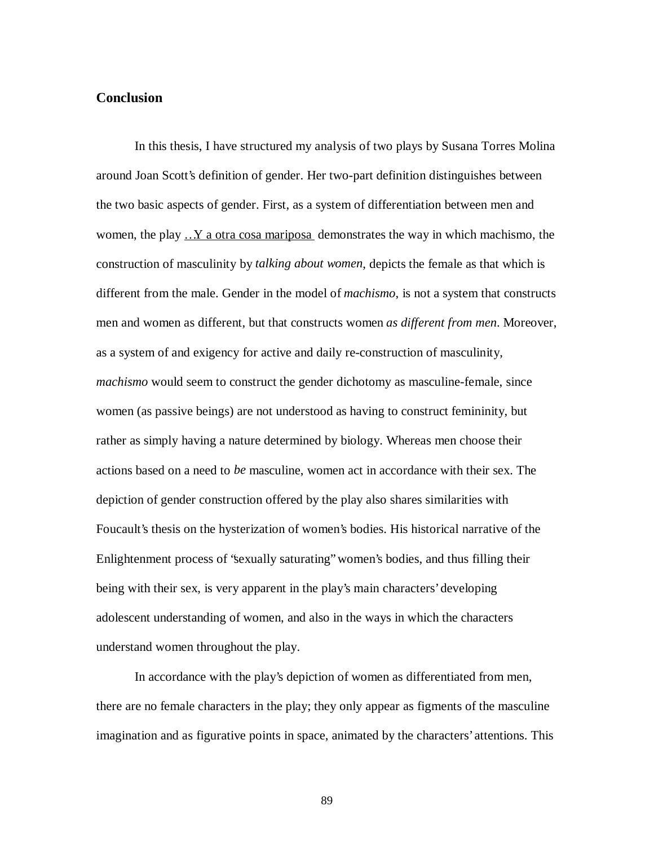# **Conclusion**

In this thesis, I have structured my analysis of two plays by Susana Torres Molina around Joan Scott's definition of gender. Her two-part definition distinguishes between the two basic aspects of gender. First, as a system of differentiation between men and women, the play ...Y a otra cosa mariposa demonstrates the way in which machismo, the construction of masculinity by *talking about women*, depicts the female as that which is different from the male. Gender in the model of *machismo*, is not a system that constructs men and women as different, but that constructs women *as different from men*. Moreover, as a system of and exigency for active and daily re-construction of masculinity, *machismo* would seem to construct the gender dichotomy as masculine-female, since women (as passive beings) are not understood as having to construct femininity, but rather as simply having a nature determined by biology. Whereas men choose their actions based on a need to *be* masculine, women act in accordance with their sex. The depiction of gender construction offered by the play also shares similarities with Foucault's thesis on the hysterization of women's bodies. His historical narrative of the Enlightenment process of "sexually saturating" women's bodies, and thus filling their being with their sex, is very apparent in the play's main characters' developing adolescent understanding of women, and also in the ways in which the characters understand women throughout the play.

In accordance with the play's depiction of women as differentiated from men, there are no female characters in the play; they only appear as figments of the masculine imagination and as figurative points in space, animated by the characters' attentions. This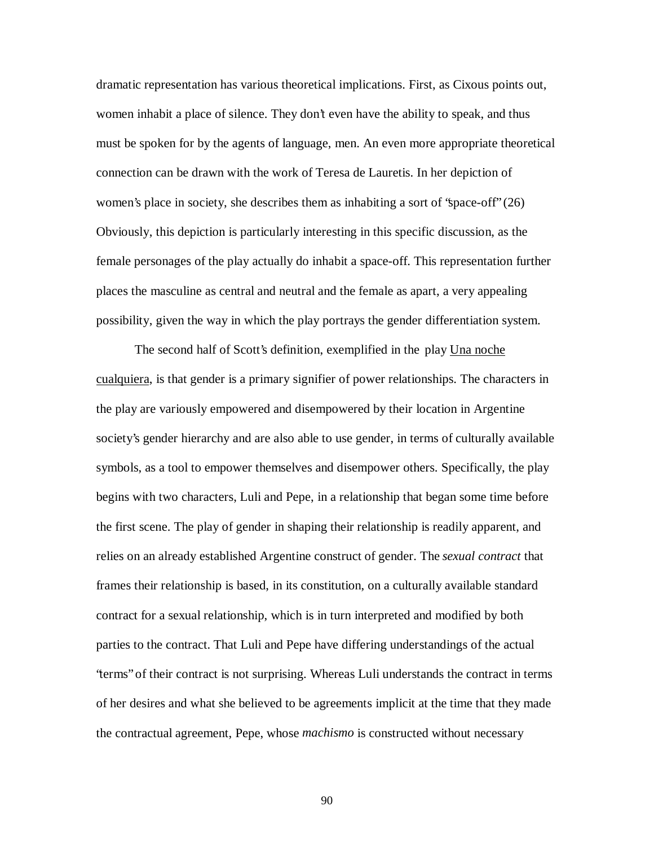dramatic representation has various theoretical implications. First, as Cixous points out, women inhabit a place of silence. They don't even have the ability to speak, and thus must be spoken for by the agents of language, men. An even more appropriate theoretical connection can be drawn with the work of Teresa de Lauretis. In her depiction of women's place in society, she describes them as inhabiting a sort of "space-off" (26) Obviously, this depiction is particularly interesting in this specific discussion, as the female personages of the play actually do inhabit a space-off. This representation further places the masculine as central and neutral and the female as apart, a very appealing possibility, given the way in which the play portrays the gender differentiation system.

The second half of Scott's definition, exemplified in the play Una noche cualquiera, is that gender is a primary signifier of power relationships. The characters in the play are variously empowered and disempowered by their location in Argentine society's gender hierarchy and are also able to use gender, in terms of culturally available symbols, as a tool to empower themselves and disempower others. Specifically, the play begins with two characters, Luli and Pepe, in a relationship that began some time before the first scene. The play of gender in shaping their relationship is readily apparent, and relies on an already established Argentine construct of gender. The *sexual contract* that frames their relationship is based, in its constitution, on a culturally available standard contract for a sexual relationship, which is in turn interpreted and modified by both parties to the contract. That Luli and Pepe have differing understandings of the actual "terms" of their contract is not surprising. Whereas Luli understands the contract in terms of her desires and what she believed to be agreements implicit at the time that they made the contractual agreement, Pepe, whose *machismo* is constructed without necessary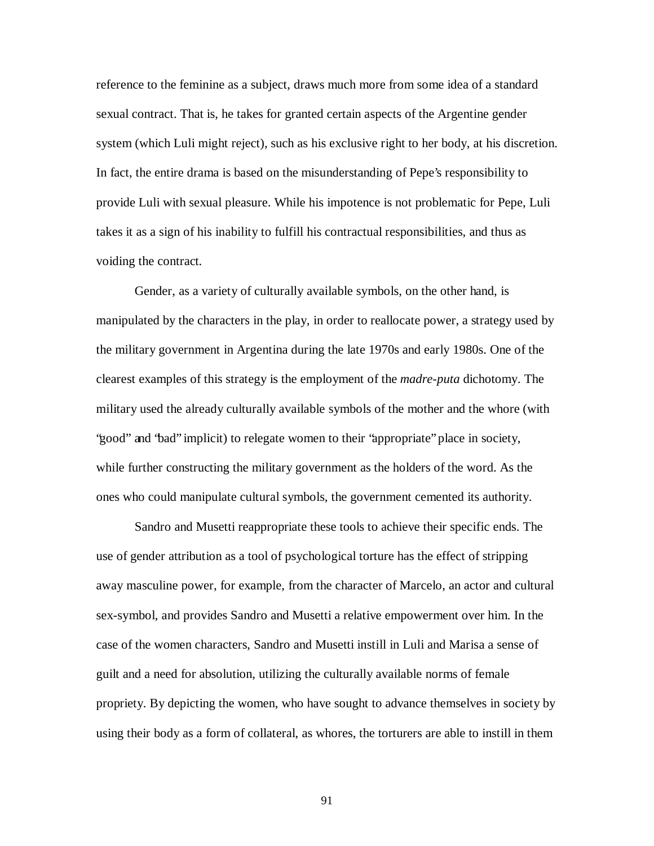reference to the feminine as a subject, draws much more from some idea of a standard sexual contract. That is, he takes for granted certain aspects of the Argentine gender system (which Luli might reject), such as his exclusive right to her body, at his discretion. In fact, the entire drama is based on the misunderstanding of Pepe's responsibility to provide Luli with sexual pleasure. While his impotence is not problematic for Pepe, Luli takes it as a sign of his inability to fulfill his contractual responsibilities, and thus as voiding the contract.

Gender, as a variety of culturally available symbols, on the other hand, is manipulated by the characters in the play, in order to reallocate power, a strategy used by the military government in Argentina during the late 1970s and early 1980s. One of the clearest examples of this strategy is the employment of the *madre-puta* dichotomy. The military used the already culturally available symbols of the mother and the whore (with "good" and "bad" implicit) to relegate women to their "appropriate" place in society, while further constructing the military government as the holders of the word. As the ones who could manipulate cultural symbols, the government cemented its authority.

Sandro and Musetti reappropriate these tools to achieve their specific ends. The use of gender attribution as a tool of psychological torture has the effect of stripping away masculine power, for example, from the character of Marcelo, an actor and cultural sex-symbol, and provides Sandro and Musetti a relative empowerment over him. In the case of the women characters, Sandro and Musetti instill in Luli and Marisa a sense of guilt and a need for absolution, utilizing the culturally available norms of female propriety. By depicting the women, who have sought to advance themselves in society by using their body as a form of collateral, as whores, the torturers are able to instill in them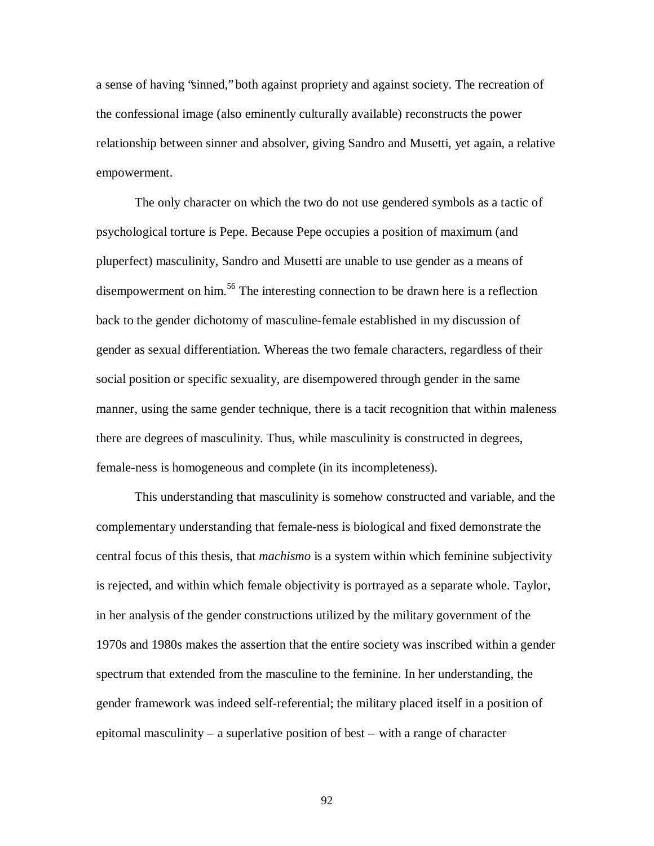a sense of having "sinned," both against propriety and against society. The recreation of the confessional image (also eminently culturally available) reconstructs the power relationship between sinner and absolver, giving Sandro and Musetti, yet again, a relative empowerment.

The only character on which the two do not use gendered symbols as a tactic of psychological torture is Pepe. Because Pepe occupies a position of maximum (and pluperfect) masculinity, Sandro and Musetti are unable to use gender as a means of disempowerment on him. <sup>56</sup> The interesting connection to be drawn here is a reflection back to the gender dichotomy of masculine-female established in my discussion of gender as sexual differentiation. Whereas the two female characters, regardless of their social position or specific sexuality, are disempowered through gender in the same manner, using the same gender technique, there is a tacit recognition that within maleness there are degrees of masculinity. Thus, while masculinity is constructed in degrees, female-ness is homogeneous and complete (in its incompleteness).

This understanding that masculinity is somehow constructed and variable, and the complementary understanding that female-ness is biological and fixed demonstrate the central focus of this thesis, that *machismo* is a system within which feminine subjectivity is rejected, and within which female objectivity is portrayed as a separate whole. Taylor, in her analysis of the gender constructions utilized by the military government of the 1970s and 1980s makes the assertion that the entire society was inscribed within a gender spectrum that extended from the masculine to the feminine. In her understanding, the gender framework was indeed self-referential; the military placed itself in a position of epitomal masculinity – a superlative position of best – with a range of character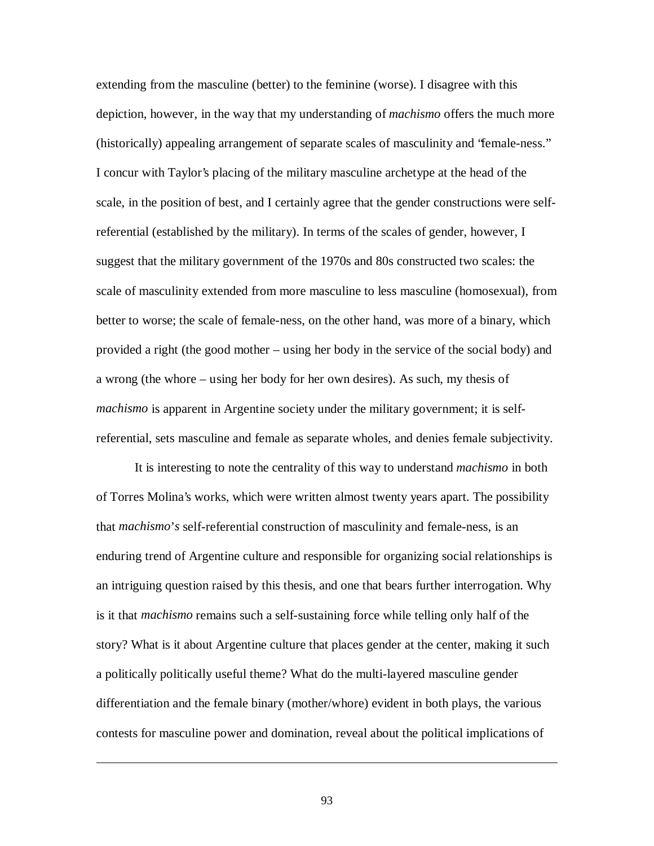extending from the masculine (better) to the feminine (worse). I disagree with this depiction, however, in the way that my understanding of *machismo* offers the much more (historically) appealing arrangement of separate scales of masculinity and "female-ness." I concur with Taylor's placing of the military masculine archetype at the head of the scale, in the position of best, and I certainly agree that the gender constructions were selfreferential (established by the military). In terms of the scales of gender, however, I suggest that the military government of the 1970s and 80s constructed two scales: the scale of masculinity extended from more masculine to less masculine (homosexual), from better to worse; the scale of female-ness, on the other hand, was more of a binary, which provided a right (the good mother – using her body in the service of the social body) and a wrong (the whore – using her body for her own desires). As such, my thesis of *machismo* is apparent in Argentine society under the military government; it is selfreferential, sets masculine and female as separate wholes, and denies female subjectivity.

It is interesting to note the centrality of this way to understand *machismo* in both of Torres Molina's works, which were written almost twenty years apart. The possibility that *machismo*'*s* self-referential construction of masculinity and female-ness, is an enduring trend of Argentine culture and responsible for organizing social relationships is an intriguing question raised by this thesis, and one that bears further interrogation. Why is it that *machismo* remains such a self-sustaining force while telling only half of the story? What is it about Argentine culture that places gender at the center, making it such a politically politically useful theme? What do the multi-layered masculine gender differentiation and the female binary (mother/whore) evident in both plays, the various contests for masculine power and domination, reveal about the political implications of

93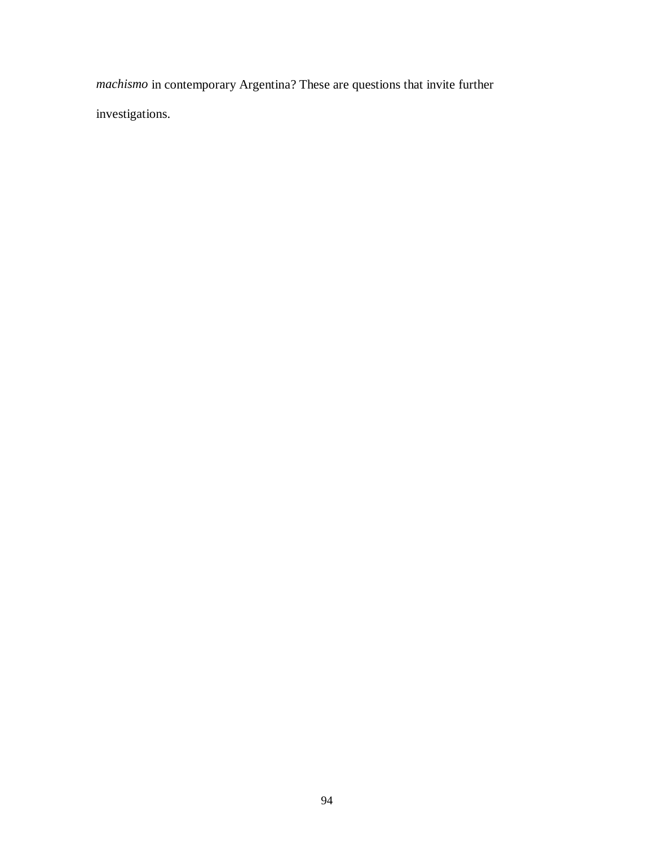*machismo* in contemporary Argentina? These are questions that invite further investigations.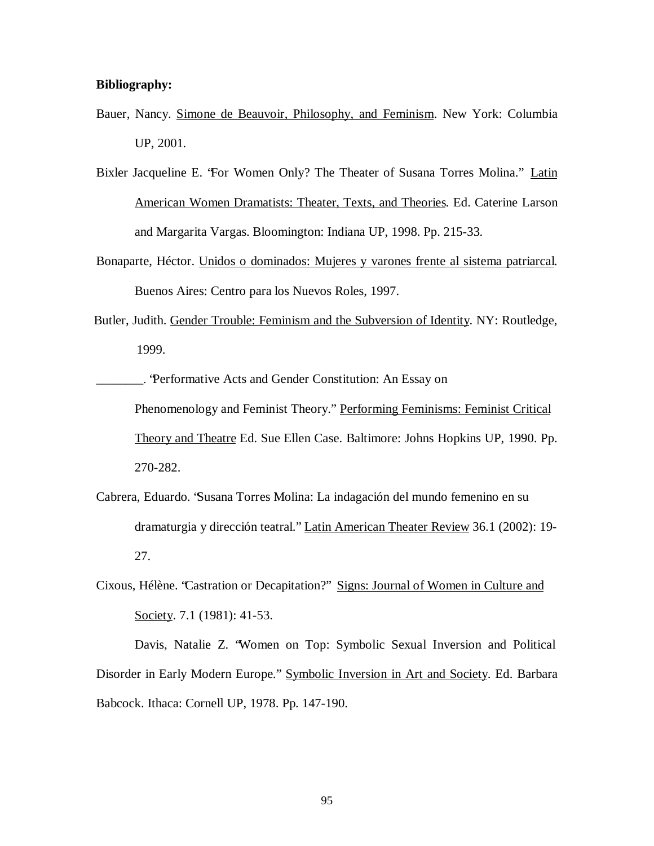# **Bibliography:**

- Bauer, Nancy. Simone de Beauvoir, Philosophy, and Feminism. New York: Columbia UP, 2001.
- Bixler Jacqueline E. 'For Women Only? The Theater of Susana Torres Molina." Latin American Women Dramatists: Theater, Texts, and Theories. Ed. Caterine Larson and Margarita Vargas. Bloomington: Indiana UP, 1998. Pp. 215-33.
- Bonaparte, Héctor. Unidos o dominados: Mujeres y varones frente al sistema patriarcal. Buenos Aires: Centro para los Nuevos Roles, 1997.
- Butler, Judith. Gender Trouble: Feminism and the Subversion of Identity. NY: Routledge, 1999.

\_\_\_\_\_\_\_\_. "Performative Acts and Gender Constitution: An Essay on Phenomenology and Feminist Theory." Performing Feminisms: Feminist Critical Theory and Theatre Ed. Sue Ellen Case. Baltimore: Johns Hopkins UP, 1990. Pp. 270-282.

- Cabrera, Eduardo. "Susana Torres Molina: La indagación del mundo femenino en su dramaturgia y dirección teatral." Latin American Theater Review 36.1 (2002): 19- 27.
- Cixous, Hélène. "Castration or Decapitation?" Signs: Journal of Women in Culture and Society. 7.1 (1981): 41-53.

Davis, Natalie Z. "Women on Top: Symbolic Sexual Inversion and Political Disorder in Early Modern Europe." Symbolic Inversion in Art and Society. Ed. Barbara Babcock. Ithaca: Cornell UP, 1978. Pp. 147-190.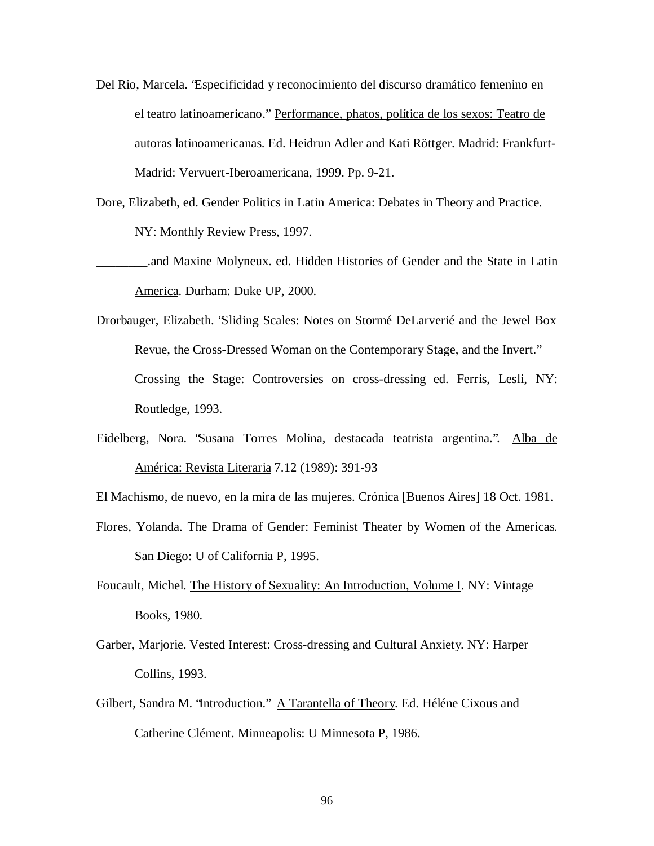- Del Rio, Marcela. "Especificidad y reconocimiento del discurso dramático femenino en el teatro latinoamericano." Performance, phatos, política de los sexos: Teatro de autoras latinoamericanas. Ed. Heidrun Adler and Kati Röttger. Madrid: Frankfurt-Madrid: Vervuert-Iberoamericana, 1999. Pp. 9-21.
- Dore, Elizabeth, ed. Gender Politics in Latin America: Debates in Theory and Practice. NY: Monthly Review Press, 1997.
- \_\_\_\_\_\_\_\_.and Maxine Molyneux. ed. Hidden Histories of Gender and the State in Latin America. Durham: Duke UP, 2000.
- Drorbauger, Elizabeth. "Sliding Scales: Notes on Stormé DeLarverié and the Jewel Box Revue, the Cross-Dressed Woman on the Contemporary Stage, and the Invert." Crossing the Stage: Controversies on cross-dressing ed. Ferris, Lesli, NY: Routledge, 1993.
- Eidelberg, Nora. "Susana Torres Molina, destacada teatrista argentina.". Alba de América: Revista Literaria 7.12 (1989): 391-93
- El Machismo, de nuevo, en la mira de las mujeres. Crónica [Buenos Aires] 18 Oct. 1981.
- Flores, Yolanda. The Drama of Gender: Feminist Theater by Women of the Americas. San Diego: U of California P, 1995.
- Foucault, Michel. The History of Sexuality: An Introduction, Volume I. NY: Vintage Books, 1980.
- Garber, Marjorie. Vested Interest: Cross-dressing and Cultural Anxiety. NY: Harper Collins, 1993.
- Gilbert, Sandra M. "Introduction." A Tarantella of Theory. Ed. Héléne Cixous and Catherine Clément. Minneapolis: U Minnesota P, 1986.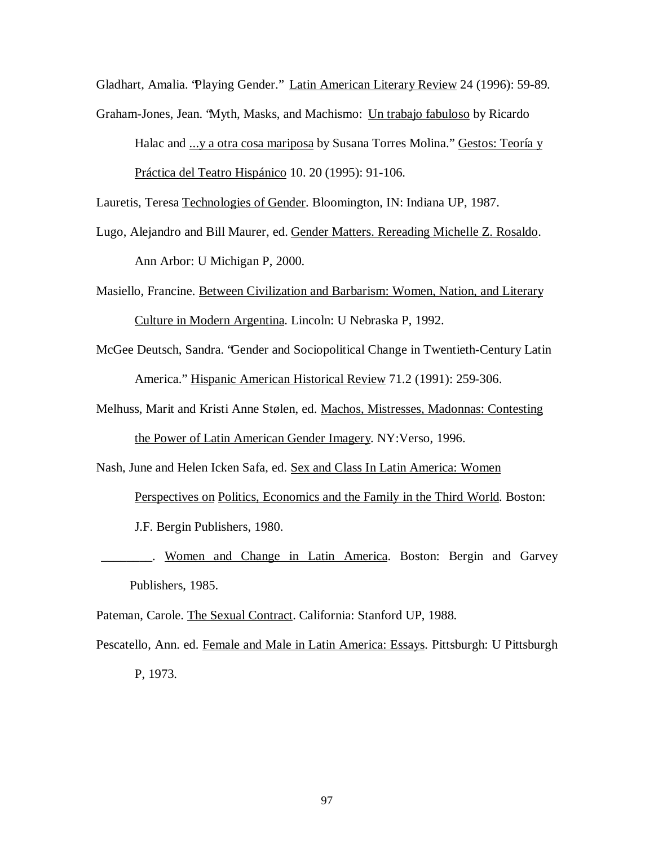Gladhart, Amalia. "Playing Gender." Latin American Literary Review 24 (1996): 59-89.

Graham-Jones, Jean. "Myth, Masks, and Machismo: Un trabajo fabuloso by Ricardo Halac and ...y a otra cosa mariposa by Susana Torres Molina." Gestos: Teoría y Práctica del Teatro Hispánico 10. 20 (1995): 91-106.

Lauretis, Teresa Technologies of Gender. Bloomington, IN: Indiana UP, 1987.

- Lugo, Alejandro and Bill Maurer, ed. Gender Matters. Rereading Michelle Z. Rosaldo. Ann Arbor: U Michigan P, 2000.
- Masiello, Francine. Between Civilization and Barbarism: Women, Nation, and Literary Culture in Modern Argentina. Lincoln: U Nebraska P, 1992.
- McGee Deutsch, Sandra. "Gender and Sociopolitical Change in Twentieth-Century Latin America." Hispanic American Historical Review 71.2 (1991): 259-306.
- Melhuss, Marit and Kristi Anne Stølen, ed. Machos, Mistresses, Madonnas: Contesting the Power of Latin American Gender Imagery. NY:Verso, 1996.

Nash, June and Helen Icken Safa, ed. Sex and Class In Latin America: Women

Perspectives on Politics, Economics and the Family in the Third World. Boston:

J.F. Bergin Publishers, 1980.

Women and Change in Latin America. Boston: Bergin and Garvey Publishers, 1985.

Pateman, Carole. The Sexual Contract. California: Stanford UP, 1988.

Pescatello, Ann. ed. Female and Male in Latin America: Essays. Pittsburgh: U Pittsburgh P, 1973.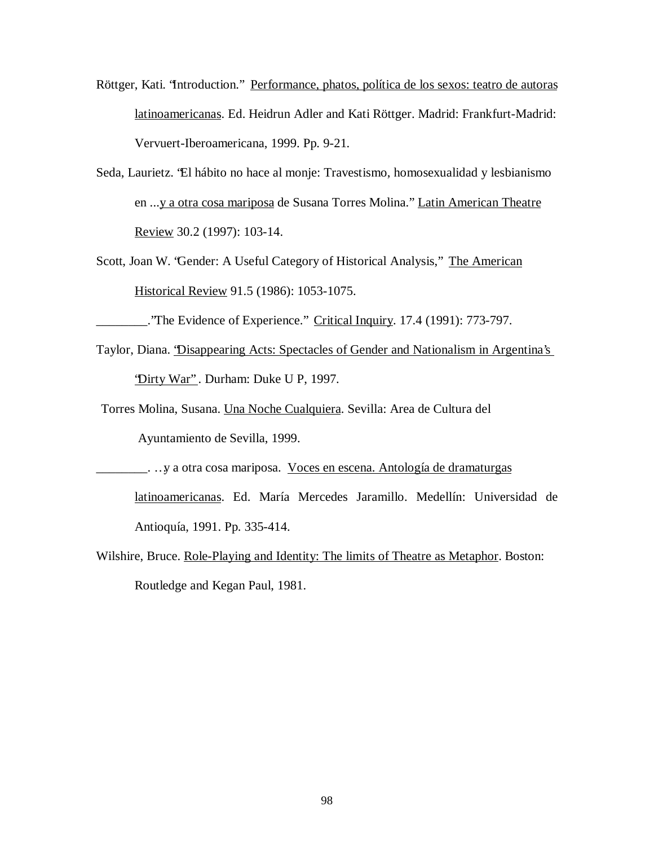- Röttger, Kati. "Introduction." Performance, phatos, política de los sexos: teatro de autoras latinoamericanas. Ed. Heidrun Adler and Kati Röttger. Madrid: Frankfurt-Madrid: Vervuert-Iberoamericana, 1999. Pp. 9-21.
- Seda, Laurietz. "El hábito no hace al monje: Travestismo, homosexualidad y lesbianismo en ...y a otra cosa mariposa de Susana Torres Molina." Latin American Theatre Review 30.2 (1997): 103-14.
- Scott, Joan W. "Gender: A Useful Category of Historical Analysis," The American Historical Review 91.5 (1986): 1053-1075.
- The Evidence of Experience." Critical Inquiry. 17.4 (1991): 773-797.
- Taylor, Diana. "Disappearing Acts: Spectacles of Gender and Nationalism in Argentina's "Dirty War" . Durham: Duke U P, 1997.
- Torres Molina, Susana. Una Noche Cualquiera. Sevilla: Area de Cultura del

Ayuntamiento de Sevilla, 1999.

 $\frac{1}{1}$ . . . y a otra cosa mariposa. Voces en escena. Antología de dramaturgas

latinoamericanas. Ed. María Mercedes Jaramillo. Medellín: Universidad de Antioquía, 1991. Pp. 335-414.

Wilshire, Bruce. Role-Playing and Identity: The limits of Theatre as Metaphor. Boston: Routledge and Kegan Paul, 1981.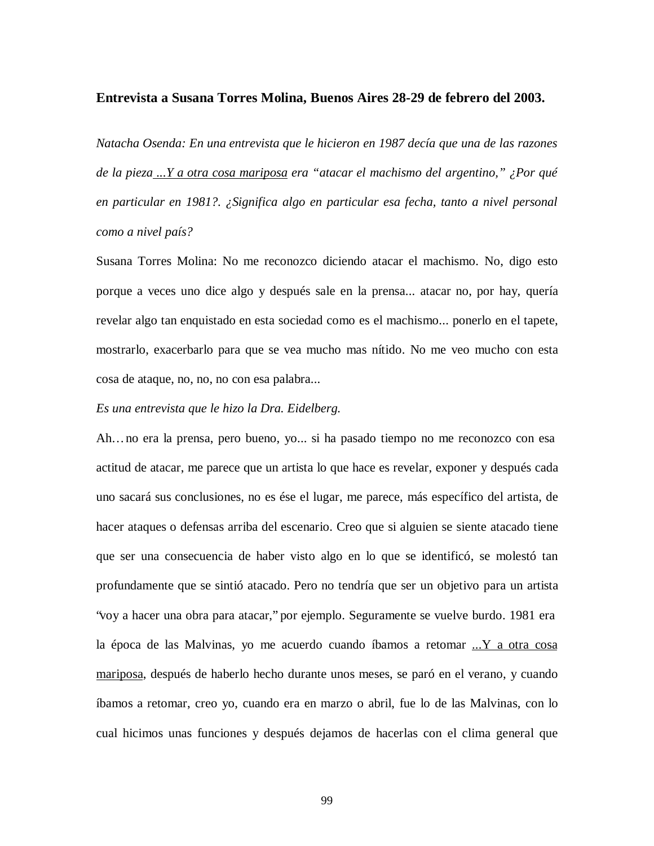#### **Entrevista a Susana Torres Molina, Buenos Aires 28-29 de febrero del 2003.**

*Natacha Osenda: En una entrevista que le hicieron en 1987 decía que una de las razones de la pieza ...Y a otra cosa mariposa era "atacar el machismo del argentino," ¿Por qué en particular en 1981?. ¿Significa algo en particular esa fecha, tanto a nivel personal como a nivel país?*

Susana Torres Molina: No me reconozco diciendo atacar el machismo. No, digo esto porque a veces uno dice algo y después sale en la prensa... atacar no, por hay, quería revelar algo tan enquistado en esta sociedad como es el machismo... ponerlo en el tapete, mostrarlo, exacerbarlo para que se vea mucho mas nítido. No me veo mucho con esta cosa de ataque, no, no, no con esa palabra...

## *Es una entrevista que le hizo la Dra. Eidelberg.*

Ah… no era la prensa, pero bueno, yo... si ha pasado tiempo no me reconozco con esa actitud de atacar, me parece que un artista lo que hace es revelar, exponer y después cada uno sacará sus conclusiones, no es ése el lugar, me parece, más específico del artista, de hacer ataques o defensas arriba del escenario. Creo que si alguien se siente atacado tiene que ser una consecuencia de haber visto algo en lo que se identificó, se molestó tan profundamente que se sintió atacado. Pero no tendría que ser un objetivo para un artista "voy a hacer una obra para atacar," por ejemplo. Seguramente se vuelve burdo. 1981 era la época de las Malvinas, yo me acuerdo cuando íbamos a retomar  $\ldots$  Y a otra cosa mariposa, después de haberlo hecho durante unos meses, se paró en el verano, y cuando íbamos a retomar, creo yo, cuando era en marzo o abril, fue lo de las Malvinas, con lo cual hicimos unas funciones y después dejamos de hacerlas con el clima general que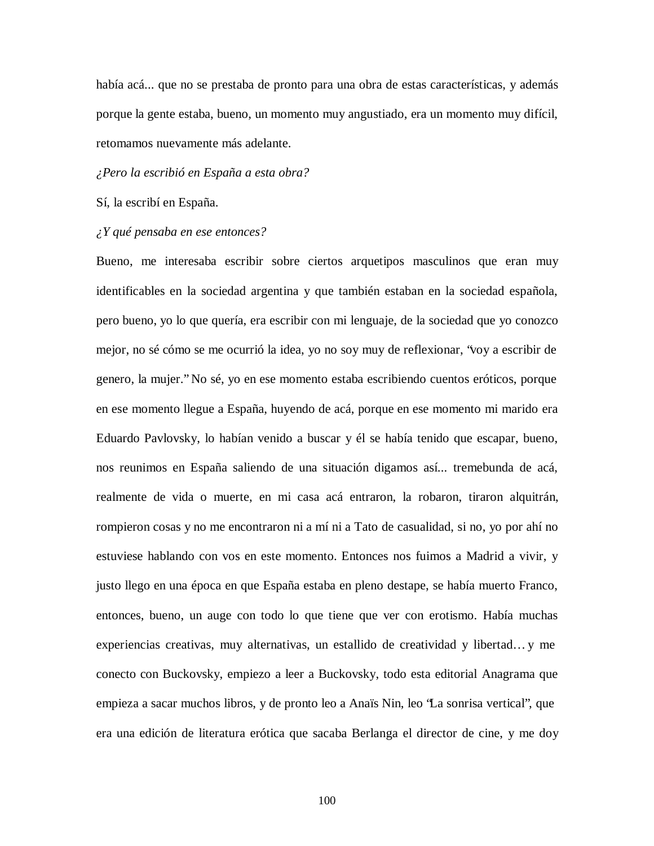había acá... que no se prestaba de pronto para una obra de estas características, y además porque la gente estaba, bueno, un momento muy angustiado, era un momento muy difícil, retomamos nuevamente más adelante.

#### *¿Pero la escribió en España a esta obra?*

Sí, la escribí en España.

#### *¿Y qué pensaba en ese entonces?*

Bueno, me interesaba escribir sobre ciertos arquetipos masculinos que eran muy identificables en la sociedad argentina y que también estaban en la sociedad española, pero bueno, yo lo que quería, era escribir con mi lenguaje, de la sociedad que yo conozco mejor, no sé cómo se me ocurrió la idea, yo no soy muy de reflexionar, "voy a escribir de genero, la mujer." No sé, yo en ese momento estaba escribiendo cuentos eróticos, porque en ese momento llegue a España, huyendo de acá, porque en ese momento mi marido era Eduardo Pavlovsky, lo habían venido a buscar y él se había tenido que escapar, bueno, nos reunimos en España saliendo de una situación digamos así... tremebunda de acá, realmente de vida o muerte, en mi casa acá entraron, la robaron, tiraron alquitrán, rompieron cosas y no me encontraron ni a mí ni a Tato de casualidad, si no, yo por ahí no estuviese hablando con vos en este momento. Entonces nos fuimos a Madrid a vivir, y justo llego en una época en que España estaba en pleno destape, se había muerto Franco, entonces, bueno, un auge con todo lo que tiene que ver con erotismo. Había muchas experiencias creativas, muy alternativas, un estallido de creatividad y libertad… y me conecto con Buckovsky, empiezo a leer a Buckovsky, todo esta editorial Anagrama que empieza a sacar muchos libros, y de pronto leo a Anaïs Nin, leo "La sonrisa vertical", que era una edición de literatura erótica que sacaba Berlanga el director de cine, y me doy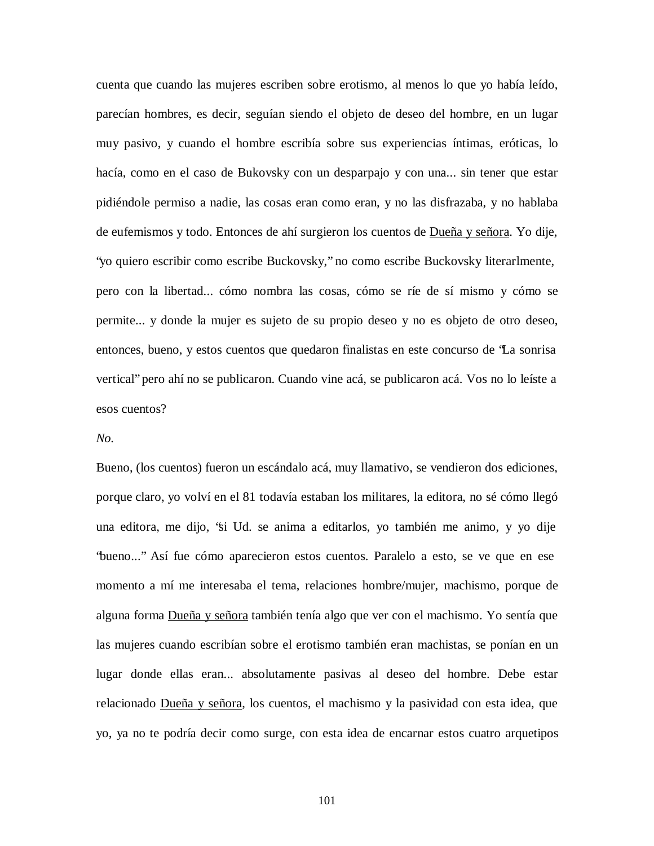cuenta que cuando las mujeres escriben sobre erotismo, al menos lo que yo había leído, parecían hombres, es decir, seguían siendo el objeto de deseo del hombre, en un lugar muy pasivo, y cuando el hombre escribía sobre sus experiencias íntimas, eróticas, lo hacía, como en el caso de Bukovsky con un desparpajo y con una... sin tener que estar pidiéndole permiso a nadie, las cosas eran como eran, y no las disfrazaba, y no hablaba de eufemismos y todo. Entonces de ahí surgieron los cuentos de Dueña y señora. Yo dije, "yo quiero escribir como escribe Buckovsky," no como escribe Buckovsky literarlmente, pero con la libertad... cómo nombra las cosas, cómo se ríe de sí mismo y cómo se permite... y donde la mujer es sujeto de su propio deseo y no es objeto de otro deseo, entonces, bueno, y estos cuentos que quedaron finalistas en este concurso de "La sonrisa vertical" pero ahí no se publicaron. Cuando vine acá, se publicaron acá. Vos no lo leíste a esos cuentos?

### *No.*

Bueno, (los cuentos) fueron un escándalo acá, muy llamativo, se vendieron dos ediciones, porque claro, yo volví en el 81 todavía estaban los militares, la editora, no sé cómo llegó una editora, me dijo, "si Ud. se anima a editarlos, yo también me animo, y yo dije "bueno..." Así fue cómo aparecieron estos cuentos. Paralelo a esto, se ve que en ese momento a mí me interesaba el tema, relaciones hombre/mujer, machismo, porque de alguna forma Dueña y señora también tenía algo que ver con el machismo. Yo sentía que las mujeres cuando escribían sobre el erotismo también eran machistas, se ponían en un lugar donde ellas eran... absolutamente pasivas al deseo del hombre. Debe estar relacionado Dueña y señora, los cuentos, el machismo y la pasividad con esta idea, que yo, ya no te podría decir como surge, con esta idea de encarnar estos cuatro arquetipos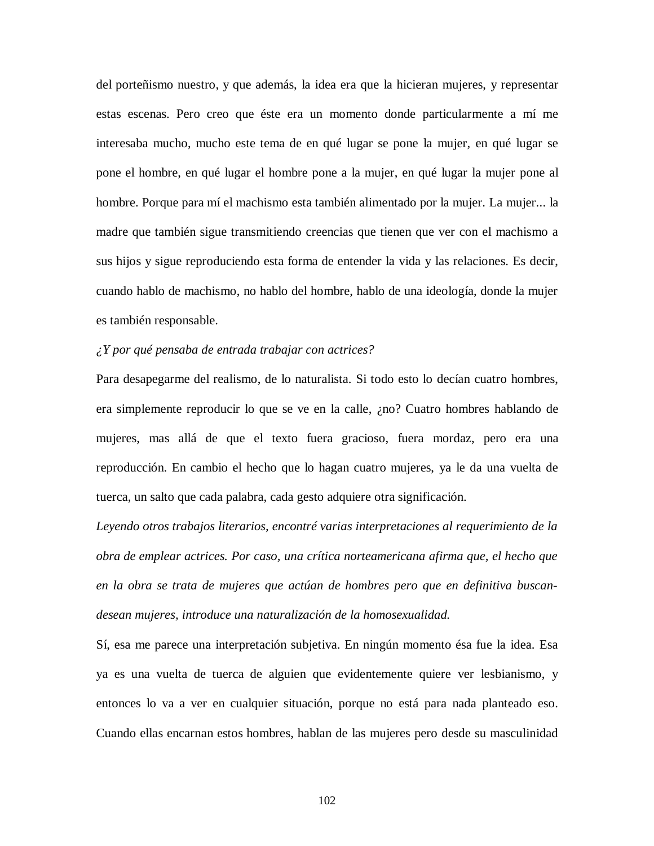del porteñismo nuestro, y que además, la idea era que la hicieran mujeres, y representar estas escenas. Pero creo que éste era un momento donde particularmente a mí me interesaba mucho, mucho este tema de en qué lugar se pone la mujer, en qué lugar se pone el hombre, en qué lugar el hombre pone a la mujer, en qué lugar la mujer pone al hombre. Porque para mí el machismo esta también alimentado por la mujer. La mujer... la madre que también sigue transmitiendo creencias que tienen que ver con el machismo a sus hijos y sigue reproduciendo esta forma de entender la vida y las relaciones. Es decir, cuando hablo de machismo, no hablo del hombre, hablo de una ideología, donde la mujer es también responsable.

# *¿Y por qué pensaba de entrada trabajar con actrices?*

Para desapegarme del realismo, de lo naturalista. Si todo esto lo decían cuatro hombres, era simplemente reproducir lo que se ve en la calle, ¿no? Cuatro hombres hablando de mujeres, mas allá de que el texto fuera gracioso, fuera mordaz, pero era una reproducción. En cambio el hecho que lo hagan cuatro mujeres, ya le da una vuelta de tuerca, un salto que cada palabra, cada gesto adquiere otra significación.

*Leyendo otros trabajos literarios, encontré varias interpretaciones al requerimiento de la obra de emplear actrices. Por caso, una crítica norteamericana afirma que, el hecho que en la obra se trata de mujeres que actúan de hombres pero que en definitiva buscandesean mujeres, introduce una naturalización de la homosexualidad.*

Sí, esa me parece una interpretación subjetiva. En ningún momento ésa fue la idea. Esa ya es una vuelta de tuerca de alguien que evidentemente quiere ver lesbianismo, y entonces lo va a ver en cualquier situación, porque no está para nada planteado eso. Cuando ellas encarnan estos hombres, hablan de las mujeres pero desde su masculinidad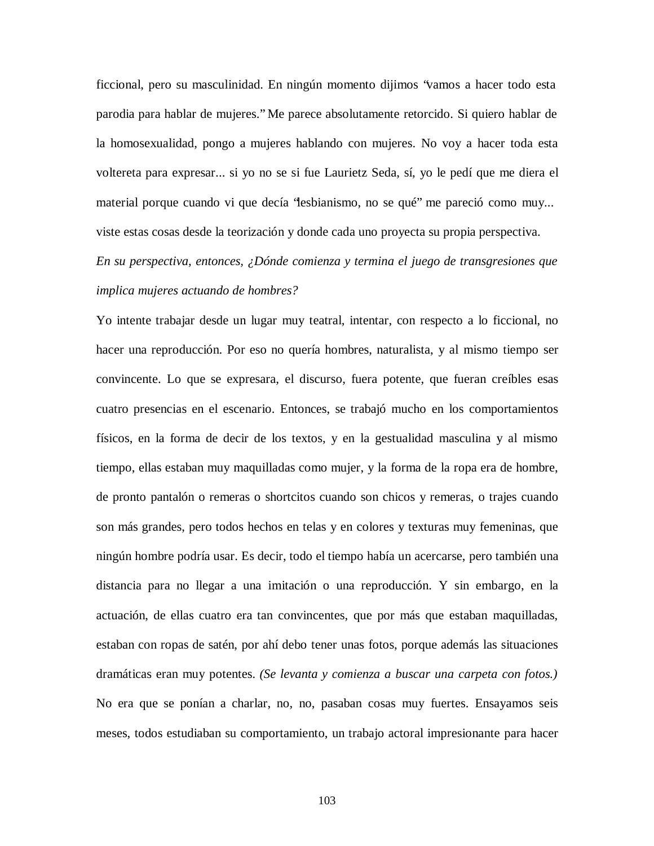ficcional, pero su masculinidad. En ningún momento dijimos "vamos a hacer todo esta parodia para hablar de mujeres." Me parece absolutamente retorcido. Si quiero hablar de la homosexualidad, pongo a mujeres hablando con mujeres. No voy a hacer toda esta voltereta para expresar... si yo no se si fue Laurietz Seda, sí, yo le pedí que me diera el material porque cuando vi que decía "lesbianismo, no se qué" me pareció como muy... viste estas cosas desde la teorización y donde cada uno proyecta su propia perspectiva.

*En su perspectiva, entonces, ¿Dónde comienza y termina el juego de transgresiones que implica mujeres actuando de hombres?*

Yo intente trabajar desde un lugar muy teatral, intentar, con respecto a lo ficcional, no hacer una reproducción. Por eso no quería hombres, naturalista, y al mismo tiempo ser convincente. Lo que se expresara, el discurso, fuera potente, que fueran creíbles esas cuatro presencias en el escenario. Entonces, se trabajó mucho en los comportamientos físicos, en la forma de decir de los textos, y en la gestualidad masculina y al mismo tiempo, ellas estaban muy maquilladas como mujer, y la forma de la ropa era de hombre, de pronto pantalón o remeras o shortcitos cuando son chicos y remeras, o trajes cuando son más grandes, pero todos hechos en telas y en colores y texturas muy femeninas, que ningún hombre podría usar. Es decir, todo el tiempo había un acercarse, pero también una distancia para no llegar a una imitación o una reproducción. Y sin embargo, en la actuación, de ellas cuatro era tan convincentes, que por más que estaban maquilladas, estaban con ropas de satén, por ahí debo tener unas fotos, porque además las situaciones dramáticas eran muy potentes. *(Se levanta y comienza a buscar una carpeta con fotos.)* No era que se ponían a charlar, no, no, pasaban cosas muy fuertes. Ensayamos seis meses, todos estudiaban su comportamiento, un trabajo actoral impresionante para hacer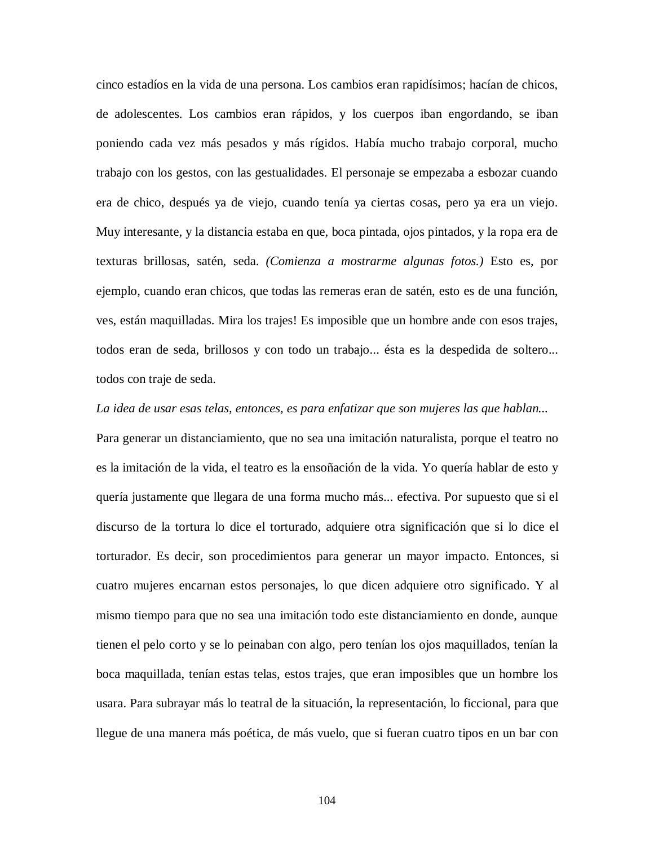cinco estadíos en la vida de una persona. Los cambios eran rapidísimos; hacían de chicos, de adolescentes. Los cambios eran rápidos, y los cuerpos iban engordando, se iban poniendo cada vez más pesados y más rígidos. Había mucho trabajo corporal, mucho trabajo con los gestos, con las gestualidades. El personaje se empezaba a esbozar cuando era de chico, después ya de viejo, cuando tenía ya ciertas cosas, pero ya era un viejo. Muy interesante, y la distancia estaba en que, boca pintada, ojos pintados, y la ropa era de texturas brillosas, satén, seda. *(Comienza a mostrarme algunas fotos.)* Esto es, por ejemplo, cuando eran chicos, que todas las remeras eran de satén, esto es de una función, ves, están maquilladas. Mira los trajes! Es imposible que un hombre ande con esos trajes, todos eran de seda, brillosos y con todo un trabajo... ésta es la despedida de soltero... todos con traje de seda.

#### *La idea de usar esas telas, entonces, es para enfatizar que son mujeres las que hablan...*

Para generar un distanciamiento, que no sea una imitación naturalista, porque el teatro no es la imitación de la vida, el teatro es la ensoñación de la vida. Yo quería hablar de esto y quería justamente que llegara de una forma mucho más... efectiva. Por supuesto que si el discurso de la tortura lo dice el torturado, adquiere otra significación que si lo dice el torturador. Es decir, son procedimientos para generar un mayor impacto. Entonces, si cuatro mujeres encarnan estos personajes, lo que dicen adquiere otro significado. Y al mismo tiempo para que no sea una imitación todo este distanciamiento en donde, aunque tienen el pelo corto y se lo peinaban con algo, pero tenían los ojos maquillados, tenían la boca maquillada, tenían estas telas, estos trajes, que eran imposibles que un hombre los usara. Para subrayar más lo teatral de la situación, la representación, lo ficcional, para que llegue de una manera más poética, de más vuelo, que si fueran cuatro tipos en un bar con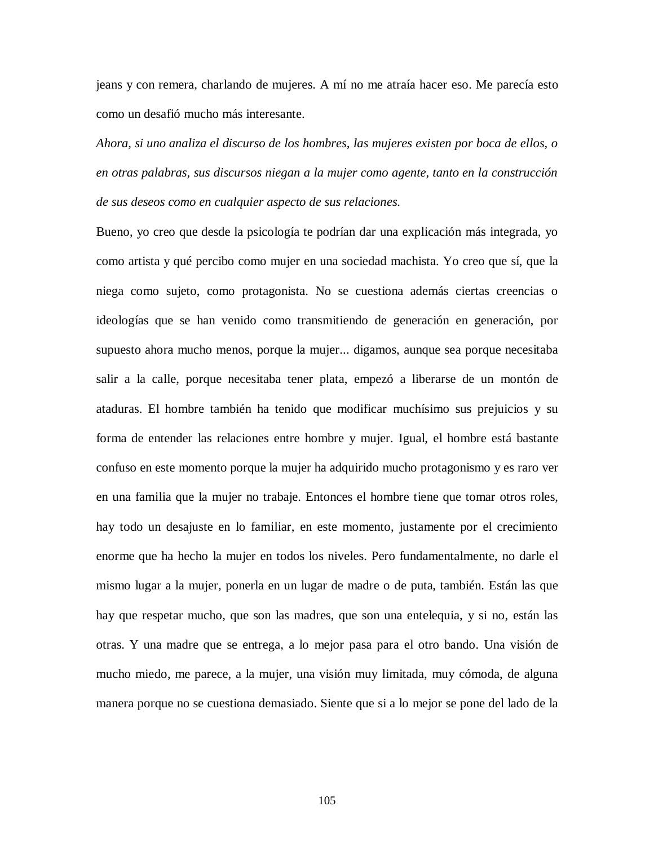jeans y con remera, charlando de mujeres. A mí no me atraía hacer eso. Me parecía esto como un desafió mucho más interesante.

*Ahora, si uno analiza el discurso de los hombres, las mujeres existen por boca de ellos, o en otras palabras, sus discursos niegan a la mujer como agente, tanto en la construcción de sus deseos como en cualquier aspecto de sus relaciones.*

Bueno, yo creo que desde la psicología te podrían dar una explicación más integrada, yo como artista y qué percibo como mujer en una sociedad machista. Yo creo que sí, que la niega como sujeto, como protagonista. No se cuestiona además ciertas creencias o ideologías que se han venido como transmitiendo de generación en generación, por supuesto ahora mucho menos, porque la mujer... digamos, aunque sea porque necesitaba salir a la calle, porque necesitaba tener plata, empezó a liberarse de un montón de ataduras. El hombre también ha tenido que modificar muchísimo sus prejuicios y su forma de entender las relaciones entre hombre y mujer. Igual, el hombre está bastante confuso en este momento porque la mujer ha adquirido mucho protagonismo y es raro ver en una familia que la mujer no trabaje. Entonces el hombre tiene que tomar otros roles, hay todo un desajuste en lo familiar, en este momento, justamente por el crecimiento enorme que ha hecho la mujer en todos los niveles. Pero fundamentalmente, no darle el mismo lugar a la mujer, ponerla en un lugar de madre o de puta, también. Están las que hay que respetar mucho, que son las madres, que son una entelequia, y si no, están las otras. Y una madre que se entrega, a lo mejor pasa para el otro bando. Una visión de mucho miedo, me parece, a la mujer, una visión muy limitada, muy cómoda, de alguna manera porque no se cuestiona demasiado. Siente que si a lo mejor se pone del lado de la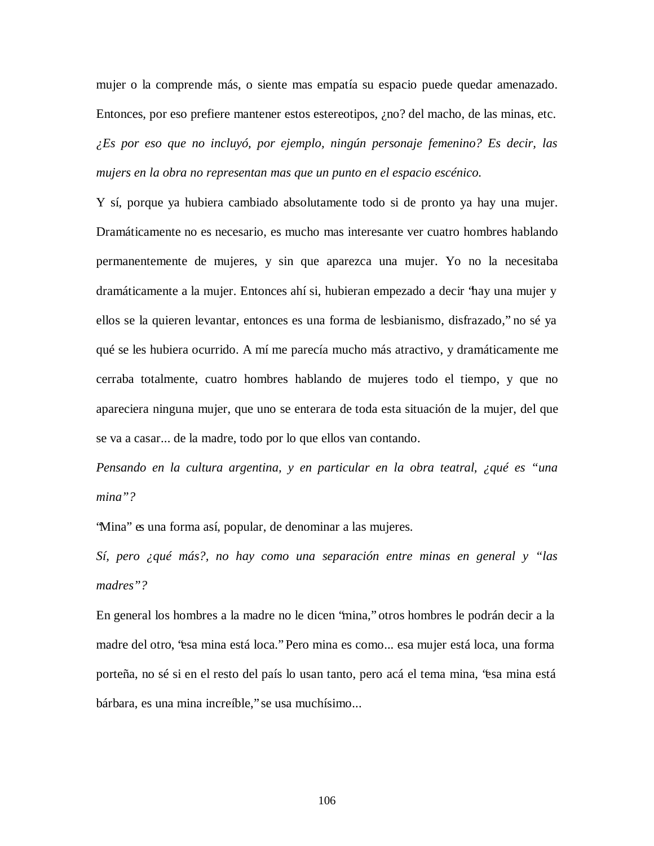mujer o la comprende más, o siente mas empatía su espacio puede quedar amenazado. Entonces, por eso prefiere mantener estos estereotipos, ¿no? del macho, de las minas, etc. *¿Es por eso que no incluyó, por ejemplo, ningún personaje femenino? Es decir, las mujers en la obra no representan mas que un punto en el espacio escénico.*

Y sí, porque ya hubiera cambiado absolutamente todo si de pronto ya hay una mujer. Dramáticamente no es necesario, es mucho mas interesante ver cuatro hombres hablando permanentemente de mujeres, y sin que aparezca una mujer. Yo no la necesitaba dramáticamente a la mujer. Entonces ahí si, hubieran empezado a decir "hay una mujer y ellos se la quieren levantar, entonces es una forma de lesbianismo, disfrazado," no sé ya qué se les hubiera ocurrido. A mí me parecía mucho más atractivo, y dramáticamente me cerraba totalmente, cuatro hombres hablando de mujeres todo el tiempo, y que no apareciera ninguna mujer, que uno se enterara de toda esta situación de la mujer, del que se va a casar... de la madre, todo por lo que ellos van contando.

*Pensando en la cultura argentina, y en particular en la obra teatral, ¿qué es "una mina"?*

"Mina" es una forma así, popular, de denominar a las mujeres.

*Sí, pero ¿qué más?, no hay como una separación entre minas en general y "las madres"?*

En general los hombres a la madre no le dicen "mina," otros hombres le podrán decir a la madre del otro, "esa mina está loca." Pero mina es como... esa mujer está loca, una forma porteña, no sé si en el resto del país lo usan tanto, pero acá el tema mina, "esa mina está bárbara, es una mina increíble," se usa muchísimo...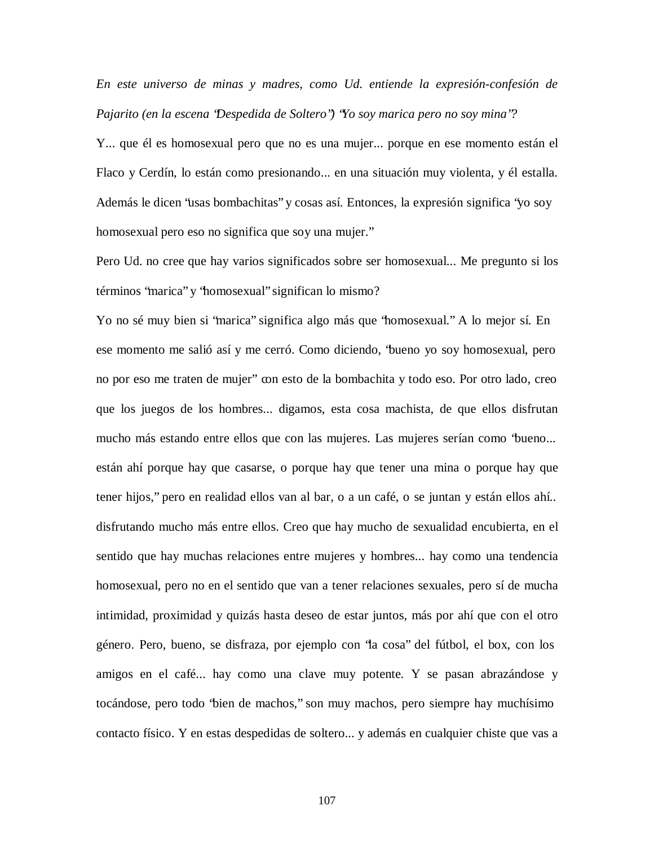*En este universo de minas y madres, como Ud. entiende la expresión-confesión de Pajarito (en la escena "Despedida de Soltero") "Yo soy marica pero no soy mina"?*

Y... que él es homosexual pero que no es una mujer... porque en ese momento están el Flaco y Cerdín, lo están como presionando... en una situación muy violenta, y él estalla. Además le dicen "usas bombachitas" y cosas así. Entonces, la expresión significa "yo soy homosexual pero eso no significa que soy una mujer."

Pero Ud. no cree que hay varios significados sobre ser homosexual... Me pregunto si los términos "marica" y "homosexual" significan lo mismo?

Yo no sé muy bien si "marica" significa algo más que "homosexual." A lo mejor sí. En ese momento me salió así y me cerró. Como diciendo, "bueno yo soy homosexual, pero no por eso me traten de mujer" con esto de la bombachita y todo eso. Por otro lado, creo que los juegos de los hombres... digamos, esta cosa machista, de que ellos disfrutan mucho más estando entre ellos que con las mujeres. Las mujeres serían como "bueno... están ahí porque hay que casarse, o porque hay que tener una mina o porque hay que tener hijos," pero en realidad ellos van al bar, o a un café, o se juntan y están ellos ahí.. disfrutando mucho más entre ellos. Creo que hay mucho de sexualidad encubierta, en el sentido que hay muchas relaciones entre mujeres y hombres... hay como una tendencia homosexual, pero no en el sentido que van a tener relaciones sexuales, pero sí de mucha intimidad, proximidad y quizás hasta deseo de estar juntos, más por ahí que con el otro género. Pero, bueno, se disfraza, por ejemplo con "la cosa" del fútbol, el box, con los amigos en el café... hay como una clave muy potente. Y se pasan abrazándose y tocándose, pero todo "bien de machos," son muy machos, pero siempre hay muchísimo contacto físico. Y en estas despedidas de soltero... y además en cualquier chiste que vas a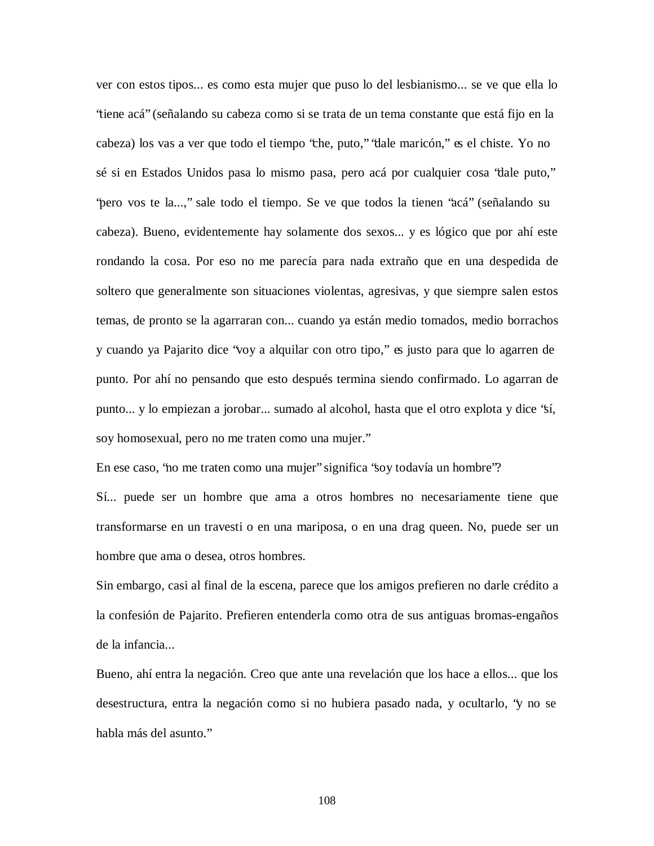ver con estos tipos... es como esta mujer que puso lo del lesbianismo... se ve que ella lo "tiene acá" (señalando su cabeza como si se trata de un tema constante que está fijo en la cabeza) los vas a ver que todo el tiempo "che, puto," "dale maricón," es el chiste. Yo no sé si en Estados Unidos pasa lo mismo pasa, pero acá por cualquier cosa "dale puto," "pero vos te la...," sale todo el tiempo. Se ve que todos la tienen "acá" (señalando su cabeza). Bueno, evidentemente hay solamente dos sexos... y es lógico que por ahí este rondando la cosa. Por eso no me parecía para nada extraño que en una despedida de soltero que generalmente son situaciones violentas, agresivas, y que siempre salen estos temas, de pronto se la agarraran con... cuando ya están medio tomados, medio borrachos y cuando ya Pajarito dice "voy a alquilar con otro tipo," es justo para que lo agarren de punto. Por ahí no pensando que esto después termina siendo confirmado. Lo agarran de punto... y lo empiezan a jorobar... sumado al alcohol, hasta que el otro explota y dice "sí, soy homosexual, pero no me traten como una mujer."

En ese caso, "no me traten como una mujer" significa "soy todavía un hombre"?

Sí... puede ser un hombre que ama a otros hombres no necesariamente tiene que transformarse en un travesti o en una mariposa, o en una drag queen. No, puede ser un hombre que ama o desea, otros hombres.

Sin embargo, casi al final de la escena, parece que los amigos prefieren no darle crédito a la confesión de Pajarito. Prefieren entenderla como otra de sus antiguas bromas-engaños de la infancia...

Bueno, ahí entra la negación. Creo que ante una revelación que los hace a ellos... que los desestructura, entra la negación como si no hubiera pasado nada, y ocultarlo, "y no se habla más del asunto."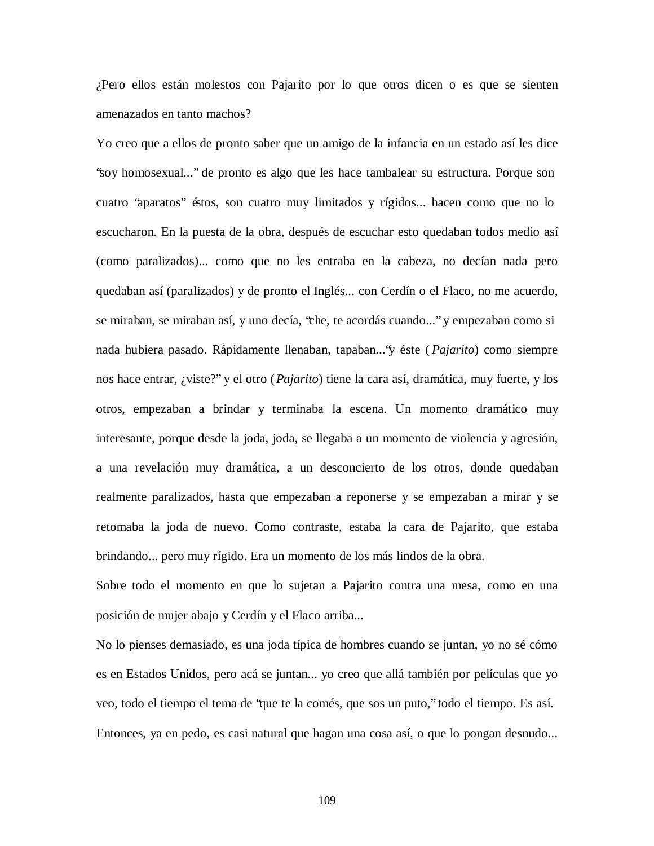¿Pero ellos están molestos con Pajarito por lo que otros dicen o es que se sienten amenazados en tanto machos?

Yo creo que a ellos de pronto saber que un amigo de la infancia en un estado así les dice "soy homosexual..." de pronto es algo que les hace tambalear su estructura. Porque son cuatro "aparatos" éstos, son cuatro muy limitados y rígidos... hacen como que no lo escucharon. En la puesta de la obra, después de escuchar esto quedaban todos medio así (como paralizados)... como que no les entraba en la cabeza, no decían nada pero quedaban así (paralizados) y de pronto el Inglés... con Cerdín o el Flaco, no me acuerdo, se miraban, se miraban así, y uno decía, "che, te acordás cuando..." y empezaban como si nada hubiera pasado. Rápidamente llenaban, tapaban..."y éste ( *Pajarito*) como siempre nos hace entrar, ¿viste?" y el otro (*Pajarito*) tiene la cara así, dramática, muy fuerte, y los otros, empezaban a brindar y terminaba la escena. Un momento dramático muy interesante, porque desde la joda, joda, se llegaba a un momento de violencia y agresión, a una revelación muy dramática, a un desconcierto de los otros, donde quedaban realmente paralizados, hasta que empezaban a reponerse y se empezaban a mirar y se retomaba la joda de nuevo. Como contraste, estaba la cara de Pajarito, que estaba brindando... pero muy rígido. Era un momento de los más lindos de la obra.

Sobre todo el momento en que lo sujetan a Pajarito contra una mesa, como en una posición de mujer abajo y Cerdín y el Flaco arriba...

No lo pienses demasiado, es una joda típica de hombres cuando se juntan, yo no sé cómo es en Estados Unidos, pero acá se juntan... yo creo que allá también por películas que yo veo, todo el tiempo el tema de "que te la comés, que sos un puto," todo el tiempo. Es así. Entonces, ya en pedo, es casi natural que hagan una cosa así, o que lo pongan desnudo...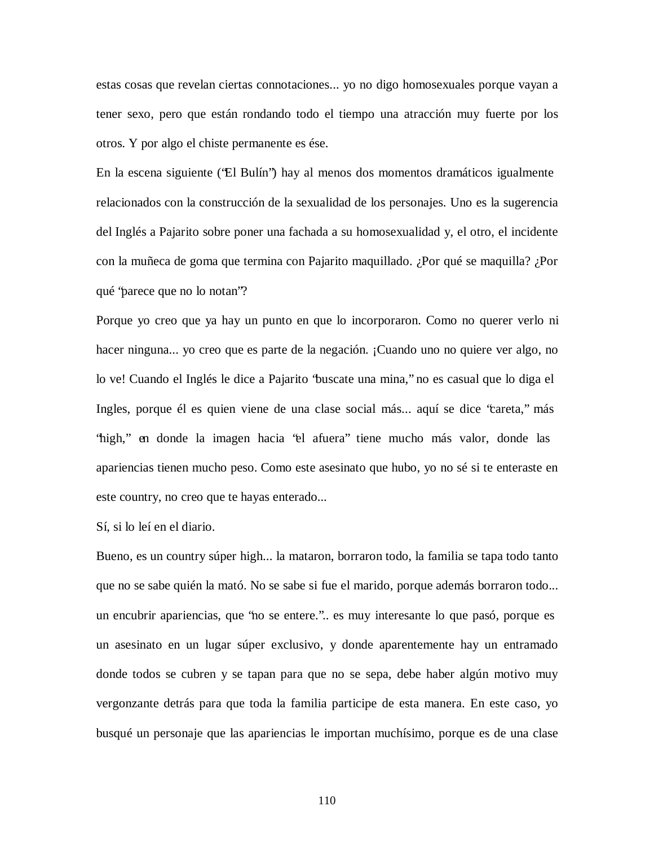estas cosas que revelan ciertas connotaciones... yo no digo homosexuales porque vayan a tener sexo, pero que están rondando todo el tiempo una atracción muy fuerte por los otros. Y por algo el chiste permanente es ése.

En la escena siguiente ("El Bulín") hay al menos dos momentos dramáticos igualmente relacionados con la construcción de la sexualidad de los personajes. Uno es la sugerencia del Inglés a Pajarito sobre poner una fachada a su homosexualidad y, el otro, el incidente con la muñeca de goma que termina con Pajarito maquillado. ¿Por qué se maquilla? ¿Por qué "parece que no lo notan"?

Porque yo creo que ya hay un punto en que lo incorporaron. Como no querer verlo ni hacer ninguna... yo creo que es parte de la negación. ¡Cuando uno no quiere ver algo, no lo ve! Cuando el Inglés le dice a Pajarito "buscate una mina," no es casual que lo diga el Ingles, porque él es quien viene de una clase social más... aquí se dice "careta," más "high," en donde la imagen hacia "el afuera" tiene mucho más valor, donde las apariencias tienen mucho peso. Como este asesinato que hubo, yo no sé si te enteraste en este country, no creo que te hayas enterado...

Sí, si lo leí en el diario.

Bueno, es un country súper high... la mataron, borraron todo, la familia se tapa todo tanto que no se sabe quién la mató. No se sabe si fue el marido, porque además borraron todo... un encubrir apariencias, que "no se entere.".. es muy interesante lo que pasó, porque es un asesinato en un lugar súper exclusivo, y donde aparentemente hay un entramado donde todos se cubren y se tapan para que no se sepa, debe haber algún motivo muy vergonzante detrás para que toda la familia participe de esta manera. En este caso, yo busqué un personaje que las apariencias le importan muchísimo, porque es de una clase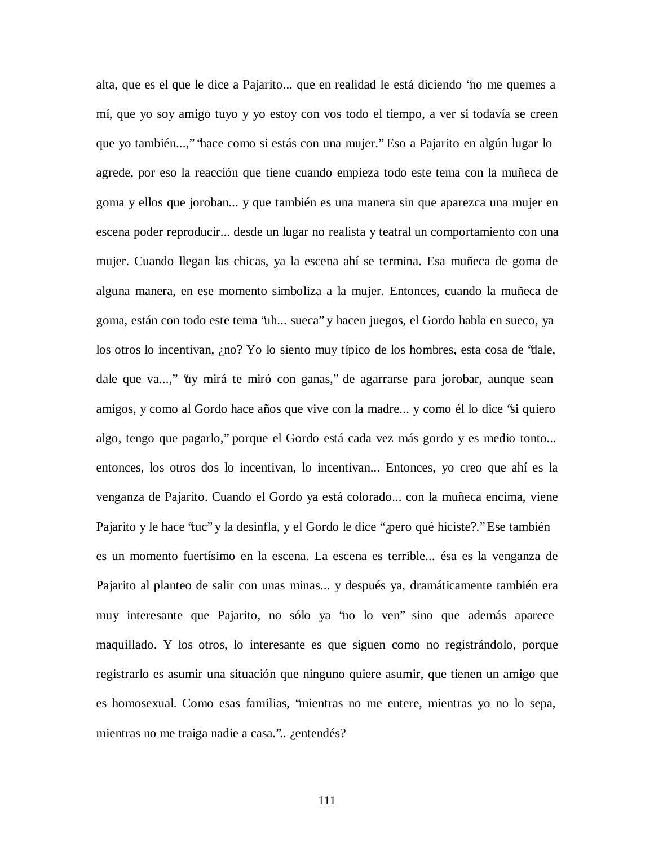alta, que es el que le dice a Pajarito... que en realidad le está diciendo "no me quemes a mí, que yo soy amigo tuyo y yo estoy con vos todo el tiempo, a ver si todavía se creen que yo también...," "hace como si estás con una mujer." Eso a Pajarito en algún lugar lo agrede, por eso la reacción que tiene cuando empieza todo este tema con la muñeca de goma y ellos que joroban... y que también es una manera sin que aparezca una mujer en escena poder reproducir... desde un lugar no realista y teatral un comportamiento con una mujer. Cuando llegan las chicas, ya la escena ahí se termina. Esa muñeca de goma de alguna manera, en ese momento simboliza a la mujer. Entonces, cuando la muñeca de goma, están con todo este tema "uh... sueca" y hacen juegos, el Gordo habla en sueco, ya los otros lo incentivan, ¿no? Yo lo siento muy típico de los hombres, esta cosa de "dale, dale que va...," "uy mirá te miró con ganas," de agarrarse para jorobar, aunque sean amigos, y como al Gordo hace años que vive con la madre... y como él lo dice "si quiero algo, tengo que pagarlo," porque el Gordo está cada vez más gordo y es medio tonto... entonces, los otros dos lo incentivan, lo incentivan... Entonces, yo creo que ahí es la venganza de Pajarito. Cuando el Gordo ya está colorado... con la muñeca encima, viene Pajarito y le hace "tuc" y la desinfla, y el Gordo le dice "¿pero qué hiciste?." Ese también es un momento fuertísimo en la escena. La escena es terrible... ésa es la venganza de Pajarito al planteo de salir con unas minas... y después ya, dramáticamente también era muy interesante que Pajarito, no sólo ya "no lo ven" sino que además aparece maquillado. Y los otros, lo interesante es que siguen como no registrándolo, porque registrarlo es asumir una situación que ninguno quiere asumir, que tienen un amigo que es homosexual. Como esas familias, "mientras no me entere, mientras yo no lo sepa, mientras no me traiga nadie a casa.".. ¿entendés?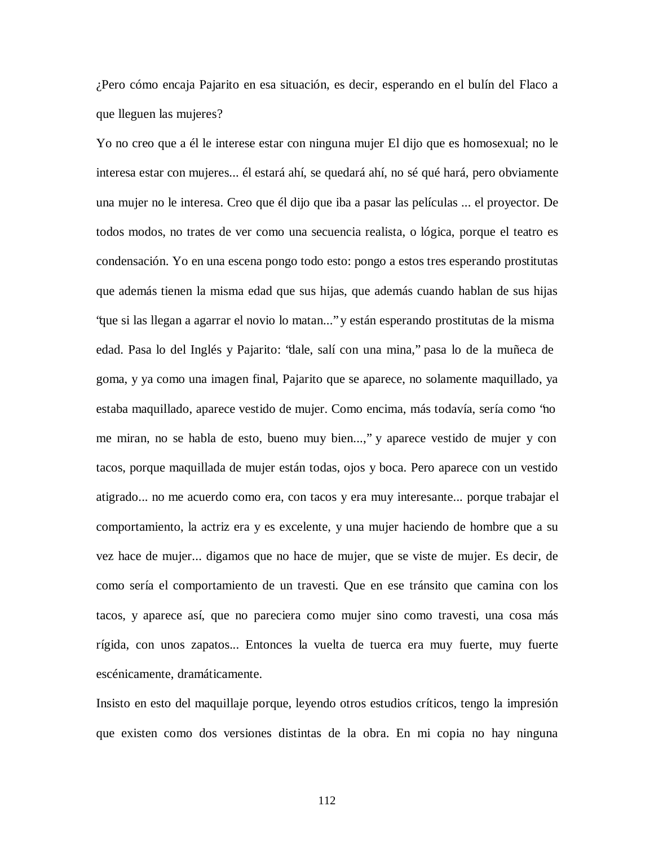¿Pero cómo encaja Pajarito en esa situación, es decir, esperando en el bulín del Flaco a que lleguen las mujeres?

Yo no creo que a él le interese estar con ninguna mujer El dijo que es homosexual; no le interesa estar con mujeres... él estará ahí, se quedará ahí, no sé qué hará, pero obviamente una mujer no le interesa. Creo que él dijo que iba a pasar las películas ... el proyector. De todos modos, no trates de ver como una secuencia realista, o lógica, porque el teatro es condensación. Yo en una escena pongo todo esto: pongo a estos tres esperando prostitutas que además tienen la misma edad que sus hijas, que además cuando hablan de sus hijas "que si las llegan a agarrar el novio lo matan..." y están esperando prostitutas de la misma edad. Pasa lo del Inglés y Pajarito: "dale, salí con una mina," pasa lo de la muñeca de goma, y ya como una imagen final, Pajarito que se aparece, no solamente maquillado, ya estaba maquillado, aparece vestido de mujer. Como encima, más todavía, sería como "no me miran, no se habla de esto, bueno muy bien...," y aparece vestido de mujer y con tacos, porque maquillada de mujer están todas, ojos y boca. Pero aparece con un vestido atigrado... no me acuerdo como era, con tacos y era muy interesante... porque trabajar el comportamiento, la actriz era y es excelente, y una mujer haciendo de hombre que a su vez hace de mujer... digamos que no hace de mujer, que se viste de mujer. Es decir, de como sería el comportamiento de un travesti. Que en ese tránsito que camina con los tacos, y aparece así, que no pareciera como mujer sino como travesti, una cosa más rígida, con unos zapatos... Entonces la vuelta de tuerca era muy fuerte, muy fuerte escénicamente, dramáticamente.

Insisto en esto del maquillaje porque, leyendo otros estudios críticos, tengo la impresión que existen como dos versiones distintas de la obra. En mi copia no hay ninguna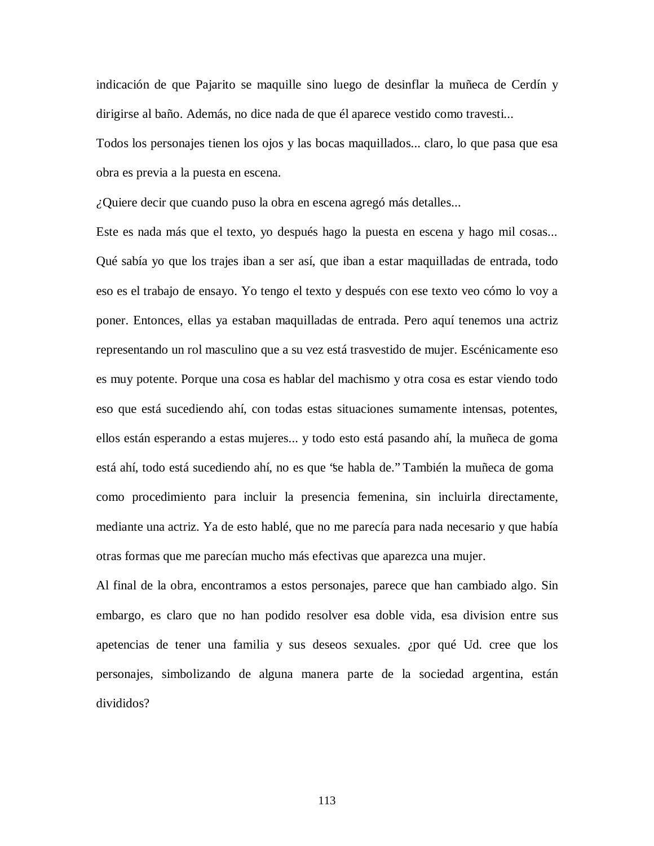indicación de que Pajarito se maquille sino luego de desinflar la muñeca de Cerdín y dirigirse al baño. Además, no dice nada de que él aparece vestido como travesti...

Todos los personajes tienen los ojos y las bocas maquillados... claro, lo que pasa que esa obra es previa a la puesta en escena.

*¿*Quiere decir que cuando puso la obra en escena agregó más detalles...

Este es nada más que el texto, yo después hago la puesta en escena y hago mil cosas... Qué sabía yo que los trajes iban a ser así, que iban a estar maquilladas de entrada, todo eso es el trabajo de ensayo. Yo tengo el texto y después con ese texto veo cómo lo voy a poner. Entonces, ellas ya estaban maquilladas de entrada. Pero aquí tenemos una actriz representando un rol masculino que a su vez está trasvestido de mujer. Escénicamente eso es muy potente. Porque una cosa es hablar del machismo y otra cosa es estar viendo todo eso que está sucediendo ahí, con todas estas situaciones sumamente intensas, potentes, ellos están esperando a estas mujeres... y todo esto está pasando ahí, la muñeca de goma está ahí, todo está sucediendo ahí, no es que "se habla de." También la muñeca de goma como procedimiento para incluir la presencia femenina, sin incluirla directamente, mediante una actriz. Ya de esto hablé, que no me parecía para nada necesario y que había otras formas que me parecían mucho más efectivas que aparezca una mujer.

Al final de la obra, encontramos a estos personajes, parece que han cambiado algo. Sin embargo, es claro que no han podido resolver esa doble vida, esa division entre sus apetencias de tener una familia y sus deseos sexuales. ¿por qué Ud. cree que los personajes, simbolizando de alguna manera parte de la sociedad argentina, están divididos?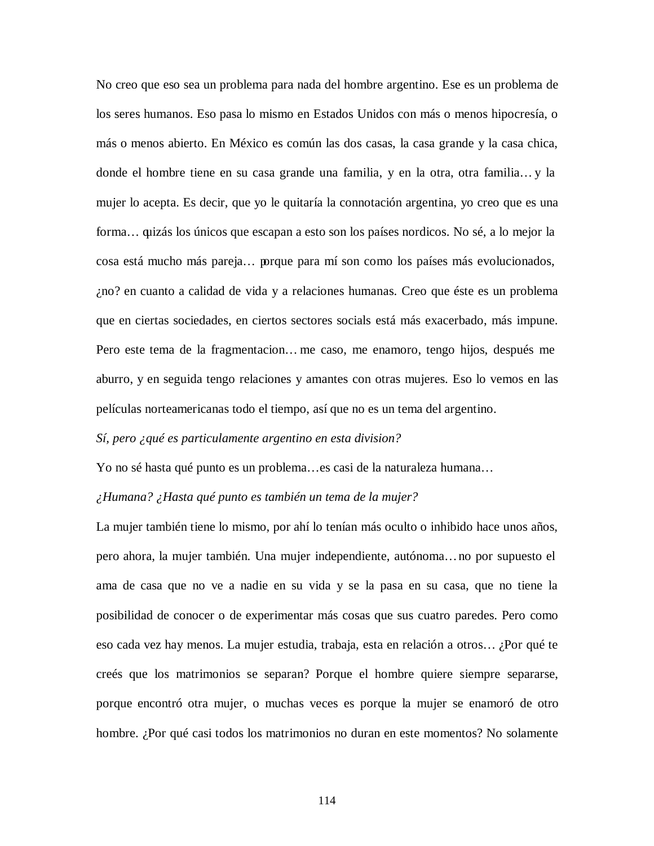No creo que eso sea un problema para nada del hombre argentino. Ese es un problema de los seres humanos. Eso pasa lo mismo en Estados Unidos con más o menos hipocresía, o más o menos abierto. En México es común las dos casas, la casa grande y la casa chica, donde el hombre tiene en su casa grande una familia, y en la otra, otra familia… y la mujer lo acepta. Es decir, que yo le quitaría la connotación argentina, yo creo que es una forma… quizás los únicos que escapan a esto son los países nordicos. No sé, a lo mejor la cosa está mucho más pareja… porque para mí son como los países más evolucionados, ¿no? en cuanto a calidad de vida y a relaciones humanas. Creo que éste es un problema que en ciertas sociedades, en ciertos sectores socials está más exacerbado, más impune. Pero este tema de la fragmentacion… me caso, me enamoro, tengo hijos, después me aburro, y en seguida tengo relaciones y amantes con otras mujeres. Eso lo vemos en las películas norteamericanas todo el tiempo, así que no es un tema del argentino.

## *Sí, pero ¿qué es particulamente argentino en esta division?*

Yo no sé hasta qué punto es un problema… es casi de la naturaleza humana…

# *¿Humana? ¿Hasta qué punto es también un tema de la mujer?*

La mujer también tiene lo mismo, por ahí lo tenían más oculto o inhibido hace unos años, pero ahora, la mujer también. Una mujer independiente, autónoma… no por supuesto el ama de casa que no ve a nadie en su vida y se la pasa en su casa, que no tiene la posibilidad de conocer o de experimentar más cosas que sus cuatro paredes. Pero como eso cada vez hay menos. La mujer estudia, trabaja, esta en relación a otros… ¿Por qué te creés que los matrimonios se separan? Porque el hombre quiere siempre separarse, porque encontró otra mujer, o muchas veces es porque la mujer se enamoró de otro hombre. ¿Por qué casi todos los matrimonios no duran en este momentos? No solamente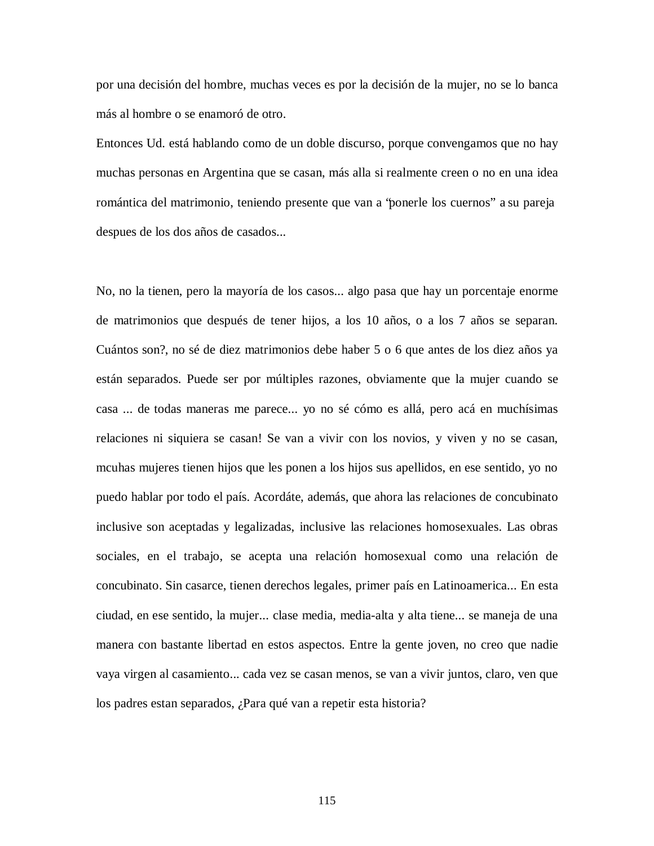por una decisión del hombre, muchas veces es por la decisión de la mujer, no se lo banca más al hombre o se enamoró de otro.

Entonces Ud. está hablando como de un doble discurso, porque convengamos que no hay muchas personas en Argentina que se casan, más alla si realmente creen o no en una idea romántica del matrimonio, teniendo presente que van a "ponerle los cuernos" a su pareja despues de los dos años de casados...

No, no la tienen, pero la mayoría de los casos... algo pasa que hay un porcentaje enorme de matrimonios que después de tener hijos, a los 10 años, o a los 7 años se separan. Cuántos son?, no sé de diez matrimonios debe haber 5 o 6 que antes de los diez años ya están separados. Puede ser por múltiples razones, obviamente que la mujer cuando se casa ... de todas maneras me parece... yo no sé cómo es allá, pero acá en muchísimas relaciones ni siquiera se casan! Se van a vivir con los novios, y viven y no se casan, mcuhas mujeres tienen hijos que les ponen a los hijos sus apellidos, en ese sentido, yo no puedo hablar por todo el país. Acordáte, además, que ahora las relaciones de concubinato inclusive son aceptadas y legalizadas, inclusive las relaciones homosexuales. Las obras sociales, en el trabajo, se acepta una relación homosexual como una relación de concubinato. Sin casarce, tienen derechos legales, primer país en Latinoamerica... En esta ciudad, en ese sentido, la mujer... clase media, media-alta y alta tiene... se maneja de una manera con bastante libertad en estos aspectos. Entre la gente joven, no creo que nadie vaya virgen al casamiento... cada vez se casan menos, se van a vivir juntos, claro, ven que los padres estan separados, ¿Para qué van a repetir esta historia?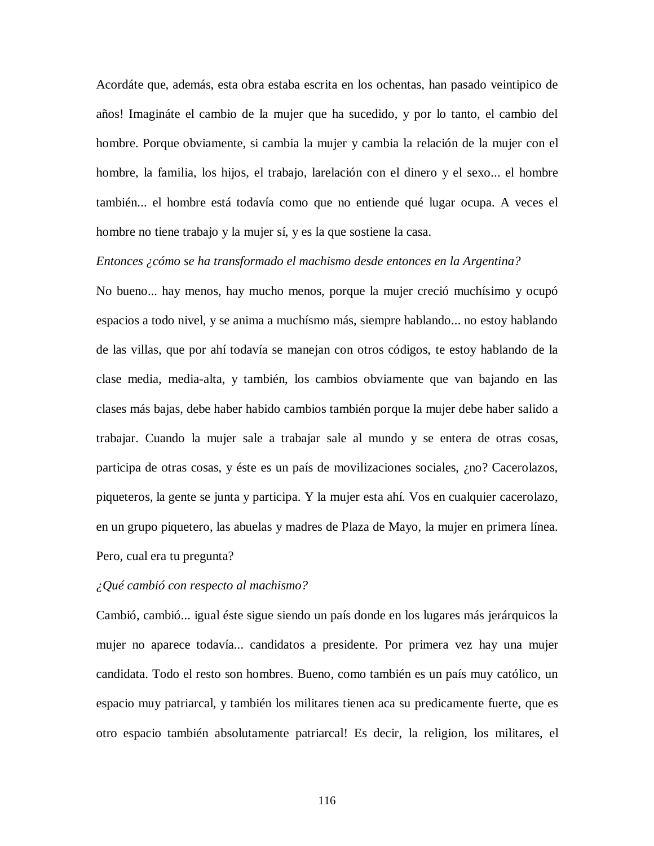Acordáte que, además, esta obra estaba escrita en los ochentas, han pasado veintipico de años! Imagináte el cambio de la mujer que ha sucedido, y por lo tanto, el cambio del hombre. Porque obviamente, si cambia la mujer y cambia la relación de la mujer con el hombre, la familia, los hijos, el trabajo, larelación con el dinero y el sexo... el hombre también... el hombre está todavía como que no entiende qué lugar ocupa. A veces el hombre no tiene trabajo y la mujer sí, y es la que sostiene la casa.

## *Entonces ¿cómo se ha transformado el machismo desde entonces en la Argentina?*

No bueno... hay menos, hay mucho menos, porque la mujer creció muchísimo y ocupó espacios a todo nivel, y se anima a muchísmo más, siempre hablando... no estoy hablando de las villas, que por ahí todavía se manejan con otros códigos, te estoy hablando de la clase media, media-alta, y también, los cambios obviamente que van bajando en las clases más bajas, debe haber habido cambios también porque la mujer debe haber salido a trabajar. Cuando la mujer sale a trabajar sale al mundo y se entera de otras cosas, participa de otras cosas, y éste es un país de movilizaciones sociales, ¿no? Cacerolazos, piqueteros, la gente se junta y participa. Y la mujer esta ahí. Vos en cualquier cacerolazo, en un grupo piquetero, las abuelas y madres de Plaza de Mayo, la mujer en primera línea. Pero, cual era tu pregunta?

## *¿Qué cambió con respecto al machismo?*

Cambió, cambió... igual éste sigue siendo un país donde en los lugares más jerárquicos la mujer no aparece todavía... candidatos a presidente. Por primera vez hay una mujer candidata. Todo el resto son hombres. Bueno, como también es un país muy católico, un espacio muy patriarcal, y también los militares tienen aca su predicamente fuerte, que es otro espacio también absolutamente patriarcal! Es decir, la religion, los militares, el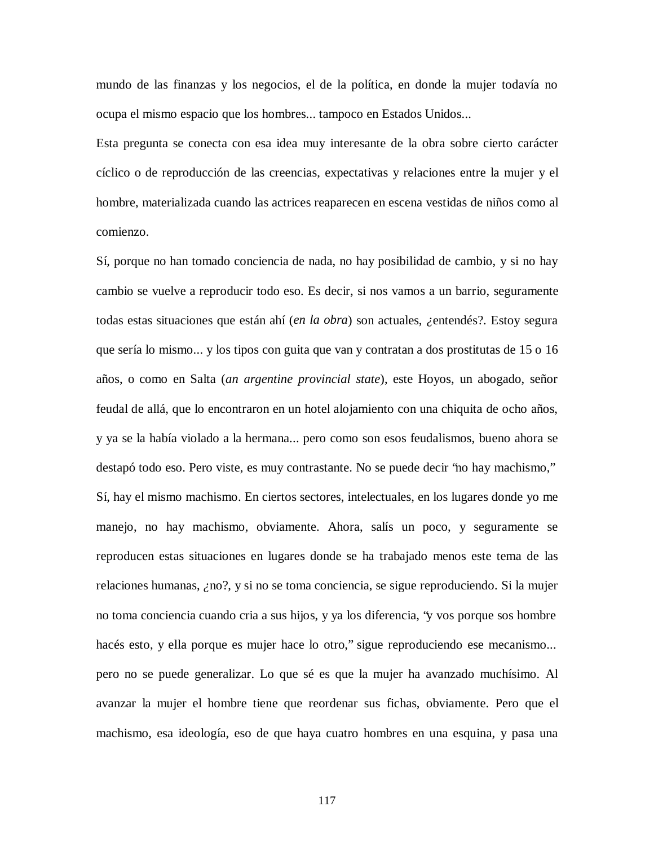mundo de las finanzas y los negocios, el de la política, en donde la mujer todavía no ocupa el mismo espacio que los hombres... tampoco en Estados Unidos...

Esta pregunta se conecta con esa idea muy interesante de la obra sobre cierto carácter cíclico o de reproducción de las creencias, expectativas y relaciones entre la mujer y el hombre, materializada cuando las actrices reaparecen en escena vestidas de niños como al comienzo.

Sí, porque no han tomado conciencia de nada, no hay posibilidad de cambio, y si no hay cambio se vuelve a reproducir todo eso. Es decir, si nos vamos a un barrio, seguramente todas estas situaciones que están ahí (*en la obra*) son actuales, *¿*entendés?. Estoy segura que sería lo mismo... y los tipos con guita que van y contratan a dos prostitutas de 15 o 16 años, o como en Salta (*an argentine provincial state*), este Hoyos, un abogado, señor feudal de allá, que lo encontraron en un hotel alojamiento con una chiquita de ocho años, y ya se la había violado a la hermana... pero como son esos feudalismos, bueno ahora se destapó todo eso. Pero viste, es muy contrastante. No se puede decir "no hay machismo," Sí, hay el mismo machismo. En ciertos sectores, intelectuales, en los lugares donde yo me manejo, no hay machismo, obviamente. Ahora, salís un poco, y seguramente se reproducen estas situaciones en lugares donde se ha trabajado menos este tema de las relaciones humanas, *¿*no?, y si no se toma conciencia, se sigue reproduciendo. Si la mujer no toma conciencia cuando cria a sus hijos, y ya los diferencia, "y vos porque sos hombre hacés esto, y ella porque es mujer hace lo otro," sigue reproduciendo ese mecanismo... pero no se puede generalizar. Lo que sé es que la mujer ha avanzado muchísimo. Al avanzar la mujer el hombre tiene que reordenar sus fichas, obviamente. Pero que el machismo, esa ideología, eso de que haya cuatro hombres en una esquina, y pasa una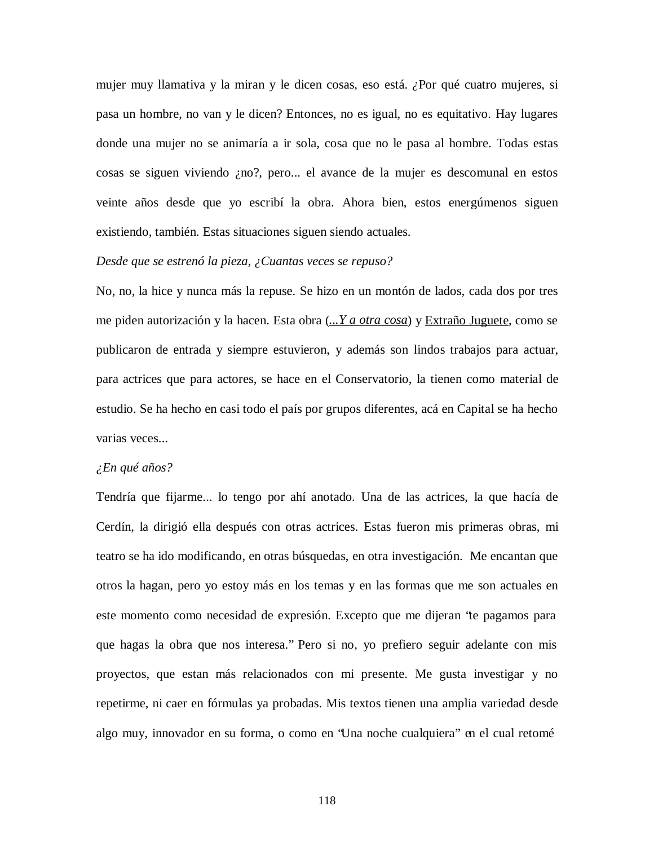mujer muy llamativa y la miran y le dicen cosas, eso está. *¿*Por qué cuatro mujeres, si pasa un hombre, no van y le dicen? Entonces, no es igual, no es equitativo. Hay lugares donde una mujer no se animaría a ir sola, cosa que no le pasa al hombre. Todas estas cosas se siguen viviendo ¿no?, pero... el avance de la mujer es descomunal en estos veinte años desde que yo escribí la obra. Ahora bien, estos energúmenos siguen existiendo, también. Estas situaciones siguen siendo actuales.

# *Desde que se estrenó la pieza, ¿Cuantas veces se repuso?*

No, no, la hice y nunca más la repuse. Se hizo en un montón de lados, cada dos por tres me piden autorización y la hacen. Esta obra (*...Y a otra cosa*) y Extraño Juguete, como se publicaron de entrada y siempre estuvieron, y además son lindos trabajos para actuar, para actrices que para actores, se hace en el Conservatorio, la tienen como material de estudio. Se ha hecho en casi todo el país por grupos diferentes, acá en Capital se ha hecho varias veces...

#### *¿En qué años?*

Tendría que fijarme... lo tengo por ahí anotado. Una de las actrices, la que hacía de Cerdín, la dirigió ella después con otras actrices. Estas fueron mis primeras obras, mi teatro se ha ido modificando, en otras búsquedas, en otra investigación. Me encantan que otros la hagan, pero yo estoy más en los temas y en las formas que me son actuales en este momento como necesidad de expresión. Excepto que me dijeran "te pagamos para que hagas la obra que nos interesa." Pero si no, yo prefiero seguir adelante con mis proyectos, que estan más relacionados con mi presente. Me gusta investigar y no repetirme, ni caer en fórmulas ya probadas. Mis textos tienen una amplia variedad desde algo muy, innovador en su forma, o como en "Una noche cualquiera" en el cual retomé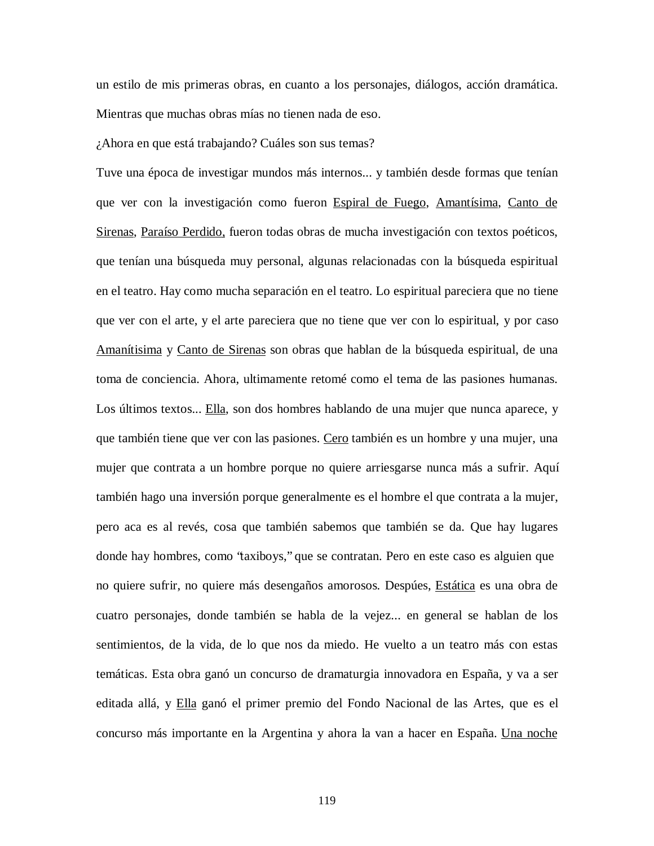un estilo de mis primeras obras, en cuanto a los personajes, diálogos, acción dramática. Mientras que muchas obras mías no tienen nada de eso.

¿Ahora en que está trabajando? Cuáles son sus temas?

Tuve una época de investigar mundos más internos... y también desde formas que tenían que ver con la investigación como fueron Espiral de Fuego, Amantísima, Canto de Sirenas, Paraíso Perdido, fueron todas obras de mucha investigación con textos poéticos, que tenían una búsqueda muy personal, algunas relacionadas con la búsqueda espiritual en el teatro. Hay como mucha separación en el teatro. Lo espiritual pareciera que no tiene que ver con el arte, y el arte pareciera que no tiene que ver con lo espiritual, y por caso Amanítisima y Canto de Sirenas son obras que hablan de la búsqueda espiritual, de una toma de conciencia. Ahora, ultimamente retomé como el tema de las pasiones humanas. Los últimos textos... Ella, son dos hombres hablando de una mujer que nunca aparece, y que también tiene que ver con las pasiones. Cero también es un hombre y una mujer, una mujer que contrata a un hombre porque no quiere arriesgarse nunca más a sufrir. Aquí también hago una inversión porque generalmente es el hombre el que contrata a la mujer, pero aca es al revés, cosa que también sabemos que también se da. Que hay lugares donde hay hombres, como "taxiboys," que se contratan. Pero en este caso es alguien que no quiere sufrir, no quiere más desengaños amorosos. Despúes, Estática es una obra de cuatro personajes, donde también se habla de la vejez... en general se hablan de los sentimientos, de la vida, de lo que nos da miedo. He vuelto a un teatro más con estas temáticas. Esta obra ganó un concurso de dramaturgia innovadora en España, y va a ser editada allá, y Ella ganó el primer premio del Fondo Nacional de las Artes, que es el concurso más importante en la Argentina y ahora la van a hacer en España. Una noche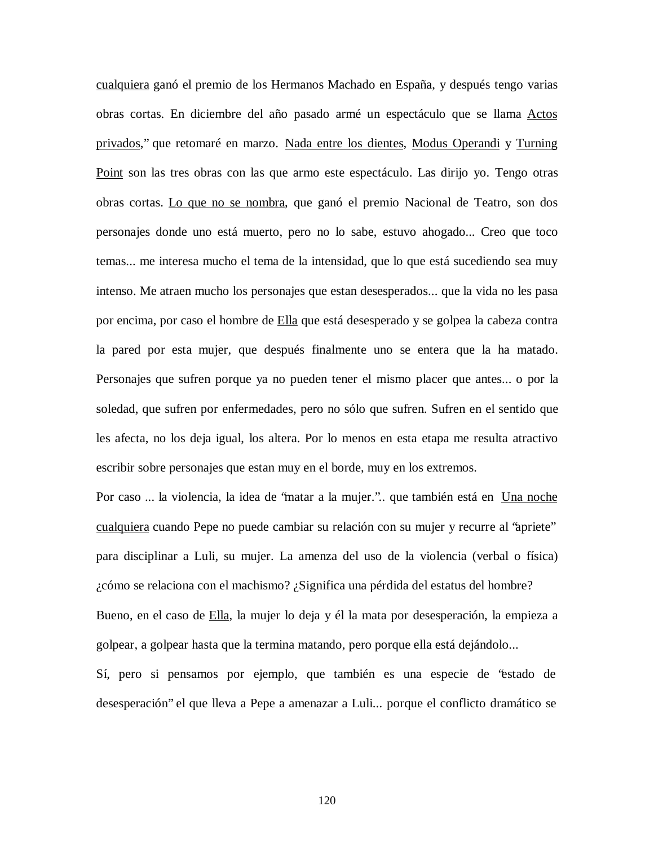cualquiera ganó el premio de los Hermanos Machado en España, y después tengo varias obras cortas. En diciembre del año pasado armé un espectáculo que se llama Actos privados," que retomaré en marzo. Nada entre los dientes, Modus Operandi y Turning Point son las tres obras con las que armo este espectáculo. Las dirijo yo. Tengo otras obras cortas. Lo que no se nombra, que ganó el premio Nacional de Teatro, son dos personajes donde uno está muerto, pero no lo sabe, estuvo ahogado... Creo que toco temas... me interesa mucho el tema de la intensidad, que lo que está sucediendo sea muy intenso. Me atraen mucho los personajes que estan desesperados... que la vida no les pasa por encima, por caso el hombre de Ella que está desesperado y se golpea la cabeza contra la pared por esta mujer, que después finalmente uno se entera que la ha matado. Personajes que sufren porque ya no pueden tener el mismo placer que antes... o por la soledad, que sufren por enfermedades, pero no sólo que sufren. Sufren en el sentido que les afecta, no los deja igual, los altera. Por lo menos en esta etapa me resulta atractivo escribir sobre personajes que estan muy en el borde, muy en los extremos.

Por caso ... la violencia, la idea de 'matar a la mujer.".. que también está en Una noche cualquiera cuando Pepe no puede cambiar su relación con su mujer y recurre al "apriete" para disciplinar a Luli, su mujer. La amenza del uso de la violencia (verbal o física) ¿cómo se relaciona con el machismo? ¿Significa una pérdida del estatus del hombre? Bueno, en el caso de Ella, la mujer lo deja y él la mata por desesperación, la empieza a golpear, a golpear hasta que la termina matando, pero porque ella está dejándolo...

Sí, pero si pensamos por ejemplo, que también es una especie de "estado de desesperación" el que lleva a Pepe a amenazar a Luli... porque el conflicto dramático se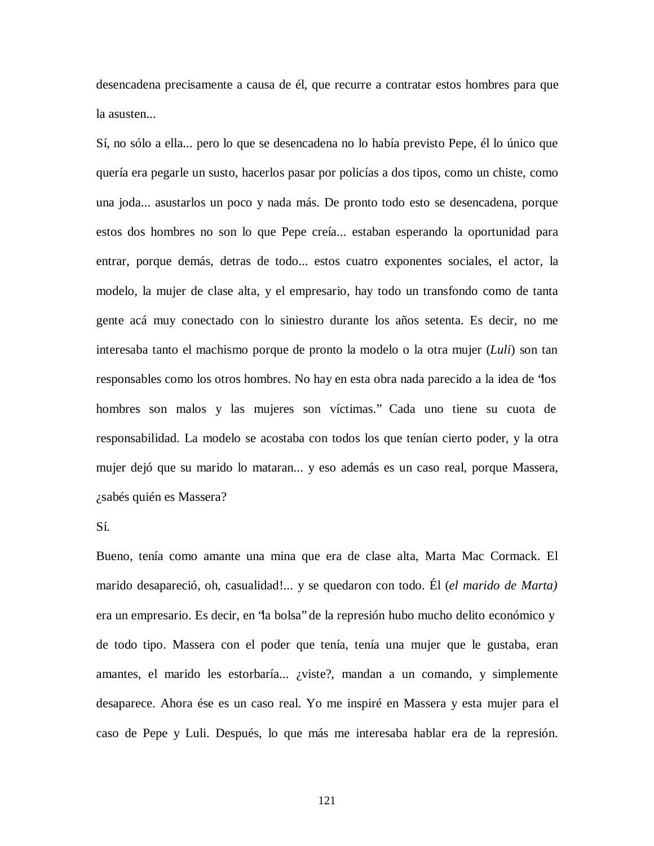desencadena precisamente a causa de él, que recurre a contratar estos hombres para que la asusten...

Sí, no sólo a ella... pero lo que se desencadena no lo había previsto Pepe, él lo único que quería era pegarle un susto, hacerlos pasar por policías a dos tipos, como un chiste, como una joda... asustarlos un poco y nada más. De pronto todo esto se desencadena, porque estos dos hombres no son lo que Pepe creía... estaban esperando la oportunidad para entrar, porque demás, detras de todo... estos cuatro exponentes sociales, el actor, la modelo, la mujer de clase alta, y el empresario, hay todo un transfondo como de tanta gente acá muy conectado con lo siniestro durante los años setenta. Es decir, no me interesaba tanto el machismo porque de pronto la modelo o la otra mujer (*Luli*) son tan responsables como los otros hombres. No hay en esta obra nada parecido a la idea de "los hombres son malos y las mujeres son víctimas." Cada uno tiene su cuota de responsabilidad. La modelo se acostaba con todos los que tenían cierto poder, y la otra mujer dejó que su marido lo mataran... y eso además es un caso real, porque Massera, ¿sabés quién es Massera?

# Sí.

Bueno, tenía como amante una mina que era de clase alta, Marta Mac Cormack. El marido desapareció, oh, casualidad!... y se quedaron con todo. Él (*el marido de Marta)* era un empresario. Es decir, en "la bolsa" de la represión hubo mucho delito económico y de todo tipo. Massera con el poder que tenía, tenía una mujer que le gustaba, eran amantes, el marido les estorbaría... ¿viste?, mandan a un comando, y simplemente desaparece. Ahora ése es un caso real. Yo me inspiré en Massera y esta mujer para el caso de Pepe y Luli. Después, lo que más me interesaba hablar era de la represión.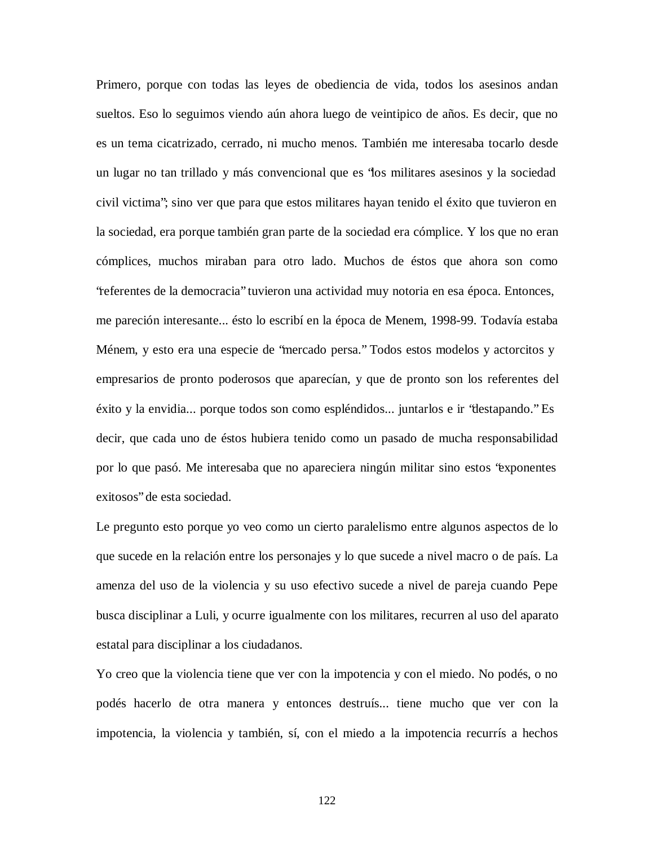Primero, porque con todas las leyes de obediencia de vida, todos los asesinos andan sueltos. Eso lo seguimos viendo aún ahora luego de veintipico de años. Es decir, que no es un tema cicatrizado, cerrado, ni mucho menos. También me interesaba tocarlo desde un lugar no tan trillado y más convencional que es "los militares asesinos y la sociedad civil victima"; sino ver que para que estos militares hayan tenido el éxito que tuvieron en la sociedad, era porque también gran parte de la sociedad era cómplice. Y los que no eran cómplices, muchos miraban para otro lado. Muchos de éstos que ahora son como "referentes de la democracia" tuvieron una actividad muy notoria en esa época. Entonces, me pareción interesante... ésto lo escribí en la época de Menem, 1998-99. Todavía estaba Ménem, y esto era una especie de "mercado persa." Todos estos modelos y actorcitos y empresarios de pronto poderosos que aparecían, y que de pronto son los referentes del éxito y la envidia... porque todos son como espléndidos... juntarlos e ir "destapando." Es decir, que cada uno de éstos hubiera tenido como un pasado de mucha responsabilidad por lo que pasó. Me interesaba que no apareciera ningún militar sino estos "exponentes exitosos" de esta sociedad.

Le pregunto esto porque yo veo como un cierto paralelismo entre algunos aspectos de lo que sucede en la relación entre los personajes y lo que sucede a nivel macro o de país. La amenza del uso de la violencia y su uso efectivo sucede a nivel de pareja cuando Pepe busca disciplinar a Luli, y ocurre igualmente con los militares, recurren al uso del aparato estatal para disciplinar a los ciudadanos.

Yo creo que la violencia tiene que ver con la impotencia y con el miedo. No podés, o no podés hacerlo de otra manera y entonces destruís... tiene mucho que ver con la impotencia, la violencia y también, sí, con el miedo a la impotencia recurrís a hechos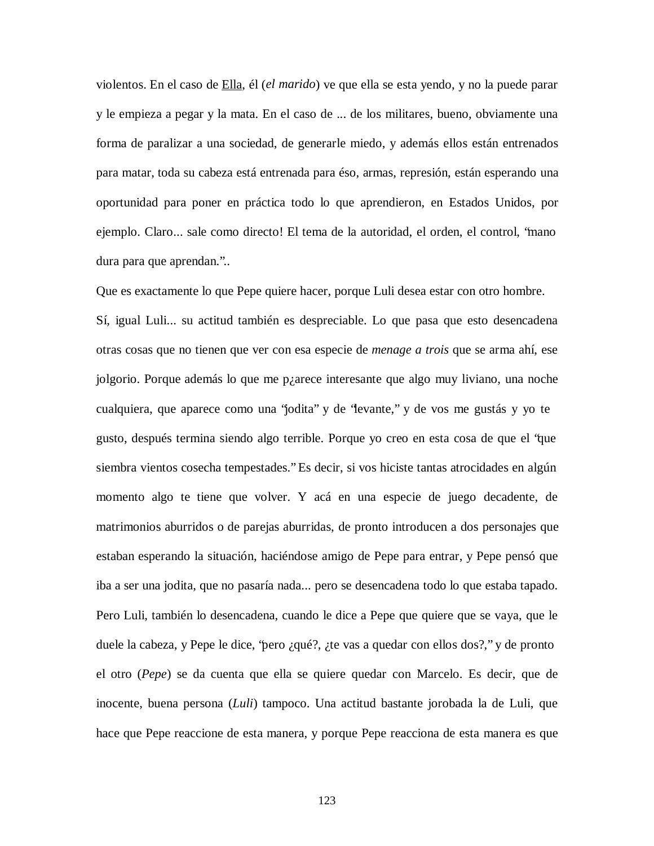violentos. En el caso de Ella, él (*el marido*) ve que ella se esta yendo, y no la puede parar y le empieza a pegar y la mata. En el caso de ... de los militares, bueno, obviamente una forma de paralizar a una sociedad, de generarle miedo, y además ellos están entrenados para matar, toda su cabeza está entrenada para éso, armas, represión, están esperando una oportunidad para poner en práctica todo lo que aprendieron, en Estados Unidos, por ejemplo. Claro... sale como directo! El tema de la autoridad, el orden, el control, "mano dura para que aprendan."..

Que es exactamente lo que Pepe quiere hacer, porque Luli desea estar con otro hombre.

Sí, igual Luli... su actitud también es despreciable. Lo que pasa que esto desencadena otras cosas que no tienen que ver con esa especie de *menage a trois* que se arma ahí, ese jolgorio. Porque además lo que me p¿arece interesante que algo muy liviano, una noche cualquiera, que aparece como una "jodita" y de "levante," y de vos me gustás y yo te gusto, después termina siendo algo terrible. Porque yo creo en esta cosa de que el "que siembra vientos cosecha tempestades." Es decir, si vos hiciste tantas atrocidades en algún momento algo te tiene que volver. Y acá en una especie de juego decadente, de matrimonios aburridos o de parejas aburridas, de pronto introducen a dos personajes que estaban esperando la situación, haciéndose amigo de Pepe para entrar, y Pepe pensó que iba a ser una jodita, que no pasaría nada... pero se desencadena todo lo que estaba tapado. Pero Luli, también lo desencadena, cuando le dice a Pepe que quiere que se vaya, que le duele la cabeza, y Pepe le dice, "pero ¿qué?, ¿te vas a quedar con ellos dos?," y de pronto el otro (*Pepe*) se da cuenta que ella se quiere quedar con Marcelo. Es decir, que de inocente, buena persona (*Luli*) tampoco. Una actitud bastante jorobada la de Luli, que hace que Pepe reaccione de esta manera, y porque Pepe reacciona de esta manera es que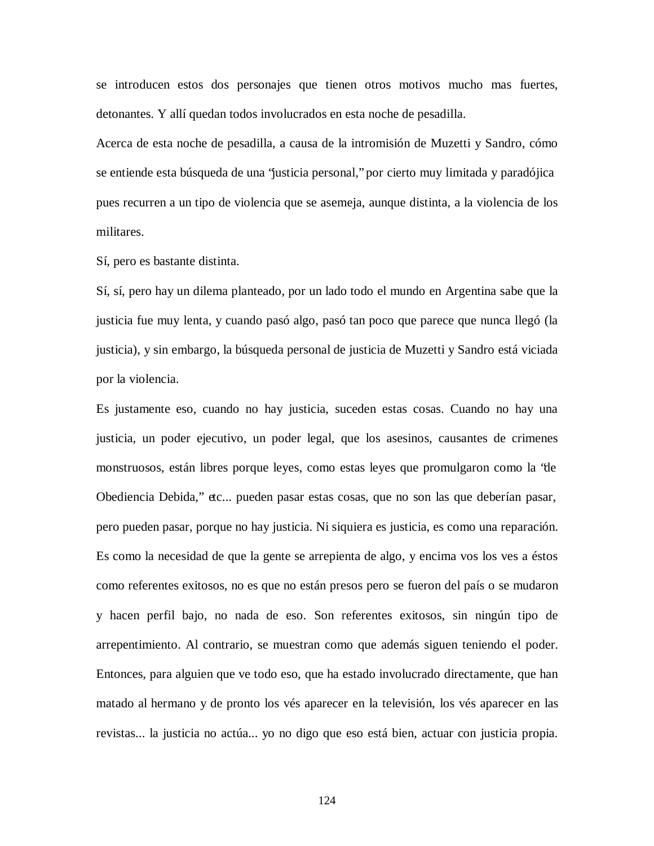se introducen estos dos personajes que tienen otros motivos mucho mas fuertes, detonantes. Y allí quedan todos involucrados en esta noche de pesadilla.

Acerca de esta noche de pesadilla, a causa de la intromisión de Muzetti y Sandro, cómo se entiende esta búsqueda de una "justicia personal," por cierto muy limitada y paradójica pues recurren a un tipo de violencia que se asemeja, aunque distinta, a la violencia de los militares.

Sí, pero es bastante distinta.

Sí, sí, pero hay un dilema planteado, por un lado todo el mundo en Argentina sabe que la justicia fue muy lenta, y cuando pasó algo, pasó tan poco que parece que nunca llegó (la justicia), y sin embargo, la búsqueda personal de justicia de Muzetti y Sandro está viciada por la violencia.

Es justamente eso, cuando no hay justicia, suceden estas cosas. Cuando no hay una justicia, un poder ejecutivo, un poder legal, que los asesinos, causantes de crimenes monstruosos, están libres porque leyes, como estas leyes que promulgaron como la "de Obediencia Debida," etc... pueden pasar estas cosas, que no son las que deberían pasar, pero pueden pasar, porque no hay justicia. Ni siquiera es justicia, es como una reparación. Es como la necesidad de que la gente se arrepienta de algo, y encima vos los ves a éstos como referentes exitosos, no es que no están presos pero se fueron del país o se mudaron y hacen perfil bajo, no nada de eso. Son referentes exitosos, sin ningún tipo de arrepentimiento. Al contrario, se muestran como que además siguen teniendo el poder. Entonces, para alguien que ve todo eso, que ha estado involucrado directamente, que han matado al hermano y de pronto los vés aparecer en la televisión, los vés aparecer en las revistas... la justicia no actúa... yo no digo que eso está bien, actuar con justicia propia.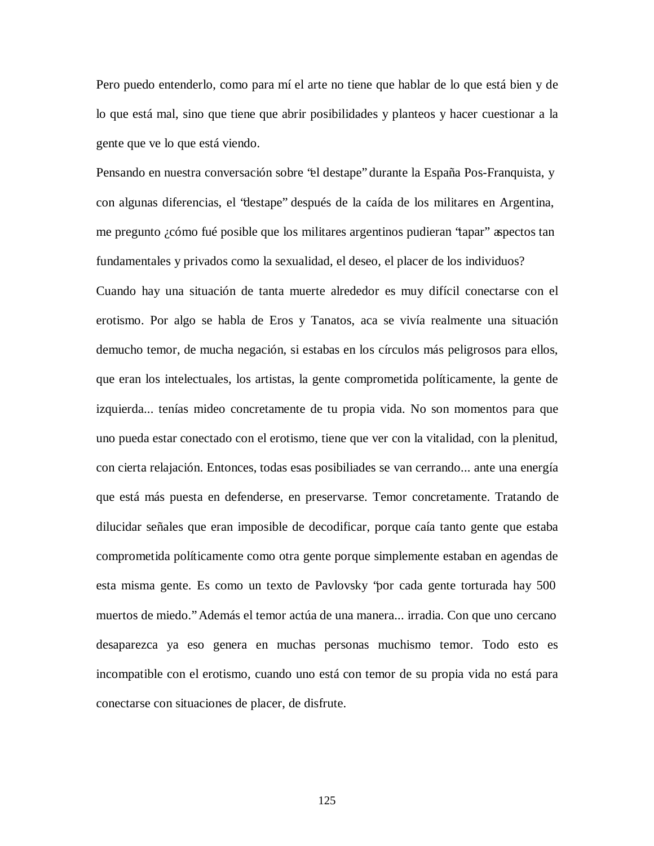Pero puedo entenderlo, como para mí el arte no tiene que hablar de lo que está bien y de lo que está mal, sino que tiene que abrir posibilidades y planteos y hacer cuestionar a la gente que ve lo que está viendo.

Pensando en nuestra conversación sobre "el destape" durante la España Pos-Franquista, y con algunas diferencias, el "destape" después de la caída de los militares en Argentina, me pregunto ¿cómo fué posible que los militares argentinos pudieran "tapar" aspectos tan fundamentales y privados como la sexualidad, el deseo, el placer de los individuos? Cuando hay una situación de tanta muerte alrededor es muy difícil conectarse con el erotismo. Por algo se habla de Eros y Tanatos, aca se vivía realmente una situación demucho temor, de mucha negación, si estabas en los círculos más peligrosos para ellos, que eran los intelectuales, los artistas, la gente comprometida políticamente, la gente de izquierda... tenías mideo concretamente de tu propia vida. No son momentos para que uno pueda estar conectado con el erotismo, tiene que ver con la vitalidad, con la plenitud, con cierta relajación. Entonces, todas esas posibiliades se van cerrando... ante una energía que está más puesta en defenderse, en preservarse. Temor concretamente. Tratando de dilucidar señales que eran imposible de decodificar, porque caía tanto gente que estaba comprometida políticamente como otra gente porque simplemente estaban en agendas de esta misma gente. Es como un texto de Pavlovsky "por cada gente torturada hay 500 muertos de miedo." Además el temor actúa de una manera... irradia. Con que uno cercano desaparezca ya eso genera en muchas personas muchismo temor. Todo esto es incompatible con el erotismo, cuando uno está con temor de su propia vida no está para conectarse con situaciones de placer, de disfrute.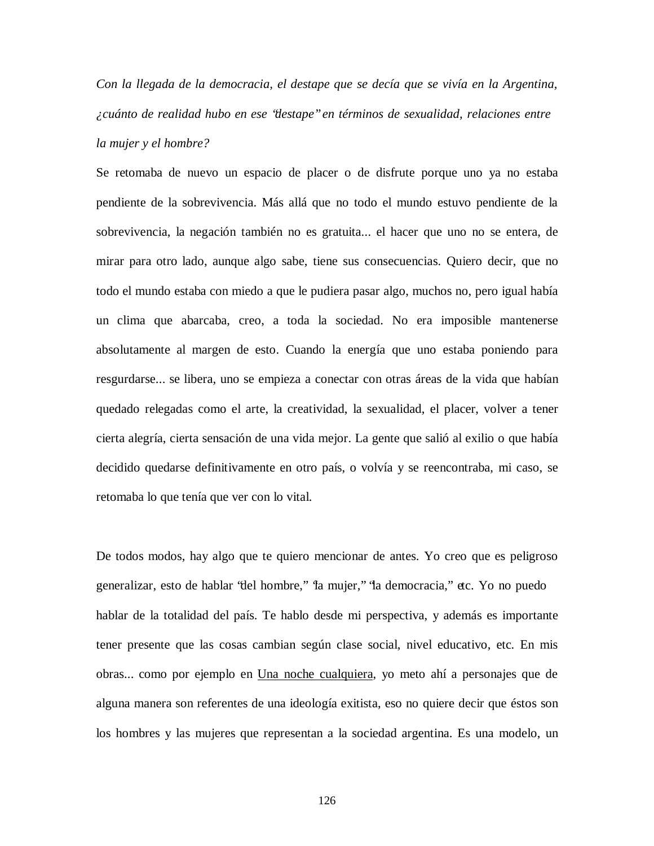*Con la llegada de la democracia, el destape que se decía que se vivía en la Argentina, ¿cuánto de realidad hubo en ese "destape" en términos de sexualidad, relaciones entre la mujer y el hombre?*

Se retomaba de nuevo un espacio de placer o de disfrute porque uno ya no estaba pendiente de la sobrevivencia. Más allá que no todo el mundo estuvo pendiente de la sobrevivencia, la negación también no es gratuita... el hacer que uno no se entera, de mirar para otro lado, aunque algo sabe, tiene sus consecuencias. Quiero decir, que no todo el mundo estaba con miedo a que le pudiera pasar algo, muchos no, pero igual había un clima que abarcaba, creo, a toda la sociedad. No era imposible mantenerse absolutamente al margen de esto. Cuando la energía que uno estaba poniendo para resgurdarse... se libera, uno se empieza a conectar con otras áreas de la vida que habían quedado relegadas como el arte, la creatividad, la sexualidad, el placer, volver a tener cierta alegría, cierta sensación de una vida mejor. La gente que salió al exilio o que había decidido quedarse definitivamente en otro país, o volvía y se reencontraba, mi caso, se retomaba lo que tenía que ver con lo vital.

De todos modos, hay algo que te quiero mencionar de antes. Yo creo que es peligroso generalizar, esto de hablar "del hombre," "la mujer," "la democracia," etc. Yo no puedo hablar de la totalidad del país. Te hablo desde mi perspectiva, y además es importante tener presente que las cosas cambian según clase social, nivel educativo, etc. En mis obras... como por ejemplo en Una noche cualquiera, yo meto ahí a personajes que de alguna manera son referentes de una ideología exitista, eso no quiere decir que éstos son los hombres y las mujeres que representan a la sociedad argentina. Es una modelo, un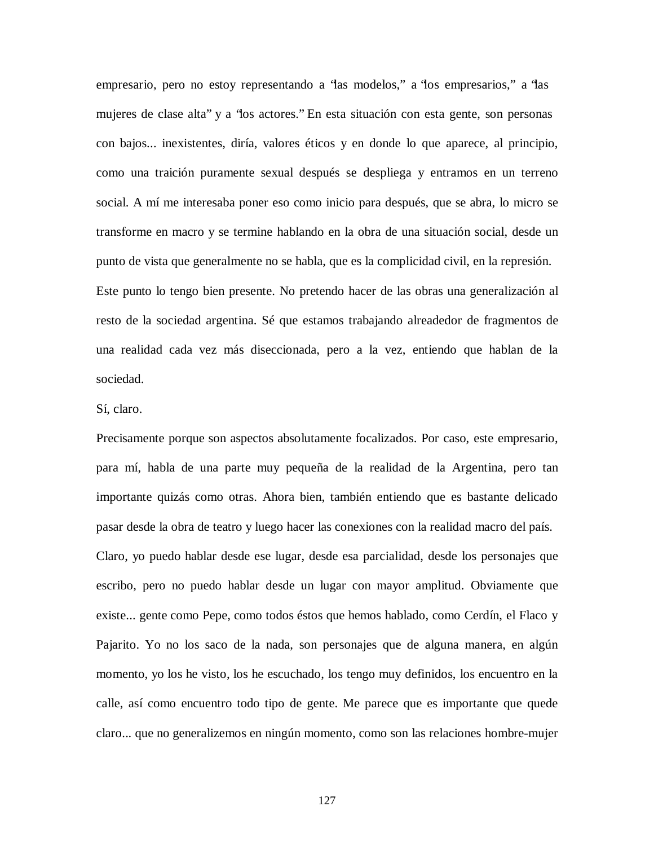empresario, pero no estoy representando a "las modelos," a "los empresarios," a "las mujeres de clase alta" y a "los actores." En esta situación con esta gente, son personas con bajos... inexistentes, diría, valores éticos y en donde lo que aparece, al principio, como una traición puramente sexual después se despliega y entramos en un terreno social. A mí me interesaba poner eso como inicio para después, que se abra, lo micro se transforme en macro y se termine hablando en la obra de una situación social, desde un punto de vista que generalmente no se habla, que es la complicidad civil, en la represión. Este punto lo tengo bien presente. No pretendo hacer de las obras una generalización al resto de la sociedad argentina. Sé que estamos trabajando alreadedor de fragmentos de una realidad cada vez más diseccionada, pero a la vez, entiendo que hablan de la sociedad.

## Sí, claro.

Precisamente porque son aspectos absolutamente focalizados. Por caso, este empresario, para mí, habla de una parte muy pequeña de la realidad de la Argentina, pero tan importante quizás como otras. Ahora bien, también entiendo que es bastante delicado pasar desde la obra de teatro y luego hacer las conexiones con la realidad macro del país. Claro, yo puedo hablar desde ese lugar, desde esa parcialidad, desde los personajes que escribo, pero no puedo hablar desde un lugar con mayor amplitud. Obviamente que existe... gente como Pepe, como todos éstos que hemos hablado, como Cerdín, el Flaco y Pajarito. Yo no los saco de la nada, son personajes que de alguna manera, en algún momento, yo los he visto, los he escuchado, los tengo muy definidos, los encuentro en la calle, así como encuentro todo tipo de gente. Me parece que es importante que quede claro... que no generalizemos en ningún momento, como son las relaciones hombre-mujer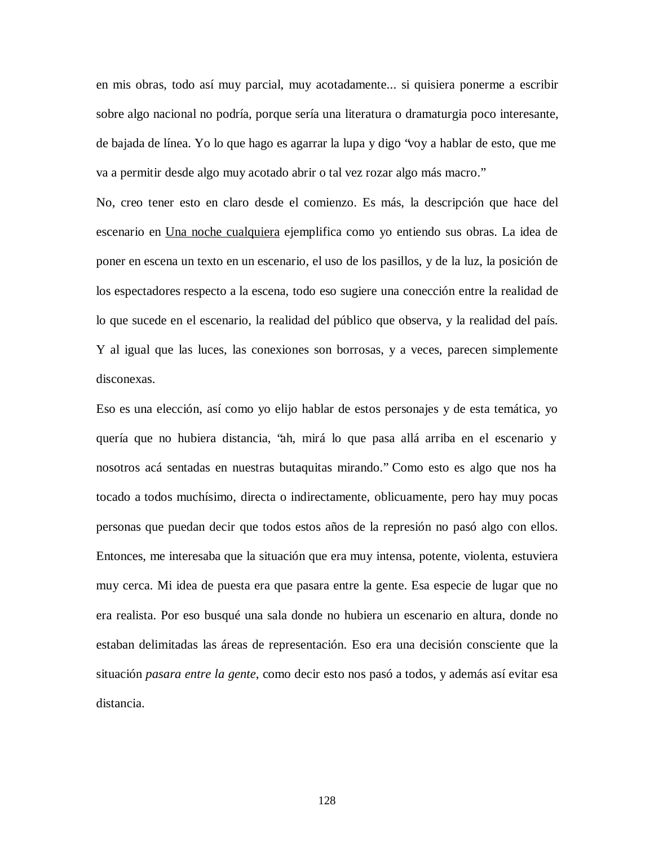en mis obras, todo así muy parcial, muy acotadamente... si quisiera ponerme a escribir sobre algo nacional no podría, porque sería una literatura o dramaturgia poco interesante, de bajada de línea. Yo lo que hago es agarrar la lupa y digo "voy a hablar de esto, que me va a permitir desde algo muy acotado abrir o tal vez rozar algo más macro."

No, creo tener esto en claro desde el comienzo. Es más, la descripción que hace del escenario en Una noche cualquiera ejemplifica como yo entiendo sus obras. La idea de poner en escena un texto en un escenario, el uso de los pasillos, y de la luz, la posición de los espectadores respecto a la escena, todo eso sugiere una conección entre la realidad de lo que sucede en el escenario, la realidad del público que observa, y la realidad del país. Y al igual que las luces, las conexiones son borrosas, y a veces, parecen simplemente disconexas.

Eso es una elección, así como yo elijo hablar de estos personajes y de esta temática, yo quería que no hubiera distancia, "ah, mirá lo que pasa allá arriba en el escenario y nosotros acá sentadas en nuestras butaquitas mirando." Como esto es algo que nos ha tocado a todos muchísimo, directa o indirectamente, oblicuamente, pero hay muy pocas personas que puedan decir que todos estos años de la represión no pasó algo con ellos. Entonces, me interesaba que la situación que era muy intensa, potente, violenta, estuviera muy cerca. Mi idea de puesta era que pasara entre la gente. Esa especie de lugar que no era realista. Por eso busqué una sala donde no hubiera un escenario en altura, donde no estaban delimitadas las áreas de representación. Eso era una decisión consciente que la situación *pasara entre la gente*, como decir esto nos pasó a todos, y además así evitar esa distancia.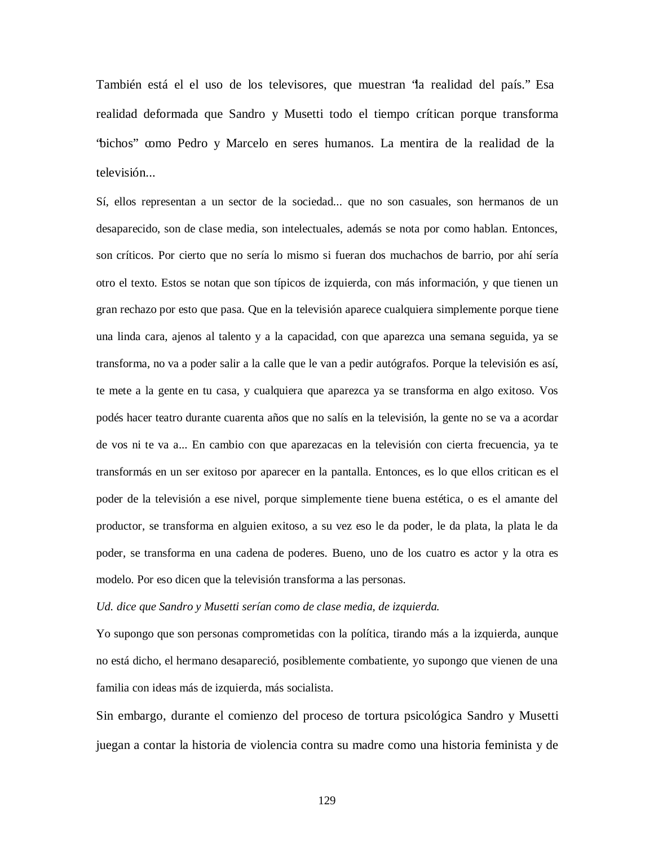También está el el uso de los televisores, que muestran "la realidad del país." Esa realidad deformada que Sandro y Musetti todo el tiempo crítican porque transforma "bichos" como Pedro y Marcelo en seres humanos. La mentira de la realidad de la televisión...

Sí, ellos representan a un sector de la sociedad... que no son casuales, son hermanos de un desaparecido, son de clase media, son intelectuales, además se nota por como hablan. Entonces, son críticos. Por cierto que no sería lo mismo si fueran dos muchachos de barrio, por ahí sería otro el texto. Estos se notan que son típicos de izquierda, con más información, y que tienen un gran rechazo por esto que pasa. Que en la televisión aparece cualquiera simplemente porque tiene una linda cara, ajenos al talento y a la capacidad, con que aparezca una semana seguida, ya se transforma, no va a poder salir a la calle que le van a pedir autógrafos. Porque la televisión es así, te mete a la gente en tu casa, y cualquiera que aparezca ya se transforma en algo exitoso. Vos podés hacer teatro durante cuarenta años que no salís en la televisión, la gente no se va a acordar de vos ni te va a... En cambio con que aparezacas en la televisión con cierta frecuencia, ya te transformás en un ser exitoso por aparecer en la pantalla. Entonces, es lo que ellos critican es el poder de la televisión a ese nivel, porque simplemente tiene buena estética, o es el amante del productor, se transforma en alguien exitoso, a su vez eso le da poder, le da plata, la plata le da poder, se transforma en una cadena de poderes. Bueno, uno de los cuatro es actor y la otra es modelo. Por eso dicen que la televisión transforma a las personas.

*Ud. dice que Sandro y Musetti serían como de clase media, de izquierda.*

Yo supongo que son personas comprometidas con la política, tirando más a la izquierda, aunque no está dicho, el hermano desapareció, posiblemente combatiente, yo supongo que vienen de una familia con ideas más de izquierda, más socialista.

Sin embargo, durante el comienzo del proceso de tortura psicológica Sandro y Musetti juegan a contar la historia de violencia contra su madre como una historia feminista y de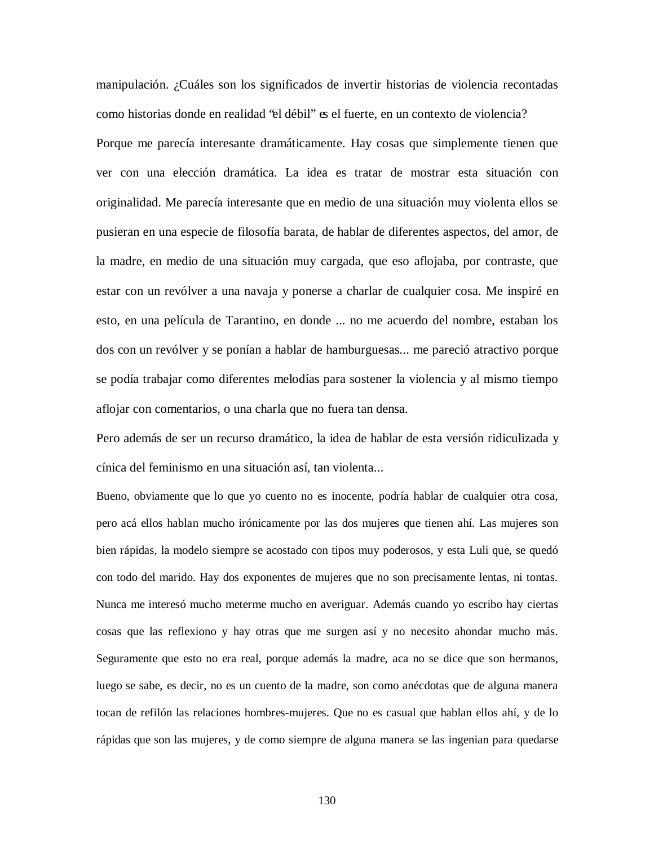manipulación. ¿Cuáles son los significados de invertir historias de violencia recontadas como historias donde en realidad "el débil" es el fuerte, en un contexto de violencia? Porque me parecía interesante dramáticamente. Hay cosas que simplemente tienen que ver con una elección dramática. La idea es tratar de mostrar esta situación con originalidad. Me parecía interesante que en medio de una situación muy violenta ellos se pusieran en una especie de filosofía barata, de hablar de diferentes aspectos, del amor, de la madre, en medio de una situación muy cargada, que eso aflojaba, por contraste, que estar con un revólver a una navaja y ponerse a charlar de cualquier cosa. Me inspiré en esto, en una película de Tarantino, en donde ... no me acuerdo del nombre, estaban los dos con un revólver y se ponían a hablar de hamburguesas... me pareció atractivo porque se podía trabajar como diferentes melodías para sostener la violencia y al mismo tiempo aflojar con comentarios, o una charla que no fuera tan densa.

Pero además de ser un recurso dramático, la idea de hablar de esta versión ridiculizada y cínica del feminismo en una situación así, tan violenta...

Bueno, obviamente que lo que yo cuento no es inocente, podría hablar de cualquier otra cosa, pero acá ellos hablan mucho irónicamente por las dos mujeres que tienen ahí. Las mujeres son bien rápidas, la modelo siempre se acostado con tipos muy poderosos, y esta Luli que, se quedó con todo del marido. Hay dos exponentes de mujeres que no son precisamente lentas, ni tontas. Nunca me interesó mucho meterme mucho en averiguar. Además cuando yo escribo hay ciertas cosas que las reflexiono y hay otras que me surgen así y no necesito ahondar mucho más. Seguramente que esto no era real, porque además la madre, aca no se dice que son hermanos, luego se sabe, es decir, no es un cuento de la madre, son como anécdotas que de alguna manera tocan de refilón las relaciones hombres-mujeres. Que no es casual que hablan ellos ahí, y de lo rápidas que son las mujeres, y de como siempre de alguna manera se las ingenian para quedarse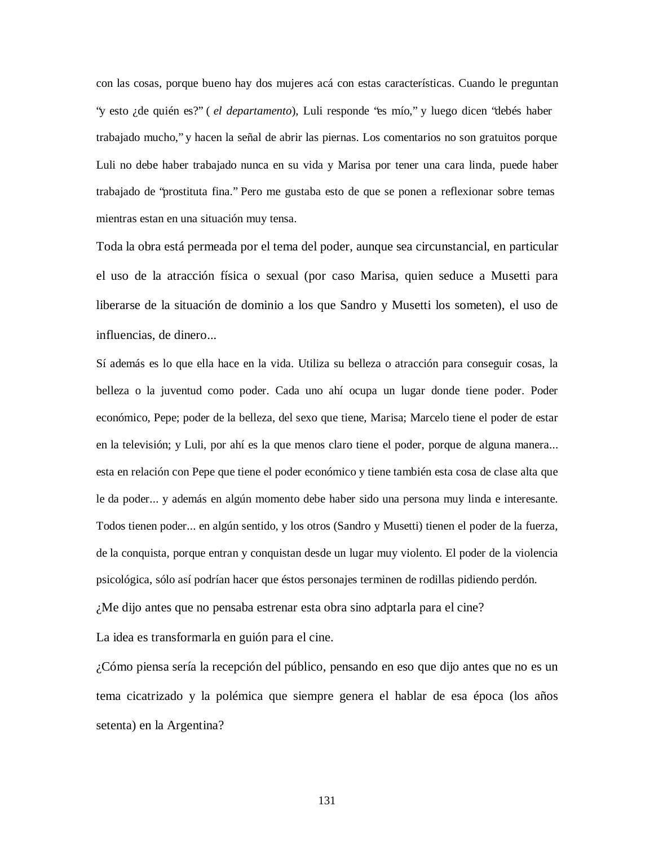con las cosas, porque bueno hay dos mujeres acá con estas características. Cuando le preguntan "y esto ¿de quién es?" ( *el departamento*), Luli responde "es mío," y luego dicen "debés haber trabajado mucho," y hacen la señal de abrir las piernas. Los comentarios no son gratuitos porque Luli no debe haber trabajado nunca en su vida y Marisa por tener una cara linda, puede haber trabajado de "prostituta fina." Pero me gustaba esto de que se ponen a reflexionar sobre temas mientras estan en una situación muy tensa.

Toda la obra está permeada por el tema del poder, aunque sea circunstancial, en particular el uso de la atracción física o sexual (por caso Marisa, quien seduce a Musetti para liberarse de la situación de dominio a los que Sandro y Musetti los someten), el uso de influencias, de dinero...

Sí además es lo que ella hace en la vida. Utiliza su belleza o atracción para conseguir cosas, la belleza o la juventud como poder. Cada uno ahí ocupa un lugar donde tiene poder. Poder económico, Pepe; poder de la belleza, del sexo que tiene, Marisa; Marcelo tiene el poder de estar en la televisión; y Luli, por ahí es la que menos claro tiene el poder, porque de alguna manera... esta en relación con Pepe que tiene el poder económico y tiene también esta cosa de clase alta que le da poder... y además en algún momento debe haber sido una persona muy linda e interesante. Todos tienen poder... en algún sentido, y los otros (Sandro y Musetti) tienen el poder de la fuerza, de la conquista, porque entran y conquistan desde un lugar muy violento. El poder de la violencia psicológica, sólo así podrían hacer que éstos personajes terminen de rodillas pidiendo perdón. ¿Me dijo antes que no pensaba estrenar esta obra sino adptarla para el cine?

La idea es transformarla en guión para el cine.

¿Cómo piensa sería la recepción del público, pensando en eso que dijo antes que no es un tema cicatrizado y la polémica que siempre genera el hablar de esa época (los años setenta) en la Argentina?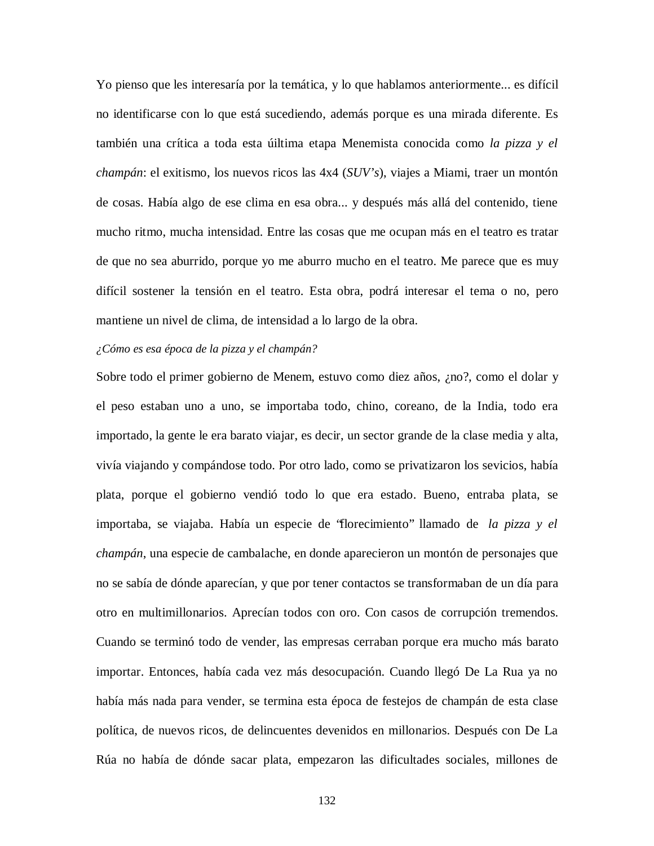Yo pienso que les interesaría por la temática, y lo que hablamos anteriormente... es difícil no identificarse con lo que está sucediendo, además porque es una mirada diferente. Es también una crítica a toda esta úiltima etapa Menemista conocida como *la pizza y el champán*: el exitismo, los nuevos ricos las 4x4 (*SUV's*), viajes a Miami, traer un montón de cosas. Había algo de ese clima en esa obra... y después más allá del contenido, tiene mucho ritmo, mucha intensidad. Entre las cosas que me ocupan más en el teatro es tratar de que no sea aburrido, porque yo me aburro mucho en el teatro. Me parece que es muy difícil sostener la tensión en el teatro. Esta obra, podrá interesar el tema o no, pero mantiene un nivel de clima, de intensidad a lo largo de la obra.

# *¿Cómo es esa época de la pizza y el champán?*

Sobre todo el primer gobierno de Menem, estuvo como diez años, ¿no?, como el dolar y el peso estaban uno a uno, se importaba todo, chino, coreano, de la India, todo era importado, la gente le era barato viajar, es decir, un sector grande de la clase media y alta, vivía viajando y compándose todo. Por otro lado, como se privatizaron los sevicios, había plata, porque el gobierno vendió todo lo que era estado. Bueno, entraba plata, se importaba, se viajaba. Había un especie de "florecimiento" llamado de *la pizza y el champán*, una especie de cambalache, en donde aparecieron un montón de personajes que no se sabía de dónde aparecían, y que por tener contactos se transformaban de un día para otro en multimillonarios. Aprecían todos con oro. Con casos de corrupción tremendos. Cuando se terminó todo de vender, las empresas cerraban porque era mucho más barato importar. Entonces, había cada vez más desocupación. Cuando llegó De La Rua ya no había más nada para vender, se termina esta época de festejos de champán de esta clase política, de nuevos ricos, de delincuentes devenidos en millonarios. Después con De La Rúa no había de dónde sacar plata, empezaron las dificultades sociales, millones de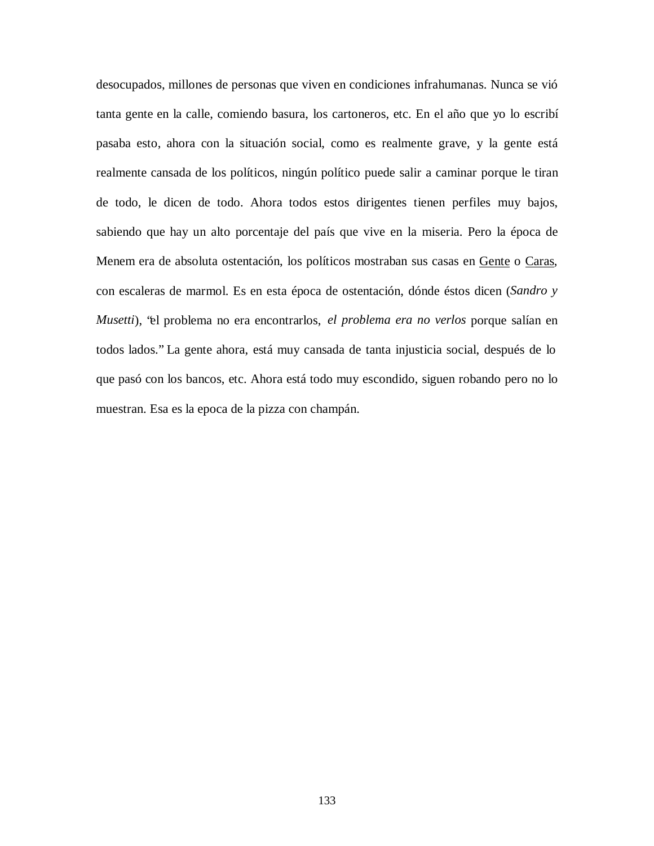desocupados, millones de personas que viven en condiciones infrahumanas. Nunca se vió tanta gente en la calle, comiendo basura, los cartoneros, etc. En el año que yo lo escribí pasaba esto, ahora con la situación social, como es realmente grave, y la gente está realmente cansada de los políticos, ningún político puede salir a caminar porque le tiran de todo, le dicen de todo. Ahora todos estos dirigentes tienen perfiles muy bajos, sabiendo que hay un alto porcentaje del país que vive en la miseria. Pero la época de Menem era de absoluta ostentación, los políticos mostraban sus casas en Gente o Caras, con escaleras de marmol. Es en esta época de ostentación, dónde éstos dicen (*Sandro y Musetti*), "el problema no era encontrarlos, *el problema era no verlos* porque salían en todos lados." La gente ahora, está muy cansada de tanta injusticia social, después de lo que pasó con los bancos, etc. Ahora está todo muy escondido, siguen robando pero no lo muestran. Esa es la epoca de la pizza con champán.